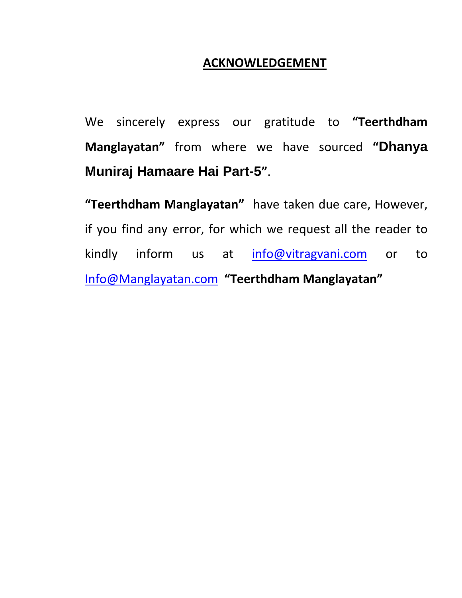### **ACKNOWLEDGEMENT**

We sincerely express our gratitude to **"Teerthdham Manglayatan"** from where we have sourced **"Dhanya Muniraj Hamaare Hai Part-5"**.

**"Teerthdham Manglayatan"** have taken due care, However, if you find any error, for which we request all the reader to kindly inform us at [info@vitragvani.com](mailto:info@vitragvani.com) or to [Info@Manglayatan.com](mailto:Info@Manglayatan.com) **"Teerthdham Manglayatan"**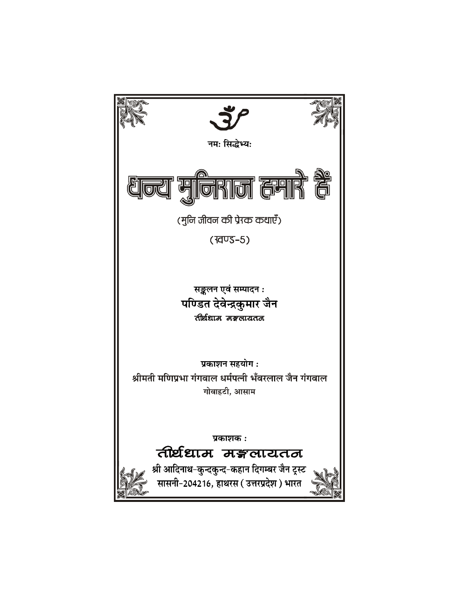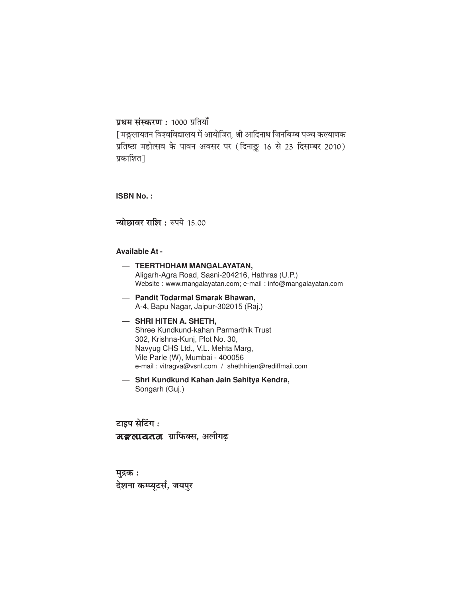#### प्रथम संस्करण: 1000 प्रतियाँ

[ मङ्गलायतन विश्वविद्यालय में आयोजित, श्री आदिनाथ जिनबिम्ब पञ्च कल्याणक प्रतिष्ठा महोत्सव के पावन अवसर पर (दिनाङ़ू 16 से 23 दिसम्बर 2010) प्रकाशित]

**ISBN No.:** 

न्योछावर राशि: रुपये 15.00

#### **Available At -**

- TEERTHDHAM MANGALAYATAN, Aligarh-Agra Road, Sasni-204216, Hathras (U.P.) Website: www.mangalayatan.com; e-mail: info@mangalayatan.com
- Pandit Todarmal Smarak Bhawan, A-4, Bapu Nagar, Jaipur-302015 (Raj.)
- SHRI HITEN A. SHETH. Shree Kundkund-kahan Parmarthik Trust 302, Krishna-Kunj, Plot No. 30, Navyug CHS Ltd., V.L. Mehta Marg, Vile Parle (W), Mumbai - 400056 e-mail: vitragva@vsnl.com / shethhiten@rediffmail.com
- Shri Kundkund Kahan Jain Sahitya Kendra, Songarh (Guj.)

टाइप सेटिंग :

मङ्गलायतत ग्राफिक्स, अलीगढ़

मुद्रक : देशना कम्प्यूटर्स, जयपुर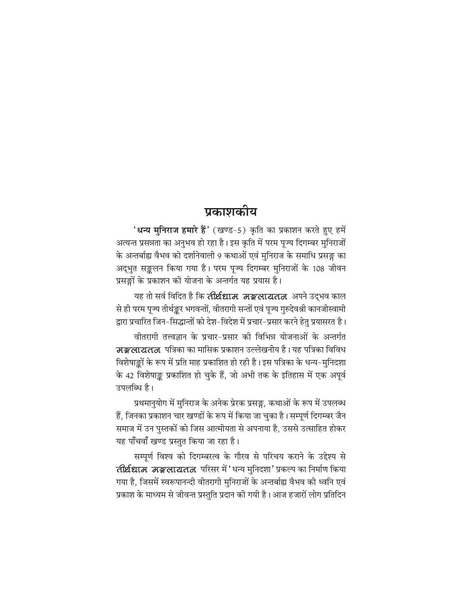### प्रकाशकीय

'<mark>धन्य मुनिराज हमारे हैं'</mark> (खण्ड-5) कृति का प्रकाशन करते हुए हमें अत्यन्त प्रसन्नता का अनुभव हो रहा है। इस कृति में परम पूज्य दिगम्बर मुनिराजों के अन्तर्बाह्य वैभव को दर्शानेवाली 9 कथाओं एवं मुनिराज के समाधि प्रसङ्ग का अद्भुत सङ्कलन किया गया है। परम पूज्य दिगम्बर मुनिराजों के 108 जीवन प्रसङ्गों के प्रकाशन की योजना के अन्तर्गत यह प्रयास है।

यह तो सर्व विदित है कि **तीर्थधाम मङ्गलायतन** अपने उद्भव काल से ही परम पूज्य तीर्थङ्कर भगवन्तों, वीतरागी सन्तों एवं पूज्य गुरुदेवश्री कानजीस्वामी द्वारा प्रचारित जिन-सिद्धान्तों को देश-विदेश में प्रचार-प्रसार करने हेतु प्रयासरत है।

वीतरागी तत्त्वज्ञान के प्रचार-प्रसार की विभिन्न योजनाओं के अन्तर्गत मङ्गलायतत्व पत्रिका का मासिक प्रकाशन उल्लेखनीय है। यह पत्रिका विविध विशेषाङ्कों के रूप में प्रति माह प्रकाशित हो रही है। इस पत्रिका के धन्य–मुनिदशा के 42 विशेषाङ्क प्रकाशित हो चुके हैं, जो अभी तक के इतिहास में एक अपूर्व उपलब्धि है।

प्रथमानुयोग में मुनिराज के अनेक प्रेरक प्रसङ्ग, कथाओं के रूप में उपलब्ध हैं, जिनका प्रकाशन चार खण्डों के रूप में किया जा चुका है। सम्पूर्ण दिगम्बर जैन समाज में उन पुस्तकों को जिस आत्मीयता से अपनाया है, उससे उत्साहित होकर यह पाँचवाँ खण्ड प्रस्तुत किया जा रहा है।

सम्पूर्ण विश्व को दिगम्बरत्व के गौरव से परिचय कराने के उद्देश्य से तीर्थधाम मङ्गलायतन परिसर में 'धन्य मुनिदशा' प्रकल्प का निर्माण किया गया है, जिसमें स्वरूपानन्दी वीतरागी मुनिराजों के अन्तर्बाह्य वैभव की ध्वनि एवं प्रकाश के माध्यम से जीवन्त प्रस्तुति प्रदान की गयी है। आज हजारों लोग प्रतिदिन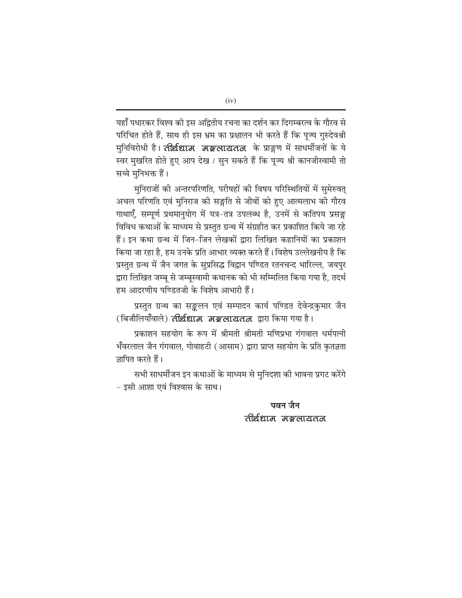यहाँ पधारकर विश्व की इस अद्वितीय रचना का दर्शन कर दिगम्बरत्व के गौरव से परिचित होते हैं, साथ ही इस भ्रम का प्रक्षालन भी करते हैं कि पूज्य गुरुदेवश्री मनिविरोधी है। तीर्थधाम मङ्गलायतन के प्राङ्गण में साधर्मीजनों के ये स्वर मुखरित होते हुए आप देख / सुन सकते हैं कि पूज्य श्री कानजीस्वामी तो सच्चे मनिभक्त हैं।

मुनिराजों की अन्तरपरिणति, परीषहों की विषय परिस्थितियों में सुमेरुवत् अचल परिणति एवं मुनिराज की सङ्गति से जीवों को हुए आत्मलाभ की गौरव गाथाएँ, सम्पूर्ण प्रथमानुयोग में यत्र-तत्र उपलब्ध है, उनमें से कतिपय प्रसङ्ग विविध कथाओं के माध्यम से प्रस्तुत ग्रन्थ में संग्रहीत कर प्रकाशित किये जा रहे हैं। इन कथा ग्रन्थ में जिन-जिन लेखकों द्वारा लिखित कहानियों का प्रकाशन किया जा रहा है, हम उनके प्रति आभार व्यक्त करते हैं। विशेष उल्लेखनीय है कि प्रस्तुत ग्रन्थ में जैन जगत के सुप्रसिद्ध विद्वान पण्डित रतनचन्द भारिल्ल, जयपुर द्वारा लिखित जम्बू से जम्बूस्वामी कथानक को भी सम्मिलित किया गया है, तदर्थ हम आदरणीय पण्डितजी के विशेष आभारी हैं।

प्रस्तुत ग्रन्थ का सङ्कलन एवं सम्पादन कार्य पण्डित देवेन्द्रकुमार जैन (बिजौलियाँवाले) **तीर्थधाम मङ्गलायतन** द्वारा किया गया है।

प्रकाशन सहयोग के रूप में श्रीमती श्रीमती मणिप्रभा गंगवाल धर्मपत्नी भँवरलाल जैन गंगवाल, गोवाहटी (आसाम) द्वारा प्राप्त सहयोग के प्रति कृतज्ञता ज़ापित करते हैं।

सभी साधर्मीजन इन कथाओं के माध्यम से मुनिदशा की भावना प्रगट करेंगे - इसी आशा एवं विश्वास के साथ।

> पवन जैन तीर्थधाम मङ्गलायतन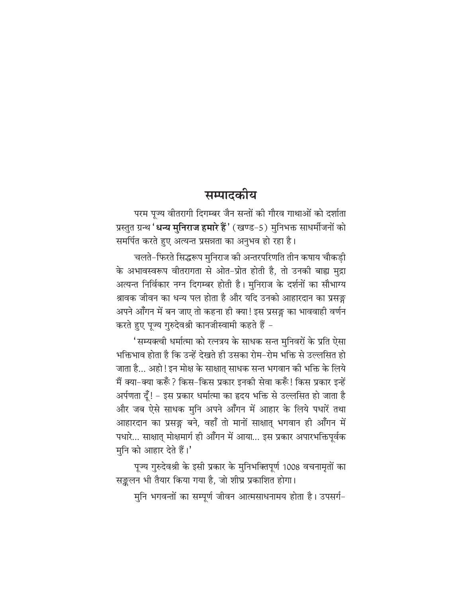### सम्पादकीय

परम पूज्य वीतरागी दिगम्बर जैन सन्तों की गौरव गाथाओं को दर्शाता प्रस्तुत ग्रन्थ '**धन्य मुनिराज हमारे हैं** ' (खण्ड-5) मुनिभक्त साधर्मीजनों को समर्पित करते हुए अत्यन्त प्रसन्नता का अनुभव हो रहा है।

चलते-फिरते सिद्धरूप मुनिराज की अन्तरपरिणति तीन कषाय चौकडी के अभावस्वरूप वीतरागता से ओत-प्रोत होती है, तो उनकी बाह्य मुद्रा अत्यन्त निर्विकार नग्न दिगम्बर होती है। मुनिराज के दर्शनों का सौभाग्य श्रावक जीवन का धन्य पल होता है और यदि उनको आहारदान का प्रसङ्ग अपने आँगन में बन जाए तो कहना ही क्या! इस प्रसङ्ग का भाववाही वर्णन करते हुए पूज्य गुरुदेवश्री कानजीस्वामी कहते हैं -

'सम्यक्त्वी धर्मात्मा को रत्नत्रय के साधक सन्त मुनिवरों के प्रति ऐसा भक्तिभाव होता है कि उन्हें देखते ही उसका रोम–रोम भक्ति से उल्लसित हो जाता है... अहो ! इन मोक्ष के साक्षात साधक सन्त भगवान की भक्ति के लिये मैं क्या-क्या करूँ ? किस-किस प्रकार इनकी सेवा करूँ ! किस प्रकार इन्हें अर्पणता दूँ! – इस प्रकार धर्मात्मा का हृदय भक्ति से उल्लसित हो जाता है और जब ऐसे साधक मूनि अपने आँगन में आहार के लिये पधारें तथा आहारदान का प्रसङ्ग बने, वहाँ तो मानों साक्षात भगवान ही आँगन में पधारे... साक्षात् मोक्षमार्ग ही आँगन में आया... इस प्रकार अपारभक्तिपूर्वक मुनि को आहार देते हैं।'

पूज्य गुरुदेवश्री के इसी प्रकार के मुनिभक्तिपूर्ण 1008 वचनामृतों का सङ्कलन भी तैयार किया गया है, जो शीघ्र प्रकाशित होगा।

मुनि भगवन्तों का सम्पूर्ण जीवन आत्मसाधनामय होता है। उपसर्ग-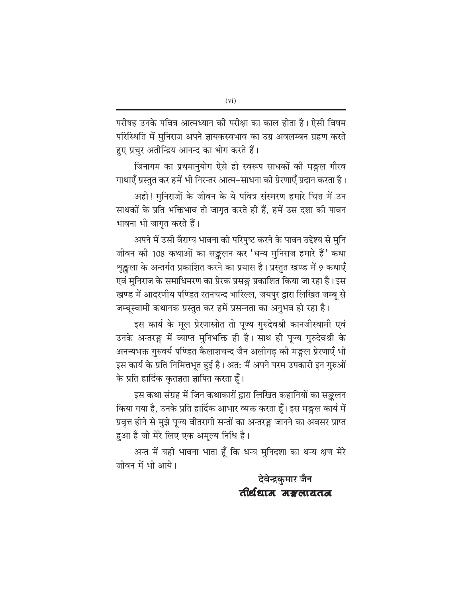परीषह उनके पवित्र आत्मध्यान की परीक्षा का काल होता है। ऐसी विषम परिस्थिति में मुनिराज अपने ज्ञायकस्वभाव का उग्र अवलम्बन ग्रहण करते हुए प्रचुर अतीन्द्रिय आनन्द का भोग करते हैं।

जिनागम का प्रथमानुयोग ऐसे ही स्वरूप साधकों की मङ्गल गौरव गाथाएँ प्रस्तुत कर हमें भी निरन्तर आत्म–साधना की प्रेरणाएँ प्रदान करता है।

अहो! मुनिराजों के जीवन के ये पवित्र संस्मरण हमारे चित्त में उन साधकों के प्रति भक्तिभाव तो जागृत करते ही हैं, हमें उस दशा की पावन भावना भी जागृत करते हैं।

अपने में उसी वैराग्य भावना को परिपुष्ट करने के पावन उद्देश्य से मुनि जीवन की 108 कथाओं का सङ्कलन कर 'धन्य मुनिराज हमारे हैं' कथा शृङ्खला के अन्तर्गत प्रकाशित करने का प्रयास है। प्रस्तुत खण्ड में 9 कथाएँ एवं मुनिराज के समाधिमरण का प्रेरक प्रसङ्ग प्रकाशित किया जा रहा है। इस खण्ड में आदरणीय पण्डित रतनचन्द भारिल्ल, जयपुर द्वारा लिखित जम्बू से जम्बूस्वामी कथानक प्रस्तुत कर हमें प्रसन्नता का अनुभव हो रहा है।

इस कार्य के मूल प्रेरणास्रोत तो पूज्य गुरुदेवश्री कानजीस्वामी एवं उनके अन्तरङ्ग में व्याप्त मुनिभक्ति ही है। साथ ही पूज्य गुरुदेवश्री के अनन्यभक्त गुरुवर्य पण्डित कैलाशचन्द जैन अलीगढ़ की मङ्गल प्रेरणाएँ भी इस कार्य के प्रति निमित्तभूत हुई है। अत: मैं अपने परम उपकारी इन गुरुओं के प्रति हार्दिक कृतज्ञता ज्ञापित करता हूँ।

इस कथा संग्रह में जिन कथाकारों द्वारा लिखित कहानियों का सङ्कलन किया गया है, उनके प्रति हार्दिक आभार व्यक्त करता हूँ। इस मङ्गल कार्य में प्रवृत्त होने से मुझे पूज्य वीतरागी सन्तों का अन्तरङ्ग जानने का अवसर प्राप्त हुआ है जो मेरे लिए एक अमूल्य निधि है।

अन्त में यही भावना भाता हूँ कि धन्य मुनिदशा का धन्य क्षण मेरे जीवन में भी आये।

> देवेन्द्रकुमार जैन तीर्थधाम मङलायतन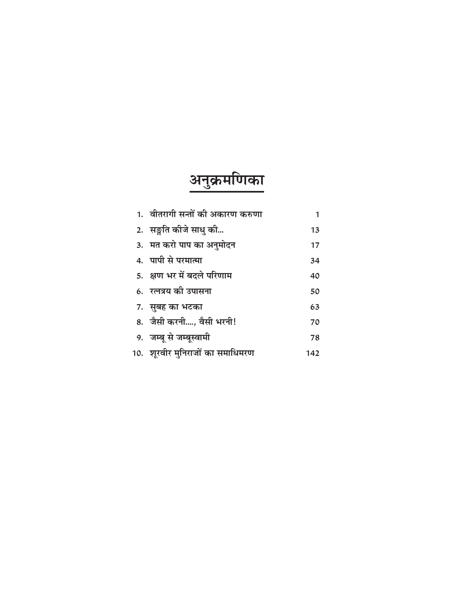# <u>अनुक्रमणिका</u>

| 1. वीतरागी सन्तों की अकारण करुणा | 1   |
|----------------------------------|-----|
| 2. सङ्गति कीजे साधु की           | 13  |
| 3. मत करो पाप का अनुमोदन         | 17  |
| 4. पापी से परमात्मा              | 34  |
| 5. क्षण भर में बदले परिणाम       | 40  |
| 6. रत्नत्रय की उपासना            | 50  |
| 7. सुबह का भटका                  | 63  |
| 8. जैसी करनी, वैसी भरनी!         | 70  |
| 9. जम्बू से जम्बूस्वामी          | 78  |
| 10. शूरवीर मुनिराजों का समाधिमरण | 142 |
|                                  |     |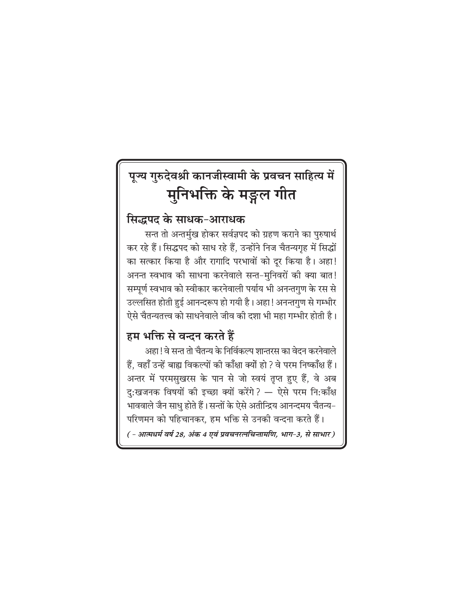# पूज्य गुरुदेवश्री कानजीस्वामी के प्रवचन साहित्य में मुनिभक्ति के मङ्गल गीत

#### सिद्धपद के साधक-आराधक

सन्त तो अन्तर्मुख होकर सर्वज्ञपद को ग्रहण कराने का पुरुषार्थ कर रहे हैं। सिद्धपद को साध रहे हैं, उन्होंने निज चैतन्यगृह में सिद्धों का सत्कार किया है और रागादि परभावों को दूर किया है। अहा! अनन्त स्वभाव की साधना करनेवाले सन्त-मुनिवरों की क्या बात! सम्पूर्ण स्वभाव को स्वीकार करनेवाली पर्याय भी अनन्तगुण के रस से उल्लसित होती हुई आनन्दरूप हो गयी है। अहा! अनन्तगुण से गम्भीर ऐसे चैतन्यतत्त्व को साधनेवाले जीव की दशा भी महा गम्भीर होती है।

### हम भक्ति से वन्दन करते हैं

अहा ! वे सन्त तो चैतन्य के निर्विकल्प शान्तरस का वेदन करनेवाले हैं, वहाँ उन्हें बाह्य विकल्पों की काँक्षा क्यों हो ? वे परम निष्काँक्ष हैं। अन्तर में परमसुखरस के पान से जो स्वयं तृप्त हुए हैं, वे अब दु:खजनक विषयों की इच्छा क्यों करेंगे? — ऐसे परम नि:काँक्ष भाववाले जैन साधु होते हैं। सन्तों के ऐसे अतीन्द्रिय आनन्दमय चैतन्य-परिणमन को पहिचानकर, हम भक्ति से उनकी वन्दना करते हैं। ( - आत्मधर्म वर्ष 28, अंक 4 एवं प्रवचनरत्नचिन्तामणि, भाग-3, से साभार )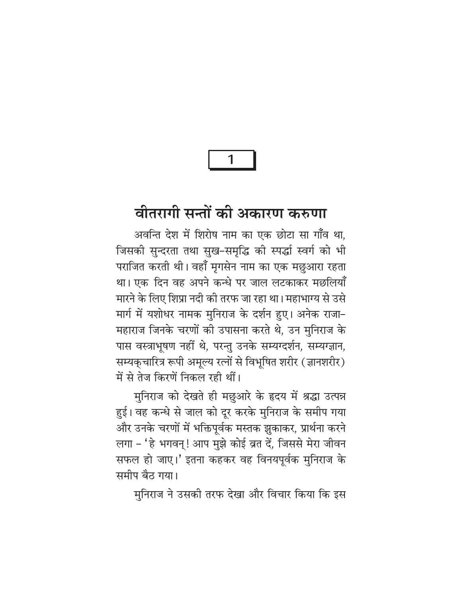# वीतरागी सन्तों की अकारण करुणा

अवन्ति देश में शिरोष नाम का एक छोटा सा गाँव था. जिसकी सुन्दरता तथा सुख-समृद्धि की स्पर्द्धा स्वर्ग को भी पराजित करती थी। वहाँ मृगसेन नाम का एक मछुआरा रहता था। एक दिन वह अपने कन्धे पर जाल लटकाकर मछलियाँ मारने के लिए शिप्रा नदी की तरफ जा रहा था। महाभाग्य से उसे मार्ग में यशोधर नामक मुनिराज के दर्शन हुए। अनेक राजा-महाराज जिनके चरणों की उपासना करते थे, उन मुनिराज के पास वस्त्राभूषण नहीं थे, परन्तु उनके सम्यग्दर्शन, सम्यग्ज्ञान, सम्यकुचारित्र रूपी अमूल्य रत्नों से विभूषित शरीर (ज्ञानशरीर) में से तेज किरणें निकल रही थीं।

मुनिराज को देखते ही मछुआरे के हृदय में श्रद्धा उत्पन्न हुई। वह कन्धे से जाल को दूर करके मुनिराज के समीप गया और उनके चरणों में भक्तिपूर्वक मस्तक झुकाकर, प्रार्थना करने लगा - 'हे भगवन्! आप मुझे कोई व्रत दें, जिससे मेरा जीवन सफल हो जाए।' इतना कहकर वह विनयपूर्वक मुनिराज के समीप बैठ गया।

मुनिराज ने उसकी तरफ देखा और विचार किया कि इस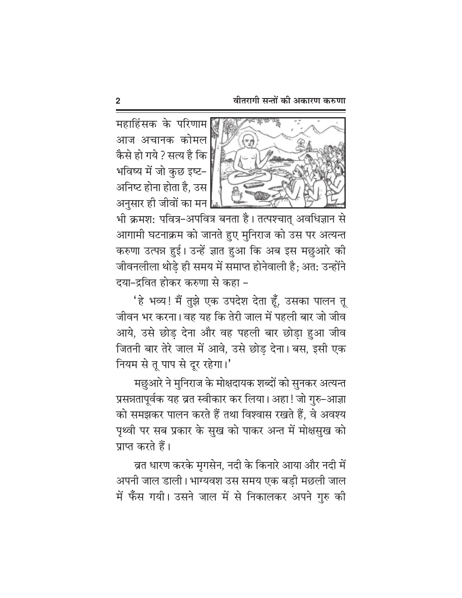महाहिंसक के परिणाम आज अचानक कोमल कैसे हो गये ? सत्य है कि भविष्य में जो कुछ इष्ट-अनिष्ट होना होता है. उस अनसार ही जीवों का मन



भी क्रमश: पवित्र–अपवित्र बनता है। तत्पश्चात् अवधिज्ञान से आगामी घटनाक्रम को जानते हुए मुनिराज को उस पर अत्यन्त करुणा उत्पन्न हुई। उन्हें ज्ञात हुआ कि अब इस मछुआरे की जीवनलीला थोड़े ही समय में समाप्त होनेवाली है; अत: उन्होंने दया-द्रवित होकर करुणा से कहा -

'हे भव्य! मैं तुझे एक उपदेश देता हूँ, उसका पालन तू जीवन भर करना। वह यह कि तेरी जाल में पहली बार जो जीव आये, उसे छोड़ देना और वह पहली बार छोड़ा हुआ जीव जितनी बार तेरे जाल में आवे, उसे छोड़ देना। बस, इसी एक नियम से तू पाप से दूर रहेगा।'

मछुआरे ने मुनिराज के मोक्षदायक शब्दों को सुनकर अत्यन्त प्रसन्नतापूर्वक यह व्रत स्वीकार कर लिया। अहा ! जो गुरु–आज्ञा को समझकर पालन करते हैं तथा विश्वास रखते हैं. वे अवश्य पृथ्वी पर सब प्रकार के सुख को पाकर अन्त में मोक्षसुख को प्राप्त करते हैं।

व्रत धारण करके मृगसेन, नदी के किनारे आया और नदी में अपनी जाल डाली। भाग्यवश उस समय एक बडी मछली जाल में फँस गयी। उसने जाल में से निकालकर अपने गुरु की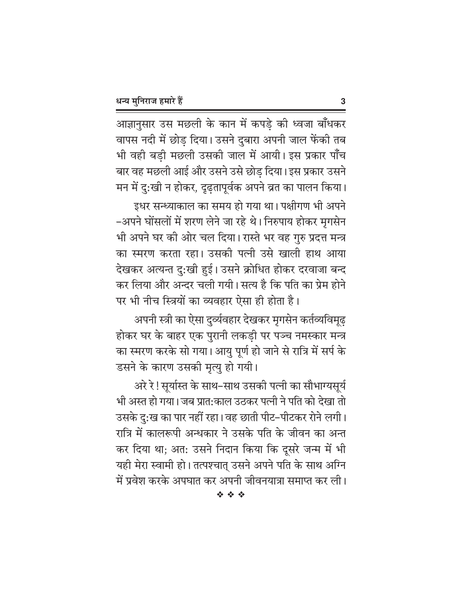आज्ञानुसार उस मछली के कान में कपड़े की ध्वजा बाँधकर वापस नदी में छोड़ दिया। उसने दुबारा अपनी जाल फेंकी तब भी वही बड़ी मछली उसकी जाल में आयी। इस प्रकार पाँच बार वह मछली आई और उसने उसे छोड़ दिया। इस प्रकार उसने मन में दु:खी न होकर, दृढ़तापूर्वक अपने व्रत का पालन किया।

इधर सन्ध्याकाल का समय हो गया था। पक्षीगण भी अपने –अपने घोंसलों में शरण लेने जा रहे थे। निरुपाय होकर मृगसेन भी अपने घर की ओर चल दिया। रास्ते भर वह गुरु प्रदत्त मन्त्र का स्मरण करता रहा। उसकी पत्नी उसे खाली हाथ आया देखकर अत्यन्त दु:खी हुई। उसने क्रोधित होकर दरवाजा बन्द कर लिया और अन्दर चली गयी। सत्य है कि पति का प्रेम होने पर भी नीच स्त्रियों का व्यवहार ऐसा ही होता है।

अपनी स्त्री का ऐसा दुर्व्यवहार देखकर मृगसेन कर्तव्यविमूढ़ होकर घर के बाहर एक पुरानी लकड़ी पर पञ्च नमस्कार मन्त्र का स्मरण करके सो गया। आयु पूर्ण हो जाने से रात्रि में सर्प के डसने के कारण उसकी मृत्यु हो गयी।

अरे रे! सूर्यास्त के साथ-साथ उसकी पत्नी का सौभाग्यसूर्य भी अस्त हो गया। जब प्रात:काल उठकर पत्नी ने पति को देखा तो उसके दु:ख का पार नहीं रहा। वह छाती पीट–पीटकर रोने लगी। रात्रि में कालरूपी अन्धकार ने उसके पति के जीवन का अन्त कर दिया था; अत: उसने निदान किया कि दूसरे जन्म में भी यही मेरा स्वामी हो। तत्पश्चात् उसने अपने पति के साथ अग्नि में प्रवेश करके अपघात कर अपनी जीवनयात्रा समाप्त कर ली।

3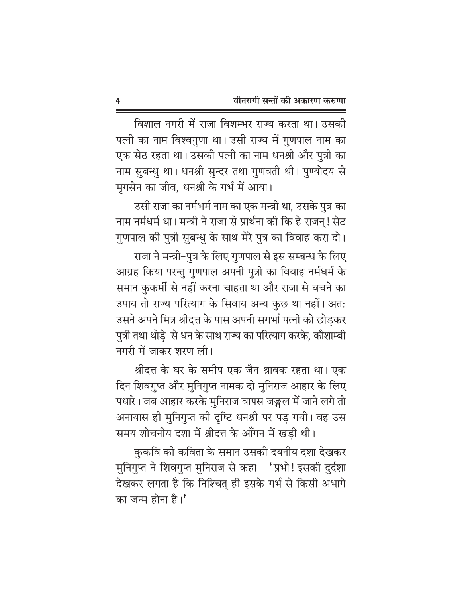विशाल नगरी में राजा विशम्भर राज्य करता था। उसकी पत्नी का नाम विश्वगुणा था। उसी राज्य में गुणपाल नाम का एक सेठ रहता था। उसकी पत्नी का नाम धनश्री और पुत्री का नाम सुबन्धु था। धनश्री सुन्दर तथा गुणवती थी। पुण्योदय से मृगसेन का जीव, धनश्री के गर्भ में आया।

उसी राजा का नर्मभर्म नाम का एक मन्त्री था, उसके पुत्र का नाम नर्मधर्म था। मन्त्री ने राजा से प्रार्थना की कि हे राजन्! सेठ गुणपाल की पुत्री सुबन्धु के साथ मेरे पुत्र का विवाह करा दो।

राजा ने मन्त्री-पुत्र के लिए गुणपाल से इस सम्बन्ध के लिए आग्रह किया परन्तु गुणपाल अपनी पुत्री का विवाह नर्मधर्म के समान कुकर्मी से नहीं करना चाहता था और राजा से बचने का उपाय तो राज्य परित्याग के सिवाय अन्य कुछ था नहीं। अत: उसने अपने मित्र श्रीदत्त के पास अपनी सगर्भा पत्नी को छोड़कर पुत्री तथा थोड़े–से धन के साथ राज्य का परित्याग करके, कौशाम्बी नगरी में जाकर शरण ली।

श्रीदत्त के घर के समीप एक जैन श्रावक रहता था। एक दिन शिवगुप्त और मुनिगुप्त नामक दो मुनिराज आहार के लिए पधारे। जब आहार करके मुनिराज वापस जङ्गल में जाने लगे तो अनायास ही मुनिगुप्त की दृष्टि धनश्री पर पड़ गयी। वह उस समय शोचनीय दशा में श्रीदत्त के आँगन में खड़ी थी।

कुकवि की कविता के समान उसकी दयनीय दशा देखकर मुनिगुप्त ने शिवगुप्त मुनिराज से कहा - 'प्रभो! इसकी दुर्दशा देखकर लगता है कि निश्चित् ही इसके गर्भ से किसी अभागे का जन्म होना है।'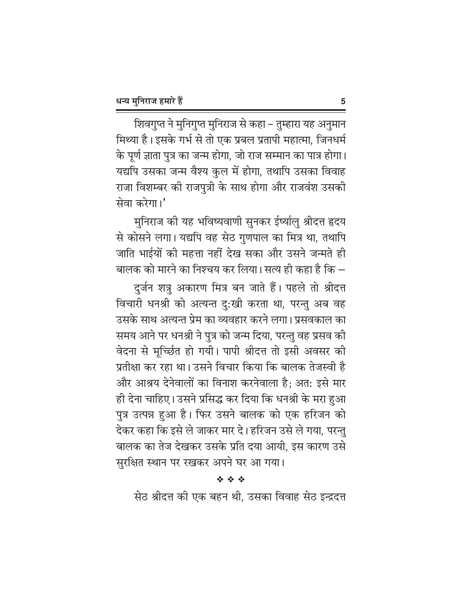शिवगुप्त ने मुनिगुप्त मुनिराज से कहा – तुम्हारा यह अनुमान मिथ्या है। इसके गर्भ से तो एक प्रबल प्रतापी महात्मा, जिनधर्म के पूर्ण ज्ञाता पुत्र का जन्म होगा, जो राज सम्मान का पात्र होगा। यद्यपि उसका जन्म वैश्य कुल में होगा, तथापि उसका विवाह राजा विशम्बर की राजपुत्री के साथ होगा और राजवंश उसकी सेवा करेगा।'

मुनिराज की यह भविष्यवाणी सुनकर ईर्ष्यालु श्रीदत्त हृदय से कोसने लगा। यद्यपि वह सेठ गुणपाल का मित्र था, तथापि जाति भाईयों की महत्ता नहीं देख सका और उसने जन्मते ही बालक को मारने का निश्चय कर लिया। सत्य ही कहा है कि –

दुर्जन शत्रु अकारण मित्र बन जाते हैं। पहले तो श्रीदत्त विचारी धनश्री को अत्यन्त दु:खी करता था, परन्तु अब वह उसके साथ अत्यन्त प्रेम का व्यवहार करने लगा। प्रसवकाल का समय आने पर धनश्री ने पुत्र को जन्म दिया, परन्तु वह प्रसव की वेदना से मूर्च्छित हो गयी। पापी श्रीदत्त तो इसी अवसर की प्रतीक्षा कर रहा था। उसने विचार किया कि बालक तेजस्वी है और आश्रय देनेवालों का विनाश करनेवाला है; अत: इसे मार ही देना चाहिए। उसने प्रसिद्ध कर दिया कि धनश्री के मरा हुआ पुत्र उत्पन्न हुआ है। फिर उसने बालक को एक हरिजन को देकर कहा कि इसे ले जाकर मार दे। हरिजन उसे ले गया, परन्तु बालक का तेज देखकर उसके प्रति दया आयी, इस कारण उसे सुरक्षित स्थान पर रखकर अपने घर आ गया।

#### 经合金

सेठ श्रीदत्त की एक बहन थी, उसका विवाह सेठ इन्द्रदत्त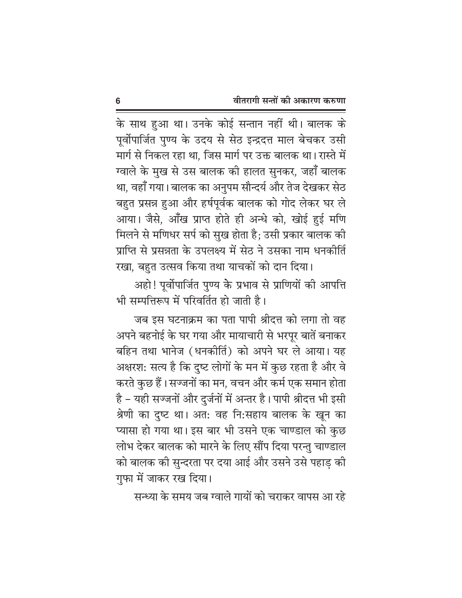के साथ हुआ था। उनके कोई सन्तान नहीं थी। बालक के पूर्वोपार्जित पुण्य के उदय से सेठ इन्द्रदत्त माल बेचकर उसी मार्ग से निकल रहा था, जिस मार्ग पर उक्त बालक था। रास्ते में ग्वाले के मुख से उस बालक की हालत सुनकर, जहाँ बालक था, वहाँ गया। बालक का अनुपम सौन्दर्य और तेज देखकर सेठ बहुत प्रसन्न हुआ और हर्षपूर्वक बालक को गोद लेकर घर ले आया। जैसे, आँख प्राप्त होते ही अन्धे को, खोई हुई मणि मिलने से मणिधर सर्प को सुख होता है; उसी प्रकार बालक की प्राप्ति से प्रसन्नता के उपलक्ष्य में सेठ ने उसका नाम धनकीर्ति रखा, बहुत उत्सव किया तथा याचकों को दान दिया।

अहो! पूर्वोपार्जित पुण्य के प्रभाव से प्राणियों की आपत्ति भी सम्पत्तिरूप में परिवर्तित हो जाती है।

जब इस घटनाक्रम का पता पापी श्रीदत्त को लगा तो वह अपने बहनोई के घर गया और मायाचारी से भरपूर बातें बनाकर बहिन तथा भानेज (धनकीर्ति) को अपने घर ले आया। यह अक्षरश: सत्य है कि दृष्ट लोगों के मन में कुछ रहता है और वे करते कुछ हैं। सज्जनों का मन, वचन और कर्म एक समान होता है - यही सज्जनों और दुर्जनों में अन्तर है। पापी श्रीदत्त भी इसी श्रेणी का दुष्ट था। अत: वह नि:सहाय बालक के खून का प्यासा हो गया था। इस बार भी उसने एक चाण्डाल को कुछ लोभ देकर बालक को मारने के लिए सौंप दिया परन्तु चाण्डाल को बालक की सुन्दरता पर दया आई और उसने उसे पहाड की गुफा में जाकर रख दिया।

सन्ध्या के समय जब ग्वाले गायों को चराकर वापस आ रहे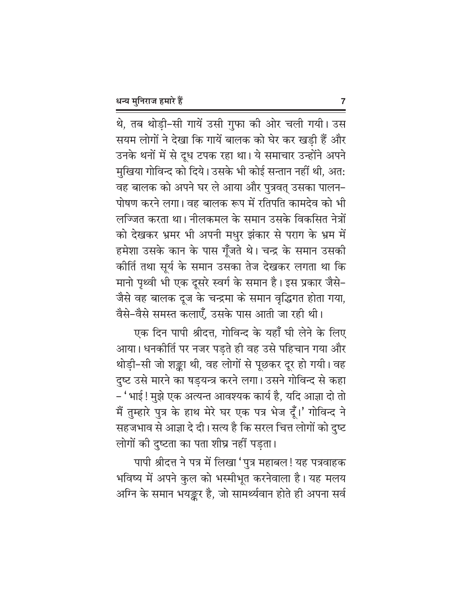थे, तब थोड़ी-सी गायें उसी गुफा की ओर चली गयी। उस सयम लोगों ने देखा कि गायें बालक को घेर कर खडी हैं और उनके थनों में से दूध टपक रहा था। ये समाचार उन्होंने अपने मुखिया गोविन्द को दिये। उसके भी कोई सन्तान नहीं थी, अत: वह बालक को अपने घर ले आया और पुत्रवत् उसका पालन-पोषण करने लगा। वह बालक रूप में रतिपति कामदेव को भी लज्जित करता था। नीलकमल के समान उसके विकसित नेत्रों को देखकर भ्रमर भी अपनी मधुर झंकार से पराग के भ्रम में हमेशा उसके कान के पास गूँजते थे। चन्द्र के समान उसकी कीर्ति तथा सूर्य के समान उसका तेज देखकर लगता था कि मानो पृथ्वी भी एक दूसरे स्वर्ग के समान है। इस प्रकार जैसे-जैसे वह बालक दूज के चन्द्रमा के समान वृद्धिगत होता गया, वैसे-वैसे समस्त कलाएँ. उसके पास आती जा रही थी।

एक दिन पापी श्रीदत्त, गोविन्द के यहाँ घी लेने के लिए आया। धनकीर्ति पर नजर पड़ते ही वह उसे पहिचान गया और थोड़ी-सी जो शङ्का थी, वह लोगों से पूछकर दूर हो गयी। वह दुष्ट उसे मारने का षड़यन्त्र करने लगा। उसने गोविन्द से कहा – ' भाई ! मुझे एक अत्यन्त आवश्यक कार्य है, यदि आज्ञा दो तो मैं तुम्हारे पुत्र के हाथ मेरे घर एक पत्र भेज दूँ।' गोविन्द ने सहजभाव से आज्ञा दे दी। सत्य है कि सरल चित्त लोगों को दुष्ट लोगों की दुष्टता का पता शीघ्र नहीं पड़ता।

पापी श्रीदत्त ने पत्र में लिखा 'पुत्र महाबल! यह पत्रवाहक भविष्य में अपने कुल को भस्मीभूत करनेवाला है। यह मलय अग्नि के समान भयङ्कर है, जो सामर्थ्यवान होते ही अपना सर्व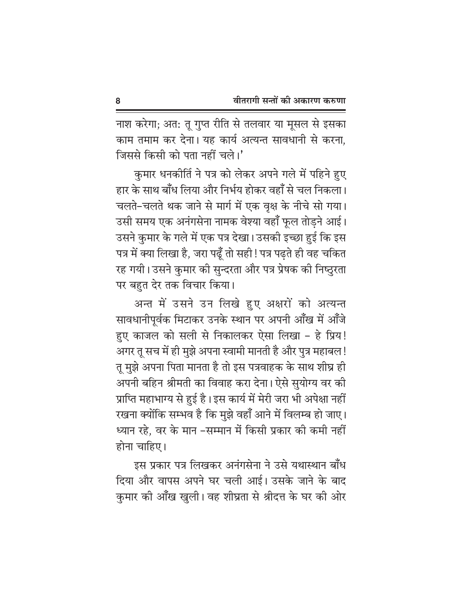नाश करेगा; अत: तू गुप्त रीति से तलवार या मूसल से इसका काम तमाम कर देना। यह कार्य अत्यन्त सावधानी से करना. जिससे किसी को पता नहीं चले।'

कुमार धनकीर्ति ने पत्र को लेकर अपने गले में पहिने हुए हार के साथ बाँध लिया और निर्भय होकर वहाँ से चल निकला। चलते-चलते थक जाने से मार्ग में एक वृक्ष के नीचे सो गया। उसी समय एक अनंगसेना नामक वेश्या वहाँ फूल तोड़ने आई। उसने कुमार के गले में एक पत्र देखा। उसकी इच्छा हुई कि इस पत्र में क्या लिखा है, जरा पढूँ तो सही ! पत्र पढ़ते ही वह चकित रह गयी। उसने कुमार की सुन्दरता और पत्र प्रेषक की निष्ठुरता पर बहुत देर तक विचार किया।

अन्त में उसने उन लिखे हुए अक्षरों को अत्यन्त सावधानीपूर्वक मिटाकर उनके स्थान पर अपनी आँख में आँजे हुए काजल को सली से निकालकर ऐसा लिखा – हे प्रिय! अगर तू सच में ही मुझे अपना स्वामी मानती है और पुत्र महाबल ! तू मुझे अपना पिता मानता है तो इस पत्रवाहक के साथ शीघ्र ही अपनी बहिन श्रीमती का विवाह करा देना। ऐसे सुयोग्य वर की प्राप्ति महाभाग्य से हुई है। इस कार्य में मेरी जरा भी अपेक्षा नहीं रखना क्योंकि सम्भव है कि मुझे वहाँ आने में विलम्ब हो जाए। ध्यान रहे, वर के मान –सम्मान में किसी प्रकार की कमी नहीं होना चाहिए।

इस प्रकार पत्र लिखकर अनंगसेना ने उसे यथास्थान बाँध दिया और वापस अपने घर चली आई। उसके जाने के बाद कुमार की आँख खुली। वह शीघ्रता से श्रीदत्त के घर की ओर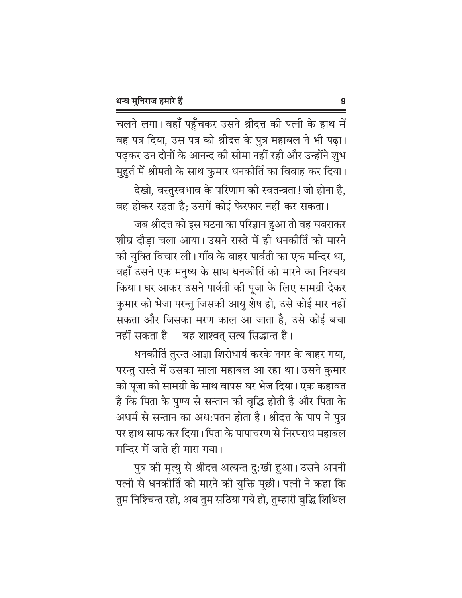चलने लगा। वहाँ पहुँचकर उसने श्रीदत्त की पत्नी के हाथ में वह पत्र दिया, उस पत्र को श्रीदत्त के पुत्र महाबल ने भी पढ़ा। पढ़कर उन दोनों के आनन्द की सीमा नहीं रही और उन्होंने शुभ मुहुर्त में श्रीमती के साथ कुमार धनकीर्ति का विवाह कर दिया।

देखो, वस्तुस्वभाव के परिणाम की स्वतन्त्रता! जो होना है, वह होकर रहता है; उसमें कोई फेरफार नहीं कर सकता।

जब श्रीदत्त को इस घटना का परिज्ञान हुआ तो वह घबराकर शीघ्र दौडा चला आया। उसने रास्ते में ही धनकीर्ति को मारने की युक्ति विचार ली। गाँव के बाहर पार्वती का एक मन्दिर था, वहाँ उसने एक मनुष्य के साथ धनकीर्ति को मारने का निश्चय किया। घर आकर उसने पार्वती की पूजा के लिए सामग्री देकर कुमार को भेजा परन्तु जिसकी आयु शेष हो, उसे कोई मार नहीं सकता और जिसका मरण काल आ जाता है, उसे कोई बचा नहीं सकता है – यह शाश्वत् सत्य सिद्धान्त है।

धनकीर्ति तुरन्त आज्ञा शिरोधार्य करके नगर के बाहर गया, परन्तु रास्ते में उसका साला महाबल आ रहा था। उसने कुमार को पूजा की सामग्री के साथ वापस घर भेज दिया। एक कहावत है कि पिता के पुण्य से सन्तान की वृद्धि होती है और पिता के अधर्म से सन्तान का अध:पतन होता है। श्रीदत्त के पाप ने पुत्र पर हाथ साफ कर दिया। पिता के पापाचरण से निरपराध महाबल मन्दिर में जाते ही मारा गया।

पुत्र की मृत्यु से श्रीदत्त अत्यन्त दुःखी हुआ। उसने अपनी पत्नी से धनकीर्ति को मारने की युक्ति पूछी। पत्नी ने कहा कि तुम निश्चिन्त रहो, अब तुम सठिया गये हो, तुम्हारी बुद्धि शिथिल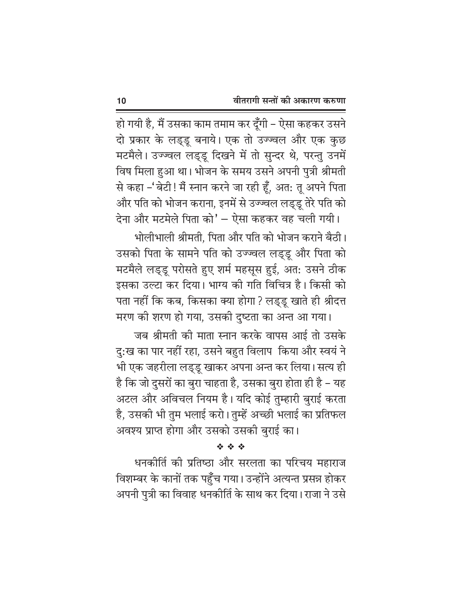हो गयी है, मैं उसका काम तमाम कर दूँगी – ऐसा कहकर उसने दो प्रकार के लड्डू बनाये। एक तो उज्ज्वल और एक कुछ मटमैले। उज्ज्वल लड्डू दिखने में तो सुन्दर थे, परन्तु उनमें विष मिला हुआ था। भोजन के समय उसने अपनी पुत्री श्रीमती से कहा –'बेटी ! मैं स्नान करने जा रही हूँ, अत: तू अपने पिता और पति को भोजन कराना, इनमें से उज्ज्वल लड्डू तेरे पति को देना और मटमेले पिता को' - ऐसा कहकर वह चली गयी।

भोलीभाली श्रीमती. पिता और पति को भोजन कराने बैठी। उसको पिता के सामने पति को उज्ज्वल लड्डू और पिता को मटमैले लड्डू परोसते हुए शर्म महसूस हुई, अत: उसने ठीक इसका उल्टा कर दिया। भाग्य की गति विचित्र है। किसी को पता नहीं कि कब, किसका क्या होगा ? लड्डू खाते ही श्रीदत्त मरण की शरण हो गया, उसकी दुष्टता का अन्त आ गया।

जब श्रीमती की माता स्नान करके वापस आई तो उसके दु:ख का पार नहीं रहा, उसने बहुत विलाप किया और स्वयं ने भी एक जहरीला लड़डू खाकर अपना अन्त कर लिया। सत्य ही है कि जो दुसरों का बुरा चाहता है, उसका बुरा होता ही है – यह अटल और अविचल नियम है। यदि कोई तुम्हारी बुराई करता है, उसकी भी तुम भलाई करो। तुम्हें अच्छी भलाई का प्रतिफल अवश्य प्राप्त होगा और उसको उसकी बुराई का।

经合金

धनकीर्ति की प्रतिष्ठा और सरलता का परिचय महाराज विशम्बर के कानों तक पहुँच गया। उन्होंने अत्यन्त प्रसन्न होकर अपनी पुत्री का विवाह धनकीर्ति के साथ कर दिया। राजा ने उसे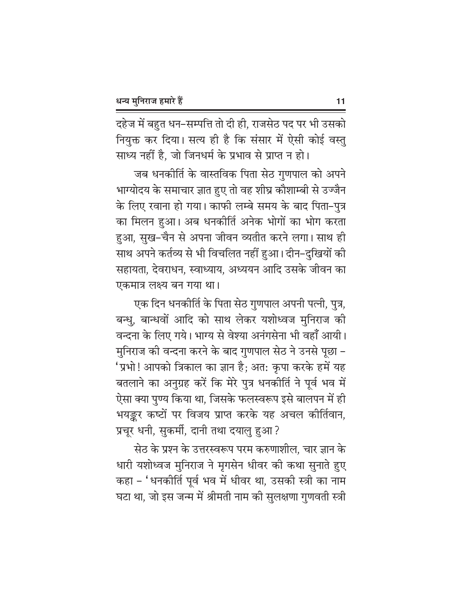दहेज में बहुत धन–सम्पत्ति तो दी ही, राजसेठ पद पर भी उसको नियुक्त कर दिया। सत्य ही है कि संसार में ऐसी कोई वस्तु साध्य नहीं है. जो जिनधर्म के प्रभाव से प्राप्त न हो।

जब धनकीर्ति के वास्तविक पिता सेठ गुणपाल को अपने भाग्योदय के समाचार ज्ञात हुए तो वह शीघ्र कौशाम्बी से उज्जैन के लिए रवाना हो गया। काफी लम्बे समय के बाद पिता-पुत्र का मिलन हुआ। अब धनकीर्ति अनेक भोगों का भोग करता हुआ, सुख-चैन से अपना जीवन व्यतीत करने लगा। साथ ही साथ अपने कर्तव्य से भी विचलित नहीं हुआ। दीन–दुखियों की सहायता, देवराधन, स्वाध्याय, अध्ययन आदि उसके जीवन का एकमात्र लक्ष्य बन गया था।

एक दिन धनकीर्ति के पिता सेठ गुणपाल अपनी पत्नी, पुत्र, बन्धु, बान्धवों आदि को साथ लेकर यशोध्वज मुनिराज की वन्दना के लिए गये। भाग्य से वेश्या अनंगसेना भी वहाँ आयी। मुनिराज की वन्दना करने के बाद गुणपाल सेठ ने उनसे पूछा – 'प्रभो! आपको त्रिकाल का ज्ञान है; अत: कृपा करके हमें यह बतलाने का अनुग्रह करें कि मेरे पुत्र धनकीर्ति ने पूर्व भव में ऐसा क्या पुण्य किया था, जिसके फलस्वरूप इसे बालपन में ही भयङ्कर कष्टों पर विजय प्राप्त करके यह अचल कीर्तिवान, प्रचूर धनी, सुकर्मी, दानी तथा दयालु हुआ?

सेठ के प्रश्न के उत्तरस्वरूप परम करुणाशील, चार ज्ञान के धारी यशोध्वज मुनिराज ने मृगसेन धीवर की कथा सुनाते हुए कहा – 'धनकीर्ति पूर्व भव में धीवर था, उसकी स्त्री का नाम घटा था, जो इस जन्म में श्रीमती नाम की सुलक्षणा गुणवती स्त्री

 $11$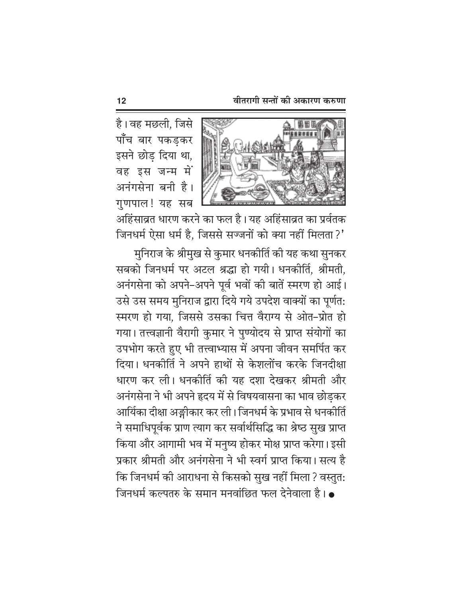

है। वह मछली, जिसे पाँच बार पकड़कर इसने छोड़ दिया था, वह इस जन्म में अनंगसेना बनी है। गुणपाल! यह सब

अहिंसाव्रत धारण करने का फल है। यह अहिंसाव्रत का प्रर्वतक जिनधर्म ऐसा धर्म है, जिससे सज्जनों को क्या नहीं मिलता ?'

मुनिराज के श्रीमुख से कुमार धनकीर्ति की यह कथा सुनकर सबको जिनधर्म पर अटल श्रद्धा हो गयी। धनकीर्ति. श्रीमती. अनंगसेना को अपने-अपने पूर्व भवों की बातें स्मरण हो आई। उसे उस समय मुनिराज द्वारा दिये गये उपदेश वाक्यों का पूर्णत: स्मरण हो गया, जिससे उसका चित्त वैराग्य से ओत-प्रोत हो गया। तत्त्वज्ञानी वैरागी कुमार ने पुण्योदय से प्राप्त संयोगों का उपभोग करते हुए भी तत्त्वाभ्यास में अपना जीवन समर्पित कर दिया। धनकीर्ति ने अपने हाथों से केशलोंच करके जिनदीक्षा धारण कर ली। धनकीर्ति की यह दशा देखकर श्रीमती और अनंगसेना ने भी अपने हृदय में से विषयवासना का भाव छोडकर आर्यिका दीक्षा अङ्गीकार कर ली। जिनधर्म के प्रभाव से धनकीर्ति ने समाधिपूर्वक प्राण त्याग कर सर्वार्थसिद्धि का श्रेष्ठ सुख प्राप्त किया और आगामी भव में मनुष्य होकर मोक्ष प्राप्त करेगा। इसी प्रकार श्रीमती और अनंगसेना ने भी स्वर्ग प्राप्त किया। सत्य है कि जिनधर्म की आराधना से किसको सुख नहीं मिला ? वस्तुत: जिनधर्म कल्पतरु के समान मनवांछित फल देनेवाला है।  $\bullet$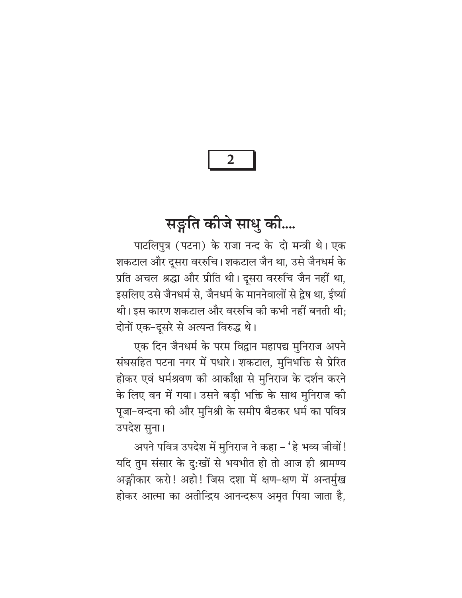$\overline{2}$ 

# सङ्गति कीजे साधु की....

पाटलिपत्र (पटना) के राजा नन्द के दो मन्त्री थे। एक शकटाल और दूसरा वररुचि। शकटाल जैन था, उसे जैनधर्म के प्रति अचल श्रद्धा और प्रीति थी। दूसरा वररुचि जैन नहीं था, इसलिए उसे जैनधर्म से, जैनधर्म के माननेवालों से द्वेष था, ईर्ष्या थी। इस कारण शकटाल और वररुचि की कभी नहीं बनती थी: दोनों एक-दूसरे से अत्यन्त विरुद्ध थे।

एक दिन जैनधर्म के परम विद्वान महापद्य मुनिराज अपने संघसहित पटना नगर में पधारे। शकटाल, मुनिभक्ति से प्रेरित होकर एवं धर्मश्रवण की आकॉंक्षा से मुनिराज के दर्शन करने के लिए वन में गया। उसने बड़ी भक्ति के साथ मुनिराज की पूजा-वन्दना की और मुनिश्री के समीप बैठकर धर्म का पवित्र उपदेश सुना।

अपने पवित्र उपदेश में मुनिराज ने कहा – 'हे भव्य जीवों! यदि तुम संसार के दु:खों से भयभीत हो तो आज ही श्रामण्य अङ्गीकार करो! अहो! जिस दशा में क्षण-क्षण में अन्तर्मुख होकर आत्मा का अतीन्द्रिय आनन्दरूप अमृत पिया जाता है,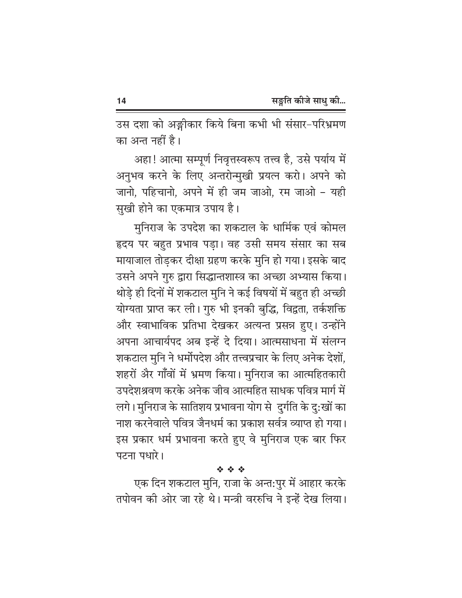उस दशा को अङ्गीकार किये बिना कभी भी संसार-परिभ्रमण का अन्त नहीं है।

अहा! आत्मा सम्पूर्ण निवृत्तस्वरूप तत्त्व है, उसे पर्याय में अनुभव करने के लिए अन्तरोन्मुखी प्रयत्न करो। अपने को जानो. पहिचानो. अपने में ही जम जाओ. रम जाओ - यही सुखी होने का एकमात्र उपाय है।

मनिराज के उपदेश का शकटाल के धार्मिक एवं कोमल हृदय पर बहुत प्रभाव पडा। वह उसी समय संसार का सब मायाजाल तोड़कर दीक्षा ग्रहण करके मुनि हो गया। इसके बाद उसने अपने गुरु द्वारा सिद्धान्तशास्त्र का अच्छा अभ्यास किया। थोड़े ही दिनों में शकटाल मुनि ने कई विषयों में बहुत ही अच्छी योग्यता प्राप्त कर ली। गुरु भी इनकी बुद्धि, विद्वता, तर्कशक्ति और स्वाभाविक प्रतिभा देखकर अत्यन्त प्रसन्न हुए। उन्होंने अपना आचार्यपद अब इन्हें दे दिया। आत्मसाधना में संलग्न शकटाल मुनि ने धर्मोपदेश और तत्त्वप्रचार के लिए अनेक देशों, शहरों और गाँवों में भ्रमण किया। मुनिराज का आत्महितकारी उपदेशश्रवण करके अनेक जीव आत्महित साधक पवित्र मार्ग में लगे। मुनिराज के सातिशय प्रभावना योग से दुर्गति के दु:खों का नाश करनेवाले पवित्र जैनधर्म का प्रकाश सर्वत्र व्याप्त हो गया। इस प्रकार धर्म प्रभावना करते हुए वे मुनिराज एक बार फिर पटना पधारे।

#### 经合金

एक दिन शकटाल मुनि, राजा के अन्त:पुर में आहार करके तपोवन की ओर जा रहे थे। मन्त्री वररुचि ने इन्हें देख लिया।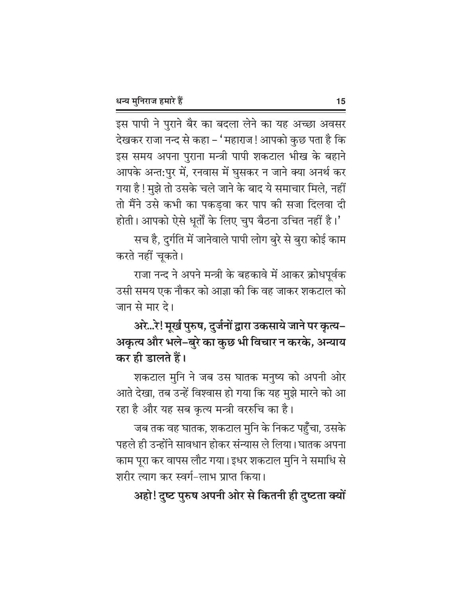इस पापी ने पुराने बैर का बदला लेने का यह अच्छा अवसर देखकर राजा नन्द से कहा – 'महाराज! आपको कुछ पता है कि इस समय अपना पुराना मन्त्री पापी शकटाल भीख के बहाने आपके अन्त:पुर में, रनवास में घुसकर न जाने क्या अनर्थ कर गया है ! मुझे तो उसके चले जाने के बाद ये समाचार मिले, नहीं तो मैंने उसे कभी का पकड़वा कर पाप की सजा दिलवा दी होती। आपको ऐसे धूर्तों के लिए चुप बैठना उचित नहीं है।'

सच है, दुर्गति में जानेवाले पापी लोग बुरे से बुरा कोई काम करते नहीं चूकते।

राजा नन्द ने अपने मन्त्री के बहकावे में आकर क्रोधपूर्वक उसी समय एक नौकर को आज्ञा की कि वह जाकर शकटाल को जान से मार दे।

अरे...रे! मूर्ख पुरुष, दुर्जनों द्वारा उकसाये जाने पर कृत्य– अकृत्य और भले-बुरे का कुछ भी विचार न करके, अन्याय कर ही डालते हैं।

शकटाल मुनि ने जब उस घातक मनुष्य को अपनी ओर आते देखा, तब उन्हें विश्वास हो गया कि यह मुझे मारने को आ रहा है और यह सब कृत्य मन्त्री वररुचि का है।

जब तक वह घातक, शकटाल मुनि के निकट पहुँचा, उसके पहले ही उन्होंने सावधान होकर संन्यास ले लिया।घातक अपना काम पूरा कर वापस लौट गया। इधर शकटाल मुनि ने समाधि से शरीर त्याग कर स्वर्ग-लाभ प्राप्त किया।

अहो! दुष्ट पुरुष अपनी ओर से कितनी ही दुष्टता क्यों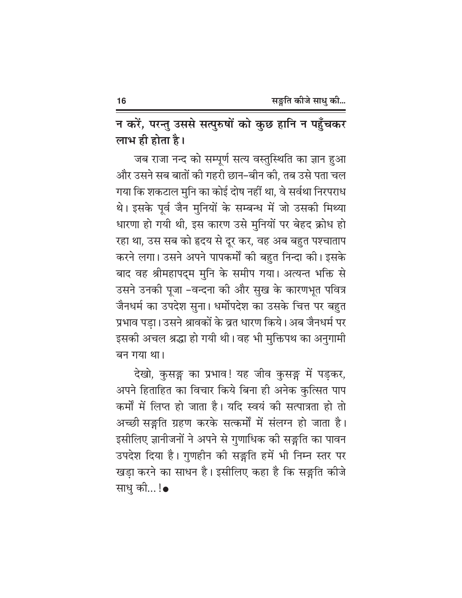न करें, परन्तु उससे सत्पुरुषों को कुछ हानि न पहुँचकर लाभ ही होता है।

जब राजा नन्द को सम्पूर्ण सत्य वस्तुस्थिति का ज्ञान हुआ और उसने सब बातों की गहरी छान–बीन की, तब उसे पता चल गया कि शकटाल मुनि का कोई दोष नहीं था, वे सर्वथा निरपराध थे। इसके पूर्व जैन मुनियों के सम्बन्ध में जो उसकी मिथ्या धारणा हो गयी थी, इस कारण उसे मुनियों पर बेहद क्रोध हो रहा था, उस सब को हृदय से दूर कर, वह अब बहुत पश्चाताप करने लगा। उसने अपने पापकर्मों की बहुत निन्दा की। इसके बाद वह श्रीमहापद्म मुनि के समीप गया। अत्यन्त भक्ति से उसने उनकी पूजा -वन्दना की और सुख के कारणभूत पवित्र जैनधर्म का उपदेश सुना। धर्मोपदेश का उसके चित्त पर बहुत प्रभाव पड़ा। उसने श्रावकों के व्रत धारण किये। अब जैनधर्म पर इसकी अचल श्रद्धा हो गयी थी। वह भी मुक्तिपथ का अनुगामी बन गया था।

देखो, कुसङ्ग का प्रभाव! यह जीव कुसङ्ग में पड़कर, अपने हिताहित का विचार किये बिना ही अनेक कुत्सित पाप कर्मों में लिप्त हो जाता है। यदि स्वयं की सत्पात्रता हो तो अच्छी सङ्गति ग्रहण करके सत्कर्मों में संलग्न हो जाता है। इसीलिए ज्ञानीजनों ने अपने से गुणाधिक की सङ्गति का पावन उपदेश दिया है। गुणहीन की सङ्गति हमें भी निम्न स्तर पर खड़ा करने का साधन है। इसीलिए कहा है कि सङ्गति कीजे साध की...!•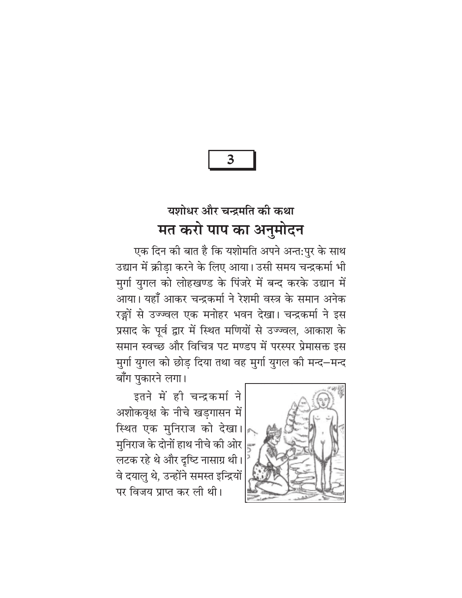3

## यशोधर और चन्द्रमति की कथा मत करो पाप का अनुमोदन

एक दिन की बात है कि यशोमति अपने अन्त:पुर के साथ उद्यान में क्रीडा करने के लिए आया। उसी समय चन्द्रकर्मा भी मुर्गा युगल को लोहखण्ड के पिंजरे में बन्द करके उद्यान में आया। यहाँ आकर चन्द्रकर्मा ने रेशमी वस्त्र के समान अनेक रङ्गों से उज्ज्वल एक मनोहर भवन देखा। चन्द्रकर्मा ने इस प्रसाद के पूर्व द्वार में स्थित मणियों से उज्ज्वल, आकाश के समान स्वच्छ और विचित्र पट मण्डप में परस्पर प्रेमासक्त इस मुर्गा युगल को छोड़ दिया तथा वह मुर्गा युगल की मन्द−मन्द बाँग पुकारने लगा।

इतने में ही चन्द्रकर्मा ने अशोकवृक्ष के नीचे खड़गासन में स्थित एक मुनिराज को देखा। मुनिराज के दोनों हाथ नीचे की ओर लटक रहे थे और दृष्टि नासाग्र थी। वे दयालु थे, उन्होंने समस्त इन्द्रियों पर विजय प्राप्त कर ली थी।

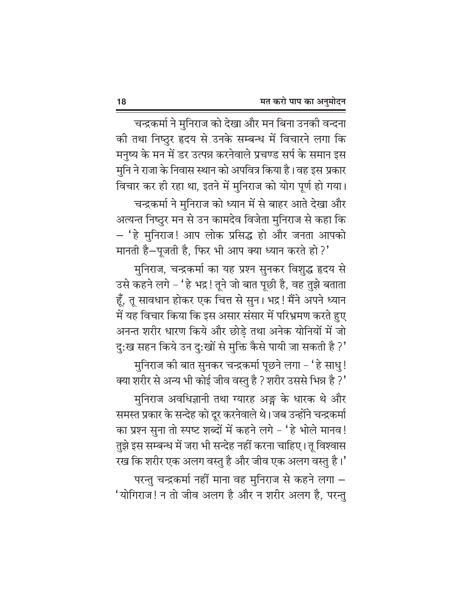चन्द्रकर्मा ने मुनिराज को देखा और मन बिना उनकी वन्दना की तथा निष्ठुर हृदय से उनके सम्बन्ध में विचारने लगा कि मनुष्य के मन में डर उत्पन्न करनेवाले प्रचण्ड सर्प के समान इस मुनि ने राजा के निवास स्थान को अपवित्र किया है। वह इस प्रकार विचार कर ही रहा था, इतने में मुनिराज को योग पूर्ण हो गया। चन्द्रकर्मा ने मुनिराज को ध्यान में से बाहर आते देखा और अत्यन्त निष्ठुर मन से उन कामदेव विजेता मुनिराज से कहा कि – 'हे मुनिराज! आप लोक प्रसिद्ध हो और जनता आपको मानती है-पूजती है, फिर भी आप क्या ध्यान करते हो?'

मुनिराज, चन्द्रकर्मा का यह प्रश्न सुनकर विशुद्ध हृदय से उसे कहने लगे - 'हे भद्र ! तूने जो बात पूछी है, वह तुझे बताता हूँ, तू सावधान होकर एक चित्त से सुन। भद्र! मैंने अपने ध्यान में यह विचार किया कि इस असार संसार में परिभ्रमण करते हुए अनन्त शरीर धारण किये और छोड़े तथा अनेक योनियों में जो दु:ख सहन किये उन दु:खों से मुक्ति कैसे पायी जा सकती है ?'

मुनिराज की बात सुनकर चन्द्रकर्मा पूछने लगा – 'हे साधु! क्या शरीर से अन्य भी कोई जीव वस्तु है ? शरीर उससे भिन्न है ?'

मुनिराज अवधिज्ञानी तथा ग्यारह अङ्ग के धारक थे और समस्त प्रकार के सन्देह को दूर करनेवाले थे। जब उन्होंने चन्द्रकर्मा का प्रश्न सुना तो स्पष्ट शब्दों में कहने लगे – 'हे भोले मानव! तुझे इस सम्बन्ध में जरा भी सन्देह नहीं करना चाहिए। तू विश्वास रख कि शरीर एक अलग वस्तु है और जीव एक अलग वस्तु है।' परन्तु चन्द्रकर्मा नहीं माना वह मुनिराज से कहने लगा  $-$ 'योगिराज! न तो जीव अलग है और न शरीर अलग है, परन्तु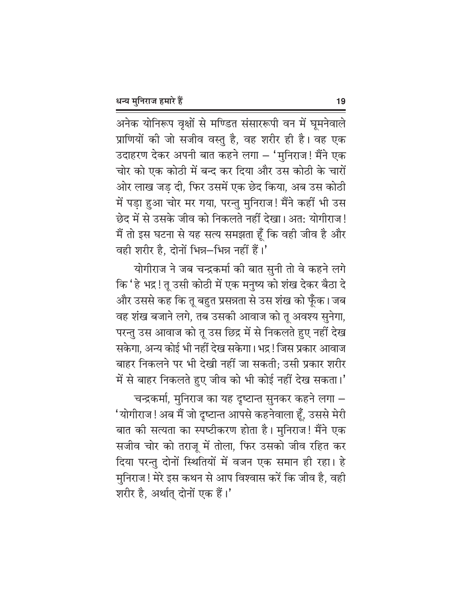अनेक योनिरूप वृक्षों से मण्डित संसाररूपी वन में घूमनेवाले प्राणियों की जो सजीव वस्तु है, वह शरीर ही है। वह एक उदाहरण देकर अपनी बात कहने लगा – 'मुनिराज! मैंने एक चोर को एक कोठी में बन्द कर दिया और उस कोठी के चारों ओर लाख जड दी, फिर उसमें एक छेद किया, अब उस कोठी में पड़ा हुआ चोर मर गया, परन्तु मुनिराज! मैंने कहीं भी उस छेद में से उसके जीव को निकलते नहीं देखा। अत: योगीराज! मैं तो इस घटना से यह सत्य समझता हूँ कि वही जीव है और वही शरीर है, दोनों भिन्न-भिन्न नहीं हैं।'

योगीराज ने जब चन्द्रकर्मा की बात सुनी तो वे कहने लगे कि ' हे भद्र ! तू उसी कोठी में एक मनुष्य को शंख देकर बैठा दे और उससे कह कि तू बहुत प्रसन्नता से उस शंख को फूँक। जब वह शंख बजाने लगे, तब उसकी आवाज को तू अवश्य सुनेगा, परन्तु उस आवाज को तू उस छिद्र में से निकलते हुए नहीं देख सकेगा, अन्य कोई भी नहीं देख सकेगा। भद्र ! जिस प्रकार आवाज बाहर निकलने पर भी देखी नहीं जा सकती; उसी प्रकार शरीर में से बाहर निकलते हुए जीव को भी कोई नहीं देख सकता।'

चन्द्रकर्मा, मुनिराज का यह दृष्टान्त सुनकर कहने लगा – 'योगीराज! अब मैं जो दृष्टान्त आपसे कहनेवाला हूँ, उससे मेरी बात की सत्यता का स्पष्टीकरण होता है। मुनिराज! मैंने एक सजीव चोर को तराजू में तोला, फिर उसको जीव रहित कर दिया परन्तु दोनों स्थितियों में वजन एक समान ही रहा। हे मुनिराज! मेरे इस कथन से आप विश्वास करें कि जीव है, वही शरीर है, अर्थात् दोनों एक हैं।'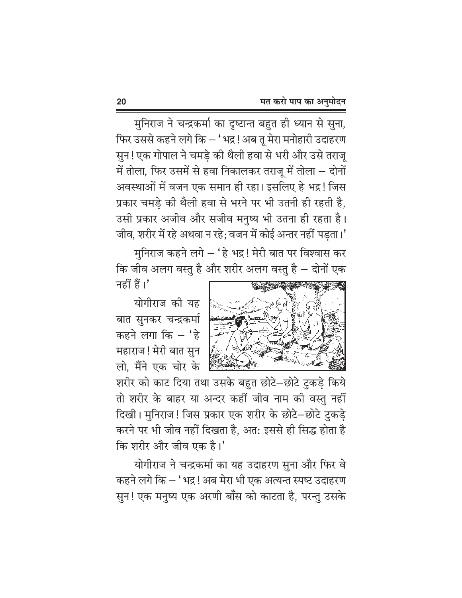मुनिराज ने चन्द्रकर्मा का दृष्टान्त बहुत ही ध्यान से सुना, फिर उससे कहने लगे कि — ' भद्र ! अब तू मेरा मनोहारी उदाहरण सुन! एक गोपाल ने चमड़े की थैली हवा से भरी और उसे तराजू में तोला, फिर उसमें से हवा निकालकर तराजू में तोला – दोनों अवस्थाओं में वजन एक समान ही रहा। इसलिए हे भद्र ! जिस प्रकार चमड़े की थैली हवा से भरने पर भी उतनी ही रहती है, उसी प्रकार अजीव और सजीव मनुष्य भी उतना ही रहता है। जीव, शरीर में रहे अथवा न रहे; वजन में कोई अन्तर नहीं पड़ता।'

मनिराज कहने लगे – 'हे भद्र! मेरी बात पर विश्वास कर कि जीव अलग वस्तु है और शरीर अलग वस्तु है – दोनों एक नहीं हैं।'

योगीराज की यह बात सुनकर चन्द्रकर्मा कहने लगा कि  $-$  'हे महाराज! मेरी बात सुन लो. मैंने एक चोर के



शरीर को काट दिया तथा उसके बहुत छोटे-छोटे टुकड़े किये तो शरीर के बाहर या अन्दर कहीं जीव नाम की वस्तु नहीं दिखी। मुनिराज! जिस प्रकार एक शरीर के छोटे–छोटे टुकडे करने पर भी जीव नहीं दिखता है, अत: इससे ही सिद्ध होता है कि शरीर और जीव एक है।'

योगीराज ने चन्द्रकर्मा का यह उदाहरण सुना और फिर वे कहने लगे कि – ' भद्र ! अब मेरा भी एक अत्यन्त स्पष्ट उदाहरण सुन! एक मनुष्य एक अरणी बाँस को काटता है, परन्तु उसके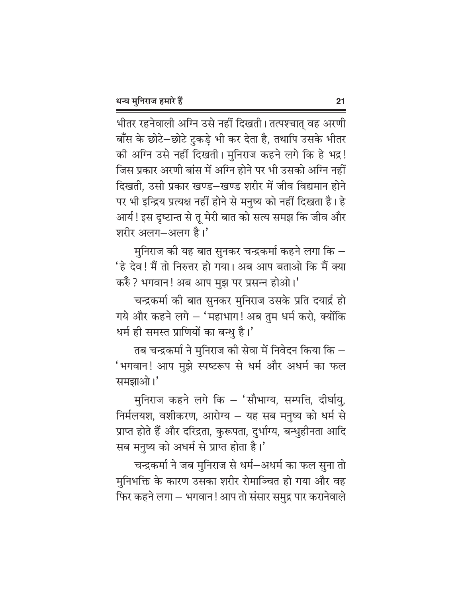भीतर रहनेवाली अग्नि उसे नहीं दिखती। तत्पश्चात् वह अरणी बाँस के छोटे-छोटे टुकड़े भी कर देता है, तथापि उसके भीतर की अग्नि उसे नहीं दिखती। मुनिराज कहने लगे कि हे भद्र! जिस प्रकार अरणी बांस में अग्नि होने पर भी उसको अग्नि नहीं दिखती, उसी प्रकार खण्ड–खण्ड शरीर में जीव विद्यमान होने पर भी इन्द्रिय प्रत्यक्ष नहीं होने से मनुष्य को नहीं दिखता है। हे आर्य! इस दृष्टान्त से तू मेरी बात को सत्य समझ कि जीव और शरीर अलग-अलग है।'

मुनिराज की यह बात सुनकर चन्द्रकर्मा कहने लगा कि – 'हे देव! मैं तो निरुत्तर हो गया। अब आप बताओ कि मैं क्या करुँ ? भगवान! अब आप मुझ पर प्रसन्न होओ।'

चन्द्रकर्मा की बात सुनकर मुनिराज उसके प्रति दयार्द्र हो गये और कहने लगे – 'महाभाग! अब तुम धर्म करो, क्योंकि धर्म ही समस्त प्राणियों का बन्धु है।'

तब चन्द्रकर्मा ने मुनिराज की सेवा में निवेदन किया कि  $-$ 'भगवान! आप मुझे स्पष्टरूप से धर्म और अधर्म का फल समझाओ।'

मुनिराज कहने लगे कि - 'सौभाग्य, सम्पत्ति, दीर्घायु, निर्मलयश, वशीकरण, आरोग्य – यह सब मनुष्य को धर्म से प्राप्त होते हैं और दरिद्रता, कुरूपता, दुर्भाग्य, बन्धुहीनता आदि सब मनुष्य को अधर्म से प्राप्त होता है।'

चन्द्रकर्मा ने जब मुनिराज से धर्म–अधर्म का फल सुना तो मुनिभक्ति के कारण उसका शरीर रोमाञ्चित हो गया और वह फिर कहने लगा – भगवान ! आप तो संसार समुद्र पार करानेवाले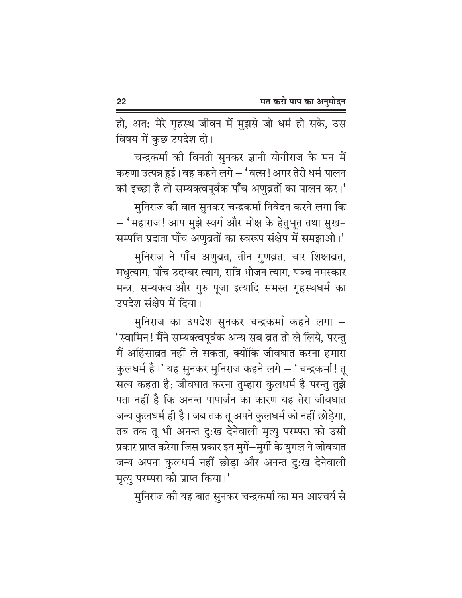हो, अत: मेरे गृहस्थ जीवन में मुझसे जो धर्म हो सके, उस विषय में कुछ उपदेश दो।

चन्द्रकर्मा की विनती सुनकर ज्ञानी योगीराज के मन में करुणा उत्पन्न हुई। वह कहने लगे – 'वत्स! अगर तेरी धर्म पालन की इच्छा है तो सम्यक्त्वपूर्वक पाँच अणुव्रतों का पालन कर।'

मुनिराज की बात सुनकर चन्द्रकर्मा निवेदन करने लगा कि – 'महाराज! आप मुझे स्वर्ग और मोक्ष के हेतुभूत तथा सुख– सम्पत्ति प्रदाता पाँच अणुव्रतों का स्वरूप संक्षेप में समझाओ।'

मुनिराज ने पाँच अणुव्रत, तीन गुणव्रत, चार शिक्षाव्रत, मधुत्याग, पाँच उदम्बर त्याग, रात्रि भोजन त्याग, पञ्च नमस्कार मन्त्र, सम्यक्त्व और गुरु पूजा इत्यादि समस्त गृहस्थधर्म का उपदेश संक्षेप में दिया।

मुनिराज का उपदेश सुनकर चन्द्रकर्मा कहने लगा – 'स्वामिन! मैंने सम्यक्त्वपूर्वक अन्य सब व्रत तो ले लिये, परन्तु मैं अहिंसाव्रत नहीं ले सकता, क्योंकि जीवघात करना हमारा कुलधर्म है।' यह सुनकर मुनिराज कहने लगे – 'चन्द्रकर्मा! तू सत्य कहता है; जीवघात करना तुम्हारा कुलधर्म है परन्तु तुझे पता नहीं है कि अनन्त पापार्जन का कारण यह तेरा जीवघात जन्य कुलधर्म ही है। जब तक तू अपने कुलधर्म को नहीं छोड़ेगा, तब तक तू भी अनन्त दुःख देनेवाली मृत्यु परम्परा को उसी प्रकार प्राप्त करेगा जिस प्रकार इन मुर्गे—मुर्गी के युगल ने जीवघात जन्य अपना कुलधर्म नहीं छोड़ा और अनन्त दु:ख देनेवाली मृत्यु परम्परा को प्राप्त किया।'

मुनिराज की यह बात सुनकर चन्द्रकर्मा का मन आश्चर्य से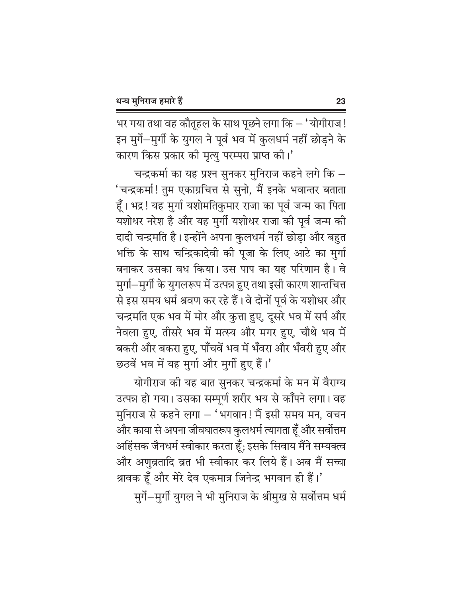भर गया तथा वह कौतूहल के साथ पूछने लगा कि – 'योगीराज! इन मुर्गे-मुर्गी के युगल ने पूर्व भव में कुलधर्म नहीं छोड़ने के कारण किस प्रकार की मृत्यु परम्परा प्राप्त की।'

चन्द्रकर्मा का यह प्रश्न सुनकर मुनिराज कहने लगे कि – 'चन्द्रकर्मा! तुम एकाग्रचित्त से सुनो, मैं इनके भवान्तर बताता हूँ। भद्र! यह मुर्गा यशोमतिकुमार राजा का पूर्व जन्म का पिता यशोधर नरेश है और यह मुर्गी यशोधर राजा की पूर्व जन्म की दादी चन्द्रमति है। इन्होंने अपना कुलधर्म नहीं छोड़ा और बहुत भक्ति के साथ चन्द्रिकादेवी की पूजा के लिए आटे का मुर्गा बनाकर उसका वध किया। उस पाप का यह परिणाम है। वे मुर्गा—मुर्गी के युगलरूप में उत्पन्न हुए तथा इसी कारण शान्तचित्त से इस समय धर्म श्रवण कर रहे हैं। वे दोनों पूर्व के यशोधर और चन्द्रमति एक भव में मोर और कुत्ता हुए, दूसरे भव में सर्प और नेवला हुए, तीसरे भव में मत्स्य और मगर हुए, चौथे भव में बकरी और बकरा हुए, पॉॅंचवें भव में भँवरा और भँवरी हुए और छठवें भव में यह मुर्गा और मुर्गी हुए हैं।'

योगीराज की यह बात सुनकर चन्द्रकर्मा के मन में वैराग्य उत्पन्न हो गया। उसका सम्पूर्ण शरीर भय से काँपने लगा। वह मुनिराज से कहने लगा – 'भगवान! मैं इसी समय मन, वचन और काया से अपना जीवघातरूप कुलधर्म त्यागता हूँ और सर्वोत्तम अहिंसक जैनधर्म स्वीकार करता हूँ; इसके सिवाय मैंने सम्यक्त्व और अणुव्रतादि व्रत भी स्वीकार कर लिये हैं। अब मैं सच्चा श्रावक हूँ और मेरे देव एकमात्र जिनेन्द्र भगवान ही हैं।'

मुर्गे-मुर्गी युगल ने भी मुनिराज के श्रीमुख से सर्वोत्तम धर्म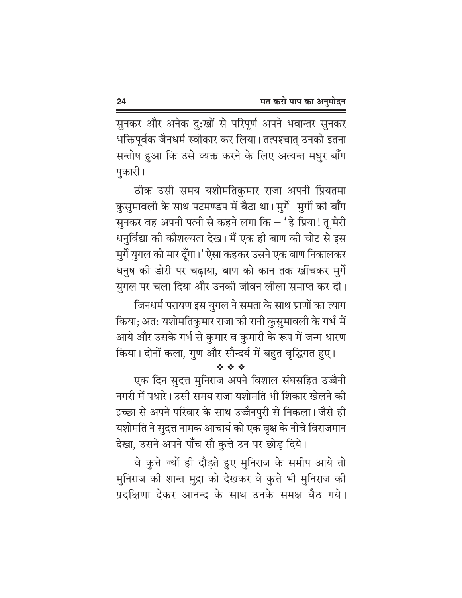सुनकर और अनेक दु:खों से परिपूर्ण अपने भवान्तर सुनकर भक्तिपूर्वक जैनधर्म स्वीकार कर लिया। तत्पश्चात् उनको इतना सन्तोष हुआ कि उसे व्यक्त करने के लिए अत्यन्त मधुर बाँग पुकारी।

ठीक उसी समय यशोमतिकुमार राजा अपनी प्रियतमा कुसुमावली के साथ पटमण्डप में बैठा था। मुर्गे-मुर्गी की बाँग सुनकर वह अपनी पत्नी से कहने लगा कि – 'हे प्रिया! तू मेरी धनुर्विद्या की कौशल्यता देख। मैं एक ही बाण की चोट से इस मुर्गे युगल को मार दूँगा।' ऐसा कहकर उसने एक बाण निकालकर धनुष की डोरी पर चढ़ाया, बाण को कान तक खींचकर मुर्गे युगल पर चला दिया और उनकी जीवन लीला समाप्त कर दी।

जिनधर्म परायण इस युगल ने समता के साथ प्राणों का त्याग किया; अत: यशोमतिकुमार राजा की रानी कुसुमावली के गर्भ में आये और उसके गर्भ से कुमार व कुमारी के रूप में जन्म धारण किया। दोनों कला, गुण और सौन्दर्य में बहुत वृद्धिगत हुए।

एक दिन सुदत्त मुनिराज अपने विशाल संघसहित उज्जैनी नगरी में पधारे। उसी समय राजा यशोमति भी शिकार खेलने की इच्छा से अपने परिवार के साथ उज्जैनपुरी से निकला। जैसे ही यशोमति ने सुदत्त नामक आचार्य को एक वृक्ष के नीचे विराजमान देखा, उसने अपने पाँच सौ कुत्ते उन पर छोड़ दिये।

वे कुत्ते ज्यों ही दौड़ते हुए मुनिराज के समीप आये तो मुनिराज की शान्त मुद्रा को देखकर वे कृत्ते भी मुनिराज की प्रदक्षिणा देकर आनन्द के साथ उनके समक्ष बैठ गये।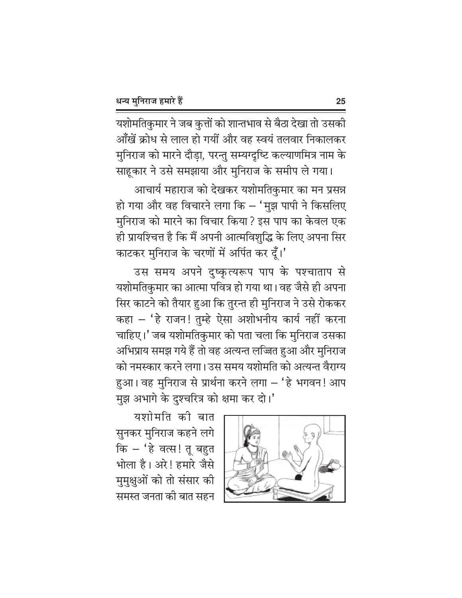यशोमतिकुमार ने जब कुत्तों को शान्तभाव से बैठा देखा तो उसकी आँखें क्रोध से लाल हो गयीं और वह स्वयं तलवार निकालकर मुनिराज को मारने दौड़ा, परन्तु सम्यग्दृष्टि कल्याणमित्र नाम के साहूकार ने उसे समझाया और मुनिराज के समीप ले गया।

आचार्य महाराज को देखकर यशोमतिकुमार का मन प्रसन्न हो गया और वह विचारने लगा कि – 'मुझ पापी ने किसलिए मुनिराज को मारने का विचार किया ? इस पाप का केवल एक ही प्रायश्चित्त है कि मैं अपनी आत्मविशुद्धि के लिए अपना सिर काटकर मुनिराज के चरणों में अर्पित कर दूँ।'

उस समय अपने दुष्कृत्यरूप पाप के पश्चाताप से यशोमतिकुमार का आत्मा पवित्र हो गया था। वह जैसे ही अपना सिर काटने को तैयार हुआ कि तुरन्त ही मुनिराज ने उसे रोककर कहा – 'हे राजन! तुम्हे ऐसा अशोभनीय कार्य नहीं करना चाहिए।' जब यशोमतिकुमार को पता चला कि मुनिराज उसका अभिप्राय समझ गये हैं तो वह अत्यन्त लज्जित हुआ और मुनिराज को नमस्कार करने लगा। उस समय यशोमति को अत्यन्त वैराग्य हुआ। वह मुनिराज से प्रार्थना करने लगा – 'हे भगवन! आप मुझ अभागे के दुश्चरित्र को क्षमा कर दो।'



यशोमति की बात सुनकर मुनिराज कहने लगे कि – 'हे वत्स! तू बहुत भोला है। अरे! हमारे जैसे मुमुक्षुओं को तो संसार की समस्त जनता की बात सहन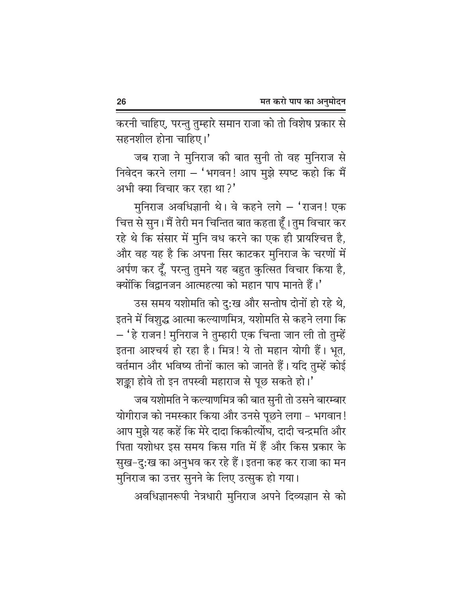करनी चाहिए, परन्तु तुम्हारे समान राजा को तो विशेष प्रकार से सहनशील होना चाहिए।'

जब राजा ने मुनिराज की बात सुनी तो वह मुनिराज से निवेदन करने लगा - 'भगवन! आप मुझे स्पष्ट कहो कि मैं अभी क्या विचार कर रहा था?'

मुनिराज अवधिज्ञानी थे। वे कहने लगे - 'राजन! एक चित्त से सुन। मैं तेरी मन चिन्तित बात कहता हूँ। तुम विचार कर रहे थे कि संसार में मुनि वध करने का एक ही प्रायश्चित्त है, और वह यह है कि अपना सिर काटकर मुनिराज के चरणों में अर्पण कर दूँ, परन्तु तुमने यह बहुत कुत्सित विचार किया है, क्योंकि विद्वानजन आत्महत्या को महान पाप मानते हैं।'

उस समय यशोमति को दु:ख और सन्तोष दोनों हो रहे थे, इतने में विशुद्ध आत्मा कल्याणमित्र, यशोमति से कहने लगा कि - 'हे राजन! मुनिराज ने तुम्हारी एक चिन्ता जान ली तो तुम्हें इतना आश्चर्य हो रहा है। मित्र! ये तो महान योगी हैं। भूत, वर्तमान और भविष्य तीनों काल को जानते हैं। यदि तुम्हें कोई शङ्का होवे तो इन तपस्वी महाराज से पूछ सकते हो।'

जब यशोमति ने कल्याणमित्र की बात सुनी तो उसने बारम्बार योगीराज को नमस्कार किया और उनसे पूछने लगा - भगवान! आप मुझे यह कहें कि मेरे दादा किकीर्त्योघ, दादी चन्द्रमति और पिता यशोधर इस समय किस गति में हैं और किस प्रकार के सुख–दु:ख का अनुभव कर रहे हैं। इतना कह कर राजा का मन मुनिराज का उत्तर सुनने के लिए उत्सुक हो गया।

अवधिज्ञानरूपी नेत्रधारी मुनिराज अपने दिव्यज्ञान से को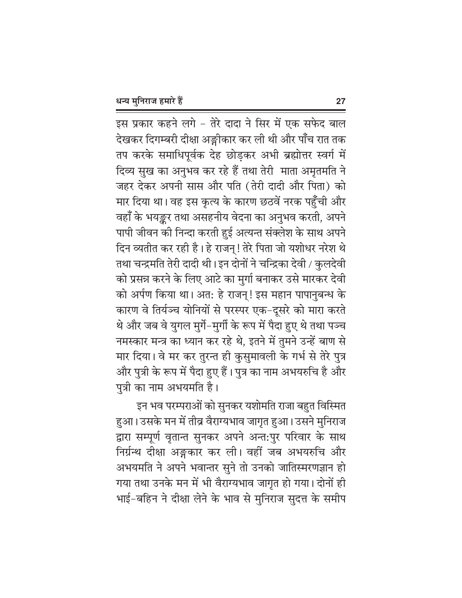इस प्रकार कहने लगे – तेरे दादा ने सिर में एक सफेद बाल देखकर दिगम्बरी दीक्षा अङ्गीकार कर ली थी और पाँच रात तक तप करके समाधिपूर्वक देह छोड़कर अभी ब्रह्मोत्तर स्वर्ग में दिव्य सुख का अनुभव कर रहे हैं तथा तेरी माता अमृतमति ने जहर देकर अपनी सास और पति (तेरी दादी और पिता) को मार दिया था। वह इस कृत्य के कारण छठवें नरक पहुँची और वहाँ के भयङ्कर तथा असहनीय वेदना का अनुभव करती, अपने पापी जीवन की निन्दा करती हुई अत्यन्त संक्लेश के साथ अपने दिन व्यतीत कर रही है। हे राजन्! तेरे पिता जो यशोधर नरेश थे तथा चन्द्रमति तेरी दादी थी। इन दोनों ने चन्द्रिका देवी / कुलदेवी को प्रसन्न करने के लिए आटे का मुर्गा बनाकर उसे मारकर देवी को अर्पण किया था। अत: हे राजन्! इस महान पापानुबन्ध के कारण वे तिर्यञ्च योनियों से परस्पर एक-दूसरे को मारा करते थे और जब वे युगल मुर्गे-मुर्गी के रूप में पैदा हुए थे तथा पञ्च नमस्कार मन्त्र का ध्यान कर रहे थे, इतने में तुमने उन्हें बाण से मार दिया। वे मर कर तुरन्त ही कुसुमावली के गर्भ से तेरे पुत्र .<br>और पुत्री के रूप में पैदा हुए हैं। पुत्र का नाम अभयरुचि है और पुत्री का नाम अभयमति है।

इन भव परम्पराओं को सुनकर यशोमति राजा बहुत विस्मित हुआ। उसके मन में तीव्र वैराग्यभाव जागृत हुआ। उसने मुनिराज द्वारा सम्पूर्ण वृतान्त सुनकर अपने अन्त:पुर परिवार के साथ निर्ग्रन्थ दीक्षा अङ्गकार कर ली। वहीं जब अभयरुचि और अभयमति ने अपने भवान्तर सुने तो उनको जातिस्मरणज्ञान हो गया तथा उनके मन में भी वैराग्यभाव जागृत हो गया। दोनों ही भाई-बहिन ने दीक्षा लेने के भाव से मुनिराज सुदत्त के समीप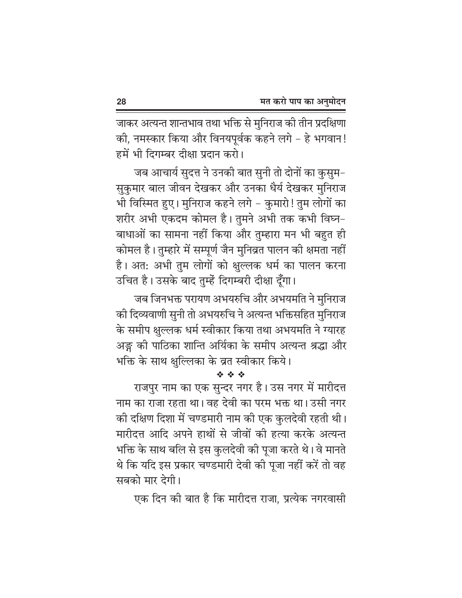जाकर अत्यन्त शान्तभाव तथा भक्ति से मुनिराज की तीन प्रदक्षिणा की, नमस्कार किया और विनयपूर्वक कहने लगे - हे भगवान! हमें भी दिगम्बर दीक्षा प्रदान करो।

जब आचार्य सुदत्त ने उनकी बात सुनी तो दोनों का कुसुम– सुकुमार बाल जीवन देखकर और उनका धैर्य देखकर मुनिराज भी विस्मित हुए। मुनिराज कहने लगे – कुमारो! तुम लोगों का शरीर अभी एकदम कोमल है। तुमने अभी तक कभी विघ्न-बाधाओं का सामना नहीं किया और तुम्हारा मन भी बहुत ही कोमल है। तुम्हारे में सम्पूर्ण जैन मुनिव्रत पालन की क्षमता नहीं है। अत: अभी तुम लोगों को क्षुल्लक धर्म का पालन करना उचित है। उसके बाद तुम्हें दिगम्बरी दीक्षा दूँगा।

जब जिनभक्त परायण अभयरुचि और अभयमति ने मुनिराज की दिव्यवाणी सुनी तो अभयरुचि ने अत्यन्त भक्तिसहित मुनिराज के समीप क्षुल्लक धर्म स्वीकार किया तथा अभयमति ने ग्यारह अङ्ग की पाठिका शान्ति अर्यिका के समीप अत्यन्त श्रद्धा और भक्ति के साथ क्षुल्लिका के व्रत स्वीकार किये।

राजपुर नाम का एक सुन्दर नगर है। उस नगर में मारीदत्त नाम का राजा रहता था। वह देवी का परम भक्त था। उसी नगर की दक्षिण दिशा में चण्डमारी नाम की एक कुलदेवी रहती थी। मारीदत्त आदि अपने हाथों से जीवों की हत्या करके अत्यन्त भक्ति के साथ बलि से इस कुलदेवी की पूजा करते थे। वे मानते थे कि यदि इस प्रकार चण्डमारी देवी की पूजा नहीं करें तो वह सबको मार देगी।

एक दिन की बात है कि मारीदत्त राजा, प्रत्येक नगरवासी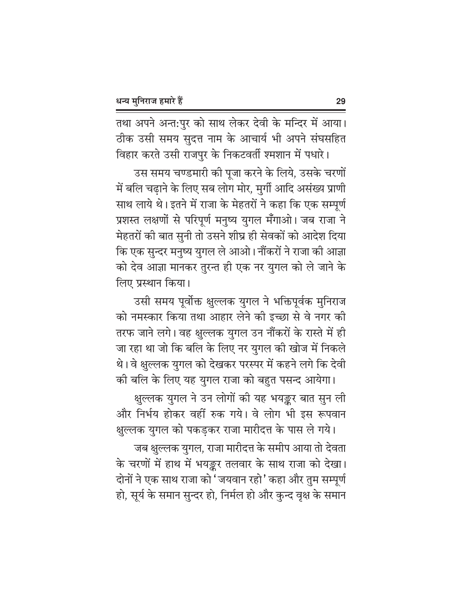तथा अपने अन्त:पुर को साथ लेकर देवी के मन्दिर में आया। ठीक उसी समय सुदत्त नाम के आचार्य भी अपने संघसहित

विहार करते उसी राजपुर के निकटवर्ती श्मशान में पधारे। उस समय चण्डमारी की पूजा करने के लिये, उसके चरणों में बलि चढ़ाने के लिए सब लोग मोर, मुर्गी आदि असंख्य प्राणी साथ लाये थे। इतने में राजा के मेहतरों ने कहा कि एक सम्पूर्ण प्रशस्त लक्षणों से परिपूर्ण मनुष्य युगल मँगाओ। जब राजा ने मेहतरों की बात सुनी तो उसने शीघ्र ही सेवकों को आदेश दिया कि एक सुन्दर मनुष्य युगल ले आओ। नौंकरों ने राजा की आज्ञा को देव आज्ञा मानकर तुरन्त ही एक नर युगल को ले जाने के लिए प्रस्थान किया।

उसी समय पूर्वोक्त क्षुल्लक युगल ने भक्तिपूर्वक मुनिराज को नमस्कार किया तथा आहार लेने की इच्छा से वे नगर की तरफ जाने लगे। वह क्षुल्लक युगल उन नौंकरों के रास्ते में ही जा रहा था जो कि बलि के लिए नर युगल की खोज में निकले थे। वे क्षुल्लक युगल को देखकर परस्पर में कहने लगे कि देवी की बलि के लिए यह युगल राजा को बहुत पसन्द आयेगा।

क्षुल्लक युगल ने उन लोगों की यह भयङ्कर बात सुन ली और निर्भय होकर वहीं रुक गये। वे लोग भी इस रूपवान क्षुल्लक युगल को पकड़कर राजा मारीदत्त के पास ले गये।

जब क्षुल्लक युगल, राजा मारीदत्त के समीप आया तो देवता के चरणों में हाथ में भयङ्कर तलवार के साथ राजा को देखा। दोनों ने एक साथ राजा को 'जयवान रहो' कहा और तुम सम्पूर्ण हो, सूर्य के समान सुन्दर हो, निर्मल हो और कुन्द वृक्ष के समान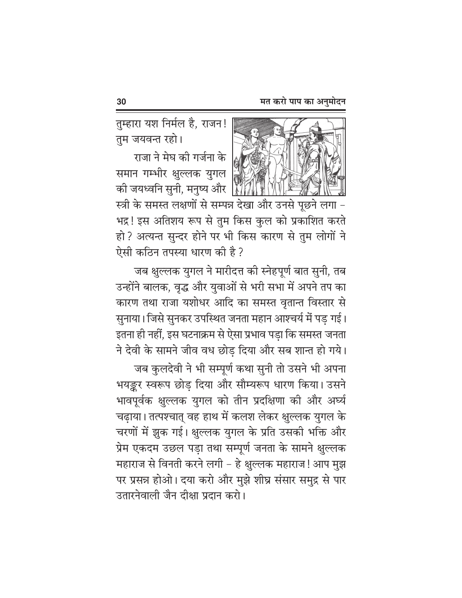तुम्हारा यश निर्मल है, राजन! तम जयवन्त रहो।

राजा ने मेघ की गर्जना के समान गम्भीर क्षुल्लक युगल की जयध्वनि सुनी, मनुष्य और स्त्री के समस्त लक्षणों से सम्पन्न देखा और उनसे पूछने लगा -भद्र! इस अतिशय रूप से तुम किस कुल को प्रकाशित करते हो? अत्यन्त सुन्दर होने पर भी किस कारण से तुम लोगों ने ऐसी कठिन तपस्या धारण की है ?

जब क्षुल्लक युगल ने मारीदत्त की स्नेहपूर्ण बात सुनी, तब उन्होंने बालक, वृद्ध और युवाओं से भरी सभा में अपने तप का कारण तथा राजा यशोधर आदि का समस्त वृतान्त विस्तार से सुनाया। जिसे सुनकर उपस्थित जनता महान आश्चर्य में पड़ गई। इतना ही नहीं, इस घटनाक्रम से ऐसा प्रभाव पड़ा कि समस्त जनता ने देवी के सामने जीव वध छोड़ दिया और सब शान्त हो गये।

जब कुलदेवी ने भी सम्पूर्ण कथा सुनी तो उसने भी अपना भयङ्कर स्वरूप छोड़ दिया और सौम्यरूप धारण किया। उसने भावपूर्वक क्षुल्लक युगल को तीन प्रदक्षिणा की और अर्घ्य चढ़ाया। तत्पश्चात् वह हाथ में कलश लेकर क्षुल्लक युगल के चरणों में झुक गई। क्षुल्लक युगल के प्रति उसकी भक्ति और प्रेम एकदम उछल पड़ा तथा सम्पूर्ण जनता के सामने क्षुल्लक महाराज से विनती करने लगी – हे क्षुल्लक महाराज! आप मुझ पर प्रसन्न होओ। दया करो और मुझे शीघ्र संसार समुद्र से पार उतारनेवाली जैन दीक्षा प्रदान करो।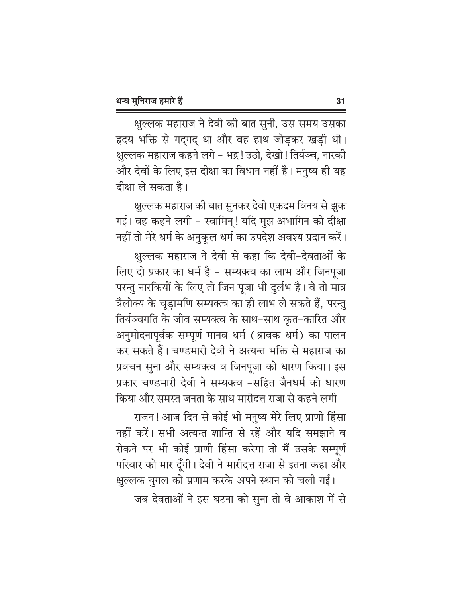क्षुल्लक महाराज ने देवी की बात सुनी, उस समय उसका हृदय भक्ति से गदगद था और वह हाथ जोडकर खड़ी थी। क्षुल्लक महाराज कहने लगे – भद्र ! उठो, देखो ! तिर्यञ्च, नारकी और देवों के लिए इस दीक्षा का विधान नहीं है। मनुष्य ही यह दीक्षा ले सकता है।

क्षुल्लक महाराज की बात सुनकर देवी एकदम विनय से झुक गई। वह कहने लगी - स्वामिन्! यदि मुझ अभागिन को दीक्षा नहीं तो मेरे धर्म के अनुकूल धर्म का उपदेश अवश्य प्रदान करें।

क्षुल्लक महाराज ने देवी से कहा कि देवी–देवताओं के लिए दो प्रकार का धर्म है – सम्यक्त्व का लाभ और जिनपूजा परन्तु नारकियों के लिए तो जिन पूजा भी दुर्लभ है। वे तो मात्र त्रैलोक्य के चूड़ामणि सम्यक्त्व का ही लाभ ले सकते हैं, परन्तु तिर्यञ्चगति के जीव सम्यक्त्व के साथ–साथ कृत–कारित और अनुमोदनापूर्वक सम्पूर्ण मानव धर्म (श्रावक धर्म) का पालन कर सकते हैं। चण्डमारी देवी ने अत्यन्त भक्ति से महाराज का प्रवचन सुना और सम्यक्त्व व जिनपूजा को धारण किया। इस प्रकार चण्डमारी देवी ने सम्यक्त्व -सहित जैनधर्म को धारण किया और समस्त जनता के साथ मारीदत्त राजा से कहने लगी –

राजन! आज दिन से कोई भी मनुष्य मेरे लिए प्राणी हिंसा नहीं करें। सभी अत्यन्त शान्ति से रहें और यदि समझाने व रोकने पर भी कोई प्राणी हिंसा करेगा तो मैं उसके सम्पूर्ण परिवार को मार दूँगी। देवी ने मारीदत्त राजा से इतना कहा और

क्षुल्लक युगल को प्रणाम करके अपने स्थान को चली गई। जब देवताओं ने इस घटना को सुना तो वे आकाश में से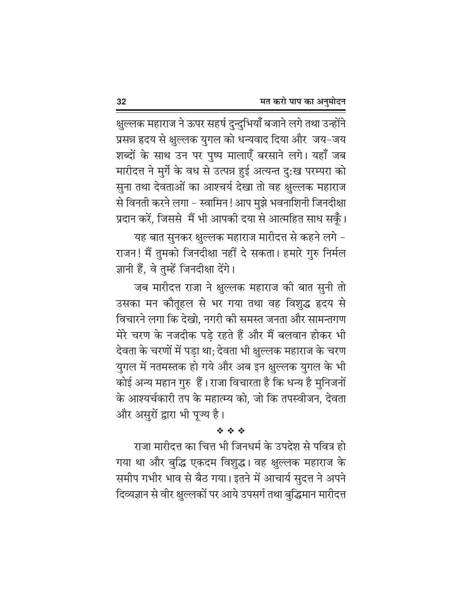क्षुल्लक महाराज ने ऊपर सहर्ष दुन्दुभियाँ बजाने लगे तथा उन्होंने प्रसन्न हृदय से क्षुल्लक युगल को धन्यवाद दिया और जय-जय शब्दों के साथ उन पर पुष्प मालाएँ बरसाने लगे। यहाँ जब मारीदत्त ने मुर्गे के वध से उत्पन्न हुई अत्यन्त दु:ख परम्परा को सुना तथा देवताओं का आश्चर्य देखा तो वह क्षुल्लक महाराज से विनती करने लगा – स्वामिन ! आप मुझे भवनाशिनी जिनदीक्षा प्रदान करें, जिससे मैं भी आपकी दया से आत्महित साध सकूँ।

यह बात सुनकर क्षुल्लक महाराज मारीदत्त से कहने लगे – राजन! मैं तुमको जिनदीक्षा नहीं दे सकता। हमारे गुरु निर्मल ज्ञानी हैं, वे तुम्हें जिनदीक्षा देंगे।

जब मारीदत्त राजा ने क्षुल्लक महाराज की बात सुनी तो उसका मन कौतूहल से भर गया तथा वह विशुद्ध हृदय से विचारने लगा कि देखो, नगरी की समस्त जनता और सामन्तगण मेरे चरण के नजदीक पड़े रहते हैं और मैं बलवान होकर भी देवता के चरणों में पड़ा था; देवता भी क्षुल्लक महाराज के चरण युगल में नतमस्तक हो गये और अब इन क्षुल्लक युगल के भी कोई अन्य महान गुरु हैं। राजा विचारता है कि धन्य है मुनिजनों के आश्यर्चकारी तप के महात्म्य को. जो कि तपस्वीजन. देवता और असुरों द्वारा भी पुज्य है।

#### 经合金

राजा मारीदत्त का चित्त भी जिनधर्म के उपदेश से पवित्र हो गया था और बुद्धि एकदम विशुद्ध। वह क्षुल्लक महाराज के समीप गभीर भाव से बैठ गया। इतने में आचार्य सुदत्त ने अपने दिव्यज्ञान से वीर क्षुल्लकों पर आये उपसर्ग तथा बुद्धिमान मारीदत्त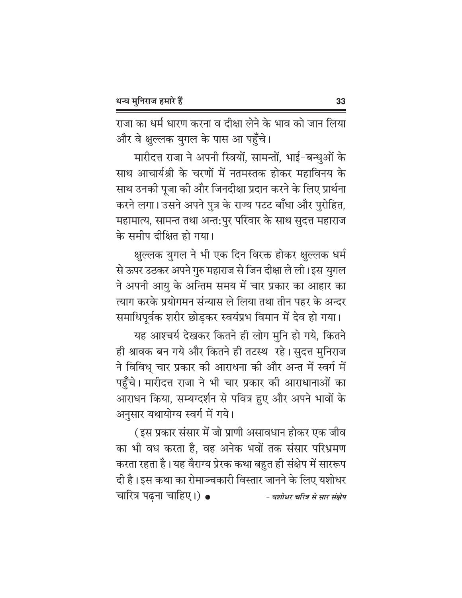राजा का धर्म धारण करना व दीक्षा लेने के भाव को जान लिया और वे क्षुल्लक युगल के पास आ प<mark>ह</mark>़ँचे।

मारीदत्त राजा ने अपनी स्त्रियों, सामन्तों, भाई-बन्धुओं के साथ आचार्यश्री के चरणों में नतमस्तक होकर महाविनय के साथ उनकी पूजा की और जिनदीक्षा प्रदान करने के लिए प्रार्थना करने लगा। उसने अपने पुत्र के राज्य पटट बाँधा और पुरोहित, महामात्य, सामन्त तथा अन्त:पुर परिवार के साथ सुदत्त महाराज के समीप दीक्षित हो गया।

क्षुल्लक युगल ने भी एक दिन विरक्त होकर क्षुल्लक धर्म से ऊपर उठकर अपने गुरु महाराज से जिन दीक्षा ले ली। इस युगल ने अपनी आयु के अन्तिम समय में चार प्रकार का आहार का त्याग करके प्रयोगमन संन्यास ले लिया तथा तीन पहर के अन्दर समाधिपूर्वक शरीर छोडकर स्वयंप्रभ विमान में देव हो गया।

यह आश्चर्य देखकर कितने ही लोग मुनि हो गये, कितने ही श्रावक बन गये और कितने ही तटस्थ रहे। सुदत्त मुनिराज ने विविध् चार प्रकार की आराधना की और अन्त में स्वर्ग में पहुँचे। मारीदत्त राजा ने भी चार प्रकार की आराधानाओं का आराधन किया, सम्यग्दर्शन से पवित्र हुए और अपने भावों के अनुसार यथायोग्य स्वर्ग में गये।

(इस प्रकार संसार में जो प्राणी असावधान होकर एक जीव का भी वध करता है, वह अनेक भवों तक संसार परिभ्रमण करता रहता है। यह वैराग्य प्रेरक कथा बहुत ही संक्षेप में साररूप दी है। इस कथा का रोमाञ्चकारी विस्तार जानने के लिए यशोधर चारित्र पढ़ना चाहिए।) ● - यशोधर चरित्र से सार संक्षेप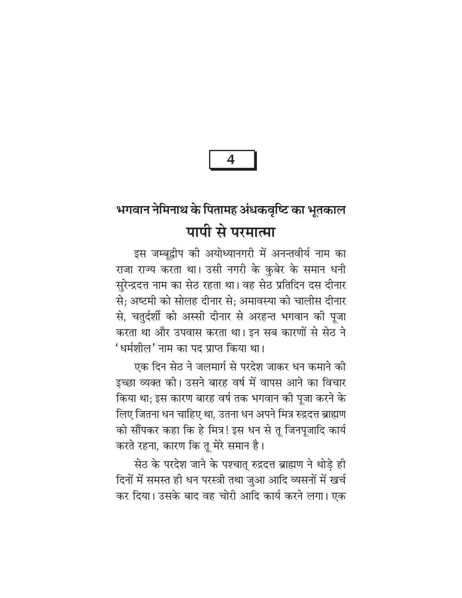# भगवान नेमिनाथ के पितामह अंधकवृष्टि का भूतकाल पापी से परमात्मा

इस जम्बूद्वीप की अयोध्यानगरी में अनन्तवीर्य नाम का राजा राज्य करता था। उसी नगरी के कुबेर के समान धनी सुरेन्द्रदत्त नाम का सेठ रहता था। वह सेठ प्रतिदिन दस दीनार से; अष्टमी को सोलह दीनार से; अमावस्या को चालीस दीनार से, चतुर्दर्शी को अस्सी दीनार से अरहन्त भगवान की पूजा करता था और उपवास करता था। इन सब कारणों से सेठ ने 'धर्मशील' नाम का पद प्राप्त किया था।

एक दिन सेठ ने जलमार्ग से परदेश जाकर धन कमाने की इच्छा व्यक्त की। उसने बारह वर्ष में वापस आने का विचार किया था; इस कारण बारह वर्ष तक भगवान की पूजा करने के लिए जितना धन चाहिए था, उतना धन अपने मित्र रुद्रदत्त ब्राह्मण को सौंपकर कहा कि हे मित्र! इस धन से तू जिनपूजादि कार्य करते रहना, कारण कि तू मेरे समान है।

सेठ के परदेश जाने के पश्चात् रुद्रदत्त ब्राह्मण ने थोड़े ही दिनों में समस्त ही धन परस्त्री तथा जुआ आदि व्यसनों में खर्च कर दिया। उसके बाद वह चोरी आदि कार्य करने लगा। एक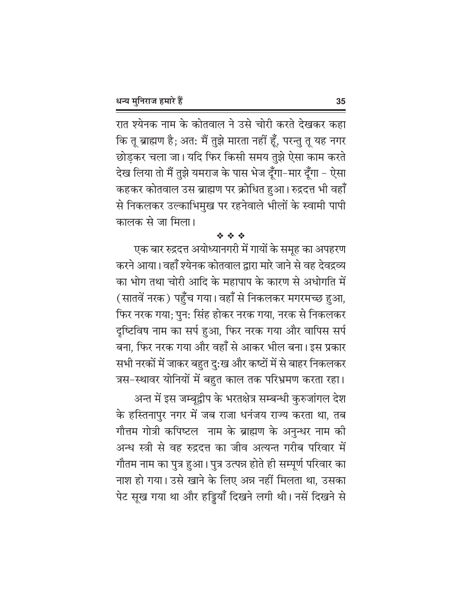रात श्येनक नाम के कोतवाल ने उसे चोरी करते देखकर कहा कि तू ब्राह्मण है; अत: मैं तुझे मारता नहीं हूँ, परन्तु तू यह नगर छोड़कर चला जा। यदि फिर किसी समय तुझे ऐसा काम करते देख लिया तो मैं तुझे यमराज के पास भेज दूँगा-मार दूँगा - ऐसा कहकर कोतवाल उस ब्राह्मण पर क्रोधित हुआ। रुद्रदत्त भी वहाँ से निकलकर उल्काभिमुख पर रहनेवाले भीलों के स्वामी पापी कालक से जा मिला।

#### 经合金

एक बार रुद्रदत्त अयोध्यानगरी में गायों के समूह का अपहरण करने आया। वहाँ श्येनक कोतवाल द्वारा मारे जाने से वह देवद्रव्य का भोग तथा चोरी आदि के महापाप के कारण से अधोगति में (सातवें नरक) पहुँच गया। वहाँ से निकलकर मगरमच्छ हुआ, फिर नरक गया; पुन: सिंह होकर नरक गया, नरक से निकलकर दृष्टिविष नाम का सर्प हुआ, फिर नरक गया और वापिस सर्प बना, फिर नरक गया और वहाँ से आकर भील बना। इस प्रकार सभी नरकों में जाकर बहुत दु:ख और कष्टों में से बाहर निकलकर त्रस–स्थावर योनियों में बहुत काल तक परिभ्रमण करता रहा।

अन्त में इस जम्बूद्वीप के भरतक्षेत्र सम्बन्धी कुरुजांगल देश के हस्तिनापुर नगर में जब राजा धनंजय राज्य करता था, तब गौत्तम गोत्री कपिष्टल नाम के ब्राह्मण के अनुन्धर नाम की अन्ध स्त्री से वह रुद्रदत्त का जीव अत्यन्त गरीब परिवार में गौतम नाम का पुत्र हुआ। पुत्र उत्पन्न होते ही सम्पूर्ण परिवार का नाश हो गया। उसे खाने के लिए अन्न नहीं मिलता था, उसका पेट सूख गया था और हड्डियाँ दिखने लगी थी। नसें दिखने से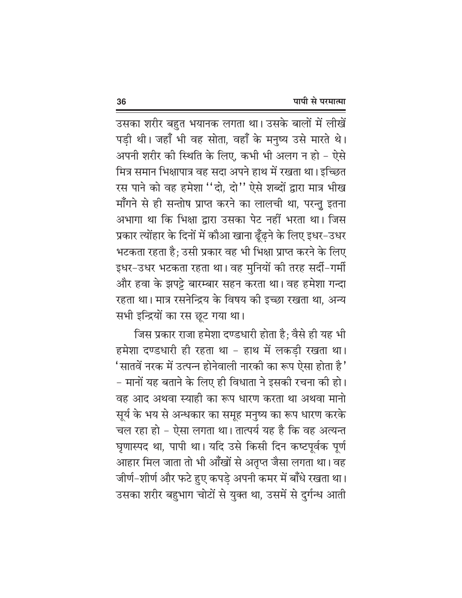उसका शरीर बहुत भयानक लगता था। उसके बालों में लीखें पड़ी थी। जहाँ भी वह सोता, वहाँ के मनुष्य उसे मारते थे। अपनी शरीर की स्थिति के लिए, कभी भी अलग न हो - ऐसे मित्र समान भिक्षापात्र वह सदा अपने हाथ में रखता था। इच्छित रस पाने को वह हमेशा "दो, दो" ऐसे शब्दों द्वारा मात्र भीख माँगने से ही सन्तोष प्राप्त करने का लालची था, परन्तु इतना अभागा था कि भिक्षा द्वारा उसका पेट नहीं भरता था। जिस प्रकार त्योंहार के दिनों में कौआ खाना ढूँढ़ने के लिए इधर–उधर भटकता रहता है; उसी प्रकार वह भी भिक्षा प्राप्त करने के लिए इधर-उधर भटकता रहता था। वह मुनियों की तरह सर्दी-गर्मी और हवा के झपट्टे बारम्बार सहन करता था। वह हमेशा गन्दा रहता था। मात्र रसनेन्द्रिय के विषय की इच्छा रखता था. अन्य सभी इन्द्रियों का रस छूट गया था।

जिस प्रकार राजा हमेशा दण्डधारी होता है; वैसे ही यह भी हमेशा दण्डधारी ही रहता था - हाथ में लकडी रखता था। 'सातवें नरक में उत्पन्न होनेवाली नारकी का रूप ऐसा होता है ' – मानों यह बताने के लिए ही विधाता ने इसकी रचना की हो। वह आद अथवा स्याही का रूप धारण करता था अथवा मानो सूर्य के भय से अन्धकार का समूह मनुष्य का रूप धारण करके चल रहा हो – ऐसा लगता था। तात्पर्य यह है कि वह अत्यन्त घृणास्पद था, पापी था। यदि उसे किसी दिन कष्टपूर्वक पूर्ण आहार मिल जाता तो भी आँखों से अतुप्त जैसा लगता था। वह जीर्ण-शीर्ण और फटे हुए कपड़े अपनी कमर में बाँधे रखता था। उसका शरीर बहुभाग चोटों से युक्त था, उसमें से दुर्गन्ध आती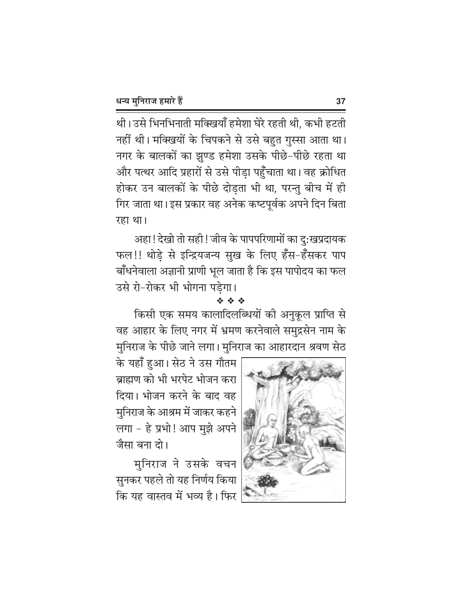थी। उसे भिनभिनाती मक्खियाँ हमेशा घेरे रहती थी, कभी हटती नहीं थी। मक्खियों के चिपकने से उसे बहुत गुस्सा आता था। नगर के बालकों का झुण्ड हमेशा उसके पीछे-पीछे रहता था और पत्थर आदि प्रहारों से उसे पीड़ा पहुँचाता था। वह क्रोधित होकर उन बालकों के पीछे दोड़ता भी था, परन्तु बीच में ही गिर जाता था। इस प्रकार वह अनेक कष्टपूर्वक अपने दिन बिता रहा था।

अहा ! देखो तो सही ! जीव के पापपरिणामों का दु:खप्रदायक फल!! थोड़े से इन्द्रियजन्य सुख के लिए हँस-हँसकर पाप बाँधनेवाला अज्ञानी प्राणी भूल जाता है कि इस पापोदय का फल उसे रो-रोकर भी भोगना पड़ेगा।

#### 经合金

किसी एक समय कालादिलब्धियों की अनुकूल प्राप्ति से वह आहार के लिए नगर में भ्रमण करनेवाले समुद्रसेन नाम के मुनिराज के पीछे जाने लगा। मुनिराज का आहारदान श्रवण सेठ

के यहाँ हुआ। सेठ ने उस गौतम ब्राह्मण को भी भरपेट भोजन करा दिया। भोजन करने के बाद वह मुनिराज के आश्रम में जाकर कहने लगा - हे प्रभो! आप मुझे अपने जैसा बना तो।

मुनिराज ने उसके वचन सुनकर पहले तो यह निर्णय किया कि यह वास्तव में भव्य है। फिर

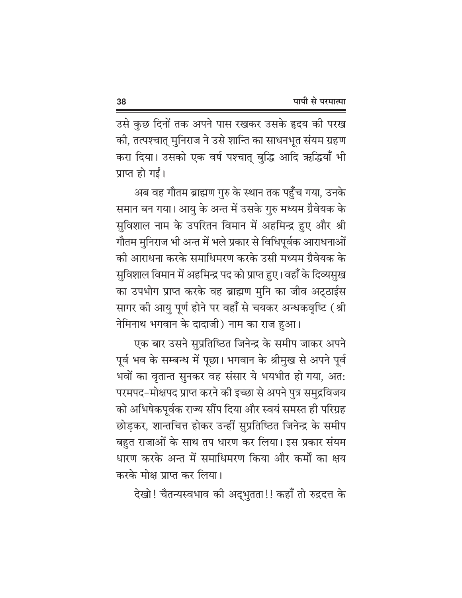उसे कुछ दिनों तक अपने पास रखकर उसके हृदय की परख की, तत्पश्चात् मुनिराज ने उसे शान्ति का साधनभूत संयम ग्रहण करा दिया। उसको एक वर्ष पश्चात् बुद्धि आदि ऋद्धियाँ भी प्राप्त हो गईं।

अब वह गौतम ब्राह्मण गुरु के स्थान तक पहुँच गया, उनके समान बन गया। आयु के अन्त में उसके गुरु मध्यम ग्रैवेयक के सुविशाल नाम के उपरितन विमान में अहमिन्द्र हुए और श्री गौतम मुनिराज भी अन्त में भले प्रकार से विधिपूर्वक आराधनाओं की आराधना करके समाधिमरण करके उसी मध्यम ग्रैवेयक के सुविशाल विमान में अहमिन्द्र पद को प्राप्त हुए। वहाँ के दिव्यसुख का उपभोग प्राप्त करके वह ब्राह्मण मुनि का जीव अट्ठाईस सागर की आयु पूर्ण होने पर वहाँ से चयकर अन्धकवृष्टि (श्री नेमिनाथ भगवान के दादाजी) नाम का राज हुआ।

एक बार उसने सुप्रतिष्ठित जिनेन्द्र के समीप जाकर अपने पूर्व भव के सम्बन्ध में पूछा। भगवान के श्रीमुख से अपने पूर्व भवों का वृतान्त सुनकर वह संसार ये भयभीत हो गया, अत: परमपद-मोक्षपद प्राप्त करने की इच्छा से अपने पुत्र समुद्रविजय को अभिषेकपूर्वक राज्य सौंप दिया और स्वयं समस्त ही परिग्रह छोड़कर, शान्तचित्त होकर उन्हीं सुप्रतिष्ठित जिनेन्द्र के समीप बहुत राजाओं के साथ तप धारण कर लिया। इस प्रकार संयम धारण करके अन्त में समाधिमरण किया और कर्मों का क्षय करके मोक्ष प्राप्त कर लिया।

देखो! चैतन्यस्वभाव को अद्भुतता!! कहाँ तो रुद्रदत्त के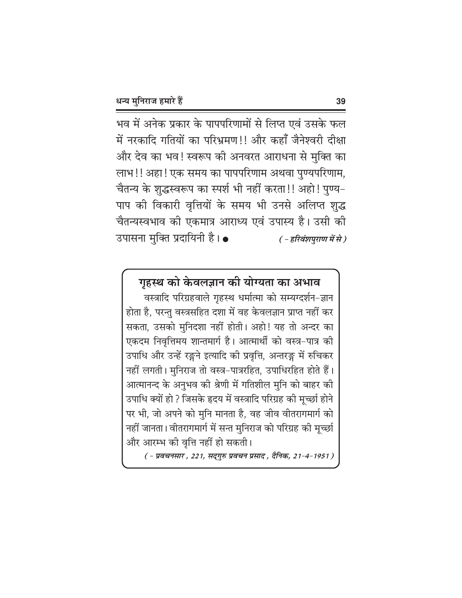भव में अनेक प्रकार के पापपरिणामों से लिप्त एवं उसके फल में नरकादि गतियों का परिभ्रमण!! और कहाँ जैनेश्वरी दीक्षा और देव का भव! स्वरूप की अनवरत आराधना से मुक्ति का लाभ !! अहा ! एक समय का पापपरिणाम अथवा पुण्यपरिणाम, चैतन्य के शुद्धस्वरूप का स्पर्श भी नहीं करता!! अहो! पुण्य-पाप की विकारी वृत्तियों के समय भी उनसे अलिप्त शुद्ध चैतन्यस्वभाव को एकमात्र आराध्य एवं उपास्य है। उसी की उपासना मुक्ति प्रदायिनी है। • ( - हरिवंशपुराण में से)

### गृहस्थ को केवलज्ञान की योग्यता का अभाव

वस्त्रादि परिग्रहवाले गृहस्थ धर्मात्मा को सम्यग्दर्शन-ज्ञान होता है, परन्तु वस्त्रसहित दशा में वह केवलज्ञान प्राप्त नहीं कर सकता, उसको मुनिदशा नहीं होती। अहो! यह तो अन्दर का एकदम निवृत्तिमय शान्तमार्ग है। आत्मार्थी को वस्त्र-पात्र की उपाधि और उन्हें रङ्गने इत्यादि की प्रवृत्ति, अन्तरङ्ग में रुचिकर नहीं लगती। मुनिराज तो वस्त्र-पात्ररहित, उपाधिरहित होते हैं। आत्मानन्द के अनुभव की श्रेणी में गतिशील मुनि को बाहर की उपाधि क्यों हो ? जिसके हृदय में वस्त्रादि परिग्रह की मूर्च्छा होने पर भी, जो अपने को मुनि मानता है, वह जीव वीतरागमार्ग को नहीं जानता। वीतरागमार्ग में सन्त मुनिराज को परिग्रह की मूच्छी और आरम्भ की वृत्ति नहीं हो सकती।

( - प्रवचनसार , 221, सद्गुरु प्रवचन प्रसाद , दैनिक, 21-4-1951 )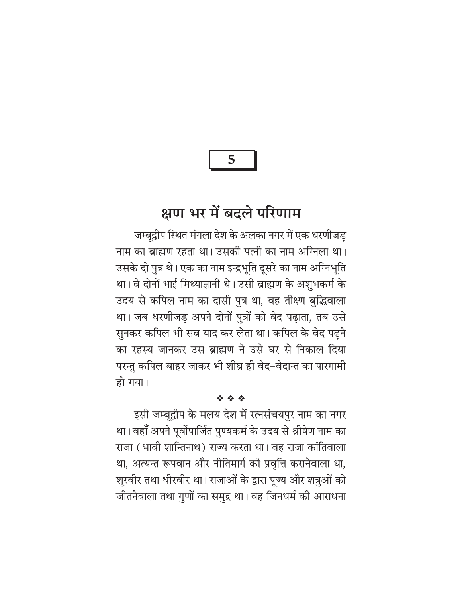5

## क्षण भर में बदले परिणाम

जम्बद्वीप स्थित मंगला देश के अलका नगर में एक धरणीजड नाम का ब्राह्मण रहता था। उसकी पत्नी का नाम अग्निला था। उसके दो पुत्र थे। एक का नाम इन्द्रभूति दूसरे का नाम अग्निभूति था। वे दोनों भाई मिथ्याज्ञानी थे। उसी ब्राह्मण के अशुभकर्म के उदय से कपिल नाम का दासी पुत्र था, वह तीक्ष्ण बुद्धिवाला था। जब धरणीजड़ अपने दोनों पुत्रों को वेद पढ़ाता, तब उसे सुनकर कपिल भी सब याद कर लेता था। कपिल के वेद पढ़ने का रहस्य जानकर उस ब्राह्मण ने उसे घर से निकाल दिया परन्तु कपिल बाहर जाकर भी शीघ्र ही वेद–वेदान्त का पारगामी हो गया।

#### 经合金

इसी जम्बूद्वीप के मलय देश में रत्नसंचयपुर नाम का नगर था। वहाँ अपने पूर्वोपार्जित पुण्यकर्म के उदय से श्रीषेण नाम का राजा (भावी शान्तिनाथ) राज्य करता था। वह राजा कांतिवाला था, अत्यन्त रूपवान और नीतिमार्ग की प्रवृत्ति करानेवाला था, शूरवीर तथा धीरवीर था। राजाओं के द्वारा पूज्य और शत्रुओं को जीतनेवाला तथा गुणों का समुद्र था। वह जिनधर्म की आराधना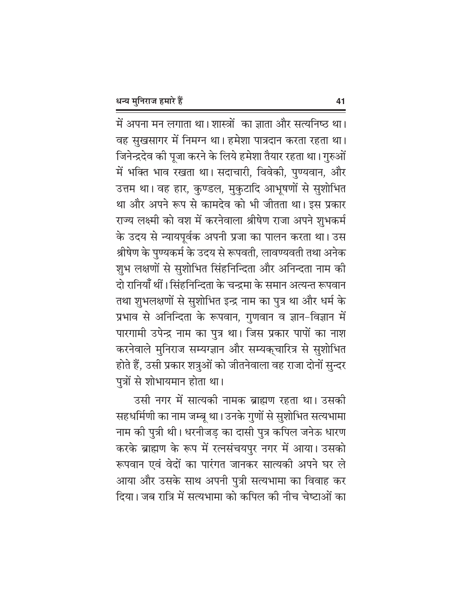में अपना मन लगाता था। शास्त्रों का ज्ञाता और सर्त्यनिष्ठ था। वह सुखसागर में निमग्न था। हमेशा पात्रदान करता रहता था। जिनेन्द्रदेव की पूजा करने के लिये हमेशा तैयार रहता था। गुरुओं में भक्ति भाव रखता था। सदाचारी, विवेकी, पुण्यवान, और उत्तम था। वह हार, कुण्डल, मुकुटादि आभूषणों से सुशोभित था और अपने रूप से कामदेव को भी जीतता था। इस प्रकार राज्य लक्ष्मी को वश में करनेवाला श्रीषेण राजा अपने शुभकर्म के उदय से न्यायपूर्वक अपनी प्रजा का पालन करता था। उस श्रीषेण के पुण्यकर्म के उदय से रूपवती, लावण्यवती तथा अनेक शुभ लक्षणों से सुशोभित सिंहनिन्दिता और अनिन्दता नाम की दो रानियाँ थीं। सिंहनिन्दिता के चन्द्रमा के समान अत्यन्त रूपवान तथा शुभलक्षणों से सुशोभित इन्द्र नाम का पुत्र था और धर्म के प्रभाव से अनिन्दिता के रूपवान, गुणवान व ज्ञान-विज्ञान में पारगामी उपेन्द्र नाम का पुत्र था। जिस प्रकार पापों का नाश करनेवाले मुनिराज सम्यग्ज्ञान और सम्यक्चारित्र से सुशोभित होते हैं, उसी प्रकार शत्रुओं को जीतनेवाला वह राजा दोनों सुन्दर पुत्रों से शोभायमान होता था।

उसी नगर में सात्यकी नामक ब्राह्मण रहता था। उसकी सहधर्मिणी का नाम जम्बू था। उनके गुणों से सुशोभित सत्यभामा नाम की पुत्री थी। धरनीजड़ का दासी पुत्र कपिल जनेऊ धारण करके ब्राह्मण के रूप में रत्नसंचयपुर नगर में आया। उसको रूपवान एवं वेदों का पारंगत जानकर सात्यकी अपने घर ले आया और उसके साथ अपनी पुत्री सत्यभामा का विवाह कर दिया। जब रात्रि में सत्यभामा को कपिल की नीच चेष्टाओं का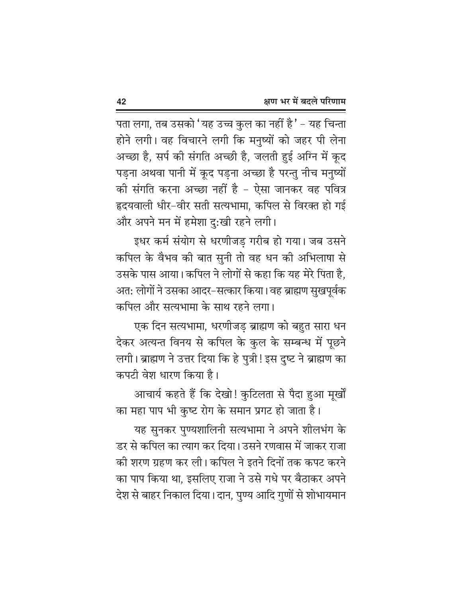पता लगा, तब उसको 'यह उच्च कुल का नहीं है ' – यह चिन्ता होने लगी। वह विचारने लगी कि मनुष्यों को जहर पी लेना अच्छा है, सर्प की संगति अच्छी है, जलती हुई अग्नि में कूद पड़ना अथवा पानी में कूद पड़ना अच्छा है परन्तु नीच मनुष्यों की संगति करना अच्छा नहीं है - ऐसा जानकर वह पवित्र हृदयवाली धीर-वीर सती सत्यभामा, कपिल से विरक्त हो गई और अपने मन में हमेशा दु:खी रहने लगी।

इधर कर्म संयोग से धरणीजड गरीब हो गया। जब उसने कपिल के वैभव की बात सुनी तो वह धन की अभिलाषा से उसके पास आया। कपिल ने लोगों से कहा कि यह मेरे पिता है, अत: लोगों ने उसका आदर–सत्कार किया। वह ब्राह्मण सुखपूर्वक कपिल और सत्यभामा के साथ रहने लगा।

एक दिन सत्यभामा, धरणीजड़ ब्राह्मण को बहुत सारा धन देकर अत्यन्त विनय से कपिल के कुल के सम्बन्ध में पूछने लगी। ब्राह्मण ने उत्तर दिया कि हे पुत्री! इस दृष्ट ने ब्राह्मण का कपटी वेश धारण किया है।

आचार्य कहते हैं कि देखो! कुटिलता से पैदा हुआ मूर्खों का महा पाप भी कुष्ट रोग के समान प्रगट हो जाता है।

यह सुनकर पुण्यशालिनी सत्यभामा ने अपने शीलभंग के डर से कपिल का त्याग कर दिया। उसने रणवास में जाकर राजा की शरण ग्रहण कर ली। कपिल ने इतने दिनों तक कपट करने का पाप किया था, इसलिए राजा ने उसे गधे पर बैठाकर अपने देश से बाहर निकाल दिया। दान, पुण्य आदि गुणों से शोभायमान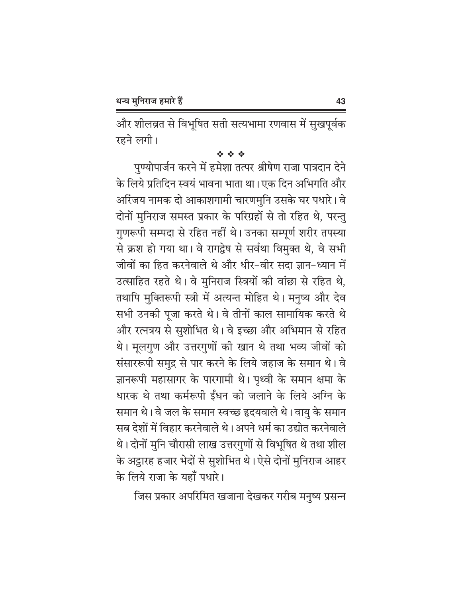और शीलव्रत से विभूषित सती सत्यभामा रणवास में सुखपूर्वक रहने लगी।

#### 经合金

पुण्योपार्जन करने में हमेशा तत्पर श्रीषेण राजा पात्रदान देने के लिये प्रतिदिन स्वयं भावना भाता था। एक दिन अभिगति और अरिंजय नामक दो आकाशगामी चारणमुनि उसके घर पधारे। वे दोनों मुनिराज समस्त प्रकार के परिग्रहों से तो रहित थे, परन्तु गुणरूपी सम्पदा से रहित नहीं थे। उनका सम्पूर्ण शरीर तपस्या से क्रश हो गया था। वे रागद्वेष से सर्वथा विमुक्त थे, वे सभी जीवों का हित करनेवाले थे और धीर-वीर सदा ज्ञान-ध्यान में उत्साहित रहते थे। वे मुनिराज स्त्रियों की वांछा से रहित थे, तथापि मुक्तिरूपी स्त्री में अत्यन्त मोहित थे। मनुष्य और देव सभी उनकी पूजा करते थे। वे तीनों काल सामायिक करते थे और रत्नत्रय से सुशोभित थे। वे इच्छा और अभिमान से रहित थे। मूलगुण और उत्तरगुणों की खान थे तथा भव्य जीवों को संसाररूपी समुद्र से पार करने के लिये जहाज के समान थे। वे ज्ञानरूपी महासागर के पारगामी थे। पृथ्वी के समान क्षमा के धारक थे तथा कर्मरूपी ईंधन को जलाने के लिये अग्नि के समान थे। वे जल के समान स्वच्छ हृदयवाले थे। वायु के समान सब देशों में विहार करनेवाले थे। अपने धर्म का उद्योत करनेवाले थे। दोनों मुनि चौरासी लाख उत्तरगुणों से विभूषित थे तथा शील के अट्ठारह हजार भेदों से सुशोभित थे। ऐसे दोनों मुनिराज आहर के लिये राजा के यहाँ पधारे।

जिस प्रकार अपरिमित खजाना देखकर गरीब मनुष्य प्रसन्न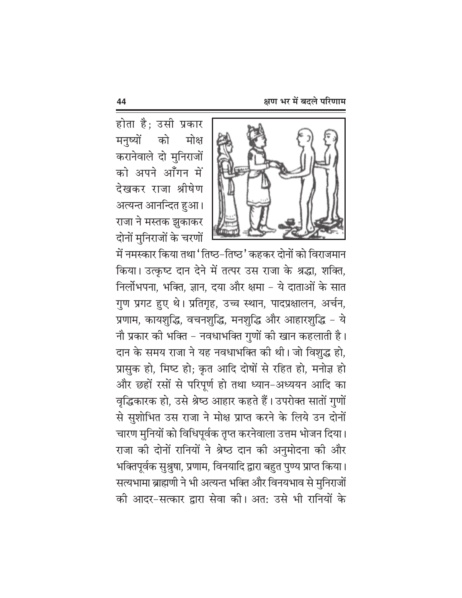होता है; उसी प्रकार मनष्यों को मोक्ष करानेवाले दो मुनिराजों को अपने आँगन में देखकर राजा श्रीषेण अत्यन्त आनन्दित हुआ। राजा ने मस्तक झुकाकर दोनों मुनिराजों के चरणों



में नमस्कार किया तथा 'तिष्ठ-तिष्ठ' कहकर दोनों को विराजमान किया। उत्कृष्ट दान देने में तत्पर उस राजा के श्रद्धा, शक्ति, निर्लोभपना, भक्ति, ज्ञान, दया और क्षमा - ये दाताओं के सात गुण प्रगट हुए थे। प्रतिगृह, उच्च स्थान, पादप्रक्षालन, अर्चन, प्रणाम, कायशुद्धि, वचनशुद्धि, मनशुद्धि और आहारशुद्धि - ये नौ प्रकार की भक्ति – नवधाभक्ति गुणों की खान कहलाती है। दान के समय राजा ने यह नवधाभक्ति की थी। जो विशुद्ध हो, प्रासुक हो, मिष्ट हो; कृत आदि दोषों से रहित हो, मनोज्ञ हो और छहों रसों से परिपूर्ण हो तथा ध्यान-अध्ययन आदि का वृद्धिकारक हो, उसे श्रेष्ठ आहार कहते हैं। उपरोक्त सातों गुणों से सुशोभित उस राजा ने मोक्ष प्राप्त करने के लिये उन दोनों चारण मुनियों को विधिपूर्वक तृप्त करनेवाला उत्तम भोजन दिया। राजा की दोनों रानियों ने श्रेष्ठ दान की अनुमोदना की और भक्तिपूर्वक सुश्रुषा, प्रणाम, विनयादि द्वारा बहुत पुण्य प्राप्त किया। सत्यभामा ब्राह्मणी ने भी अत्यन्त भक्ति और विनयभाव से मुनिराजों की आदर-सत्कार द्वारा सेवा की। अत: उसे भी रानियों के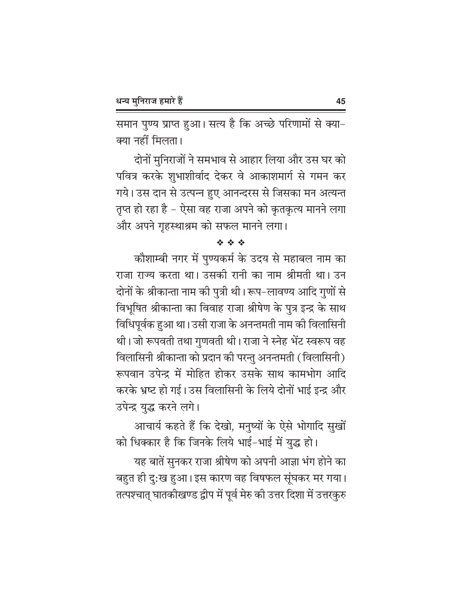समान पुण्य प्राप्त हुआ। सत्य है कि अच्छे परिणामों से क्या-क्या नहीं मिलता।

दोनों मुनिराजों ने समभाव से आहार लिया और उस घर को पवित्र करके शुभाशीर्वाद देकर वे आकाशमार्ग से गमन कर गये। उस दान से उत्पन्न हुए आनन्दरस से जिसका मन अत्यन्त तृप्त हो रहा है – ऐसा वह राजा अपने को कृतकृत्य मानने लगा और अपने गृहस्थाश्रम को सफल मानने लगा।

#### **泰 泰 泰**

कौशाम्बी नगर में पुण्यकर्म के उदय से महाबल नाम का राजा राज्य करता था। उसकी रानी का नाम श्रीमती था। उन दोनों के श्रीकान्ता नाम की पुत्री थी। रूप–लावण्य आदि गुणों से विभूषित श्रीकान्ता का विवाह राजा श्रीषेण के पुत्र इन्द्र के साथ विधिपूर्वक हुआ था। उसी राजा के अनन्तमती नाम की विलासिनी थी। जो रूपवती तथा गुणवती थी। राजा ने स्नेह भेंट स्वरूप वह विलासिनी श्रीकान्ता को प्रदान की परन्तु अनन्तमती (विलासिनी) रूपवान उपेन्द्र में मोहित होकर उसके साथ कामभोग आदि करके भ्रष्ट हो गई। उस विलासिनी के लिये दोनों भाई इन्द्र और उपेन्द्र युद्ध करने लगे।

आचार्य कहते हैं कि देखो, मनुष्यों के ऐसे भोगादि सुखों को धिक्कार है कि जिनके लिये भाई-भाई में युद्ध हो।

यह बातें सुनकर राजा श्रीषेण को अपनी आज्ञा भंग होने का बहुत ही दु:ख हुआ। इस कारण वह विषफल सूंघकर मर गया। तत्पश्चात् घातकीखण्ड द्वीप में पूर्व मेरु की उत्तर दिशा में उत्तरकुरु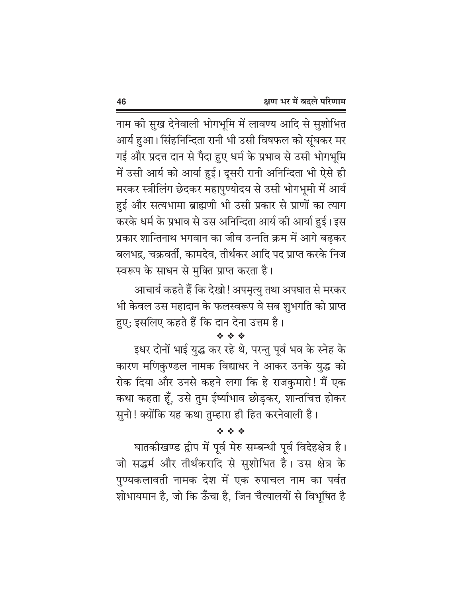नाम की सुख देनेवाली भोगभूमि में लावण्य आदि से सुशोभित आर्य हुआ। सिंहनिन्दिता रानी भी उसी विषफल को सूंघकर मर गई और प्रदत्त दान से पैदा हुए धर्म के प्रभाव से उसी भोगभूमि में उसी आर्य को आर्या हुई। दूसरी रानी अनिन्दिता भी ऐसे ही मरकर स्त्रीलिंग छेदकर महापुण्योदय से उसी भोगभूमी में आर्य हुई और सत्यभामा ब्राह्मणी भी उसी प्रकार से प्राणों का त्याग करके धर्म के प्रभाव से उस अनिन्दिता आर्य की आर्या हुई। इस प्रकार शान्तिनाथ भगवान का जीव उन्नति क्रम में आगे बढ़कर बलभद्र, चक्रवर्ती, कामदेव, तीर्थकर आदि पद प्राप्त करके निज स्वरूप के साधन से मुक्ति प्राप्त करता है।

आचार्य कहते हैं कि देखो ! अपमृत्यु तथा अपघात से मरकर भी केवल उस महादान के फलस्वरूप वे सब शुभगति को प्राप्त हुए: इसलिए कहते हैं कि दान देना उत्तम है।

#### 经合金

इधर दोनों भाई युद्ध कर रहे थे, परन्तु पूर्व भव के स्नेह के कारण मणिकुण्डल नामक विद्याधर ने आकर उनके युद्ध को रोक दिया और उनसे कहने लगा कि हे राजकुमारो! मैं एक कथा कहता हूँ, उसे तुम ईर्ष्याभाव छोड़कर, शान्तचित्त होकर सुनो! क्योंकि यह कथा तुम्हारा ही हित करनेवाली है।

#### **泰 泰 泰**

घातकीखण्ड द्वीप में पूर्व मेरु सम्बन्धी पूर्व विदेहक्षेत्र है। जो सद्धर्म और तीर्थंकरादि से सुशोभित है। उस क्षेत्र के पुण्यकलावती नामक देश में एक रुपाचल नाम का पर्वत शोभायमान है, जो कि ऊँँचा है, जिन चैत्यालयों से विभूषित है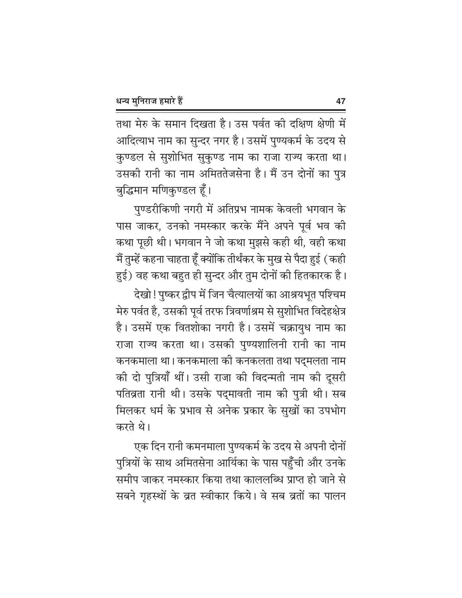तथा मेरु के समान दिखता है। उस पर्वत की दक्षिण क्षेणी में आदित्याभ नाम का सुन्दर नगर है। उसमें पुण्यकर्म के उदय से कुण्डल से सुशोभित सुकुण्ड नाम का राजा राज्य करता था। उसकी रानी का नाम अमिततेजसेना है। मैं उन दोनों का पुत्र बुद्धिमान मणिकुण्डल हूँ।

पुण्डरीकिणी नगरी में अतिप्रभ नामक केवली भगवान के पास जाकर, उनको नमस्कार करके मैंने अपने पूर्व भव की कथा पूछी थी। भगवान ने जो कथा मुझसे कही थी, वही कथा मैं तुम्हें कहना चाहता हूँ क्योंकि तीर्थंकर के मुख से पैदा हुई (कही हुई) वह कथा बहुत ही सुन्दर और तुम दोनों की हितकारक है।

देखो ! पुष्कर द्वीप में जिन चैत्यालयों का आश्रयभूत पश्चिम मेरु पर्वत है, उसकी पूर्व तरफ त्रिवर्णाश्रम से सुशोभित विदेहक्षेत्र है। उसमें एक वितशोका नगरी है। उसमें चक्रायुध नाम का राजा राज्य करता था। उसकी पुण्यशालिनी रानी का नाम कनकमाला था। कनकमाला की कनकलता तथा पद्मलता नाम की दो पुत्रियाँ थीं। उसी राजा की विदन्मती नाम की दूसरी पतिव्रता रानी थी। उसके पद्मावती नाम की पुत्री थी। सब मिलकर धर्म के प्रभाव से अनेक प्रकार के सुखों का उपभोग करते थे।

एक दिन रानी कमनमाला पुण्यकर्म के उदय से अपनी दोनों पुत्रियों के साथ अमितसेना आर्यिका के पास पहुँची और उनके समीप जाकर नमस्कार किया तथा काललब्धि प्राप्त हो जाने से सबने गृहस्थों के व्रत स्वीकार किये। वे सब व्रतों का पालन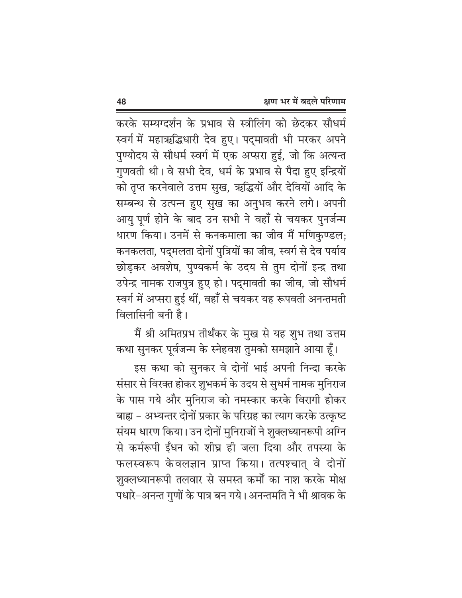करके सम्यग्दर्शन के प्रभाव से स्त्रीलिंग को छेदकर सौधर्म स्वर्ग में महाऋद्धिधारी देव हुए। पद्मावती भी मरकर अपने पुण्योदय से सौधर्म स्वर्ग में एक अप्सरा हुई, जो कि अत्यन्त गुणवती थी। वे सभी देव, धर्म के प्रभाव से पैदा हुए इन्द्रियों को तृप्त करनेवाले उत्तम सुख, ऋद्धियों और देवियों आदि के सम्बन्ध से उत्पन्न हुए सुख का अनुभव करने लगे। अपनी आयु पूर्ण होने के बाद उन सभी ने वहाँ से चयकर पुनर्जन्म धारण किया। उनमें से कनकमाला का जीव मैं मणिकुण्डल; कनकलता, पद्मलता दोनों पुत्रियों का जीव, स्वर्ग से देव पर्याय छोडकर अवशेष, पुण्यकर्म के उदय से तुम दोनों इन्द्र तथा उपेन्द्र नामक राजपुत्र हुए हो। पद्मावती का जीव, जो सौधर्म स्वर्ग में अप्सरा हुई थीं, वहाँ से चयकर यह रूपवती अनन्तमती विलासिनी बनी है।

मैं श्री अमितप्रभ तीर्थंकर के मुख से यह शुभ तथा उत्तम कथा सुनकर पूर्वजन्म के स्नेहवश तुमको समझाने आया हूँ।

इस कथा को सुनकर वे दोनों भाई अपनी निन्दा करके संसार से विरक्त होकर शुभकर्म के उदय से सुधर्म नामक मुनिराज के पास गये और मुनिराज को नमस्कार करके विरागी होकर बाह्य – अभ्यन्तर दोनों प्रकार के परिग्रह का त्याग करके उत्कृष्ट संयम धारण किया। उन दोनों मुनिराजों ने शुक्लध्यानरूपी अग्नि से कर्मरूपी ईंधन को शीघ्र ही जला दिया और तपस्या के फलस्वरूप केवलज्ञान प्राप्त किया। तत्पश्चात् वे दोनों शुक्लध्यानरूपी तलवार से समस्त कर्मों का नाश करके मोक्ष पधारे-अनन्त गुणों के पात्र बन गये। अनन्तमति ने भी श्रावक के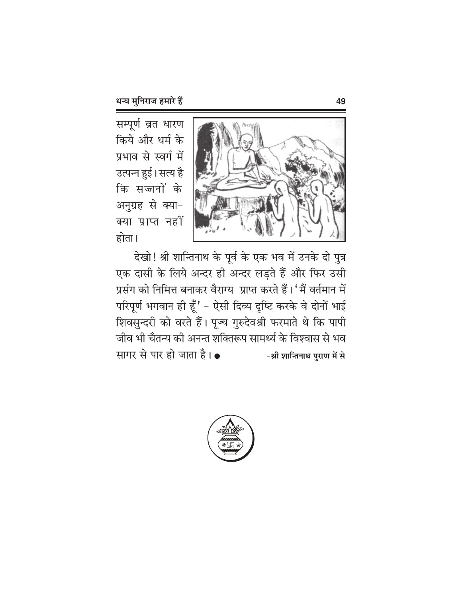सम्पूर्ण व्रत धारण किये और धर्म के प्रभाव से स्वर्ग में उत्पन्न हुई। सत्य है कि सज्जनों के अनुग्रह से क्या-क्या प्राप्त नहीं होता।



देखो! श्री शान्तिनाथ के पूर्व के एक भव में उनके दो पुत्र एक दासी के लिये अन्दर ही अन्दर लड़ते हैं और फिर उसी प्रसंग को निमित्त बनाकर वैराग्य प्राप्त करते हैं।' मैं वर्तमान में परिपूर्ण भगवान ही हूँ' - ऐसी दिव्य दृष्टि करके वे दोनों भाई शिवसुन्दरी को वरते हैं। पूज्य गुरुदेवश्री फरमाते थे कि पापी जीव भी चैतन्य की अनन्त शक्तिरूप सामर्थ्य के विश्वास से भव सागर से पार हो जाता है। • -श्री शान्तिनाथ पुराण में से

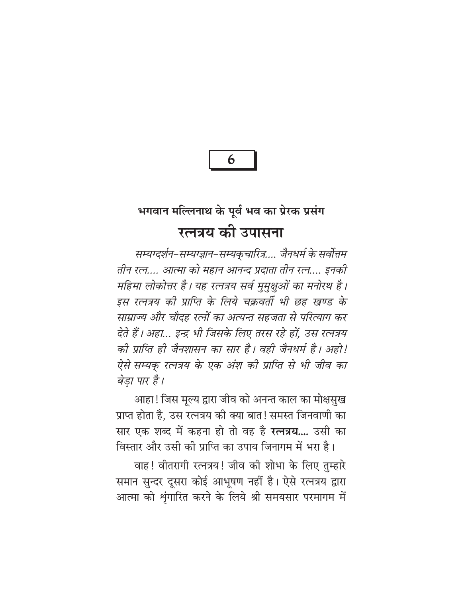6

## भगवान मल्लिनाथ के पूर्व भव का प्रेरक प्रसंग रत्नत्रय की उपासना

सम्यग्दर्शन–सम्यग्ज्ञान–सम्यक्चारित्र.... जैनधर्म के सर्वोत्तम तीन रत्न.... आत्मा को महान आनन्द प्रदाता तीन रत्न.... इनकी महिमा लोकोत्तर है। यह रत्नत्रय सर्व मुमुक्षुओं का मनोरथ है। इस रत्नत्रय की प्राप्ति के लिये चक्रवर्ती भी छह खण्ड के साम्राज्य और चौदह रत्नों का अत्यन्त सहजता से परित्याग कर देते हैं। अहा… इन्द्र भी जिसके लिए तरस रहे हों, उस रत्नत्रय की प्राप्ति ही जैनशासन का सार है। वही जैनधर्म है। अहो! ऐसे सम्यक् रत्नत्रय के एक अंश की प्राप्ति से भी जीव का बेड़ा पार है।

आहा ! जिस मूल्य द्वारा जीव को अनन्त काल का मोक्षसुख प्राप्त होता है, उस रत्नत्रय की क्या बात! समस्त जिनवाणी का सार एक शब्द में कहना हो तो वह है **रत्नत्रय....** उसी का विस्तार और उसी की प्राप्ति का उपाय जिनागम में भरा है।

वाह! वीतरागी रत्नत्रय! जीव की शोभा के लिए तुम्हारे समान सुन्दर दूसरा कोई आभूषण नहीं है। ऐसे रत्नत्रय द्वारा आत्मा को शृंगारित करने के लिये श्री समयसार परमागम में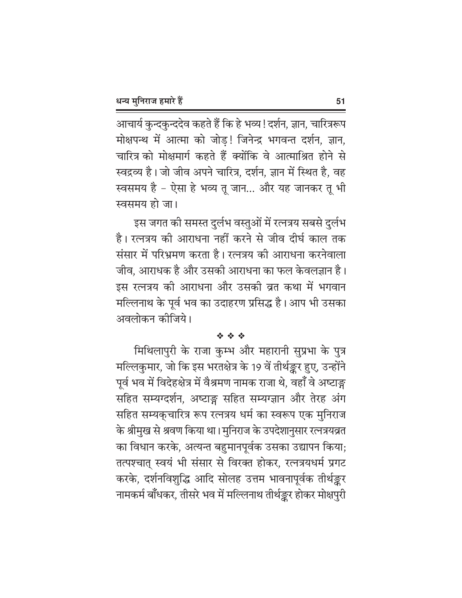आचार्य कुन्दकुन्ददेव कहते हैं कि हे भव्य ! दर्शन, ज्ञान, चारित्ररूप मोक्षपन्थ में आत्मा को जोड़! जिनेन्द्र भगवन्त दर्शन, ज्ञान, चारित्र को मोक्षमार्ग कहते हैं क्योंकि वे आत्माश्रित होने से स्वद्रव्य है। जो जीव अपने चारित्र, दर्शन, ज्ञान में स्थित है, वह स्वसमय है - ऐसा हे भव्य तू जान... और यह जानकर तू भी स्वसमय हो जा।

इस जगत की समस्त दुर्लभ वस्तुओं में रत्नत्रय सबसे दुर्लभ है। रत्नत्रय की आराधना नहीं करने से जीव दीर्घ काल तक संसार में परिभ्रमण करता है। रत्नत्रय की आराधना करनेवाला जीव, आराधक है और उसकी आराधना का फल केवलज्ञान है। इस रत्नत्रय की आराधना और उसकी व्रत कथा में भगवान मल्लिनाथ के पूर्व भव का उदाहरण प्रसिद्ध है। आप भी उसका अवलोकन कोजिये।

#### ※ ※ ※

मिथिलापुरी के राजा कुम्भ और महारानी सुप्रभा के पुत्र मल्लिकुमार, जो कि इस भरतक्षेत्र के 19 वें तीर्थङ्कर हुए, उन्होंने पूर्व भव में विदेहक्षेत्र में वैश्रमण नामक राजा थे, वहाँ वे अष्टाङ्ग सहित सम्यग्दर्शन, अष्टाङ्ग सहित सम्यग्ज्ञान और तेरह अंग सहित सम्यक्चारित्र रूप रत्नत्रय धर्म का स्वरूप एक मुनिराज के श्रीमुख से श्रवण किया था। मुनिराज के उपदेशानुसार रत्नत्रयव्रत का विधान करके, अत्यन्त बहुमानपूर्वक उसका उद्यापन किया; तत्पश्चात् स्वयं भी संसार से विरक्त होकर, रत्नत्रयधर्म प्रगट करके, दर्शनविशुद्धि आदि सोलह उत्तम भावनापूर्वक तीर्थङ्कर नामकर्म बाँधकर, तीसरे भव में मल्लिनाथ तीर्थङ्कर होकर मोक्षपुरी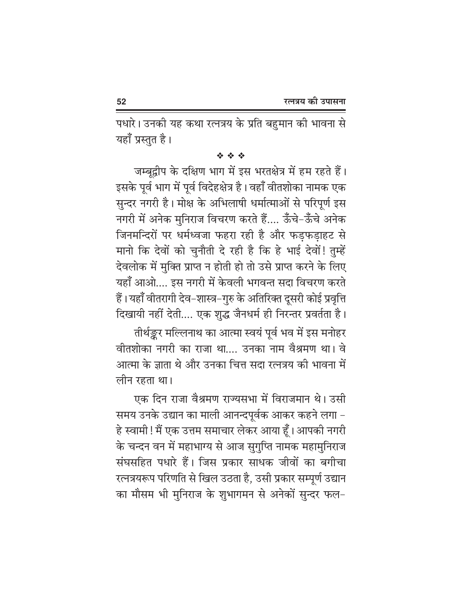पधारे। उनकी यह कथा रत्नत्रय के प्रति बहुमान की भावना से यहाँ प्रस्तुत है।

\* \* \*

जम्बूद्वीप के दक्षिण भाग में इस भरतक्षेत्र में हम रहते हैं। इसके पूर्व भाग में पूर्व विदेहक्षेत्र है। वहाँ वीतशोका नामक एक सुन्दर नगरी है। मोक्ष के अभिलाषी धर्मात्माओं से परिपूर्ण इस नगरी में अनेक मुनिराज विचरण करते हैं.... ऊँचे-ऊँचे अनेक जिनमन्दिरों पर धर्मध्वजा फहरा रही है और फड़फड़ाहट से मानो कि देवों को चुनौती दे रही है कि हे भाई देवों! तुम्हें देवलोक में मुक्ति प्राप्त न होती हो तो उसे प्राप्त करने के लिए यहाँ आओ.... इस नगरी में केवली भगवन्त सदा विचरण करते हैं। यहाँ वीतरागी देव–शास्त्र–गुरु के अतिरिक्त दूसरी कोई प्रवृत्ति दिखायी नहीं देती.... एक शुद्ध जैनधर्म ही निरन्तर प्रवर्तता है।

तीर्थङ्कर मल्लिनाथ का आत्मा स्वयं पूर्व भव में इस मनोहर वीतशोका नगरी का राजा था.... उनका नाम वैश्रमण था। वे आत्मा के ज्ञाता थे और उनका चित्त सदा रत्नत्रय की भावना में लीन रहता था।

एक दिन राजा वैश्रमण राज्यसभा में विराजमान थे। उसी समय उनके उद्यान का माली आनन्दपूर्वक आकर कहने लगा -हे स्वामी ! मैं एक उत्तम समाचार लेकर आया हूँ । आपकी नगरी के चन्दन वन में महाभाग्य से आज सुगुप्ति नामक महामुनिराज संघसहित पधारे हैं। जिस प्रकार साधक जीवों का बगीचा रत्नत्रयरूप परिणति से खिल उठता है, उसी प्रकार सम्पूर्ण उद्यान का मौसम भी मुनिराज के शुभागमन से अनेकों सुन्दर फल-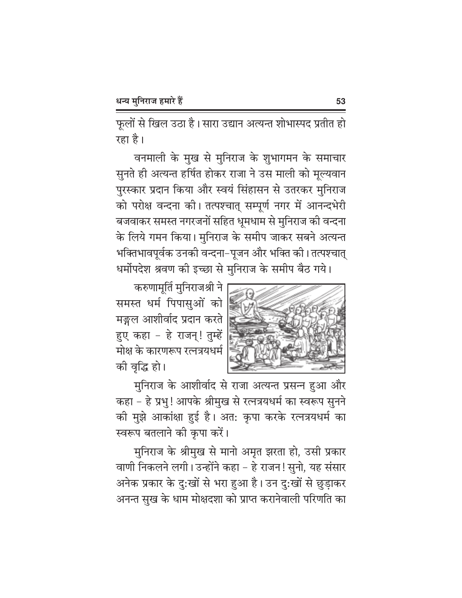फूलों से खिल उठा है। सारा उद्यान अत्यन्त शोभास्पद प्रतीत हो रहा है।

वनमाली के मुख से मुनिराज के शुभागमन के समाचार सुनते ही अत्यन्त हर्षित होकर राजा ने उस माली को मूल्यवान पुरस्कार प्रदान किया और स्वयं सिंहासन से उतरकर मुनिराज को परोक्ष वन्दना की। तत्पश्चात् सम्पूर्ण नगर में आनन्दभेरी बजवाकर समस्त नगरजनों सहित धूमधाम से मुनिराज की वन्दना के लिये गमन किया। मुनिराज के समीप जाकर सबने अत्यन्त भक्तिभावपूर्वक उनकी वन्दना–पूजन और भक्ति की। तत्पश्चात् धर्मोपदेश श्रवण की इच्छा से मुनिराज के समीप बैठ गये।



करुणामूर्ति मुनिराजश्री ने समस्त धर्म पिपासुओं को मङ्गल आशीर्वाद प्रदान करते हुए कहा - हे राजन्! तुम्हें मोक्ष के कारणरूप रत्नत्रयधर्म की वृद्धि हो।

मुनिराज के आशीर्वाद से राजा अत्यन्त प्रसन्न हुआ और कहा - हे प्रभु! आपके श्रीमुख से रत्नत्रयधर्म का स्वरूप सुनने की मुझे आकांक्षा हुई है। अत: कृपा करके रत्नत्रयधर्म का स्वरूप बतलाने की कृपा करें।

मुनिराज के श्रीमुख से मानो अमृत झरता हो, उसी प्रकार वाणी निकलने लगी। उन्होंने कहा – हे राजन! सुनो, यह संसार अनेक प्रकार के दु:खों से भरा हुआ है। उन दु:खों से छुड़ाकर अनन्त सुख के धाम मोक्षदशा को प्राप्त करानेवाली परिणति का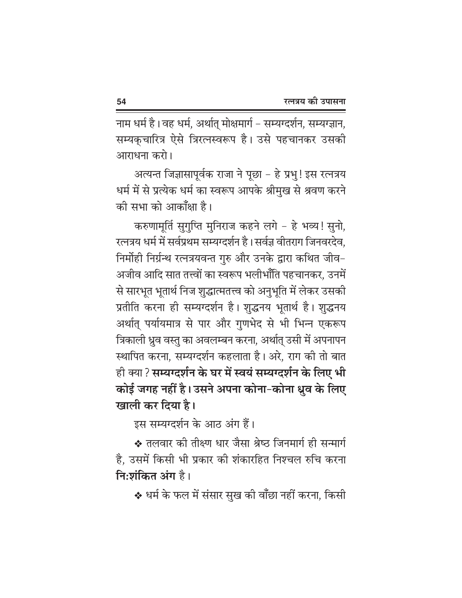नाम धर्म है। वह धर्म, अर्थात् मोक्षमार्ग – सम्यग्दर्शन, सम्यग्ज्ञान, सम्यकुचारित्र ऐसे त्रिरत्नस्वरूप है। उसे पहचानकर उसकी आराधना करो।

अत्यन्त जिज्ञासापूर्वक राजा ने पूछा – हे प्रभु ! इस रत्नत्रय धर्म में से प्रत्येक धर्म का स्वरूप आपके श्रीमुख से श्रवण करने की सभा को आकाँक्षा है।

करुणामृर्ति सुगुप्ति मुनिराज कहने लगे - हे भव्य! सुनो, रत्नत्रय धर्म में सर्वप्रथम सम्यग्दर्शन है। सर्वज्ञ वीतराग जिनवरदेव, निर्मोही निर्ग्रन्थ रत्नत्रयवन्त गुरु और उनके द्वारा कथित जीव-अजीव आदि सात तत्त्वों का स्वरूप भलीभाँति पहचानकर, उनमें से सारभूत भूतार्थ निज शुद्धात्मतत्त्व को अनुभूति में लेकर उसकी प्रतीति करना ही सम्यग्दर्शन है। शुद्धनय भूतार्थ है। शुद्धनय अर्थात् पर्यायमात्र से पार और गुणभेद से भी भिन्न एकरूप त्रिकाली ध्रुव वस्तु का अवलम्बन करना, अर्थात् उसी में अपनापन स्थापित करना, सम्यग्दर्शन कहलाता है। अरे, राग की तो बात ही क्या ? सम्यग्दर्शन के घर में स्वयं सम्यग्दर्शन के लिए भी कोई जगह नहीं है। उसने अपना कोना-कोना धुव के लिए खाली कर दिया है।

इस सम्यग्दर्शन के आठ अंग हैं।

❖ तलवार को तीक्ष्ण धार जैसा श्रेष्ठ जिनमार्ग ही सन्मार्ग है. उसमें किसी भी प्रकार की शंकारहित निश्चल रुचि करना नि:शंकित अंग है।

❖ धर्म के फल में संसार सुख की वाँछा नहीं करना, किसी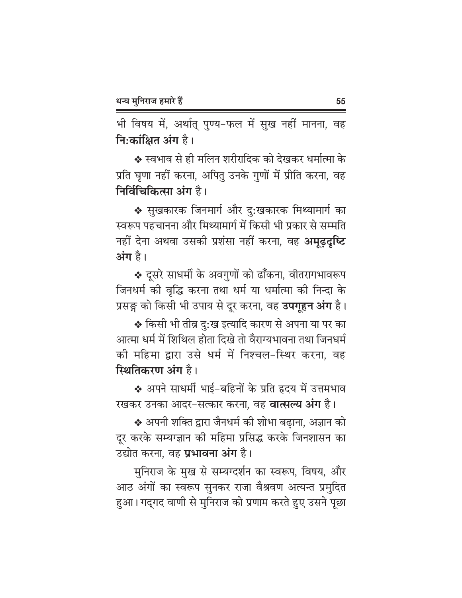भी विषय में, अर्थात् पुण्य-फल में सुख नहीं मानना, वह नि:कांक्षित अंग है।

❖ स्वभाव से ही मलिन शरीरादिक को देखकर धर्मात्मा के प्रति घृणा नहीं करना, अपितु उनके गुणों में प्रीति करना, वह निर्विचिकित्सा अंग है।

❖ सुखकारक जिनमार्ग और दु:खकारक मिथ्यामार्ग का स्वरूप पहचानना और मिथ्यामार्ग में किसी भी प्रकार से सम्मति नहीं देना अथवा उसकी प्रशंसा नहीं करना, वह **अमूढ़दृष्टि** अंग है।

\* दूसरे साधर्मी के अवगुणों को ढाँकना, वीतरागभावरूप जिनधर्म की वृद्धि करना तथा धर्म या धर्मात्मा की निन्दा के प्रसङ्ग को किसी भी उपाय से दूर करना, वह **उपगूहन अंग** है।

❖ किसी भी तीव्र दु:ख इत्यादि कारण से अपना या पर का आत्मा धर्म में शिथिल होता दिखे तो वैराग्यभावना तथा जिनधर्म की महिमा द्वारा उसे धर्म में निश्चल-स्थिर करना, वह स्थितिकरण अंग है।

❖ अपने साधर्मी भाई-बहिनों के प्रति हृदय में उत्तमभाव रखकर उनका आदर-सत्कार करना. वह **वात्सल्य अंग** है।

❖ अपनी शक्ति द्वारा जैनधर्म की शोभा बढाना, अज्ञान को दुर करके सम्यग्ज्ञान की महिमा प्रसिद्ध करके जिनशासन का उद्योत करना, वह **प्रभावना अंग** है।

मुनिराज के मुख से सम्यग्दर्शन का स्वरूप, विषय, और आठ अंगों का स्वरूप सुनकर राजा वैश्रवण अत्यन्त प्रमुदित हुआ। गद्गद वाणी से मुनिराज को प्रणाम करते हुए उसने पूछा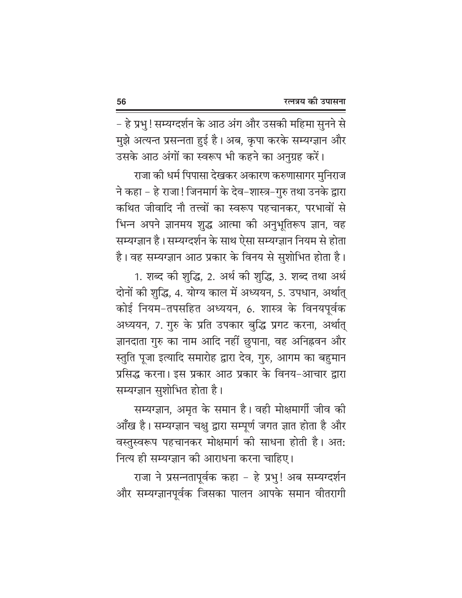– हे प्रभु ! सम्यग्दर्शन के आठ अंग और उसकी महिमा सुनने से मुझे अत्यन्त प्रसन्नता हुई है। अब, कृपा करके सम्यग्ज्ञान और

उसके आठ अंगों का स्वरूप भी कहने का अनुग्रह करें। राजा की धर्म पिपासा देखकर अकारण करुणासागर मुनिराज ने कहा – हे राजा! जिनमार्ग के देव–शास्त्र–गुरु तथा उनके द्वारा कथित जीवादि नौ तत्त्वों का स्वरूप पहचानकर, परभावों से भिन्न अपने ज्ञानमय शुद्ध आत्मा की अनुभूतिरूप ज्ञान, वह सम्यग्ज्ञान है। सम्यग्दर्शन के साथ ऐसा सम्यग्ज्ञान नियम से होता है। वह सम्यग्ज्ञान आठ प्रकार के विनय से सुशोभित होता है।

1. शब्द की शुद्धि, 2. अर्थ की शुद्धि, 3. शब्द तथा अर्थ दोनों की शुद्धि, 4. योग्य काल में अध्ययन, 5. उपधान, अर्थात् कोई नियम-तपसहित अध्ययन, 6. शास्त्र के विनयपूर्वक अध्ययन, 7. गुरु के प्रति उपकार बुद्धि प्रगट करना, अर्थात् ज्ञानदाता गुरु का नाम आदि नहीं छुपाना, वह अनिह्नवन और स्तुति पूजा इत्यादि समारोह द्वारा देव, गुरु, आगम का बहुमान प्रसिद्ध करना। इस प्रकार आठ प्रकार के विनय-आचार द्वारा सम्यग्ज्ञान सुशोभित होता है।

सम्यग्ज्ञान, अमृत के समान है। वही मोक्षमार्गी जीव की आँख है। सम्यग्ज्ञान चक्षु द्वारा सम्पूर्ण जगत ज्ञात होता है और वस्तुस्वरूप पहचानकर मोक्षमार्ग की साधना होती है। अत: नित्य ही सम्यग्ज्ञान की आराधना करना चाहिए।

राजा ने प्रसन्नतापूर्वक कहा - हे प्रभु! अब सम्यग्दर्शन और सम्यग्ज्ञानपूर्वक जिसका पालन आपके समान वीतरागी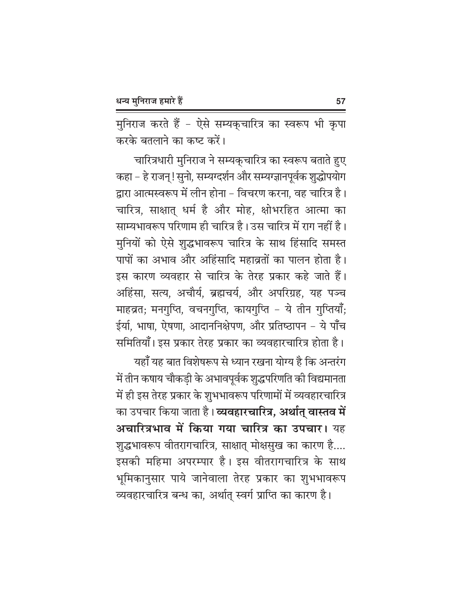मुनिराज करते हैं - ऐसे सम्यक्चारित्र का स्वरूप भी कृपा करके बतलाने का कष्ट करें।

चारित्रधारी मुनिराज ने सम्यक्चारित्र का स्वरूप बताते हुए कहा - हे राजन् ! सुनो, सम्यग्दर्शन और सम्यग्ज्ञानपूर्वक शुद्धोपयोग द्वारा आत्मस्वरूप में लीन होना – विचरण करना, वह चारित्र है। चारित्र, साक्षात् धर्म है और मोह, क्षोभरहित आत्मा का साम्यभावरूप परिणाम ही चारित्र है। उस चारित्र में राग नहीं है। मुनियों को ऐसे शुद्धभावरूप चारित्र के साथ हिंसादि समस्त पापों का अभाव और अहिंसादि महाव्रतों का पालन होता है। इस कारण व्यवहार से चारित्र के तेरह प्रकार कहे जाते हैं। अहिंसा, सत्य, अचौर्य, ब्रह्मचर्य, और अपरिग्रह, यह पञ्च माहव्रत; मनगुप्ति, वचनगुप्ति, कायगुप्ति - ये तीन गुप्तियाँ; ईर्या, भाषा, ऐषणा, आदाननिक्षेपण, और प्रतिष्ठापन - ये पाँच समितियाँ। इस प्रकार तेरह प्रकार का व्यवहारचारित्र होता है।

यहाँ यह बात विशेषरूप से ध्यान रखना योग्य है कि अन्तरंग में तीन कषाय चौकड़ी के अभावपूर्वक शुद्धपरिणति की विद्यमानता में ही इस तेरह प्रकार के शुभभावरूप परिणामों में व्यवहारचारित्र का उपचार किया जाता है। **व्यवहारचारित्र, अर्थात् वास्तव में** अचारित्रभाव में किया गया चारित्र का उपचार। यह शुद्धभावरूप वीतरागचारित्र, साक्षात् मोक्षसुख का कारण है.... इसकी महिमा अपरम्पार है। इस वीतरागचारित्र के साथ भूमिकानुसार पाये जानेवाला तेरह प्रकार का शुभभावरूप व्यवहारचारित्र बन्ध का, अर्थात् स्वर्ग प्राप्ति का कारण है।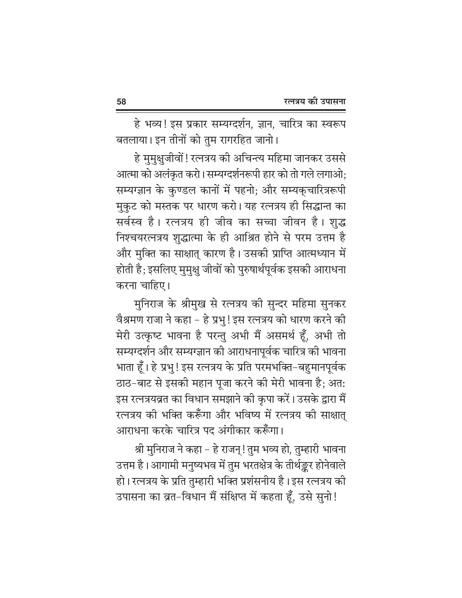हे भव्य! इस प्रकार सम्यग्दर्शन, ज्ञान, चारित्र का स्वरूप बतलाया। इन तीनों को तुम रागरहित जानो।

हे मुमुक्षुजीवों ! रत्नत्रय की अचिन्त्य महिमा जानकर उससे आत्मा को अलंकृत करो। सम्यग्दर्शनरूपी हार को तो गले लगाओ; सम्यग्ज्ञान के कुण्डल कानों में पहनो; और सम्यक्चारित्ररूपी मुकुट को मस्तक पर धारण करो। यह रत्नत्रय ही सिद्धान्त का सर्वस्व है। रत्नत्रय ही जीव का सच्चा जीवन है। शुद्ध निश्चयरत्नत्रय शुद्धात्मा के ही आश्रित होने से परम उत्तम है और मुक्ति का साक्षात् कारण है। उसकी प्राप्ति आत्मध्यान में होती है; इसलिए मुमुक्षु जीवों को पुरुषार्थपूर्वक इसकी आराधना करना चाहिए।

मुनिराज के श्रीमुख से रत्नत्रय की सुन्दर महिमा सुनकर वैश्रमण राजा ने कहा – हे प्रभु ! इस रत्नत्रय को धारण करने की मेरी उत्कृष्ट भावना है परन्तु अभी मैं असमर्थ हूँ, अभी तो सम्यग्दर्शन और सम्यग्ज्ञान की आराधनापूर्वक चारित्र की भावना भाता हूँ। हे प्रभु ! इस रत्नत्रय के प्रति परमभक्ति-बहुमानपूर्वक ठाठ-बाट से इसकी महान पूजा करने की मेरी भावना है; अत: इस रत्नत्रयव्रत का विधान समझाने की कृपा करें। उसके द्वारा मैं रत्नत्रय की भक्ति करूँगा और भविष्य में रत्नत्रय की साक्षात् आराधना करके चारित्र पद अंगीकार करूँगा।

श्री मुनिराज ने कहा – हे राजन्! तुम भव्य हो, तुम्हारी भावना उत्तम है। आगामी मनुष्यभव में तुम भरतक्षेत्र के तीर्थङ्कर होनेवाले हो। रत्नत्रय के प्रति तुम्हारी भक्ति प्रशंसनीय है। इस रत्नत्रय की उपासना का व्रत-विधान मैं संक्षिप्त में कहता हूँ, उसे सुनो!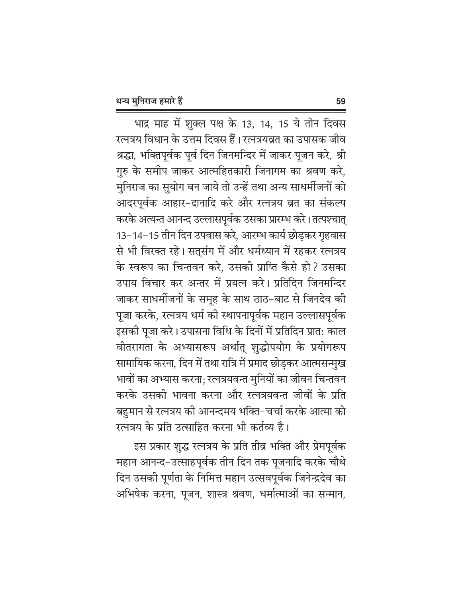भाद्र माह में शुक्ल पक्ष के 13, 14, 15 ये तीन दिवस रत्नत्रय विधान के उत्तम दिवस हैं। रत्नत्रयव्रत का उपासक जीव श्रद्धा, भक्तिपूर्वक पूर्व दिन जिनमन्दिर में जाकर पूजन करे, श्री गुरु के समीप जाकर आत्महितकारी जिनागम का श्रवण करे, मुनिराज का सुयोग बन जाये तो उन्हें तथा अन्य साधर्मीजनों को आदरपूर्वक आहार-दानादि करे और रत्नत्रय व्रत का संकल्प करके अत्यन्त आनन्द उल्लासपूर्वक उसका प्रारम्भ करे। तत्पश्चात् 13-14-15 तीन दिन उपवास करे, आरम्भ कार्य छोड़कर गृहवास से भी विरक्त रहे। सत्संग में और धर्मध्यान में रहकर रत्नत्रय के स्वरूप का चिन्तवन करे, उसकी प्राप्ति कैसे हो? उसका उपाय विचार कर अन्तर में प्रयत्न करे। प्रतिदिन जिनमन्दिर जाकर साधर्मीजनों के समूह के साथ ठाठ–बाट से जिनदेव की पूजा करके, रत्नत्रय धर्म की स्थापनापूर्वक महान उल्लासपूर्वक इसकी पूजा करे। उपासना विधि के दिनों में प्रतिदिन प्रात: काल वीतरागता के अभ्यासरूप अर्थात् शुद्धोपयोग के प्रयोगरूप सामायिक करना, दिन में तथा रात्रि में प्रमाद छोड़कर आत्मसन्मुख भावों का अभ्यास करना; रत्नत्रयवन्त मुनियों का जीवन चिन्तवन करके उसकी भावना करना और रत्नत्रयवन्त जीवों के प्रति बहुमान से रत्नत्रय की आनन्दमय भक्ति–चर्चा करके आत्मा को रत्नत्रय के प्रति उत्साहित करना भी कर्तव्य है।

इस प्रकार शुद्ध रत्नत्रय के प्रति तीव्र भक्ति और प्रेमपूर्वक महान आनन्द–उत्साहपूर्वक तीन दिन तक पूजनादि करके चौथे दिन उसकी पूर्णता के निमित्त महान उत्सवपूर्वक जिनेन्द्रदेव का अभिषेक करना, पूजन, शास्त्र श्रवण, धर्मात्माओं का सन्मान,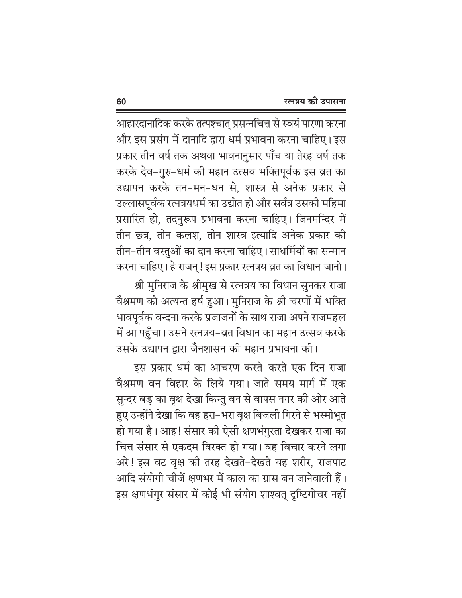आहारदानादिक करके तत्पश्चात् प्रसन्नचित्त से स्वयं पारणा करना और इस प्रसंग में दानादि द्वारा धर्म प्रभावना करना चाहिए। इस प्रकार तीन वर्ष तक अथवा भावनानुसार पाँच या तेरह वर्ष तक करके देव–गुरु–धर्म की महान उत्सव भक्तिपूर्वक इस व्रत का उद्यापन करके तन-मन-धन से, शास्त्र से अनेक प्रकार से उल्लासपूर्वक रत्नत्रयधर्म का उद्योत हो और सर्वत्र उसकी महिमा प्रसारित हो, तदनुरूप प्रभावना करना चाहिए। जिनमन्दिर में तीन छत्र, तीन कलश, तीन शास्त्र इत्यादि अनेक प्रकार की तीन–तीन वस्तुओं का दान करना चाहिए। साधर्मियों का सन्मान करना चाहिए। हे राजन् ! इस प्रकार रत्नत्रय व्रत का विधान जानो।

श्री मुनिराज के श्रीमुख से रत्नत्रय का विधान सुनकर राजा वैश्रमण को अत्यन्त हर्ष हुआ। मुनिराज के श्री चरणों में भक्ति भावपूर्वक वन्दना करके प्रजाजनों के साथ राजा अपने राजमहल में आ पहुँचा। उसने रत्नत्रय–व्रत विधान का महान उत्सव करके

उसके उद्यापन द्वारा जैनशासन की महान प्रभावना की। इस प्रकार धर्म का आचरण करते-करते एक दिन राजा वैश्रमण वन-विहार के लिये गया। जाते समय मार्ग में एक सुन्दर बड़ का वृक्ष देखा किन्तु वन से वापस नगर की ओर आते हुए उन्होंने देखा कि वह हरा-भरा वृक्ष बिजली गिरने से भस्मीभूत हो गया है। आह! संसार की ऐसी क्षणभंगुरता देखकर राजा का चित्त संसार से एकदम विरक्त हो गया। वह विचार करने लगा अरे! इस वट वृक्ष की तरह देखते-देखते यह शरीर, राजपाट आदि संयोगी चीजें क्षणभर में काल का ग्रास बन जानेवाली हैं। इस क्षणभंगुर संसार में कोई भी संयोग शाश्वत् दृष्टिगोचर नहीं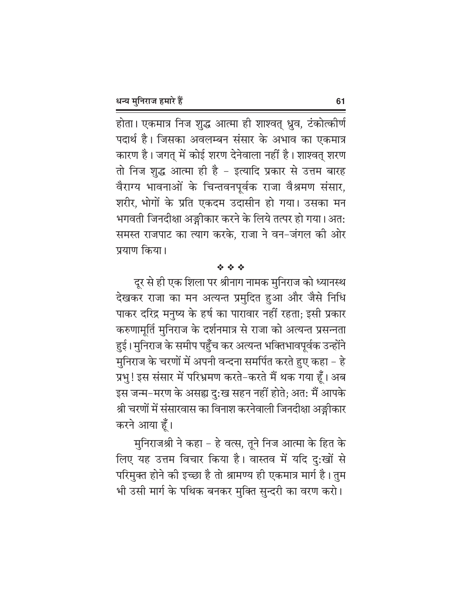होता। एकमात्र निज शुद्ध आत्मा ही शाश्वत् ध्रुव, टंकोत्कीर्ण पदार्थ है। जिसका अवलम्बन संसार के अभाव का एकमात्र कारण है। जगत् में कोई शरण देनेवाला नहीं है। शाश्वत् शरण तो निज शुद्ध आत्मा ही है – इत्यादि प्रकार से उत्तम बारह वैराग्य भावनाओं के चिन्तवनपूर्वक राजा वैश्रमण संसार, शरीर, भोगों के प्रति एकदम उदासीन हो गया। उसका मन भगवती जिनदीक्षा अङ्गीकार करने के लिये तत्पर हो गया। अत: समस्त राजपाट का त्याग करके, राजा ने वन-जंगल की ओर प्रयाण किया।

#### 安全学

दूर से ही एक शिला पर श्रीनाग नामक मुनिराज को ध्यानस्थ देखकर राजा का मन अत्यन्त प्रमुदित हुआ और जैसे निधि पाकर दरिद्र मनुष्य के हर्ष का पारावार नहीं रहता; इसी प्रकार करुणामूर्ति मुनिराज के दर्शनमात्र से राजा को अत्यन्त प्रसन्नता हुई। मुनिराज के समीप पहुँच कर अत्यन्त भक्तिभावपूर्वक उन्होंने मुनिराज के चरणों में अपनी वन्दना समर्पित करते हुए कहा – हे प्रभु! इस संसार में परिभ्रमण करते–करते मैं थक गया हूँ। अब इस जन्म-मरण के असह्य दु:ख सहन नहीं होते; अत: मैं आपके श्री चरणों में संसारवास का विनाश करनेवाली जिनदीक्षा अङ्गीकार करने आया हूँ।

मुनिराजश्री ने कहा - हे वत्स, तूने निज आत्मा के हित के लिए यह उत्तम विचार किया है। वास्तव में यदि दु:खों से परिमुक्त होने की इच्छा है तो श्रामण्य ही एकमात्र मार्ग है। तुम भी उसी मार्ग के पथिक बनकर मुक्ति सुन्दरी का वरण करो।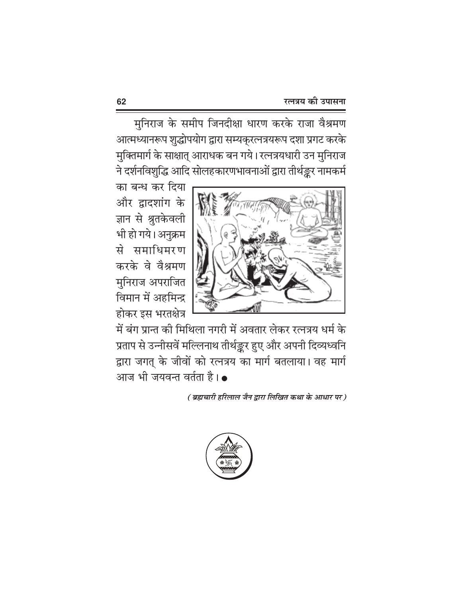मुनिराज के समीप जिनदीक्षा धारण करके राजा वैश्रमण आत्मध्यानरूप शुद्धोपयोग द्वारा सम्यक्रत्नत्रयरूप दशा प्रगट करके मुक्तिमार्ग के साक्षात् आराधक बन गये। रत्नत्रयधारी उन मुनिराज ने दर्शनविशुद्धि आदि सोलहकारणभावनाओं द्वारा तीर्थङ्कर नामकर्म

का बन्ध कर दिया और द्वादशांग के ज्ञान से श्रुतकेवली भी हो गये। अनुक्रम से समाधिमरण करके वे वैश्रमण मुनिराज अपराजित विमान में अहमिन्द्र होकर इस भरतक्षेत्र



में बंग प्रान्त की मिथिला नगरी में अवतार लेकर रत्नत्रय धर्म के प्रताप से उन्नीसवें मल्लिनाथ तीर्थङ्कर हुए और अपनी दिव्यध्वनि द्वारा जगत् के जीवों को रत्नत्रय का मार्ग बतलाया। वह मार्ग आज भी जयवन्त वर्तता है। ●

( ब्रह्मचारी हरिलाल जैन द्वारा लिखित कथा के आधार पर )

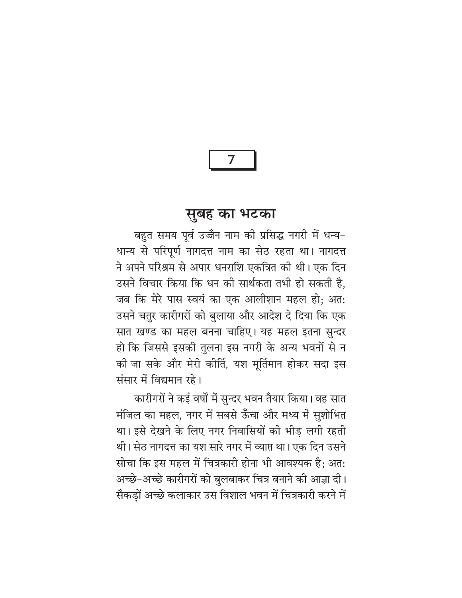### सुबह का भटका

बहुत समय पूर्व उज्जैन नाम की प्रसिद्ध नगरी में धन्य-धान्य से परिपूर्ण नागदत्त नाम का सेठ रहता था। नागदत्त ने अपने परिश्रम से अपार धनराशि एकत्रित की थी। एक दिन उसने विचार किया कि धन की सार्थकता तभी हो सकती है, जब कि मेरे पास स्वयं का एक आलीशान महल हो; अत: उसने चतुर कारीगरों को बलाया और आदेश दे दिया कि एक सात खण्ड का महल बनना चाहिए। यह महल इतना सुन्दर हो कि जिससे इसकी तुलना इस नगरी के अन्य भवनों से न को जा सके और मेरी कीर्ति, यश मूर्तिमान होकर सदा इस संसार में विद्यमान रहे।

कारीगरों ने कई वर्षों में सुन्दर भवन तैयार किया। वह सात मंजिल का महल, नगर में सबसे ऊँचा और मध्य में सुशोभित था। इसे देखने के लिए नगर निवासियों की भीड़ लगी रहती थी। सेठ नागदत्त का यश सारे नगर में व्याप्त था। एक दिन उसने सोचा कि इस महल में चित्रकारी होना भी आवश्यक है; अत: अच्छे-अच्छे कारीगरों को बुलबाकर चित्र बनाने की आज्ञा दी। सैकड़ों अच्छे कलाकार उस विशाल भवन में चित्रकारी करने में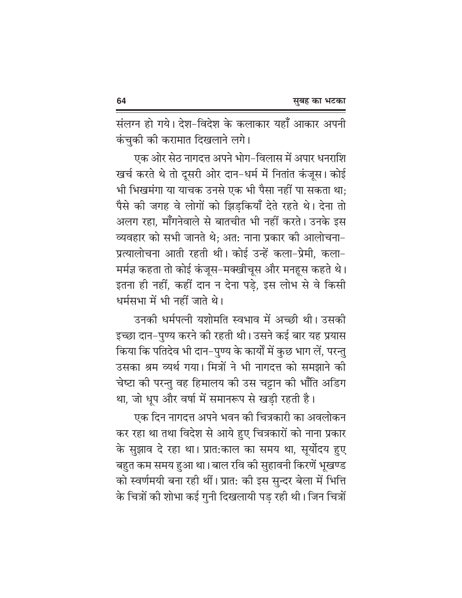संलग्न हो गये। देश-विदेश के कलाकार यहाँ आकार अपनी कंचुकी की करामात दिखलाने लगे।

एक ओर सेठ नागदत्त अपने भोग-विलास में अपार धनराशि खर्च करते थे तो दूसरी ओर दान-धर्म में नितांत कंजूस। कोई भी भिखमंगा या याचक उनसे एक भी पैसा नहीं पा सकता था; पैसे की जगह वे लोगों को झिड़कियाँ देते रहते थे। देना तो अलग रहा, मॉॅंगनेवाले से बातचीत भी नहीं करते। उनके इस व्यवहार को सभी जानते थे: अत: नाना प्रकार की आलोचना-प्रत्यालोचना आती रहती थी। कोई उन्हें कला-प्रेमी, कला-मर्मज्ञ कहता तो कोई कंजूस-मक्खीचूस और मनहूस कहते थे। इतना ही नहीं, कहीं दान न देना पडे, इस लोभ से वे किसी धर्मसभा में भी नहीं जाते थे।

उनकी धर्मपत्नी यशोमति स्वभाव में अच्छी थी। उसकी इच्छा दान-पुण्य करने की रहती थी। उसने कई बार यह प्रयास किया कि पतिदेव भी दान–पुण्य के कार्यों में कुछ भाग लें, परन्तु उसका श्रम व्यर्थ गया। मित्रों ने भी नागदत्त को समझाने की चेष्टा की परन्तु वह हिमालय की उस चट्टान की भाँति अडिग था, जो धूप और वर्षा में समानरूप से खड़ी रहती है।

एक दिन नागदत्त अपने भवन की चित्रकारी का अवलोकन कर रहा था तथा विदेश से आये हुए चित्रकारों को नाना प्रकार के सुझाव दे रहा था। प्रात:काल का समय था, सूर्योदय हुए बहुत कम समय हुआ था। बाल रवि की सुहावनी किरणें भूखण्ड को स्वर्णमयी बना रही थीं। प्रात: की इस सुन्दर बेला में भित्ति के चित्रों की शोभा कई गुनी दिखलायी पड़ रही थी। जिन चित्रों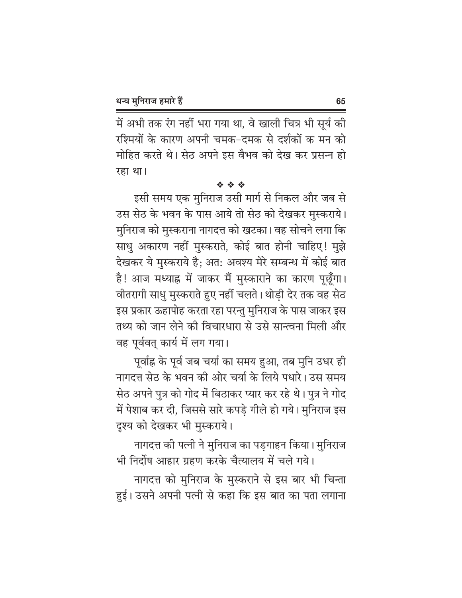में अभी तक रंग नहीं भरा गया था, वे खाली चित्र भी सूर्य की रश्मियों के कारण अपनी चमक-दमक से दर्शकों क मन को मोहित करते थे। सेठ अपने इस वैभव को देख कर प्रसन्न हो रहा था।

### 经合金

इसी समय एक मुनिराज उसी मार्ग से निकल और जब से उस सेठ के भवन के पास आये तो सेठ को देखकर मुस्कराये। मुनिराज को मुस्कराना नागदत्त को खटका। वह सोचने लगा कि साधु अकारण नहीं मुस्कराते, कोई बात होनी चाहिए! मुझे देखकर ये मुस्कराये है; अत: अवश्य मेरे सम्बन्ध में कोई बात है! आज मध्याह्न में जाकर मैं मुस्काराने का कारण पूछूँगा। वीतरागी साधु मुस्कराते हुए नहीं चलते। थोड़ी देर तक वह सेठ इस प्रकार ऊहापोह करता रहा परन्तु मुनिराज के पास जाकर इस तथ्य को जान लेने की विचारधारा से उसे सान्त्वना मिली और वह पूर्ववत् कार्य में लग गया।

पूर्वाह्न के पूर्व जब चर्या का समय हुआ, तब मुनि उधर ही नागदत्त सेठ के भवन की ओर चर्या के लिये पधारे। उस समय सेठ अपने पुत्र को गोद में बिठाकर प्यार कर रहे थे। पुत्र ने गोद में पेशाब कर दी, जिससे सारे कपड़े गीले हो गये। मुनिराज इस दृश्य को देखकर भी मुस्कराये।

नागदत्त की पत्नी ने मुनिराज का पडगाहन किया। मुनिराज भी निर्दोष आहार ग्रहण करके चैत्यालय में चले गये।

नागदत्त को मुनिराज के मुस्कराने से इस बार भी चिन्ता हुई। उसने अपनी पत्नी से कहा कि इस बात का पता लगाना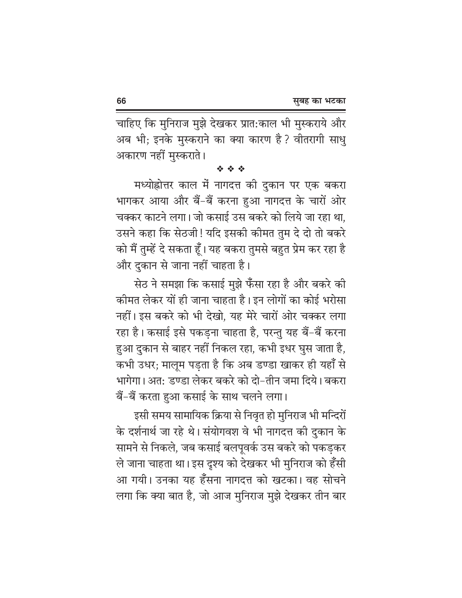चाहिए कि मुनिराज मुझे देखकर प्रात:काल भी मुस्कराये और अब भी; इनके मुस्कराने का क्या कारण है ? वीतरागी साधु अकारण नहीं मुस्कराते ।

经合金

मध्योह्रोत्तर काल में नागदत्त की दुकान पर एक बकरा भागकर आया और बैं-बैं करना हुआ नागदत्त के चारों ओर चक्कर काटने लगा। जो कसाई उस बकरे को लिये जा रहा था, उसने कहा कि सेठजी! यदि इसकी कीमत तुम दे दो तो बकरे को मैं तुम्हें दे सकता हूँ। यह बकरा तुमसे बहुत प्रेम कर रहा है और दुकान से जाना नहीं चाहता है।

सेठ ने समझा कि कसाई मुझे फँसा रहा है और बकरे की कीमत लेकर यों ही जाना चाहता है। इन लोगों का कोई भरोसा नहीं। इस बकरे को भी देखो. यह मेरे चारों ओर चक्कर लगा रहा है। कसाई इसे पकड़ना चाहता है, परन्तु यह बैं-बैं करना हुआ दुकान से बाहर नहीं निकल रहा, कभी इधर घुस जाता है, कभी उधर; मालूम पड़ता है कि अब डण्डा खाकर ही यहाँ से भागेगा। अत: डण्डा लेकर बकरे को दो-तीन जमा दिये। बकरा बैं-बैं करता हुआ कसाई के साथ चलने लगा।

इसी समय सामायिक क्रिया से निवृत हो मुनिराज भी मन्दिरों के दर्शनार्थ जा रहे थे। संयोगवश वे भी नागदत्त की दुकान के सामने से निकले, जब कसाई बलपूवर्क उस बकरे को पकड़कर ले जाना चाहता था। इस दृश्य को देखकर भी मुनिराज को हँसी आ गयी। उनका यह हँसना नागदत्त को खटका। वह सोचने लगा कि क्या बात है, जो आज मुनिराज मुझे देखकर तीन बार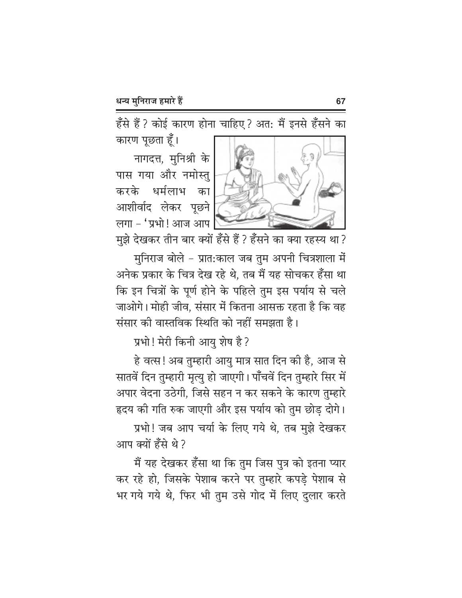हँसे हैं ? कोई कारण होना चाहिए ? अत: मैं इनसे हँसने का

कारण पूछता हूँ।

नागदत्त, मुनिश्री के पास गया और नमोस्तु करके धर्मलाभ का आशीर्वाद लेकर पूछने लगा - 'प्रभो! आज आप



मुझे देखकर तीन बार क्यों हँसे हैं ? हँसने का क्या रहस्य था ?

मुनिराज बोले - प्रात:काल जब तुम अपनी चित्रशाला में अनेक प्रकार के चित्र देख रहे थे, तब मैं यह सोचकर हँसा था कि इन चित्रों के पूर्ण होने के पहिले तुम इस पर्याय से चले जाओगे। मोही जीव. संसार में कितना आसक्त रहता है कि वह संसार की वास्तविक स्थिति को नहीं समझता है।

प्रभो! मेरी किनी आयु शेष है?

हे वत्स! अब तुम्हारी आयु मात्र सात दिन की है, आज से सातवें दिन तुम्हारी मृत्यु हो जाएगी। पाँचवें दिन तुम्हारे सिर में अपार वेदना उठेगी, जिसे सहन न कर सकने के कारण तुम्हारे हृदय की गति रुक जाएगी और इस पर्याय को तुम छोड़ दोगे।

प्रभो! जब आप चर्या के लिए गये थे, तब मुझे देखकर आप क्यों हँसे थे ?

मैं यह देखकर हँसा था कि तुम जिस पुत्र को इतना प्यार कर रहे हो, जिसके पेशाब करने पर तुम्हारे कपड़े पेशाब से भर गये गये थे, फिर भी तुम उसे गोद में लिए दुलार करते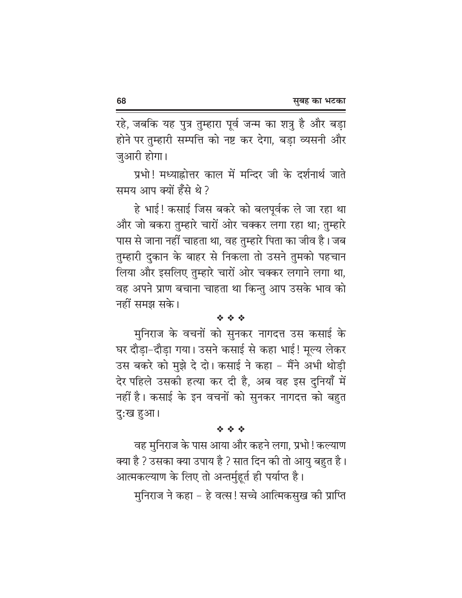68

रहे, जबकि यह पुत्र तुम्हारा पूर्व जन्म का शत्रु है और बड़ा होने पर तुम्हारी सम्पत्ति को नष्ट कर देगा, बड़ा व्यसनी और जुआरी होगा।

प्रभो! मध्याह्रोत्तर काल में मन्दिर जी के दर्शनार्थ जाते समय आप क्यों हँसे थे ?

हे भाई! कसाई जिस बकरे को बलपूर्वक ले जा रहा था और जो बकरा तुम्हारे चारों ओर चक्कर लगा रहा था; तुम्हारे पास से जाना नहीं चाहता था, वह तुम्हारे पिता का जीव है। जब तुम्हारी दुकान के बाहर से निकला तो उसने तुमको पहचान लिया और इसलिए तुम्हारे चारों ओर चक्कर लगाने लगा था, वह अपने प्राण बचाना चाहता था किन्तु आप उसके भाव को नहीं समझ सके।

#### 经合金

मुनिराज के वचनों को सुनकर नागदत्त उस कसाई के घर दौड़ा-दौड़ा गया। उसने कसाई से कहा भाई! मूल्य लेकर उस बकरे को मुझे दे दो। कसाई ने कहा - मैंने अभी थोड़ी देर पहिले उसकी हत्या कर दी है, अब वह इस दुनियाँ में नहीं है। कसाई के इन वचनों को सुनकर नागदत्त को बहुत दु:ख हुआ।

#### 经合金

वह मुनिराज के पास आया और कहने लगा, प्रभो ! कल्याण क्या है ? उसका क्या उपाय है ? सात दिन की तो आयु बहुत है। आत्मकल्याण के लिए तो अन्तर्मुहूर्त ही पर्याप्त है।

मनिराज ने कहा – हे वत्स! सच्चे आत्मिकसुख की प्राप्ति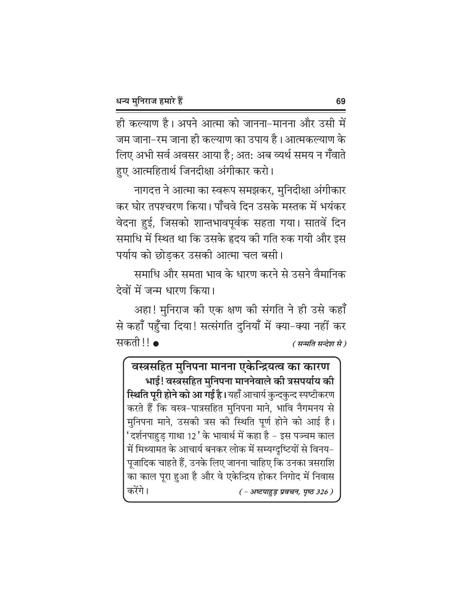ही कल्याण है। अपने आत्मा को जानना–मानना और उसी में जम जाना–रम जाना ही कल्याण का उपाय है। आत्मकल्याण के लिए अभी सर्व अवसर आया है; अत: अब व्यर्थ समय न गँवाते हुए आत्महितार्थ जिनदीक्षा अंगीकार करो।

नागदत्त ने आत्मा का स्वरूप समझकर, मुनिदीक्षा अंगीकार कर घोर तपश्चरण किया। पाँचवे दिन उसके मस्तक में भयंकर वेदना हुई, जिसको शान्तभावपूर्वक सहता गया। सातवें दिन समाधि में स्थित था कि उसके हृदय की गति रुक गयी और इस पर्याय को छोडकर उसकी आत्मा चल बसी।

समाधि और समता भाव के धारण करने से उसने वैमानिक देवों में जन्म धारण किया।

अहा! मुनिराज की एक क्षण की संगति ने ही उसे कहाँ से कहाँ पहुँचा दिया! सत्संगति दुनियाँ में क्या-क्या नहीं कर सकती !! • ( सन्मति सन्देश से )

वस्त्रसहित मुनिपना मानना एकेन्द्रियत्व का कारण भाई! वस्त्रसहित मुनिपना माननेवाले की त्रसपर्याय की **स्थिति पूरी होने को आ गई है।** यहाँ आचार्य कुन्दकुन्द स्पष्टीकरण करते हैं कि वस्त्र-पात्रसहित मुनिपना माने, भावि नैगमनय से मुनिपना माने, उसकी त्रस की स्थिति पूर्ण होने को आई है। 'दर्शनपाहुड़ गाथा 12' के भावार्थ में कहा है – इस पञ्चम काल में मिथ्यामत के आचार्य बनकर लोक में सम्यग्दृष्टियों से विनय-पूजादिक चाहते हैं, उनके लिए जानना चाहिए कि उनका त्रसराशि का काल पूरा हुआ है और वे एकेन्द्रिय होकर निगोद में निवास करेंगे। ( - अष्टपाहुड़ प्रवचन, पृष्ठ 326)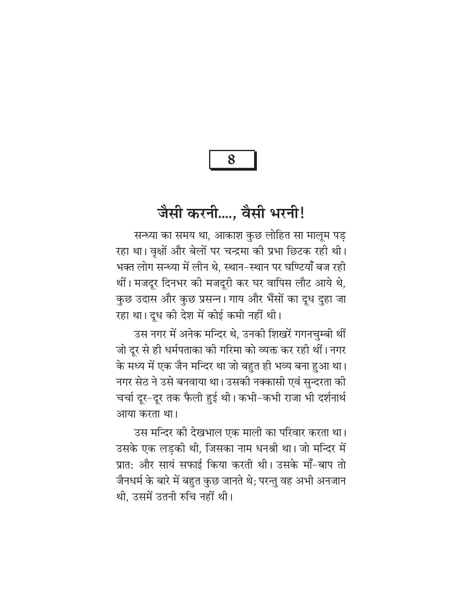8

# जैसी करनी...., वैसी भरनी!

सन्ध्या का समय था, आकाश कुछ लोहित सा मालूम पड़ रहा था। वृक्षों और बेलों पर चन्द्रमा की प्रभा छिटक रही थी। भक्त लोग सन्ध्या में लीन थे, स्थान-स्थान पर घण्टियाँ बज रही थीं। मजदूर दिनभर को मजदूरी कर घर वापिस लौट आये थे, कुछ उदास और कुछ प्रसन्न। गाय और भैंसों का दूध दुहा जा रहा था। दूध की देश में कोई कमी नहीं थी।

उस नगर में अनेक मन्दिर थे, उनकी शिखरें गगनचुम्बी थीं जो दूर से ही धर्मपताका की गरिमा को व्यक्त कर रही थीं। नगर के मध्य में एक जैन मन्दिर था जो बहुत ही भव्य बना हुआ था। नगर सेठ ने उसे बनवाया था। उसकी नक्कासी एवं सुन्दरता की चर्चा दूर-दूर तक फैली हुई थी। कभी-कभी राजा भी दर्शनार्थ आया करता था।

उस मन्दिर की देखभाल एक माली का परिवार करता था। उसके एक लड़की थी, जिसका नाम धनश्री था। जो मन्दिर में प्रात: और सायं सफाई किया करती थी। उसके माँ-बाप तो जैनधर्म के बारे में बहुत कुछ जानते थे: परन्तु वह अभी अनजान थी. उसमें उतनी रुचि नहीं थी।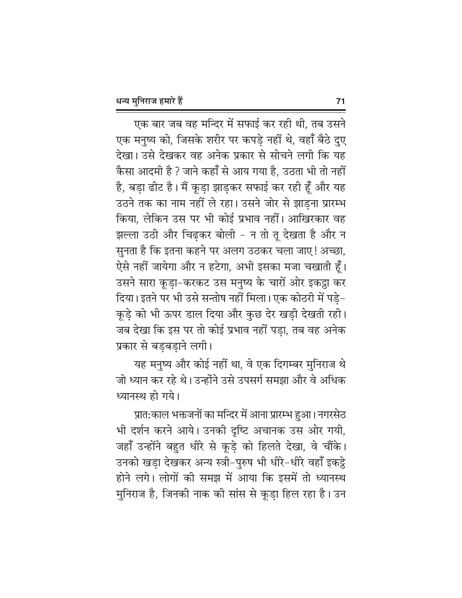एक बार जब वह मन्दिर में सफाई कर रही थी, तब उसने एक मनुष्य को, जिसके शरीर पर कपडे नहीं थे, वहाँ बैठे दुए देखा। उसे देखकर वह अनेक प्रकार से सोचने लगी कि यह कैसा आदमी है ? जाने कहाँ से आय गया है. उठता भी तो नहीं है, बड़ा ढीट है। मैं कूड़ा झाड़कर सफाई कर रही हूँ और यह उठने तक का नाम नहीं ले रहा। उसने जोर से झाड़ना प्रारम्भ किया, लेकिन उस पर भी कोई प्रभाव नहीं। आखिरकार वह झल्ला उठी और चिढ़कर बोली - न तो तू देखता है और न सुनता है कि इतना कहने पर अलग उठकर चला जाए! अच्छा, ऐसे नहीं जायेगा और न हटेगा, अभी इसका मजा चखाती हूँ। उसने सारा कूड़ा-करकट उस मनुष्य के चारों ओर इकट्ठा कर दिया। इतने पर भी उसे सन्तोष नहीं मिला। एक कोठरी में पड़े-कूड़े को भी ऊपर डाल दिया और कुछ देर खड़ी देखती रही। जब देखा कि इस पर तो कोई प्रभाव नहीं पड़ा, तब वह अनेक प्रकार से बडबडाने लगी।

यह मनुष्य और कोई नहीं था, वे एक दिगम्बर मुनिराज थे जो ध्यान कर रहे थे। उन्होंने उसे उपसर्ग समझा और वे अधिक ध्यानस्थ हो गये।

प्रात:काल भक्तजनों का मन्दिर में आना प्रारम्भ हुआ। नगरसेठ भी दर्शन करने आये। उनकी दृष्टि अचानक उस ओर गयी, जहाँ उन्होंने बहुत धीरे से कुडे को हिलते देखा, वे चौंके। उनको खड़ा देखकर अन्य स्त्री-पुरुष भी धीरे-धीरे वहाँ इकट्ठे होने लगे। लोगों की समझ में आया कि इसमें तो ध्यानस्थ मुनिराज है, जिनकी नाक की सांस से कूड़ा हिल रहा है। उन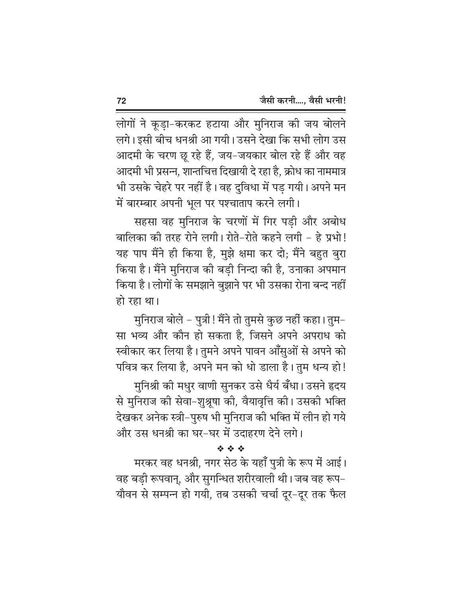लोगों ने कूड़ा-करकट हटाया और मुनिराज की जय बोलने लगे। इसी बीच धनश्री आ गयी। उसने देखा कि सभी लोग उस आदमी के चरण छू रहे हैं, जय–जयकार बोल रहे हैं और वह आदमी भी प्रसन्न, शान्तचित्त दिखायी दे रहा है, क्रोध का नाममात्र भी उसके चेहरे पर नहीं है। वह दुविधा में पड़ गयी। अपने मन में बारम्बार अपनी भूल पर पश्चाताप करने लगी।

सहसा वह मुनिराज के चरणों में गिर पडी और अबोध बालिका की तरह रोने लगी। रोते-रोते कहने लगी - हे प्रभो! यह पाप मैंने ही किया है, मुझे क्षमा कर दो; मैंने बहुत बुरा किया है। मैंने मुनिराज की बड़ी निन्दा की है, उनाका अपमान किया है। लोगों के समझाने बुझाने पर भी उसका रोना बन्द नहीं हो रहा था।

मुनिराज बोले – पुत्री ! मैंने तो तुमसे कुछ नहीं कहा। तुम– सा भव्य और कौन हो सकता है. जिसने अपने अपराध को स्वीकार कर लिया है। तुमने अपने पावन आँसुओं से अपने को पवित्र कर लिया है, अपने मन को धो डाला है। तुम धन्य हो!

मुनिश्री की मधुर वाणी सुनकर उसे धैर्य बँधा। उसने हृदय से मुनिराज की सेवा-शुश्रूषा की, वैयावृत्ति की। उसकी भक्ति देखकर अनेक स्त्री–पुरुष भी मुनिराज की भक्ति में लीन हो गये और उस धनश्री का घर-घर में उदाहरण देने लगे।

经合金

मरकर वह धनश्री, नगर सेठ के यहाँ पुत्री के रूप में आई। वह बड़ी रूपवान्, और सुगन्धित शरीरवाली थी। जब वह रूप-यौवन से सम्पन्न हो गयी, तब उसकी चर्चा दूर-दूर तक फैल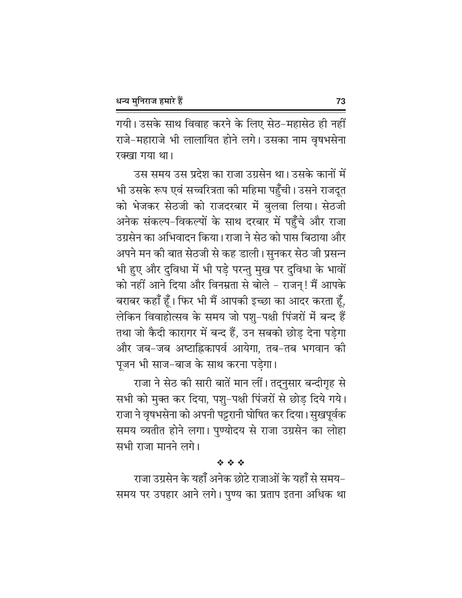गयी। उसके साथ विवाह करने के लिए सेठ-महासेठ ही नहीं राजे-महाराजे भी लालायित होने लगे। उसका नाम वृषभसेना रक्खा गया था।

उस समय उस प्रदेश का राजा उग्रसेन था। उसके कानों में भी उसके रूप एवं सच्चरित्रता की महिमा पहुँची। उसने राजदूत को भेजकर सेठजी को राजदरबार में बुलवा लिया। सेठजी अनेक संकल्प-विकल्पों के साथ दरबार में पहुँचे और राजा उग्रसेन का अभिवादन किया। राजा ने सेठ को पास बिठाया और अपने मन की बात सेठजी से कह डाली। सुनकर सेठ जी प्रसन्न भी हुए और दुविधा में भी पड़े परन्तु मुख पर दुविधा के भावों को नहीं आने दिया और विनम्रता से बोले – राजन्! मैं आपके बराबर कहाँ हूँ। फिर भी मैं आपकी इच्छा का आदर करता हूँ, लेकिन विवाहोत्सव के समय जो पशु-पक्षी पिंजरों में बन्द हैं तथा जो कैदी कारागर में बन्द हैं, उन सबको छोड़ देना पड़ेगा और जब-जब अष्टाह्निकापर्व आयेगा, तब-तब भगवान की पूजन भी साज-बाज के साथ करना पड़ेगा।

राजा ने सेठ की सारी बातें मान लीं। तद्नुसार बन्दीगृह से सभी को मुक्त कर दिया, पशु-पक्षी पिंजरों से छोड़ दिये गये। राजा ने वृषभसेना को अपनी पट्टरानी घोषित कर दिया। सुखपूर्वक समय व्यतीत होने लगा। पुण्योदय से राजा उग्रसेन का लोहा सभी राजा मानने लगे।

## \* \* \*

राजा उग्रसेन के यहाँ अनेक छोटे राजाओं के यहाँ से समय-समय पर उपहार आने लगे। पुण्य का प्रताप इतना अधिक था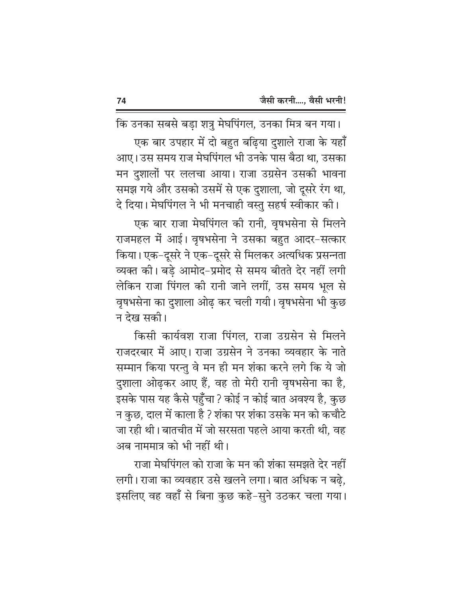कि उनका सबसे बड़ा शत्रु मेघपिंगल, उनका मित्र बन गया। एक बार उपहार में दो बहुत बढ़िया दुशाले राजा के यहाँ आए। उस समय राज मेघपिंगल भी उनके पास बैठा था, उसका मन दुशालों पर ललचा आया। राजा उग्रसेन उसकी भावना समझ गये और उसको उसमें से एक दुशाला, जो दूसरे रंग था,

दे दिया। मेघपिंगल ने भी मनचाही वस्तु सहर्ष स्वीकार की। एक बार राजा मेघपिंगल की रानी, वृषभसेना से मिलने राजमहल में आई। वृषभसेना ने उसका बहुत आदर-सत्कार किया। एक–दूसरे ने एक–दूसरे से मिलकर अत्यधिक प्रसन्नता व्यक्त की। बडे आमोद-प्रमोद से समय बीतते देर नहीं लगी लेकिन राजा पिंगल की रानी जाने लगीं, उस समय भूल से वृषभसेना का दुशाला ओढ़ कर चली गयी। वृषभसेना भी कुछ न देख सकी।

किसी कार्यवश राजा पिंगल. राजा उग्रसेन से मिलने राजदरबार में आए। राजा उग्रसेन ने उनका व्यवहार के नाते सम्मान किया परन्तु वे मन ही मन शंका करने लगे कि ये जो दुशाला ओढ़कर आए हैं, वह तो मेरी रानी वृषभसेना का है, इसके पास यह कैसे पहुँचा ? कोई न कोई बात अवश्य है, कुछ न कुछ, दाल में काला है ? शंका पर शंका उसके मन को कचौटे जा रही थी। बातचीत में जो सरसता पहले आया करती थी. वह अब नाममात्र को भी नहीं थी।

राजा मेघपिंगल को राजा के मन की शंका समझते देर नहीं लगी। राजा का व्यवहार उसे खलने लगा। बात अधिक न बढ़े, इसलिए वह वहाँ से बिना कुछ कहे-सुने उठकर चला गया।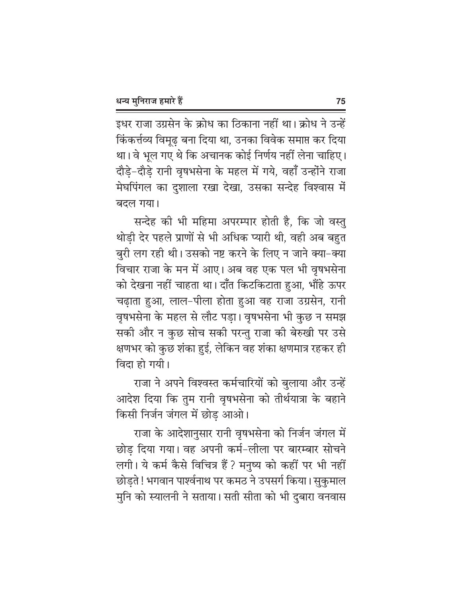इधर राजा उग्रसेन के क्रोध का ठिकाना नहीं था। क्रोध ने उन्हें किंकर्त्तव्य विमुढ बना दिया था, उनका विवेक समाप्त कर दिया था। वे भूल गए थे कि अचानक कोई निर्णय नहीं लेना चाहिए। दौड़े-दौड़े रानी वृषभसेना के महल में गये, वहाँ उन्होंने राजा मेघपिंगल का दुशाला रखा देखा, उसका सन्देह विश्वास में बदल गया।

सन्देह की भी महिमा अपरम्पार होती है, कि जो वस्तु थोड़ी देर पहले प्राणों से भी अधिक प्यारी थी, वही अब बहुत बुरी लग रही थी। उसको नष्ट करने के लिए न जाने क्या-क्या विचार राजा के मन में आए। अब वह एक पल भी वृषभसेना को देखना नहीं चाहता था। दाँत किटकिटाता हुआ, भौंहे ऊपर चढाता हुआ, लाल-पीला होता हुआ वह राजा उग्रसेन, रानी वृषभसेना के महल से लौट पड़ा। वृषभसेना भी कुछ न समझ सकी और न कुछ सोच सकी परन्तु राजा की बेरुखी पर उसे क्षणभर को कुछ शंका हुई, लेकिन वह शंका क्षणमात्र रहकर ही विंदा हो गयी।

राजा ने अपने विश्वस्त कर्मचारियों को बुलाया और उन्हें आदेश दिया कि तुम रानी वृषभसेना को तीर्थयात्रा के बहाने किसी निर्जन जंगल में छोड़ आओ।

राजा के आदेशानुसार रानी वृषभसेना को निर्जन जंगल में छोड़ दिया गया। वह अपनी कर्म-लीला पर बारम्बार सोचने लगी। ये कर्म कैसे विचित्र हैं ? मनुष्य को कहीं पर भी नहीं छोड़ते ! भगवान पार्श्वनाथ पर कमठ ने उपसर्ग किया। सुकुमाल मुनि को स्यालनी ने सताया। सती सीता को भी दुबारा वनवास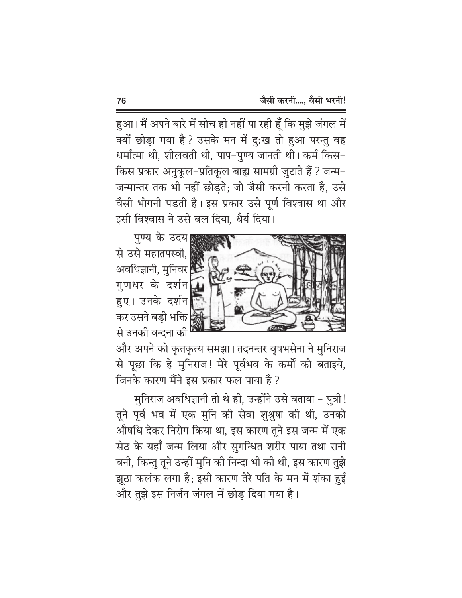हुआ। मैं अपने बारे में सोच ही नहीं पा रही हूँ कि मुझे जंगल में क्यों छोडा गया है ? उसके मन में दु:ख तो हुआ परन्तु वह धर्मात्मा थी, शीलवती थी, पाप–पुण्य जानती थी। कर्म किस– किस प्रकार अनुकूल-प्रतिकूल बाह्य सामग्री जुटाते हैं ? जन्म-जन्मान्तर तक भी नहीं छोड़ते; जो जैसी करनी करता है, उसे वैसी भोगनी पड़ती है। इस प्रकार उसे पूर्ण विश्वास था और इसी विश्वास ने उसे बल दिया, धैर्य दिया।

पुण्य के उदय से उसे महातपस्वी, अवधिज्ञानी, मुनिवर गुणधर के दर्शन हुए। उनके दर्शन कर उसने बड़ी भक्ति| से उनकी वन्दना की



और अपने को कृतकृत्य समझा। तदनन्तर वृषभसेना ने मुनिराज से पूछा कि हे मुनिराज! मेरे पूर्वभव के कर्मों को बताइये, जिनके कारण मैंने इस प्रकार फल पाया है ?

मुनिराज अवधिज्ञानी तो थे ही, उन्होंने उसे बताया - पुत्री! तूने पूर्व भव में एक मुनि की सेवा-शुश्रुषा की थी, उनको औषधि देकर निरोग किया था, इस कारण तूने इस जन्म में एक सेठ के यहाँ जन्म लिया और सुगन्धित शरीर पाया तथा रानी बनी, किन्तु तूने उन्हीं मुनि की निन्दा भी की थी, इस कारण तुझे झूठा कलंक लगा है; इसी कारण तेरे पति के मन में शंका हुई और तुझे इस निर्जन जंगल में छोड दिया गया है।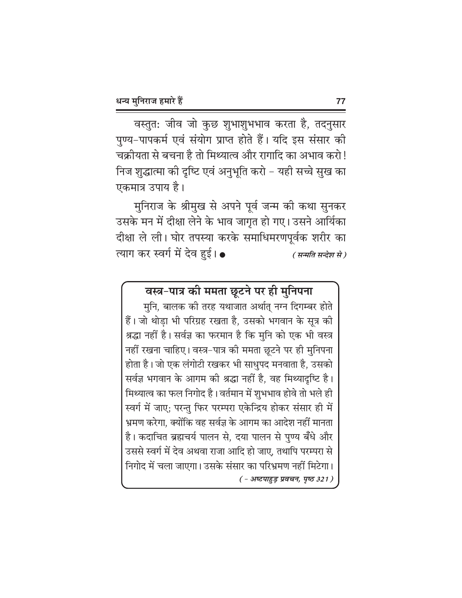वस्तुत: जीव जो कुछ शुभाशुभभाव करता है, तदनुसार पुण्य-पापकर्म एवं संयोग प्राप्त होते हैं। यदि इस संसार की चक्रीयता से बचना है तो मिथ्यात्व और रागादि का अभाव करो ! निज शुद्धात्मा की दृष्टि एवं अनुभूति करो – यही सच्चे सुख का एकमात्र उपाय है।

मुनिराज के श्रीमुख से अपने पूर्व जन्म की कथा सुनकर उसके मन में दीक्षा लेने के भाव जागृत हो गए। उसने आर्यिका दीक्षा ले ली। घोर तपस्या करके समाधिमरणपूर्वक शरीर का त्याग कर स्वर्ग में देव हई।  $\bullet$ ( सन्मति सन्देश से )

# वस्त्र-पात्र की ममता छूटने पर ही मुनिपना

मुनि, बालक की तरह यथाजात अर्थात् नग्न दिगम्बर होते हैं। जो थोड़ा भी परिग्रह रखता है, उसको भगवान के सूत्र की श्रद्धा नहीं है। सर्वज्ञ का फरमान है कि मुनि को एक भी वस्त्र नहीं रखना चाहिए। वस्त्र-पात्र की ममता छूटने पर ही मुनिपना होता है। जो एक लंगोटी रखकर भी साधुपद मनवाता है, उसको सर्वज्ञ भगवान के आगम की श्रद्धा नहीं है, वह मिथ्यादृष्टि है। मिथ्यात्व का फल निगोद है। वर्तमान में शुभभाव होवे तो भले ही स्वर्ग में जाए; परन्तु फिर परम्परा एकेन्द्रिय होकर संसार ही में भ्रमण करेगा, क्योंकि वह सर्वज्ञ के आगम का आदेश नहीं मानता है। कदाचित ब्रह्मचर्य पालन से, दया पालन से पुण्य बँधे और उससे स्वर्ग में देव अथवा राजा आदि हो जाए. तथापि परम्परा से निगोद में चला जाएगा। उसके संसार का परिभ्रमण नहीं मिटेगा।  $(-3)$ स्टपाहुड़ प्रवचन, पृष्ठ 321)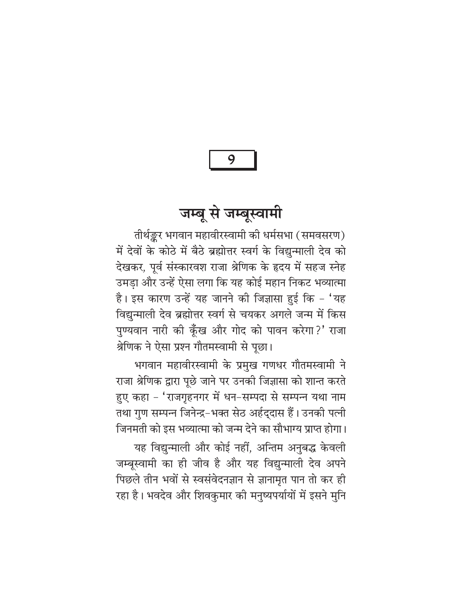# जम्बू से जम्बूस्वामी

तीर्थङ्कर भगवान महावीरस्वामी की धर्मसभा (समवसरण) में देवों के कोठे में बैठे ब्रह्मोत्तर स्वर्ग के विद्युन्माली देव को देखकर, पूर्व संस्कारवश राजा श्रेणिक के हृदय में सहज स्नेह उमड़ा और उन्हें ऐसा लगा कि यह कोई महान निकट भव्यात्मा है। इस कारण उन्हें यह जानने की जिज्ञासा हुई कि - 'यह विद्युन्माली देव ब्रह्मोत्तर स्वर्ग से चयकर अगले जन्म में किस पुण्यवान नारी की कूँख और गोद को पावन करेगा?' राजा श्रेणिक ने ऐसा प्रश्न गौतमस्वामी से पूछा।

भगवान महावीरस्वामी के प्रमुख गणधर गौतमस्वामी ने राजा श्रेणिक द्वारा पूछे जाने पर उनकी जिज्ञासा को शान्त करते हुए कहा – 'राजगृहनगर में धन-सम्पदा से सम्पन्न यथा नाम तथा गुण सम्पन्न जिनेन्द्र-भक्त सेठ अर्हद्दास हैं। उनकी पत्नी जिनमती को इस भव्यात्मा को जन्म देने का सौभाग्य प्राप्त होगा। यह विद्युन्माली और कोई नहीं, अन्तिम अनुबद्ध केवली जम्बूस्वामी का ही जीव है और यह विद्युन्माली देव अपने पिछले तीन भवों से स्वसंवेदनज्ञान से ज्ञानामृत पान तो कर ही रहा है। भवदेव और शिवकुमार की मनुष्यपर्यायों में इसने मुनि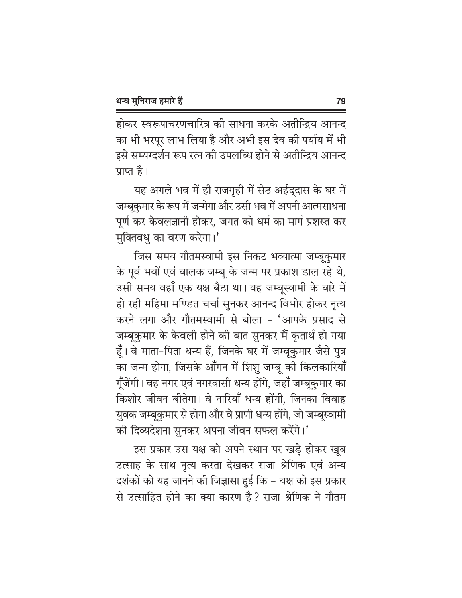होकर स्वरूपाचरणचारित्र की साधना करके अतीन्द्रिय आनन्द का भी भरपूर लाभ लिया है और अभी इस देव की पर्याय में भी इसे सम्यग्दर्शन रूप रत्न की उपलब्धि होने से अतीन्द्रिय आनन्द प्राप्त है।

यह अगले भव में ही राजगृही में सेठ अर्हद्दास के घर में जम्बूकुमार के रूप में जन्मेगा और उसी भव में अपनी आत्मसाधना पूर्ण कर केवलज्ञानी होकर, जगत को धर्म का मार्ग प्रशस्त कर मुक्तिवधु का वरण करेगा।'

जिस समय गौतमस्वामी इस निकट भव्यात्मा जम्बूकुमार के पूर्व भवों एवं बालक जम्बू के जन्म पर प्रकाश डाल रहे थे, उसी समय वहाँ एक यक्ष बैठा था। वह जम्बूस्वामी के बारे में हो रही महिमा मण्डित चर्चा सुनकर आनन्द विभोर होकर नृत्य करने लगा और गौतमस्वामी से बोला - 'आपके प्रसाद से जम्बूकुमार के केवली होने की बात सुनकर मैं कृतार्थ हो गया हूँ। वे माता-पिता धन्य हैं, जिनके घर में जम्बूकुमार जैसे पुत्र का जन्म होगा, जिसके आँगन में शिशु जम्बू की किलकारियाँ गूँजेंगी। वह नगर एवं नगरवासी धन्य होंगे, जहाँ जम्बूकुमार का किशोर जीवन बीतेगा। वे नारियाँ धन्य होंगी, जिनका विवाह युवक जम्बूकुमार से होगा और वे प्राणी धन्य होंगे, जो जम्बूस्वामी की दिव्यदेशना सुनकर अपना जीवन सफल करेंगे।'

इस प्रकार उस यक्ष को अपने स्थान पर खड़े होकर खूब उत्साह के साथ नृत्य करता देखकर राजा श्रेणिक एवं अन्य दर्शकों को यह जानने की जिज्ञासा हुई कि – यक्ष को इस प्रकार से उत्साहित होने का क्या कारण है ? राजा श्रेणिक ने गौतम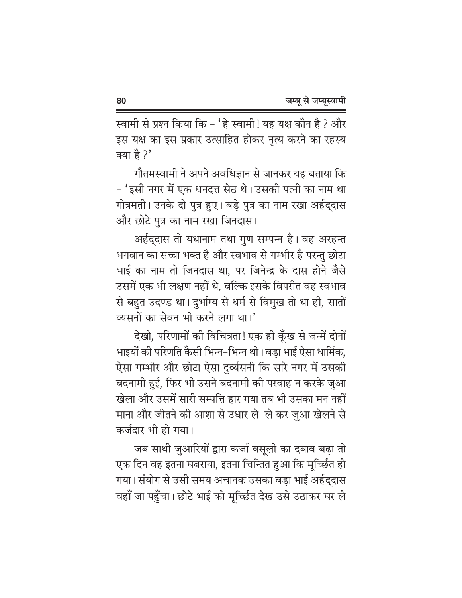स्वामी से प्रश्न किया कि - 'हे स्वामी! यह यक्ष कौन है ? और इस यक्ष का इस प्रकार उत्साहित होकर नृत्य करने का रहस्य क्या है ?'

गौतमस्वामी ने अपने अवधिज्ञान से जानकर यह बताया कि – 'इसी नगर में एक धनदत्त सेठ थे। उसकी पत्नी का नाम था गोत्रमती। उनके दो पुत्र हुए। बड़े पुत्र का नाम रखा अर्हद्दास और छोटे पत्र का नाम रखा जिनदास।

अर्हद्दास तो यथानाम तथा गुण सम्पन्न है। वह अरहन्त भगवान का सच्चा भक्त है और स्वभाव से गम्भीर है परन्तु छोटा भाई का नाम तो जिनदास था, पर जिनेन्द्र के दास होने जैसे उसमें एक भी लक्षण नहीं थे, बल्कि इसके विपरीत वह स्वभाव से बहुत उदण्ड था। दुर्भाग्य से धर्म से विमुख तो था ही, सातों व्यसनों का सेवन भी करने लगा था।'

देखो, परिणामों की विचित्रता! एक ही कूँख से जन्में दोनों भाइयों की परिणति कैसी भिन्न–भिन्न थी। बड़ा भाई ऐसा धार्मिक, ऐसा गम्भीर और छोटा ऐसा दुर्व्यसनी कि सारे नगर में उसकी बदनामी हुई, फिर भी उसने बदनामी की परवाह न करके जुआ खेला और उसमें सारी सम्पत्ति हार गया तब भी उसका मन नहीं माना और जीतने की आशा से उधार ले-ले कर जुआ खेलने से कर्जदार भी हो गया।

जब साथी जुआरियों द्वारा कर्जा वसूली का दबाव बढ़ा तो एक दिन वह इतना घबराया, इतना चिन्तित हुआ कि मूर्च्छित हो गया। संयोग से उसी समय अचानक उसका बड़ा भाई अर्हद्दास वहाँ जा पहुँचा। छोटे भाई को मूर्च्छित देख उसे उठाकर घर ले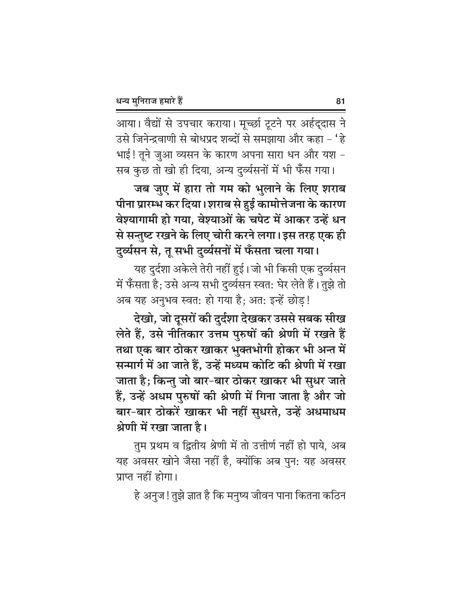आया। वैद्यों से उपचार कराया। मूर्च्छा टूटने पर अर्हद्दास ने उसे जिनेन्द्रवाणी से बोधप्रद शब्दों से समझाया और कहा - 'हे भाई! तूने जुआ व्यसन के कारण अपना सारा धन और यश -सब कुछ तो खो ही दिया, अन्य दुर्व्यसनों में भी फँस गया।

जब जुए में हारा तो गम को भुलाने के लिए शराब पीना प्रारम्भ कर दिया। शराब से हुई कामोत्तेजना के कारण वेश्यागामी हो गया, वेश्याओं के चपेट में आकर उन्हें धन से सन्तुष्ट रखने के लिए चोरी करने लगा। इस तरह एक ही दुर्व्यसन से, तू सभी दुर्व्यसनों में फँसता चला गया।

यह दुर्दशा अकेले तेरी नहीं हुई। जो भी किसी एक दुर्व्यसन में फँसता है; उसे अन्य सभी दुर्व्यसन स्वत: घेर लेते हैं। तुझे तो अब यह अनुभव स्वत: हो गया है; अत: इन्हें छोड़!

देखो, जो दूसरों की दुर्दशा देखकर उससे सबक सीख लेते हैं, उसे नीतिकार उत्तम पुरुषों की श्रेणी में रखते हैं तथा एक बार ठोकर खाकर भुक्तभोगी होकर भी अन्त में सन्मार्ग में आ जाते हैं, उन्हें मध्यम कोटि की श्रेणी में रखा जाता है; किन्तु जो बार-बार ठोकर खाकर भी सुधर जाते हैं, उन्हें अधम पुरुषों की श्रेणी में गिना जाता है और जो बार-बार ठोकरें खाकर भी नहीं सुधरते, उन्हें अधमाधम श्रेणी में रखा जाता है।

तुम प्रथम व द्वितीय श्रेणी में तो उत्तीर्ण नहीं हो पाये, अब यह अवसर खोने जैसा नहीं है, क्योंकि अब पुन: यह अवसर प्राप्त नहीं होगा।

हे अनुज! तुझे ज्ञात है कि मनुष्य जीवन पाना कितना कठिन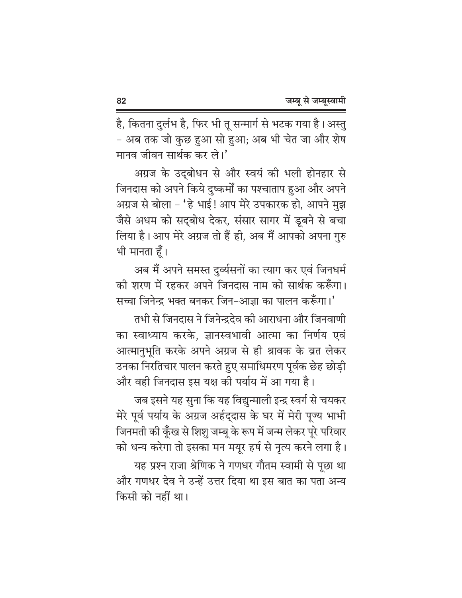है, कितना दुर्लभ है, फिर भी तू सन्मार्ग से भटक गया है। अस्तु - अब तक जो कुछ हुआ सो हुआ; अब भी चेत जा और शेष मानव जीवन सार्थक कर ले।'

अग्रज के उद्बोधन से और स्वयं की भली होनहार से जिनदास को अपने किये दुष्कर्मों का पश्चाताप हुआ और अपने अग्रज से बोला - 'हे भाई! आप मेरे उपकारक हो, आपने मुझ जैसे अधम को सद्बोध देकर, संसार सागर में डूबने से बचा लिया है। आप मेरे अग्रज तो हैं ही, अब मैं आपको अपना गुरु भी मानता हूँ।

अब मैं अपने समस्त दुर्व्यसनों का त्याग कर एवं जिनधर्म की शरण में रहकर अपने जिनदास नाम को सार्थक करूँगा। सच्चा जिनेन्द्र भक्त बनकर जिन-आज्ञा का पालन करूँगा।'

तभी से जिनदास ने जिनेन्द्रदेव की आराधना और जिनवाणी का स्वाध्याय करके, ज्ञानस्वभावी आत्मा का निर्णय एवं आत्मानुभूति करके अपने अग्रज से ही श्रावक के व्रत लेकर उनका निरतिचार पालन करते हुए समाधिमरण पूर्वक छेह छोड़ी और वही जिनदास इस यक्ष की पर्याय में आ गया है।

जब इसने यह सुना कि यह विद्युन्माली इन्द्र स्वर्ग से चयकर मेरे पूर्व पर्याय के अग्रज अर्हद्दास के घर में मेरी पूज्य भाभी जिनमती की कूँख से शिशु जम्बू के रूप में जन्म लेकर पूरे परिवार को धन्य करेगा तो इसका मन मयूर हर्ष से नृत्य करने लगा है।

यह प्रश्न राजा श्रेणिक ने गणधर गौतम स्वामी से पूछा था और गणधर देव ने उन्हें उत्तर दिया था इस बात का पता अन्य किसी को नहीं था।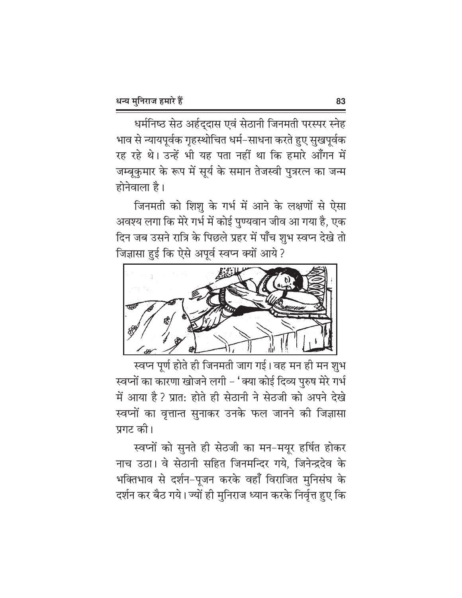धर्मनिष्ठ सेठ अर्हद्दास एवं सेठानी जिनमती परस्पर स्नेह भाव से न्यायपूर्वक गृहस्थोचित धर्म–साधना करते हुए सुखपूर्वक रह रहे थे। उन्हें भी यह पता नहीं था कि हमारे आँगन में जम्बूकुमार के रूप में सूर्य के समान तेजस्वी पुत्ररत्न का जन्म होनेवाला है।

जिनमती को शिशू के गर्भ में आने के लक्षणों से ऐसा अवश्य लगा कि मेरे गर्भ में कोई पुण्यवान जीव आ गया है, एक दिन जब उसने रात्रि के पिछले प्रहर में पाँच शुभ स्वप्न देखे तो जिज्ञासा हुई कि ऐसे अपूर्व स्वप्न क्यों आये ?



स्वप्न पूर्ण होते ही जिनमती जाग गई। वह मन ही मन शुभ स्वप्नों का कारणा खोजने लगी – 'क्या कोई दिव्य पुरुष मेरे गर्भ में आया है ? प्रात: होते ही सेठानी ने सेठजी को अपने देखे स्वप्नों का वृत्तान्त सुनाकर उनके फल जानने की जिज्ञासा प्रगट की।

स्वप्नों को सुनते ही सेठजी का मन-मयूर हर्षित होकर नाच उठा। वे सेठानी सहित जिनमन्दिर गये, जिनेन्द्रदेव के भक्तिभाव से दर्शन-पूजन करके वहाँ विराजित मुनिसंघ के दर्शन कर बैठ गये। ज्यों ही मुनिराज ध्यान करके निर्वृत्त हुए कि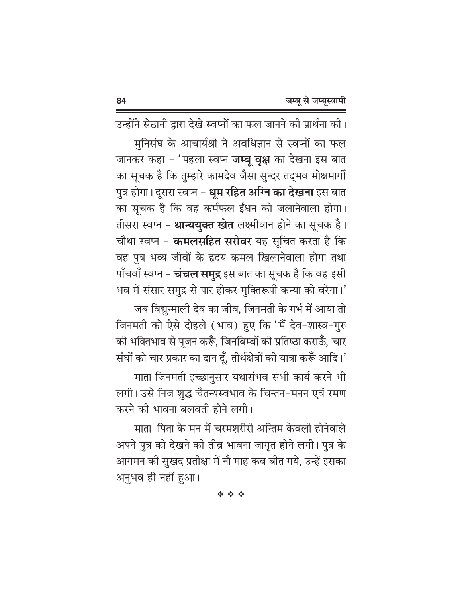उन्होंने सेठानी द्वारा देखे स्वप्नों का फल जानने की प्रार्थना की। मुनिसंघ के आचार्यश्री ने अवधिज्ञान से स्वप्नों का फल जानकर कहा - 'पहला स्वप्न **जम्बू वृक्ष** का देखना इस बात का सूचक है कि तुम्हारे कामदेव जैसा सुन्दर तद्भव मोक्षमार्गी पुत्र होगा। दूसरा स्वप्न - <mark>धूम रहित अग्नि का देखना</mark> इस बात का सूचक है कि वह कर्मफल ईंधन को जलानेवाला होगा। तीसरा स्वप्न – **धान्ययुक्त खेत** लक्ष्मीवान होने का सूचक है। चौथा स्वप्न - कमलसहित सरोवर यह सूचित करता है कि वह पुत्र भव्य जीवों के हृदय कमल खिलानेवाला होगा तथा पाँचवाँ स्वप्न – **चंचल समुद्र** इस बात का सूचक है कि वह इसी भव में संसार समुद्र से पार होकर मुक्तिरूपी कन्या को वरेगा।'

जब विद्युन्माली देव का जीव, जिनमती के गर्भ में आया तो जिनमती को ऐसे दोहले (भाव) हुए कि 'मैं देव-शास्त्र-गुरु की भक्तिभाव से पूजन करूँ, जिनबिम्बों की प्रतिष्ठा कराऊँ, चार संघों को चार प्रकार का दान दूँ, तीर्थक्षेत्रों की यात्रा करूँ आदि।'

माता जिनमती इच्छानुसार यथासंभव सभी कार्य करने भी लगी। उसे निज शुद्ध चैतन्यस्वभाव के चिन्तन-मनन एवं रमण करने की भावना बलवती होने लगी।

माता-पिता के मन में चरमशरीरी अन्तिम केवली होनेवाले अपने पुत्र को देखने की तीव्र भावना जागृत होने लगी। पुत्र के आगमन की सुखद प्रतीक्षा में नौ माह कब बीत गये, उन्हें इसका अनुभव ही नहीं हुआ।

经合金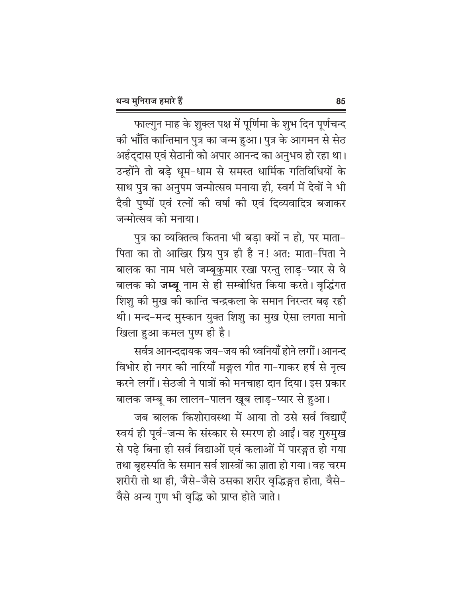फाल्गुन माह के शुक्ल पक्ष में पूर्णिमा के शुभ दिन पूर्णचन्द की भाँति कान्तिमान पुत्र का जन्म हुआ। पुत्र के आगमन से सेठ अर्हद्दास एवं सेठानी को अपार आनन्द का अनुभव हो रहा था। उन्होंने तो बड़े धूम-धाम से समस्त धार्मिक गतिविधियों के साथ पुत्र का अनुपम जन्मोत्सव मनाया ही, स्वर्ग में देवों ने भी दैवी पुष्पों एवं रत्नों की वर्षा की एवं दिव्यवादित्र बजाकर जन्मोत्सव को मनाया।

पुत्र का व्यक्तित्व कितना भी बड़ा क्यों न हो, पर माता-पिता का तो आखिर प्रिय पुत्र ही है न! अत: माता-पिता ने बालक का नाम भले जम्बूकुमार रखा परन्तु लाड़-प्यार से वे बालक को **जम्बू** नाम से ही सम्बोधित किया करते। वृद्धिंगत शिशु की मुख की कान्ति चन्द्रकला के समान निरन्तर बढ रही थी। मन्द-मन्द मुस्कान युक्त शिशु का मुख ऐसा लगता मानो खिला हुआ कमल पुष्प ही है।

सर्वत्र आनन्ददायक जय–जय की ध्वनियाँ होने लगीं। आनन्द विभोर हो नगर की नारियाँ मङ्गल गीत गा–गाकर हर्ष से नृत्य करने लगीं। सेठजी ने पात्रों को मनचाहा दान दिया। इस प्रकार

बालक जम्बू का लालन-पालन खूब लाड़-प्यार से हुआ। जब बालक किशोरावस्था में आया तो उसे सर्व विद्याएँ स्वयं ही पूर्व–जन्म के संस्कार से स्मरण हो आईं। वह गुरुमुख से पढ़े बिना ही सर्व विद्याओं एवं कलाओं में पारङ्गत हो गया तथा बृहस्पति के समान सर्व शास्त्रों का ज्ञाता हो गया। वह चरम शरीरी तो था ही, जैसे-जैसे उसका शरीर वृद्धिङ्गत होता, वैसे-वैसे अन्य गुण भी वृद्धि को प्राप्त होते जाते।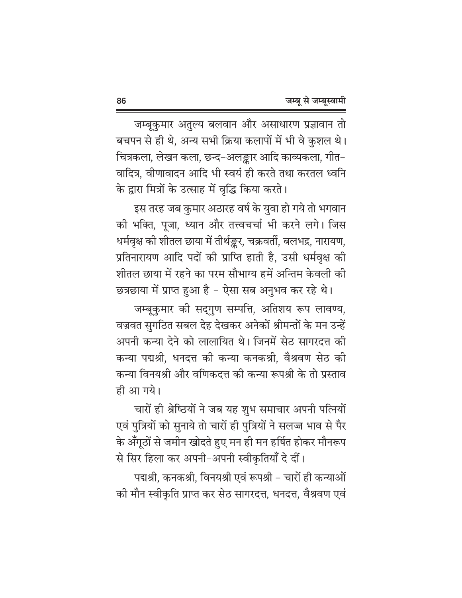जम्बूकुमार अतुल्य बलवान और असाधारण प्रज्ञावान तो बचपन से ही थे, अन्य सभी क्रिया कलापों में भी वे कुशल थे। चित्रकला, लेखन कला, छन्द-अलङ्कार आदि काव्यकला, गीत-वादित्र. वीणावादन आदि भी स्वयं ही करते तथा करतल ध्वनि के द्वारा मित्रों के उत्साह में वृद्धि किया करते।

इस तरह जब कुमार अठारह वर्ष के युवा हो गये तो भगवान की भक्ति, पूजा, ध्यान और तत्त्वचर्चा भी करने लगे। जिस धर्मवृक्ष की शीतल छाया में तीर्थङ्कर, चक्रवर्ती, बलभद्र, नारायण, प्रतिनारायण आदि पदों की प्राप्ति हाती है, उसी धर्मवृक्ष की शीतल छाया में रहने का परम सौभाग्य हमें अन्तिम केवली की

छत्रछाया में प्राप्त हुआ है - ऐसा सब अनुभव कर रहे थे। जम्बूकुमार की सद्गुण सम्पत्ति, अतिशय रूप लावण्य, वज्रवत सुगठित सबल देह देखकर अनेकों श्रीमन्तों के मन उन्हें अपनी कन्या देने को लालायित थे। जिनमें सेठ सागरदत्त की कन्या पद्मश्री, धनदत्त की कन्या कनकश्री, वैश्रवण सेठ की कन्या विनयश्री और वणिकदत्त की कन्या रूपश्री के तो प्रस्ताव ही आ गये।

चारों ही श्रेष्ठियों ने जब यह शुभ समाचार अपनी पत्नियों एवं पुत्रियों को सुनाये तो चारों ही पुत्रियों ने सलज्ज भाव से पैर के अँगूठों से जमीन खोदते हुए मन ही मन हर्षित होकर मौनरूप से सिर हिला कर अपनी-अपनी स्वीकृतियाँ दे दीं।

पद्मश्री, कनकश्री, विनयश्री एवं रूपश्री – चारों ही कन्याओं की मौन स्वीकृति प्राप्त कर सेठ सागरदत्त, धनदत्त, वैश्रवण एवं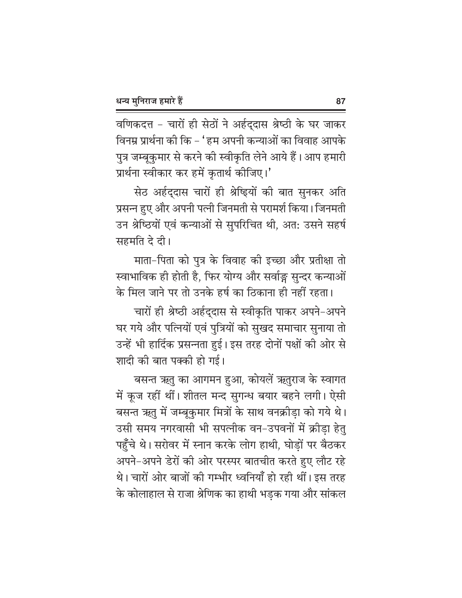वणिकदत्त - चारों ही सेठों ने अर्हद्दास श्रेष्ठी के घर जाकर विनम्र प्रार्थना को कि – ' हम अपनी कन्याओं का विवाह आपके पुत्र जम्बूकुमार से करने की स्वीकृति लेने आये हैं। आप हमारी प्रार्थना स्वीकार कर हमें कृतार्थ कीजिए।'

सेठ अर्हद्दास चारों ही श्रेष्ड्यों की बात सुनकर अति प्रसन्न हुए और अपनी पत्नी जिनमती से परामर्श किया। जिनमती उन श्रेष्ठियों एवं कन्याओं से सुपरिचित थी, अत: उसने सहर्ष सहमति दे दी।

माता-पिता को पुत्र के विवाह की इच्छा और प्रतीक्षा तो स्वाभाविक ही होती है, फिर योग्य और सर्वाङ्ग सुन्दर कन्याओं के मिल जाने पर तो उनके हर्ष का ठिकाना ही नहीं रहता।

चारों ही श्रेष्ठी अर्हदुदास से स्वीकृति पाकर अपने-अपने घर गये और पत्नियों एवं पुत्रियों को सुखद समाचार सुनाया तो उन्हें भी हार्दिक प्रसन्नता हुई। इस तरह दोनों पक्षों की ओर से शादी की बात पक्की हो गई।

बसन्त ऋतु का आगमन हुआ, कोयलें ऋतुराज के स्वागत में कूज रहीं थीं। शीतल मन्द सुगन्ध बयार बहने लगी। ऐसी बसन्त ऋतु में जम्बूकुमार मित्रों के साथ वनक्रीड़ा को गये थे। उसी समय नगरवासी भी सपत्नीक वन-उपवनों में क्रीड़ा हेतु पहुँचे थे। सरोवर में स्नान करके लोग हाथी, घोडों पर बैठकर अपने–अपने डेरों की ओर परस्पर बातचीत करते हुए लौट रहे थे। चारों ओर बाजों की गम्भीर ध्वनियाँ हो रही थीं। इस तरह के कोलाहाल से राजा श्रेणिक का हाथी भड़क गया और सांकल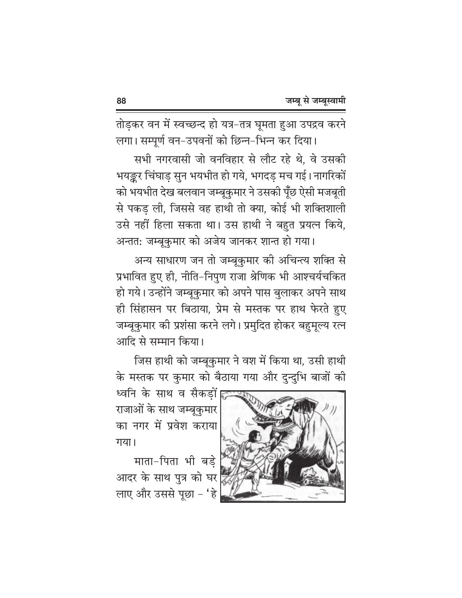तोड़कर वन में स्वच्छन्द हो यत्र-तत्र घूमता हुआ उपद्रव करने लगा। सम्पूर्ण वन-उपवनों को छिन्न-भिन्न कर दिया।

सभी नगरवासी जो वनविहार से लौट रहे थे, वे उसकी भयङ्कर चिंघाड़ सुन भयभीत हो गये, भगदड़ मच गई। नागरिकों को भयभीत देख बलवान जम्बूकुमार ने उसकी पूँछ ऐसी मजबूती से पकड़ ली, जिससे वह हाथी तो क्या, कोई भी शक्तिशाली उसे नहीं हिला सकता था। उस हाथी ने बहुत प्रयत्न किये, अन्तत: जम्बूकुमार को अजेय जानकर शान्त हो गया।

अन्य साधारण जन तो जम्बूकुमार की अचिन्त्य शक्ति से प्रभावित हुए ही, नीति-निपुण राजा श्रेणिक भी आश्चर्यचकित हो गये। उन्होंने जम्बूकुमार को अपने पास बुलाकर अपने साथ ही सिंहासन पर बिठाया, प्रेम से मस्तक पर हाथ फेरते हुए जम्बूकुमार की प्रशंसा करने लगे। प्रमुदित होकर बहुमूल्य रत्न आदि से सम्मान किया।

जिस हाथी को जम्बूकुमार ने वश में किया था, उसी हाथी के मस्तक पर कुमार को बैठाया गया और दुन्दुभि बाजों की

ध्वनि के साथ व सैकड़ों। राजाओं के साथ जम्बूकुमार का नगर में प्रवेश कराया गया।

माता-पिता भी बड़े आदर के साथ पुत्र को घर लाए और उससे पूछा - 'हे

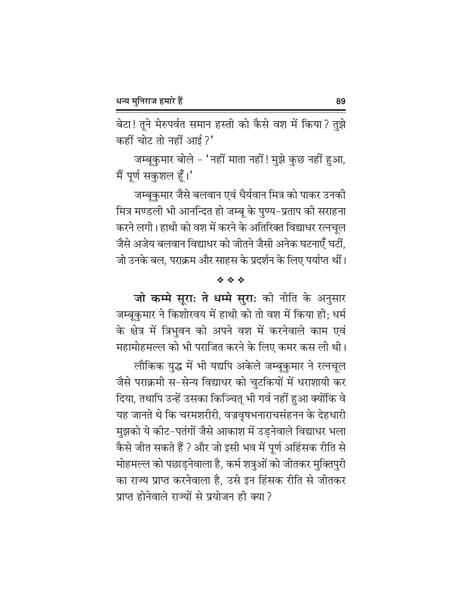बेटा! तूने मेरुपर्वत समान हस्ती को कैसे वश में किया? तुझे कहीं चोट तो नहीं आई?'

जम्बूकुमार बोले - 'नहीं माता नहीं ! मुझे कुछ नहीं हुआ, मैं पूर्ण सकुशल हूँ।'

जम्बूकुमार जैसे बलवान एवं धैर्यवान मित्र को पाकर उनकी मित्र मण्डली भी आनन्दित हो जम्बू के पुण्य–प्रताप की सराहना करने लगी। हाथी को वश में करने के अतिरिक्त विद्याधर रत्नचल जैसे अजेय बलवान विद्याधर को जीतने जैसी अनेक घटनाएँ घटीं, जो उनके बल. पराक्रम और साहस के प्रदर्शन के लिए पर्याप्त थीं।

### 经合金

जो कम्मे सूरा: ते धम्मे सुरा: की नीति के अनुसार जम्बूकुमार ने किशोरवय में हाथी को तो वश में किया ही; धर्म के क्षेत्र में त्रिभुवन को अपने वश में करनेवाले काम एवं महामोहमल्ल को भी पराजित करने के लिए कमर कस ली थी।

लौकिक युद्ध में भी यद्यपि अकेले जम्बूकुमार ने रत्नचूल जैसे पराक्रमी स-सेन्य विद्याधर को चुटकियों में धराशायी कर दिया, तथापि उन्हें उसका किञ्चित् भी गर्व नहीं हुआ क्योंकि वे यह जानते थे कि चरमशरीरी, वज्रवृषभनाराचसंहनन के देहधारी मुझको ये कीट–पतंगों जैसे आकाश में उड़नेवाले विद्याधर भला कैसे जीत सकते हैं ? और जो इसी भव में पूर्ण अहिंसक रीति से मोहमल्ल को पछाड़नेवाला है, कर्म शत्रुओं को जीतकर मुक्तिपुरी का राज्य प्राप्त करनेवाला है, उसे इन हिंसक रीति से जीतकर प्राप्त होनेवाले राज्यों से प्रयोजन ही क्या ?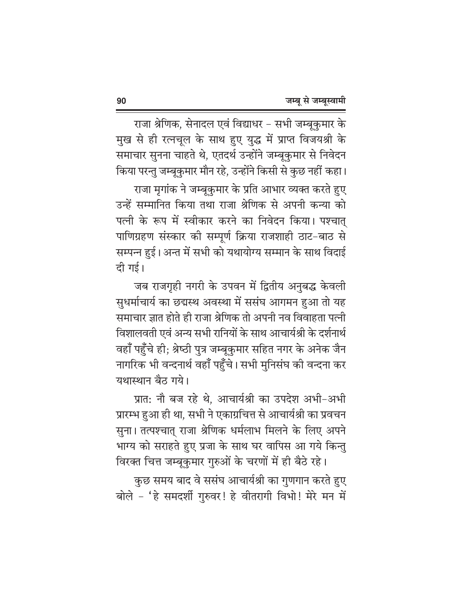राजा श्रेणिक, सेनादल एवं विद्याधर - सभी जम्बूकुमार के मुख से ही रत्नचूल के साथ हुए युद्ध में प्राप्त विजयश्री के समाचार सुनना चाहते थे, एतदर्थ उन्होंने जम्बूकुमार से निवेदन किया परन्तु जम्बूकुमार मौन रहे, उन्होंने किसी से कुछ नहीं कहा। राजा मृगांक ने जम्बुकुमार के प्रति आभार व्यक्त करते हुए उन्हें सम्मानित किया तथा राजा श्रेणिक से अपनी कन्या को पत्नी के रूप में स्वीकार करने का निवेदन किया। पश्चात् पाणिग्रहण संस्कार की सम्पूर्ण क्रिया राजशाही ठाट-बाठ से सम्पन्न हुई। अन्त में सभी को यथायोग्य सम्मान के साथ विदाई दी गई।

जब राजगृही नगरी के उपवन में द्वितीय अनुबद्ध केवली सुधर्माचार्य का छद्मस्थ अवस्था में ससंघ आगमन हुआ तो यह समाचार ज्ञात होते ही राजा श्रेणिक तो अपनी नव विवाहता पत्नी विशालवती एवं अन्य सभी रानियों के साथ आचार्यश्री के दर्शनार्थ वहाँ पहुँचे ही; श्रेष्ठी पुत्र जम्बूकुमार सहित नगर के अनेक जैन नागरिक भी वन्दनार्थ वहाँ पहुँचे। सभी मुनिसंघ की वन्दना कर यथास्थान बैठ गये।

प्रात: नौ बज रहे थे, आचार्यश्री का उपदेश अभी-अभी प्रारम्भ हुआ ही था, सभी ने एकाग्रचित्त से आचार्यश्री का प्रवचन सुना। तत्पश्चात् राजा श्रेणिक धर्मलाभ मिलने के लिए अपने भाग्य को सराहते हुए प्रजा के साथ घर वापिस आ गये किन्तु विरक्त चित्त जम्बूकुमार गुरुओं के चरणों में ही बैठे रहे।

कुछ समय बाद वे ससंघ आचार्यश्री का गुणगान करते हुए बोले - 'हे समदर्शी गुरुवर! हे वीतरागी विभो! मेरे मन में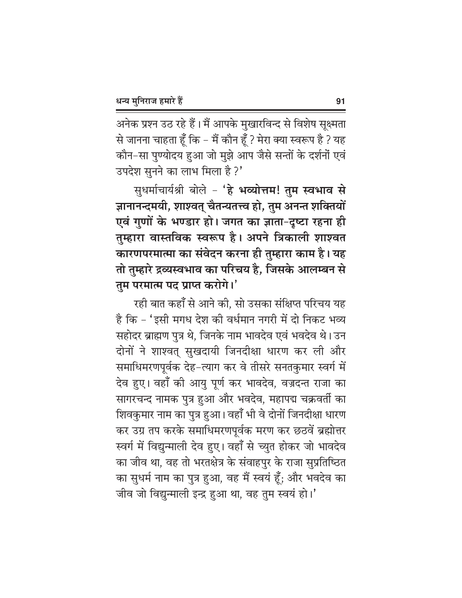अनेक प्रश्न उठ रहे हैं। मैं आपके मुखारविन्द से विशेष सूक्ष्मता से जानना चाहता हूँ कि – मैं कौन हूँ ? मेरा क्या स्वरूप है ? यह कौन-सा पुण्योदय हुआ जो मुझे आप जैसे सन्तों के दर्शनों एवं उपदेश सुनने का लाभ मिला है ?'

सुधर्माचार्यश्री बोले - 'हे भव्योत्तम! तुम स्वभाव से ज्ञानानन्दमयी, शाश्वत् चैतन्यतत्त्व हो, तुम अनन्त शक्तियों एवं गुणों के भण्डार हो। जगत का ज्ञाता-दृष्टा रहना ही तुम्हारा वास्तविक स्वरूप है। अपने त्रिकाली शाश्वत कारणपरमात्मा का संवेदन करना ही तुम्हारा काम है। यह तो तुम्हारे द्रव्यस्वभाव का परिचय है, जिसके आलम्बन से तुम परमात्म पद प्राप्त करोगे।'

रही बात कहाँ से आने की, सो उसका संक्षिप्त परिचय यह है कि - 'इसी मगध देश की वर्धमान नगरी में दो निकट भव्य सहोदर ब्राह्मण पुत्र थे, जिनके नाम भावदेव एवं भवदेव थे। उन दोनों ने शाश्वत् सुखदायी जिनदीक्षा धारण कर ली और समाधिमरणपूर्वक देह-त्याग कर वे तीसरे सनतकुमार स्वर्ग में देव हुए। वहाँ की आयु पूर्ण कर भावदेव, वज्रदन्त राजा का सागरचन्द नामक पुत्र हुआ और भवदेव, महापद्म चक्रवर्ती का शिवकुमार नाम का पुत्र हुआ। वहाँ भी वे दोनों जिनदीक्षा धारण कर उग्र तप करके समाधिमरणपूर्वक मरण कर छठवें ब्रह्मोत्तर स्वर्ग में विद्युन्माली देव हुए। वहाँ से च्युत होकर जो भावदेव का जीव था, वह तो भरतक्षेत्र के संवाहपुर के राजा सुप्रतिष्ठित का सुधर्म नाम का पुत्र हुआ, वह मैं स्वयं हूँ; और भवदेव का जीव जो विद्युन्माली इन्द्र हुआ था, वह तुम स्वयं हो।'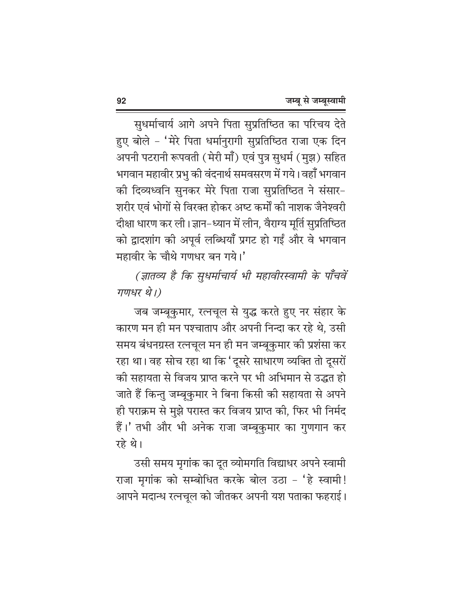सुधर्माचार्य आगे अपने पिता सुप्रतिष्ठित का परिचय देते हुए बोले - 'मेरे पिता धर्मानुरागी सुप्रतिष्ठित राजा एक दिन अपनी पटरानी रूपवती (मेरी माँ) एवं पुत्र सुधर्म (मुझ) सहित भगवान महावीर प्रभु की वंदनार्थ समवसरण में गये। वहाँ भगवान की दिव्यध्वनि सुनकर मेरे पिता राजा सुप्रतिष्ठित ने संसार-शरीर एवं भोगों से विरक्त होकर अष्ट कर्मों की नाशक जैनेश्वरी दीक्षा धारण कर ली। ज्ञान-ध्यान में लीन, वैराग्य मूर्ति सुप्रतिष्ठित को द्वादशांग की अपूर्व लब्धियाँ प्रगट हो गईं और वे भगवान महावीर के चौथे गणधर बन गये।'

(ज्ञातव्य है कि सुधर्माचार्य भी महावीरस्वामी के पाँचवें गणधर थे।)

जब जम्बूकुमार, रत्नचूल से युद्ध करते हुए नर संहार के कारण मन ही मन पश्चाताप और अपनी निन्दा कर रहे थे, उसी समय बंधनग्रस्त रत्नचूल मन ही मन जम्बूकुमार की प्रशंसा कर रहा था। वह सोच रहा था कि 'दूसरे साधारण व्यक्ति तो दूसरों की सहायता से विजय प्राप्त करने पर भी अभिमान से उद्भुत हो जाते हैं किन्तु जम्बुकुमार ने बिना किसी की सहायता से अपने ही पराक्रम से मुझे परास्त कर विजय प्राप्त की, फिर भी निर्मद हैं।' तभी और भी अनेक राजा जम्बूकुमार का गुणगान कर रहे थे।

उसी समय मृगांक का दूत व्योमगति विद्याधर अपने स्वामी राजा मृगांक को सम्बोधित करके बोल उठा - 'हे स्वामी! आपने मदान्ध रत्नचूल को जीतकर अपनी यश पताका फहराई।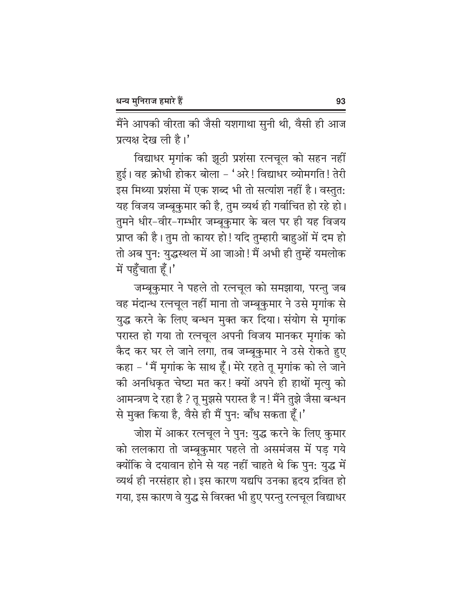मैंने आपकी वीरता की जैसी यशगाथा सुनी थी, वैसी ही आज प्रत्यक्ष देख ली है।'

विद्याधर मृगांक की झूठी प्रशंसा रत्नचूल को सहन नहीं हुई। वह क्रोधी होकर बोला - 'अरे! विद्याधर व्योमगति! तेरी इस मिथ्या प्रशंसा में एक शब्द भी तो सत्यांश नहीं है। वस्तुत: यह विजय जम्बूकुमार की है, तुम व्यर्थ ही गर्वाचित हो रहे हो। तुमने धीर-वीर-गम्भीर जम्बूकुमार के बल पर ही यह विजय प्राप्त की है। तुम तो कायर हो! यदि तुम्हारी बाहुओं में दम हो तो अब पुन: युद्धस्थल में आ जाओ! मैं अभी ही तुम्हें यमलोक में पहुँचाता हूँ।'

जम्बूकुमार ने पहले तो रत्नचूल को समझाया, परन्तु जब वह मंदान्ध रत्नचूल नहीं माना तो जम्बूकुमार ने उसे मृगांक से युद्ध करने के लिए बन्धन मुक्त कर दिया। संयोग से मृगांक परास्त हो गया तो रत्नचूल अपनी विजय मानकर मृगांक को कैद कर घर ले जाने लगा, तब जम्बूकुमार ने उसे रोकते हुए कहा – 'मैं मृगांक के साथ हूँ। मेरे रहते तू मृगांक को ले जाने की अनधिकृत चेष्टा मत कर! क्यों अपने ही हाथों मृत्यु को आमन्त्रण दे रहा है ? तू मुझसे परास्त है न! मैंने तुझे जैसा बन्धन से मुक्त किया है, वैसे ही मैं पुन: बाँध सकता हूँ।'

जोश में आकर रत्नचूल ने पुन: युद्ध करने के लिए कुमार को ललकारा तो जम्बूकुमार पहले तो असमंजस में पड़ गये क्योंकि वे दयावान होने से यह नहीं चाहते थे कि पुन: युद्ध में व्यर्थ ही नरसंहार हो। इस कारण यद्यपि उनका हृदय द्रवित हो गया, इस कारण वे युद्ध से विरक्त भी हुए परन्तु रत्नचूल विद्याधर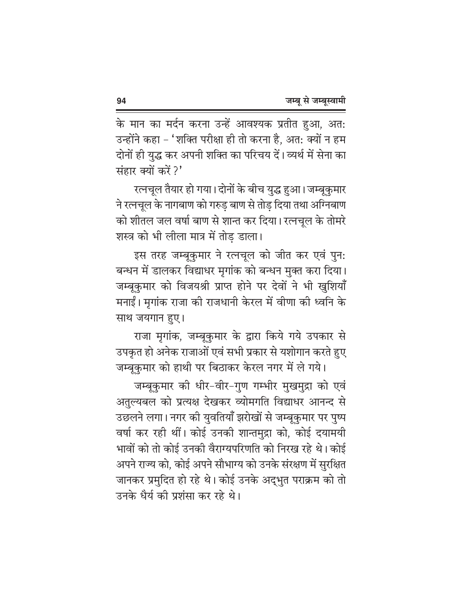के मान का मर्दन करना उन्हें आवश्यक प्रतीत हुआ, अत: उन्होंने कहा – 'शक्ति परीक्षा ही तो करना है, अत: क्यों न हम दोनों ही युद्ध कर अपनी शक्ति का परिचय दें। व्यर्थ में सेना का संहार क्यों करें ?'

रत्नचूल तैयार हो गया। दोनों के बीच युद्ध हुआ। जम्बूकुमार ने रत्नचूल के नागबाण को गरुड़ बाण से तोड़ दिया तथा अग्निबाण को शीतल जल वर्षा बाण से शान्त कर दिया। रत्नचूल के तोमरे शस्त्र को भी लीला मात्र में तोड डाला।

इस तरह जम्बूकुमार ने रत्नचूल को जीत कर एवं पुन: बन्धन में डालकर विद्याधर मृगांक को बन्धन मुक्त करा दिया। जम्बूकुमार को विजयश्री प्राप्त होने पर देवों ने भी खुशियाँ मनाईं। मृगांक राजा की राजधानी केरल में वीणा की ध्वनि के साथ जयगान हुए।

राजा मृगांक, जम्बूकुमार के द्वारा किये गये उपकार से उपकृत हो अनेक राजाओं एवं सभी प्रकार से यशोगान करते हुए जम्बूकुमार को हाथी पर बिठाकर केरल नगर में ले गये।

जम्बूकुमार की धीर-वीर-गुण गम्भीर मुखमुद्रा को एवं अतुल्यबल को प्रत्यक्ष देखकर व्योमगति विद्याधर आनन्द से उछलने लगा। नगर की युवतियाँ झरोखों से जम्बूकुमार पर पुष्प वर्षा कर रही थीं। कोई उनकी शान्तमुद्रा को, कोई दयामयी भावों को तो कोई उनकी वैराग्यपरिणति को निरख रहे थे। कोई अपने राज्य को, कोई अपने सौभाग्य को उनके संरक्षण में सुरक्षित जानकर प्रमुदित हो रहे थे। कोई उनके अद्भुत पराक्रम को तो उनके धैर्य की प्रशंसा कर रहे थे।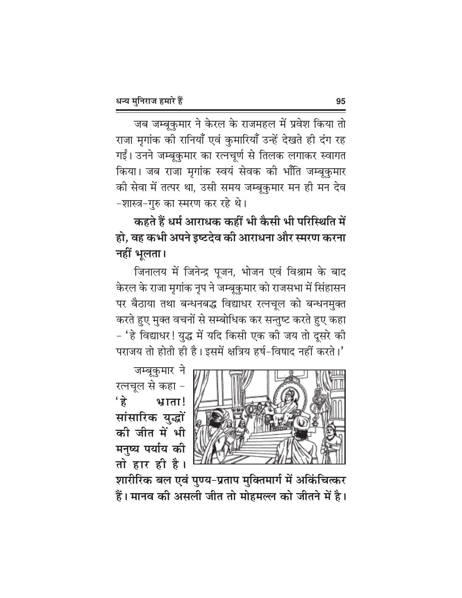जब जम्बूकुमार ने केरल के राजमहल में प्रवेश किया तो राजा मृगांक की रानियाँ एवं कुमारियाँ उन्हें देखते ही दंग रह गईं। उनने जम्बूकुमार का रत्नचूर्ण से तिलक लगाकर स्वागत किया। जब राजा मृगांक स्वयं सेवक की भाँति जम्बूकुमार की सेवा में तत्पर था, उसी समय जम्बूकुमार मन ही मन देव -शास्त्र-गुरु का स्मरण कर रहे थे।

कहते हैं धर्म आराधक कहीं भी कैसी भी परिस्थिति में हो, वह कभी अपने इष्टदेव की आराधना और स्मरण करना नहीं भुलता।

जिनालय में जिनेन्द्र पूजन, भोजन एवं विश्राम के बाद केरल के राजा मृगांक नृप ने जम्बूकुमार को राजसभा में सिंहासन पर बैठाया तथा बन्धनबद्ध विद्याधर रत्नचूल को बन्धनमुक्त करते हुए मुक्त वचनों से सम्बोधिक कर सन्तुष्ट करते हुए कहा - 'हे विद्याधर! युद्ध में यदि किसी एक की जय तो दूसरे की पराजय तो होती ही है। इसमें क्षत्रिय हर्ष-विषाद नहीं करते।'

जम्बूकुमार ने रत्नचूल से कहा - $\overrightarrow{g}$ भ्राता! सांसारिक युद्धों की जीत में भी मनुष्य पर्याय की तो हार ही है।



शारीरिक बल एवं पुण्य-प्रताप मुक्तिमार्ग में अकिंचित्कर हैं। मानव की असली जीत तो मोहमल्ल को जीतने में है।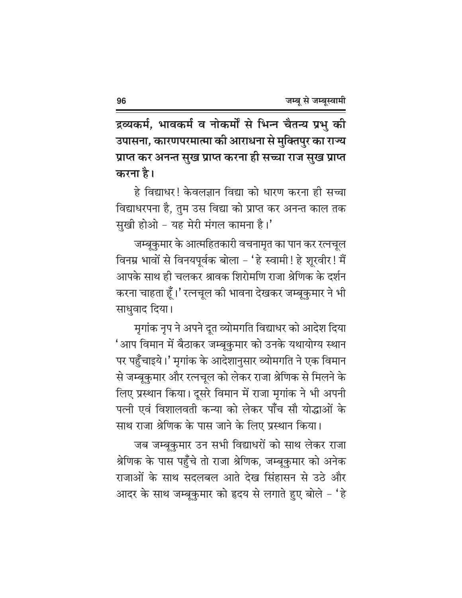द्रव्यकर्म, भावकर्म व नोकर्मों से भिन्न चैतन्य प्रभु की उपासना, कारणपरमात्मा की आराधना से मुक्तिपुर का राज्य प्राप्त कर अनन्त सुख प्राप्त करना ही सच्चा राज सुख प्राप्त करना है।

हे विद्याधर! केवलज्ञान विद्या को धारण करना ही सच्चा विद्याधरपना है, तुम उस विद्या को प्राप्त कर अनन्त काल तक सुखी होओ - यह मेरी मंगल कामना है।'

जम्बूकुमार के आत्महितकारी वचनामृत का पान कर रत्नचूल विनम्र भावों से विनयपूर्वक बोला - 'हे स्वामी ! हे शूरवीर ! मैं आपके साथ ही चलकर श्रावक शिरोमणि राजा श्रेणिक के दर्शन करना चाहता हूँ।' रत्नचूल की भावना देखकर जम्बूकुमार ने भी साधवाद दिया।

मृगांक नृप ने अपने दूत व्योमगति विद्याधर को आदेश दिया 'आप विमान में बैठाकर जम्बूकुमार को उनके यथायोग्य स्थान पर पहुँचाइये।' मृगांक के आदेशानुसार व्योमगति ने एक विमान से जम्बूकुमार और रत्नचूल को लेकर राजा श्रेणिक से मिलने के लिए प्रस्थान किया। दूसरे विमान में राजा मृगांक ने भी अपनी पत्नी एवं विशालवती कन्या को लेकर पाँच सौ योद्धाओं के साथ राजा श्रेणिक के पास जाने के लिए प्रस्थान किया।

जब जम्बूकुमार उन सभी विद्याधरों को साथ लेकर राजा श्रेणिक के पास पहुँचे तो राजा श्रेणिक, जम्बूकुमार को अनेक राजाओं के साथ सदलबल आते देख सिंहासन से उठे और आदर के साथ जम्बूकुमार को हृदय से लगाते हुए बोले - 'हे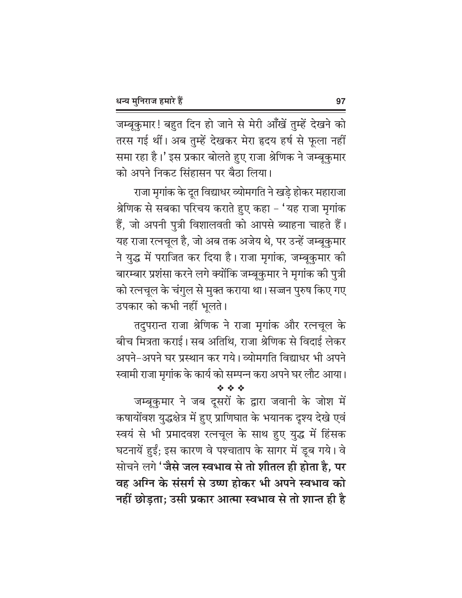जम्बूकुमार! बहुत दिन हो जाने से मेरी आँखें तुम्हें देखने को तरस गई थीं। अब तुम्हें देखकर मेरा हृदय हर्ष से फूला नहीं समा रहा है।' इस प्रकार बोलते हुए राजा श्रेणिक ने जम्बूकुमार को अपने निकट सिंहासन पर बैठा लिया।

राजा मृगांक के दूत विद्याधर व्योमगति ने खड़े होकर महाराजा श्रेणिक से सबका परिचय कराते हुए कहा – 'यह राजा मृगांक हैं, जो अपनी पुत्री विशालवती को आपसे ब्याहना चाहते हैं। यह राजा रत्नचूल है, जो अब तक अजेय थे, पर उन्हें जम्बूकुमार ने युद्ध में पराजित कर दिया है। राजा मृगांक, जम्बूकुमार की बारम्बार प्रशंसा करने लगे क्योंकि जम्बूकुमार ने मृगांक की पुत्री को रत्नचूल के चंगुल से मुक्त कराया था। सज्जन पुरुष किए गए उपकार को कभी नहीं भूलते।

तदुपरान्त राजा श्रेणिक ने राजा मृगांक और रत्नचूल के बीच मित्रता कराई। सब अतिथि, राजा श्रेणिक से विदाई लेकर अपने-अपने घर प्रस्थान कर गये। व्योमगति विद्याधर भी अपने स्वामी राजा मृगांक के कार्य को सम्पन्न करा अपने घर लौट आया।

जम्बूकुमार ने जब दूसरों के द्वारा जवानी के जोश में कषायोंवश युद्धक्षेत्र में हुए प्राणिघात के भयानक दृश्य देखे एवं स्वयं से भी प्रमादवश रत्नचूल के साथ हुए युद्ध में हिंसक घटनायें हुईं; इस कारण वे पश्चाताप के सागर में डूब गये। वे सोचने लगे 'जैसे जल स्वभाव से तो शीतल ही होता है, पर वह अग्नि के संसर्ग से उष्ण होकर भी अपने स्वभाव को नहीं छोड़ता; उसी प्रकार आत्मा स्वभाव से तो शान्त ही है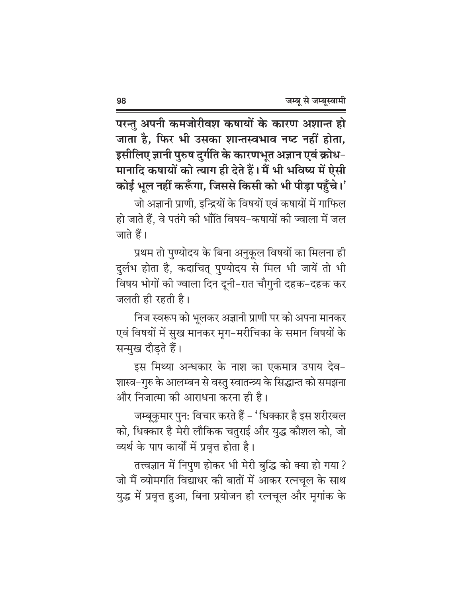परन्तु अपनी कमजोरीवश कषायों के कारण अशान्त हो जाता है, फिर भी उसका शान्तस्वभाव नष्ट नहीं होता, इसीलिए ज्ञानी पुरुष दुर्गति के कारणभूत अज्ञान एवं क्रोध-मानादि कषायों को त्याग ही देते हैं। मैं भी भविष्य में ऐसी कोई भूल नहीं करूँगा, जिससे किसी को भी पीड़ा पहुँचे।'

जो अज्ञानी प्राणी. इन्द्रियों के विषयों एवं कषायों में गाफिल हो जाते हैं. वे पतंगे की भाँति विषय–कषायों की ज्वाला में जल जाते हैं।

प्रथम तो पुण्योदय के बिना अनुकूल विषयों का मिलना ही दुर्लभ होता है, कदाचित् पुण्योदय से मिल भी जायें तो भी विषय भोगों की ज्वाला दिन दूनी-रात चौगुनी दहक-दहक कर जलती ही रहती है।

निज स्वरूप को भूलकर अज्ञानी प्राणी पर को अपना मानकर एवं विषयों में सुख मानकर मृग–मरीचिका के समान विषयों के सन्मुख दौड़ते हैं।

इस मिथ्या अन्धकार के नाश का एकमात्र उपाय देव-शास्त्र–गुरु के आलम्बन से वस्तु स्वातन्त्र्य के सिद्धान्त को समझना और निजात्मा की आराधना करना ही है।

जम्बूकुमार पुन: विचार करते हैं – 'धिक्कार है इस शरीरबल को, धिक्कार है मेरी लौकिक चतुराई और युद्ध कौशल को, जो व्यर्थ के पाप कार्यों में प्रवृत्त होता है।

तत्त्वज्ञान में निपुण होकर भी मेरी बुद्धि को क्या हो गया ? जो मैं व्योमगति विद्याधर की बातों में आकर रत्नचूल के साथ युद्ध में प्रवृत्त हुआ, बिना प्रयोजन ही रत्नचूल और मृगांक के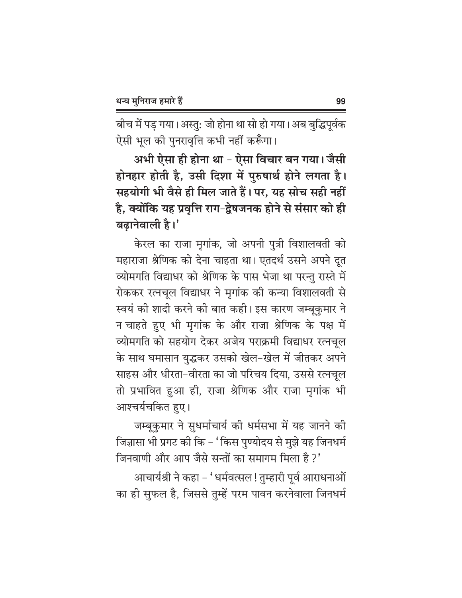बीच में पड़ गया। अस्तु: जो होना था सो हो गया। अब बुद्धिपूर्वक ऐसी भूल की पुनरावृत्ति कभी नहीं करूँगा।

अभी ऐसा ही होना था - ऐसा विचार बन गया। जैसी होनहार होती है, उसी दिशा में पुरुषार्थ होने लगता है। सहयोगी भी वैसे ही मिल जाते हैं। पर, यह सोच सही नहीं है, क्योंकि यह प्रवृत्ति राग-द्वेषजनक होने से संसार को ही बढानेवाली है।'

केरल का राजा मृगांक, जो अपनी पुत्री विशालवती को महाराजा श्रेणिक को देना चाहता था। एतदर्थ उसने अपने दूत व्योमगति विद्याधर को श्रेणिक के पास भेजा था परन्तु रास्ते में रोककर रत्नचूल विद्याधर ने मृगांक की कन्या विशालवती से स्वयं की शादी करने की बात कही। इस कारण जम्बूकुमार ने न चाहते हुए भी मृगांक के और राजा श्रेणिक के पक्ष में व्योमगति को सहयोग देकर अजेय पराक्रमी विद्याधर रत्नचूल के साथ घमासान युद्धकर उसको खेल-खेल में जीतकर अपने साहस और धीरता-वीरता का जो परिचय दिया, उससे रत्नचूल तो प्रभावित हुआ ही, राजा श्रेणिक और राजा मृगांक भी आश्चर्यचकित हुए।

जम्बूकुमार ने सुधर्माचार्य की धर्मसभा में यह जानने की जिज्ञासा भी प्रगट की कि - 'किस पुण्योदय से मुझे यह जिनधर्म जिनवाणी और आप जैसे सन्तों का समागम मिला है ?'

आचार्यश्री ने कहा – 'धर्मवत्सल! तुम्हारी पूर्व आराधनाओं का ही सुफल है, जिससे तुम्हें परम पावन करनेवाला जिनधर्म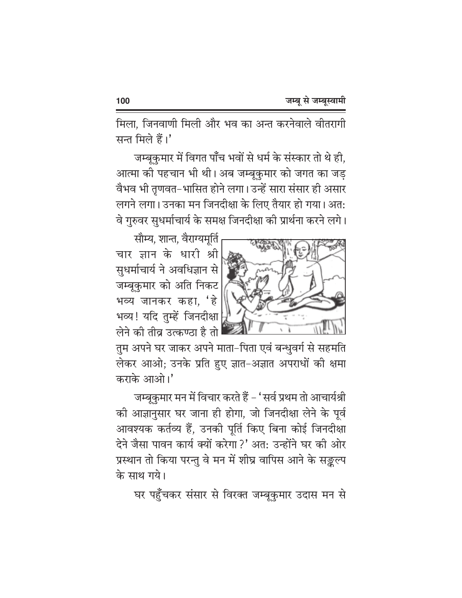मिला, जिनवाणी मिली और भव का अन्त करनेवाले वीतरागी सन्त मिले हैं।'

जम्बूकुमार में विगत पाँच भवों से धर्म के संस्कार तो थे ही, आत्मा की पहचान भी थी। अब जम्बूकुमार को जगत का जड़ वैभव भी तृणवत-भासित होने लगा। उन्हें सारा संसार ही असार लगने लगा। उनका मन जिनदीक्षा के लिए तैयार हो गया। अत: वे गुरुवर सुधर्माचार्य के समक्ष जिनदीक्षा की प्रार्थना करने लगे।



सौम्य. शान्त. वैराग्यमर्ति चार ज्ञान के धारी श्री सुधर्माचार्य ने अवधिज्ञान से जम्बूकुमार को अति निकट भव्य जानकर कहा, 'हे भव्य! यदि तुम्हें जिनदीक्षा लेने की तीव उत्कण्ठा है तो

तुम अपने घर जाकर अपने माता-पिता एवं बन्धवर्ग से सहमति लेकर आओ; उनके प्रति हुए ज्ञात-अज्ञात अपराधों की क्षमा कराके आओ।'

जम्बूकुमार मन में विचार करते हैं – 'सर्व प्रथम तो आचार्यश्री की आज्ञानुसार घर जाना ही होगा, जो जिनदीक्षा लेने के पूर्व आवश्यक कर्तव्य हैं, उनकी पूर्ति किए बिना कोई जिनदीक्षा देने जैसा पावन कार्य क्यों करेगा ?' अत: उन्होंने घर की ओर प्रस्थान तो किया परन्तु वे मन में शीघ्र वापिस आने के सङ्कल्प के साथ गये।

घर पहुँचकर संसार से विरक्त जम्बुकुमार उदास मन से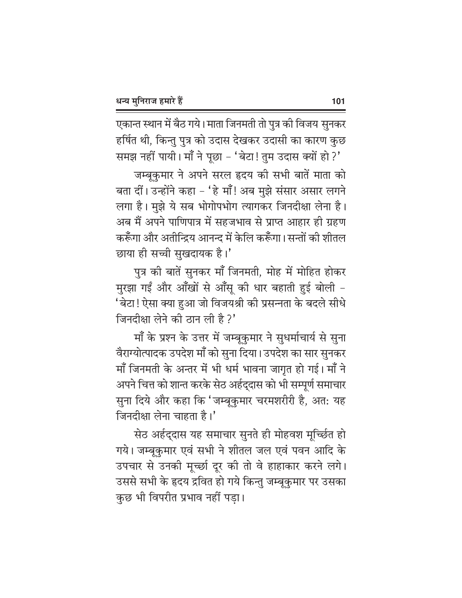एकान्त स्थान में बैठ गये। माता जिनमती तो पुत्र की विजय सुनकर हर्षित थी, किन्तु पुत्र को उदास देखकर उदासी का कारण कुछ समझ नहीं पायी। माँ ने पूछा - 'बेटा! तुम उदास क्यों हो ?'

जम्बूकुमार ने अपने सरल हृदय की सभी बातें माता को बता दीं। उन्होंने कहा - 'हे माँ! अब मुझे संसार असार लगने लगा है। मुझे ये सब भोगोपभोग त्यागकर जिनदीक्षा लेना है। अब मैं अपने पाणिपात्र में सहजभाव से प्राप्त आहार ही ग्रहण करूँगा और अतीन्द्रिय आनन्द में केलि करूँगा। सन्तों की शीतल छाया ही सच्ची सुखदायक है।'

पुत्र की बातें सुनकर माँ जिनमती, मोह में मोहित होकर मुरझा गईं और आँखों से आँसू की धार बहाती हुई बोली -'बेटा! ऐसा क्या हुआ जो विजयश्री की प्रसन्नता के बदले सीधे जिनदीक्षा लेने की ठान ली है ?'

माँ के प्रश्न के उत्तर में जम्बूकुमार ने सुधर्माचार्य से सुना वैराग्योत्पादक उपदेश माँ को सुना दिया। उपदेश का सार सुनकर माँ जिनमती के अन्तर में भी धर्म भावना जागृत हो गई। माँ ने अपने चित्त को शान्त करके सेठ अर्हद्दास को भी सम्पूर्ण समाचार सुना दिये और कहा कि 'जम्बूकुमार चरमशरीरी है, अत: यह जिनदीक्षा लेना चाहता है।'

सेठ अर्हद्दास यह समाचार सुनते ही मोहवश मूर्च्छित हो गये। जम्बूकुमार एवं सभी ने शीतल जल एवं पवन आदि के उपचार से उनकी मूच्छा दूर की तो वे हाहाकार करने लगे। उससे सभी के हृदय द्रवित हो गये किन्तु जम्बूकुमार पर उसका कुछ भी विपरीत प्रभाव नहीं पड़ा।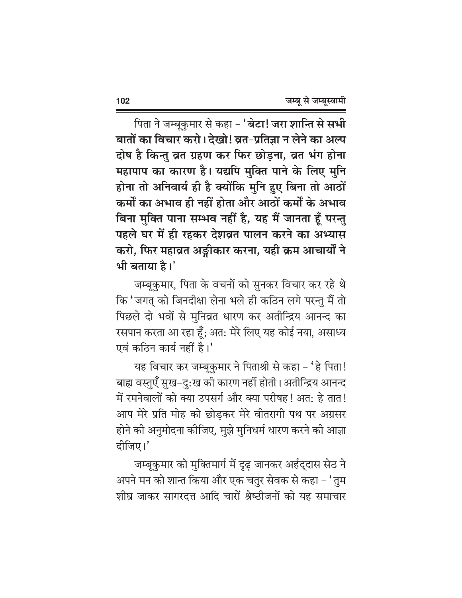पिता ने जम्बूकुमार से कहा - '**बेटा! जरा शान्ति से सभी** बातों का विचार करो। देखो! व्रत-प्रतिज्ञा न लेने का अल्प दोष है किन्तु व्रत ग्रहण कर फिर छोड़ना, व्रत भंग होना महापाप का कारण है। यद्यपि मुक्ति पाने के लिए मुनि होना तो अनिवार्य ही है क्योंकि मुनि हुए बिना तो आठों कर्मों का अभाव ही नहीं होता और आठों कर्मों के अभाव बिना मुक्ति पाना सम्भव नहीं है, यह मैं जानता हूँ परन्तु पहले घर में ही रहकर देशव्रत पालन करने का अभ्यास करो, फिर महाव्रत अङ्गीकार करना, यही क्रम आचार्यों ने भी बताया है।'

जम्बूकुमार, पिता के वचनों को सुनकर विचार कर रहे थे कि 'जगत् को जिनदीक्षा लेना भले ही कठिन लगे परन्तु मैं तो पिछले दो भवों से मुनिव्रत धारण कर अतीन्द्रिय आनन्द का रसपान करता आ रहा हूँ; अत: मेरे लिए यह कोई नया, असाध्य एवं कठिन कार्य नहीं है।'

यह विचार कर जम्बूकुमार ने पिताश्री से कहा - 'हे पिता! बाह्य वस्तुएँ सुख-दु:ख की कारण नहीं होती। अतीन्द्रिय आनन्द में रमनेवालों को क्या उपसर्ग और क्या परीषह ! अत: हे तात ! आप मेरे प्रति मोह को छोडकर मेरे वीतरागी पथ पर अग्रसर होने की अनुमोदना कीजिए, मुझे मुनिधर्म धारण करने की आज्ञा दीजिए।'

जम्बूकुमार को मुक्तिमार्ग में दृढ़ जानकर अर्हद्दास सेठ ने अपने मन को शान्त किया और एक चतुर सेवक से कहा – 'तुम शीघ्र जाकर सागरदत्त आदि चारों श्रेष्ठीजनों को यह समाचार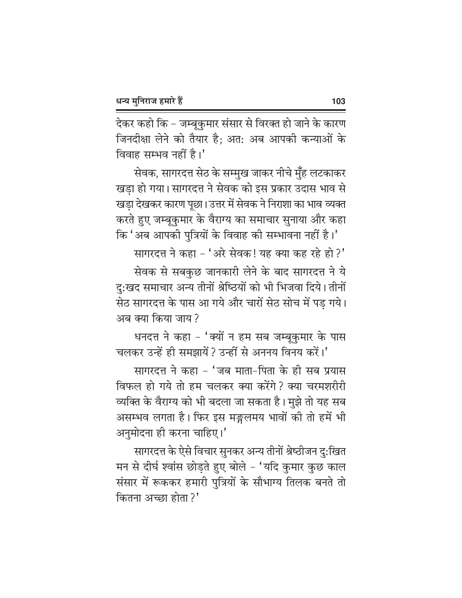देकर कहो कि – जम्बूकुमार संसार से विरक्त हो जाने के कारण जिनदीक्षा लेने को तैयार है; अत: अब आपकी कन्याओं के विवाह सम्भव नहीं है।'

सेवक, सागरदत्त सेठ के सम्मुख जाकर नीचे मुँह लटकाकर खड़ा हो गया। सागरदत्त ने सेवक को इस प्रकार उदास भाव से खड़ा देखकर कारण पूछा। उत्तर में सेवक ने निराशा का भाव व्यक्त करते हुए जम्बूकुमार के वैराग्य का समाचार सुनाया और कहा कि 'अब आपकी पुत्रियों के विवाह की सम्भावना नहीं है।'

सागरदत्त ने कहा - 'अरे सेवक! यह क्या कह रहे हो?'

सेवक से सबकुछ जानकारी लेने के बाद सागरदत्त ने ये दु:खद समाचार अन्य तीनों श्रेष्ठियों को भी भिजवा दिये। तीनों सेठ सागरदत्त के पास आ गये और चारों सेठ सोच में पड गये। अब क्या किया जाय ?

धनदत्त ने कहा - 'क्यों न हम सब जम्बृकुमार के पास चलकर उन्हें ही समझायें ? उन्हीं से अननय विनय करें।'

सागरदत्त ने कहा - 'जब माता-पिता के ही सब प्रयास विफल हो गये तो हम चलकर क्या करेंगे? क्या चरमशरीरी व्यक्ति के वैराग्य को भी बदला जा सकता है। मुझे तो यह सब असम्भव लगता है। फिर इस मङ्गलमय भावों की तो हमें भी अनुमोदना ही करना चाहिए।'

सागरदत्त के ऐसे विचार सुनकर अन्य तीनों श्रेष्ठीजन दु:खित मन से दीर्घ श्वांस छोड़ते हुए बोले - 'यदि कुमार कुछ काल संसार में रूककर हमारी पुत्रियों के सौभाग्य तिलक बनते तो कितना अच्छा होता ?'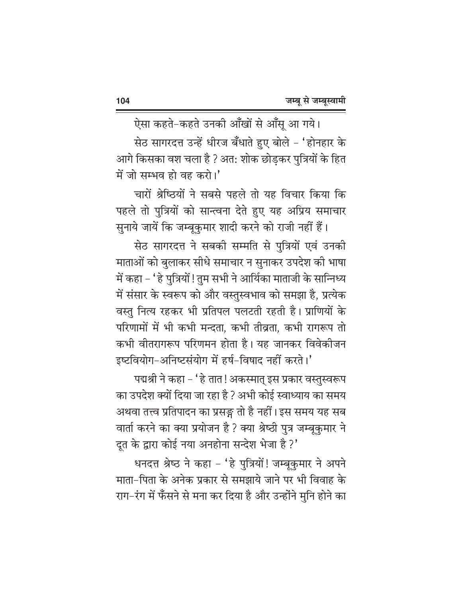ऐसा कहते-कहते उनकी आँखों से आँसू आ गये। सेठ सागरदत्त उन्हें धीरज बँधाते हुए बोले – 'होनहार के आगे किसका वश चला है ? अत: शोक छोड़कर पुत्रियों के हित में जो सम्भव हो वह करो।'

चारों श्रेष्ठियों ने सबसे पहले तो यह विचार किया कि पहले तो पुत्रियों को सान्त्वना देते हुए यह अप्रिय समाचार सुनाये जायें कि जम्बूकुमार शादी करने को राजी नहीं हैं।

सेठ सागरदत्त ने सबकी सम्मति से पुत्रियों एवं उनकी माताओं को बुलाकर सीधे समाचार न सुनाकर उपदेश की भाषा में कहा – ' हे पुत्रियों ! तुम सभी ने आर्यिका माताजी के सान्निध्य में संसार के स्वरूप को और वस्तुस्वभाव को समझा है, प्रत्येक वस्तु नित्य रहकर भी प्रतिपल पलटती रहती है। प्राणियों के परिणामों में भी कभी मन्दता, कभी तीव्रता, कभी रागरूप तो कभी वीतरागरूप परिणमन होता है। यह जानकर विवेकीजन इष्टवियोग-अनिष्टसंयोग में हर्ष-विषाद नहीं करते।'

पद्मश्री ने कहा – ' हे तात ! अकस्मात् इस प्रकार वस्तुस्वरूप का उपदेश क्यों दिया जा रहा है ? अभी कोई स्वाध्याय का समय अथवा तत्त्व प्रतिपादन का प्रसङ्ग तो है नहीं। इस समय यह सब वार्ता करने का क्या प्रयोजन है ? क्या श्रेष्ठी पुत्र जम्बूकुमार ने दूत के द्वारा कोई नया अनहोना सन्देश भेजा है ?'

धनदत्त श्रेष्ठ ने कहा - 'हे पुत्रियों! जम्बूकुमार ने अपने माता-पिता के अनेक प्रकार से समझाये जाने पर भी विवाह के राग-रंग में फँसने से मना कर दिया है और उन्होंने मुनि होने का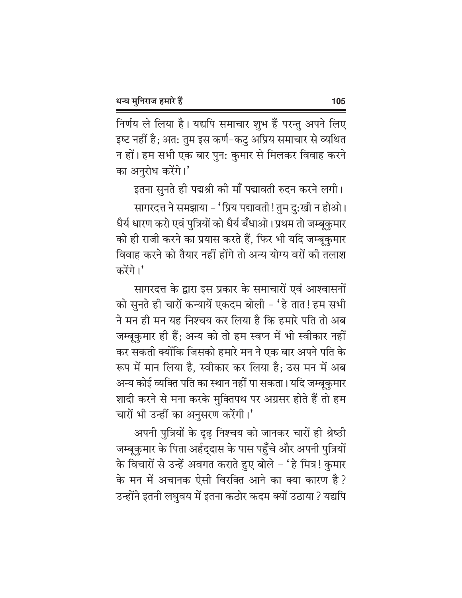निर्णय ले लिया है। यद्यपि समाचार शुभ हैं परन्तु अपने लिए इष्ट नहीं है; अत: तुम इस कर्ण–कटु अप्रिय समाचार से व्यथित न हों। हम सभी एक बार पुन: कुमार से मिलकर विवाह करने का अनुरोध करेंगे।'

इतना सुनते ही पद्मश्री की माँ पद्मावती रुदन करने लगी।

सागरदत्त ने समझाया – 'प्रिय पद्मावती ! तुम दु:खी न होओ। धैर्य धारण करो एवं पुत्रियों को धैर्य बँधाओ। प्रथम तो जम्बूकुमार को ही राजी करने का प्रयास करते हैं, फिर भी यदि जम्बूकुमार विवाह करने को तैयार नहीं होंगे तो अन्य योग्य वरों की तलाश करेंगे।'

सागरदत्त के द्वारा इस प्रकार के समाचारों एवं आश्वासनों को सुनते ही चारों कन्यायें एकदम बोली - 'हे तात! हम सभी ने मन ही मन यह निश्चय कर लिया है कि हमारे पति तो अब जम्बूकुमार ही हैं; अन्य को तो हम स्वप्न में भी स्वीकार नहीं कर सकती क्योंकि जिसको हमारे मन ने एक बार अपने पति के रूप में मान लिया है, स्वीकार कर लिया है; उस मन में अब अन्य कोई व्यक्ति पति का स्थान नहीं पा सकता। यदि जम्बूकुमार शादी करने से मना करके मुक्तिपथ पर अग्रसर होते हैं तो हम चारों भी उन्हीं का अनुसरण करेंगी।'

अपनी पुत्रियों के दृढ़ निश्चय को जानकर चारों ही श्रेष्ठी जम्बूकुमार के पिता अर्हद्दास के पास पहुँचे और अपनी पुत्रियों के विचारों से उन्हें अवगत कराते हुए बोले – 'हे मित्र! कुमार के मन में अचानक ऐसी विरक्ति आने का क्या कारण है? उन्होंने इतनी लघवय में इतना कठोर कदम क्यों उठाया ? यद्यपि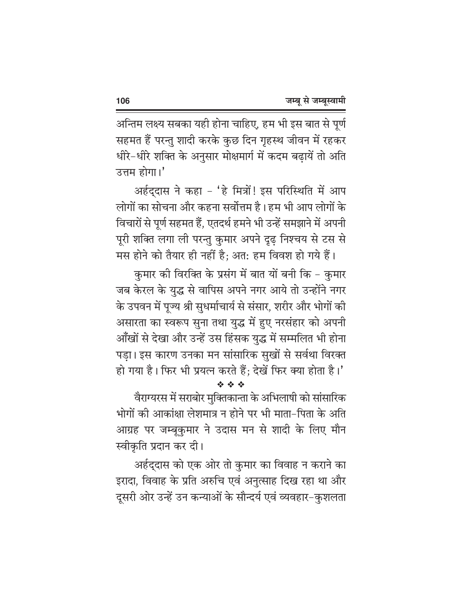अन्तिम लक्ष्य सबका यही होना चाहिए, हम भी इस बात से पूर्ण सहमत हैं परन्तु शादी करके कुछ दिन गृहस्थ जीवन में रहकर धीरे–धीरे शक्ति के अनुसार मोक्षमार्ग में कदम बढायें तो अति उत्तम होगा।'

अर्हद्दास ने कहा - 'हे मित्रों! इस परिस्थिति में आप लोगों का सोचना और कहना सर्वोत्तम है। हम भी आप लोगों के विचारों से पूर्ण सहमत हैं, एतदर्थ हमने भी उन्हें समझाने में अपनी पूरी शक्ति लगा ली परन्तु कुमार अपने दृढ़ निश्चय से टस से मस होने को तैयार ही नहीं है; अत: हम विवश हो गये हैं।

कुमार की विरक्ति के प्रसंग में बात यों बनी कि – कुमार जब केरल के युद्ध से वापिस अपने नगर आये तो उन्होंने नगर के उपवन में पूज्य श्री सुधर्माचार्य से संसार, शरीर और भोगों की असारता का स्वरूप सुना तथा युद्ध में हुए नरसंहार को अपनी आँखों से देखा और उन्हें उस हिंसक युद्ध में सम्मलित भी होना पडा। इस कारण उनका मन सांसारिक सुखों से सर्वथा विरक्त हो गया है। फिर भी प्रयत्न करते हैं; देखें फिर क्या होता है।'

वैराग्यरस में सराबोर मुक्तिकान्ता के अभिलाषी को सांसारिक भोगों की आकांक्षा लेशमात्र न होने पर भी माता-पिता के अति आग्रह पर जम्बूकुमार ने उदास मन से शादी के लिए मौन स्वीकृति प्रदान कर दी।

经合金

अर्हद्दास को एक ओर तो कुमार का विवाह न कराने का इरादा, विवाह के प्रति अरुचि एवं अनुत्साह दिख रहा था और दूसरी ओर उन्हें उन कन्याओं के सौन्दर्य एवं व्यवहार-कुशलता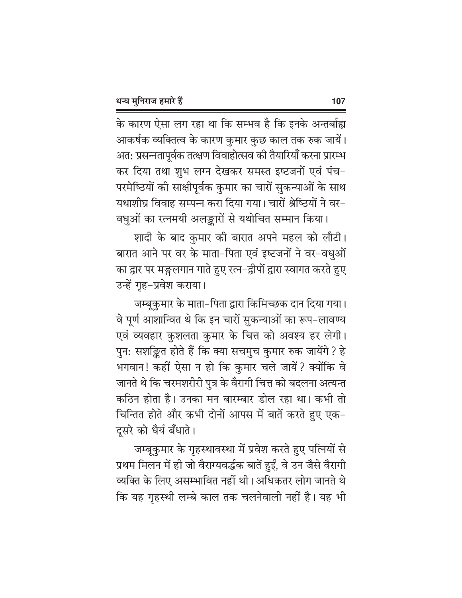के कारण ऐसा लग रहा था कि सम्भव है कि इनके अन्तर्बाह्य आकर्षक व्यक्तित्व के कारण कुमार कुछ काल तक रुक जायें। अत: प्रसन्नतापूर्वक तत्क्षण विवाहोत्सव की तैयारियाँ करना प्रारम्भ कर दिया तथा शुभ लग्न देखकर समस्त इष्टजनों एवं पंच-परमेष्ठियों की साक्षीपूर्वक कुमार का चारों सुकन्याओं के साथ यथाशीघ्र विवाह सम्पन्न करा दिया गया। चारों श्रेष्ठियों ने वर-वधुओं का रत्नमयी अलङ्कारों से यथोचित सम्मान किया।

शादी के बाद कुमार की बारात अपने महल को लौटी। बारात आने पर वर के माता-पिता एवं इष्टजनों ने वर-वधुओं का द्वार पर मङ्गलगान गाते हुए रत्न–द्वीपों द्वारा स्वागत करते हुए उन्हें गृह-प्रवेश कराया।

जम्बूकुमार के माता-पिता द्वारा किमिच्छक दान दिया गया। वे पूर्ण आशान्वित थे कि इन चारों सुकन्याओं का रूप-लावण्य एवं व्यवहार कुशलता कुमार के चित्त को अवश्य हर लेगी। पुन: सशङ्कित होते हैं कि क्या सचमुच कुमार रुक जायेंगे ? हे भगवान! कहीं ऐसा न हो कि कुमार चले जायें? क्योंकि वे जानते थे कि चरमशरीरी पुत्र के वैरागी चित्त को बदलना अत्यन्त कठिन होता है। उनका मन बारम्बार डोल रहा था। कभी तो चिन्तित होते और कभी दोनों आपस में बातें करते हुए एक-दूसरे को धैर्य बँधाते।

जम्बूकुमार के गृहस्थावस्था में प्रवेश करते हुए पत्नियों से प्रथम मिलन में ही जो वैराग्यवर्द्धक बातें हुईं, वे उन जैसे वैरागी व्यक्ति के लिए असम्भावित नहीं थी। अधिकतर लोग जानते थे कि यह गृहस्थी लम्बे काल तक चलनेवाली नहीं है। यह भी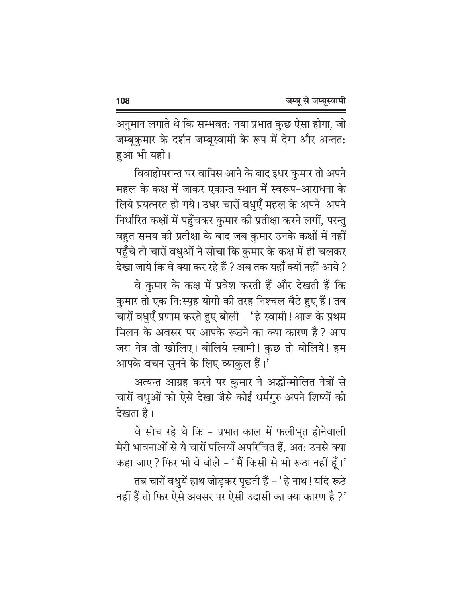अनुमान लगाते थे कि सम्भवत: नया प्रभात कुछ ऐसा होगा, जो जम्बूकुमार के दर्शन जम्बूस्वामी के रूप में देगा और अन्तत: हआ भी यही।

विवाहोपरान्त घर वापिस आने के बाद इधर कुमार तो अपने महल के कक्ष में जाकर एकान्त स्थान में स्वरूप-आराधना के लिये प्रयत्नरत हो गये। उधर चारों वधुएँ महल के अपने-अपने निर्धारित कक्षों में पहुँचकर कुमार की प्रतीक्षा करने लगीं, परन्तु बहुत समय की प्रतीक्षा के बाद जब कुमार उनके कक्षों में नहीं पहुँचे तो चारों वधुओं ने सोचा कि कुमार के कक्ष में ही चलकर देखा जाये कि वे क्या कर रहे हैं ? अब तक यहाँ क्यों नहीं आये ?

वे कुमार के कक्ष में प्रवेश करती हैं और देखती हैं कि कुमार तो एक नि:स्पृह योगी की तरह निश्चल बैठे हुए हैं। तब चारों वधुएँ प्रणाम करते हुए बोली – 'हे स्वामी ! आज के प्रथम मिलन के अवसर पर आपके रूठने का क्या कारण है ? आप जरा नेत्र तो खोलिए। बोलिये स्वामी! कुछ तो बोलिये! हम आपके वचन सुनने के लिए व्याकुल हैं।'

अत्यन्त आग्रह करने पर कुमार ने अर्द्धोन्मीलित नेत्रों से चारों वधुओं को ऐसे देखा जैसे कोई धर्मगुरु अपने शिष्यों को देखता है।

वे सोच रहे थे कि - प्रभात काल में फलीभूत होनेवाली मेरी भावनाओं से ये चारों पत्नियाँ अपरिचित हैं, अत: उनसे क्या कहा जाए ? फिर भी वे बोले - 'मैं किसी से भी रूठा नहीं हूँ।' तब चारों वधुयें हाथ जोड़कर पूछती हैं – 'हे नाथ ! यदि रूठे नहीं हैं तो फिर ऐसे अवसर पर ऐसी उदासी का क्या कारण है ?'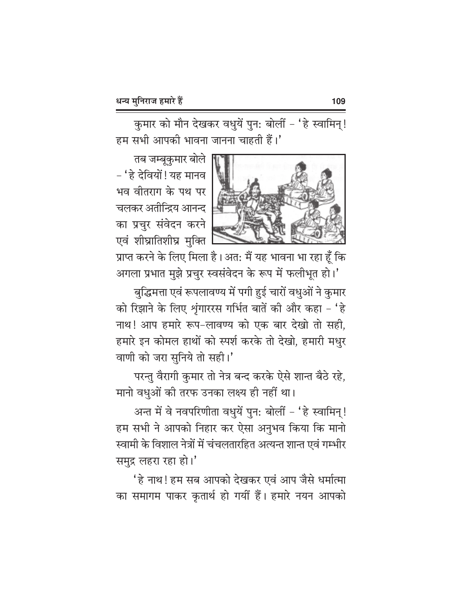कुमार को मौन देखकर वधुयें पुन: बोलीं - 'हे स्वामिन्! हम सभी आपकी भावना जानना चाहती हैं।'



तब जम्बूकुमार बोले – ' हे देवियों ! यह मानव भव वीतराग के पथ पर चलकर अतीन्द्रिय आनन्द का प्रचुर संवेदन करने एवं शीघ्रातिशीघ्र मुक्ति

प्राप्त करने के लिए मिला है। अत: मैं यह भावना भा रहा हूँ कि आगला प्रभात मुझे प्रचुर स्वसंवेदन के रूप में फलीभूत हो।'

बुद्धिमत्ता एवं रूपलावण्य में पगी हुई चारों वधुओं ने कुमार को रिझाने के लिए शृंगाररस गर्भित बातें की और कहा - 'हे नाथ! आप हमारे रूप-लावण्य को एक बार देखो तो सही, हमारे इन कोमल हाथों को स्पर्श करके तो देखो, हमारी मधुर वाणी को जरा सुनिये तो सही।'

परन्तु वैरागी कुमार तो नेत्र बन्द करके ऐसे शान्त बैठे रहे. मानो वधुओं की तरफ उनका लक्ष्य ही नहीं था।

अन्त में वे नवपरिणीता वधुयें पुन: बोलीं - 'हे स्वामिन्! हम सभी ने आपको निहार कर ऐसा अनुभव किया कि मानो स्वामी के विशाल नेत्रों में चंचलतारहित अत्यन्त शान्त एवं गम्भीर समुद्र लहरा रहा हो।'

'हे नाथ! हम सब आपको देखकर एवं आप जैसे धर्मात्मा का समागम पाकर कृतार्थ हो गयीं हैं। हमारे नयन आपको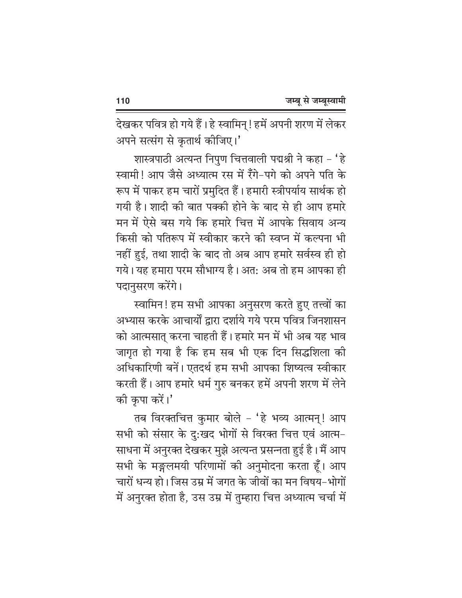देखकर पवित्र हो गये हैं। हे स्वामिन् ! हमें अपनी शरण में लेकर अपने सत्संग से कृतार्थ कीजिए।'

शास्त्रपाठी अत्यन्त निपुण चित्तवाली पद्मश्री ने कहा – 'हे स्वामी! आप जैसे अध्यात्म रस में रँगे-पगे को अपने पति के रूप में पाकर हम चारों प्रमुदित हैं। हमारी स्त्रीपर्याय सार्थक हो गयी है। शादी की बात पक्की होने के बाद से ही आप हमारे मन में ऐसे बस गये कि हमारे चित्त में आपके सिवाय अन्य किसी को पतिरूप में स्वीकार करने की स्वप्न में कल्पना भी नहीं हुई, तथा शादी के बाद तो अब आप हमारे सर्वस्व ही हो गये। यह हमारा परम सौभाग्य है। अत: अब तो हम आपका ही पदानुसरण करेंगे।

स्वामिन! हम सभी आपका अनुसरण करते हुए तत्त्वों का अभ्यास करके आचार्यों द्रारा दर्शाये गये परम पवित्र जिनशासन को आत्मसात् करना चाहती हैं। हमारे मन में भी अब यह भाव जागृत हो गया है कि हम सब भी एक दिन सिद्धशिला की अधिकारिणी बनें। एतदर्थ हम सभी आपका शिष्यत्व स्वीकार करती हैं। आप हमारे धर्म गुरु बनकर हमें अपनी शरण में लेने की कृपा करें।'

तब विरक्तचित्त कुमार बोले - 'हे भव्य आत्मन्! आप सभी को संसार के दु:खद भोगों से विरक्त चित्त एवं आत्म-साधना में अनुरक्त देखकर मुझे अत्यन्त प्रसन्नता हुई है। मैं आप सभी के मङ्गलमयी परिणामों की अनुमोदना करता हूँ। आप चारों धन्य हो। जिस उम्र में जगत के जीवों का मन विषय-भोगों में अनुरक्त होता है, उस उम्र में तुम्हारा चित्त अध्यात्म चर्चा में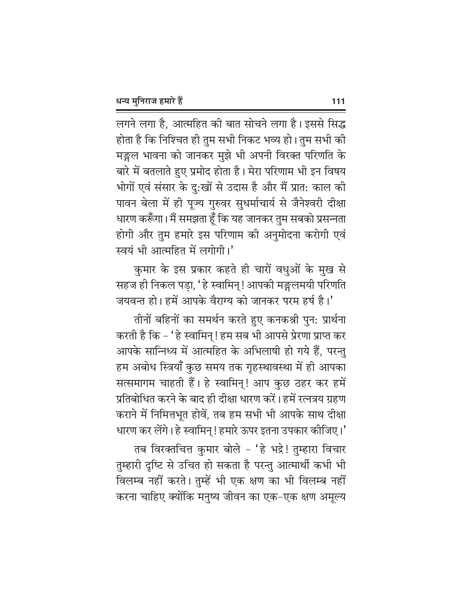लगने लगा है, आत्महित की बात सोचने लगा है। इससे सिद्ध होता है कि निश्चित ही तुम सभी निकट भव्य हो। तुम सभी की मङ्गल भावना को जानकर मुझे भी अपनी विरक्त परिणति के बारे में बतलाते हुए प्रमोद होता है। मेरा परिणाम भी इन विषय भोगों एवं संसार के दु:खों से उदास है और मैं प्रात: काल की पावन बेला में ही पूज्य गुरुवर सुधर्माचार्य से जैनेश्वरी दीक्षा धारण करूँगा। मैं समझता हूँ कि यह जानकर तुम सबको प्रसन्नता होगी और तुम हमारे इस परिणाम की अनुमोदना करोगी एवं स्वयं भी आत्महित में लगोगी।'

कुमार के इस प्रकार कहते ही चारों वधुओं के मुख से सहज ही निकल पड़ा, 'हे स्वामिन् ! आपकी मङ्गलमयी परिणति जयवन्त हो। हमें आपके वैराग्य को जानकर परम हर्ष है।'

तीनों बहिनों का समर्थन करते हुए कनकश्री पुन: प्रार्थना करती है कि – ' हे स्वामिन् ! हम सब भी आपसे प्रेरणा प्राप्त कर आपके सान्निध्य में आत्महित के अभिलाषी हो गये हैं, परन्तु हम अबोध स्त्रियाँ कुछ समय तक गृहस्थावस्था में ही आपका सत्समागम चाहती हैं। हे स्वामिन्! आप कुछ ठहर कर हमें प्रतिबोधित करने के बाद ही दीक्षा धारण करें। हमें रत्नत्रय ग्रहण कराने में निमित्तभूत होवें, तब हम सभी भी आपके साथ दीक्षा धारण कर लेंगे। हे स्वामिन् ! हमारे ऊपर इतना उपकार कीजिए।'

तब विरक्तचित्त कुमार बोले - 'हे भद्रे! तुम्हारा विचार तुम्हारी दृष्टि से उचित हो सकता है परन्तु आत्मार्थी कभी भी विलम्ब नहीं करते। तुम्हें भी एक क्षण का भी विलम्ब नहीं करना चाहिए क्योंकि मनुष्य जीवन का एक-एक क्षण अमूल्य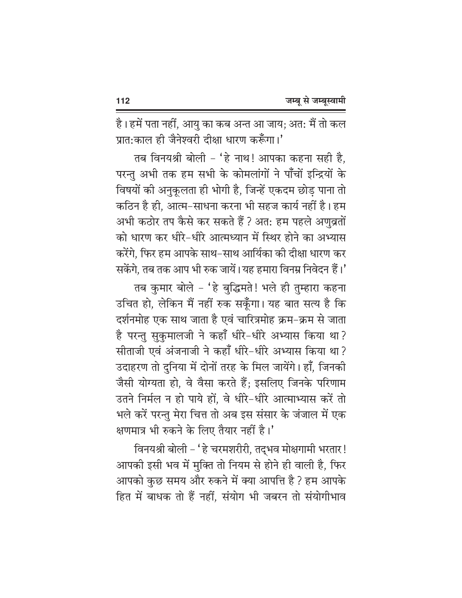है। हमें पता नहीं, आयु का कब अन्त आ जाय; अत: मैं तो कल प्रात:काल ही जैनेश्वरी दीक्षा धारण करूँगा।'

तब विनयश्री बोली - 'हे नाथ! आपका कहना सही है, परन्तु अभी तक हम सभी के कोमलांगों ने पाँचों इन्द्रियों के विषयों की अनुकूलता ही भोगी है, जिन्हें एकदम छोड पाना तो कठिन है ही, आत्म-साधना करना भी सहज कार्य नहीं है। हम अभी कठोर तप कैसे कर सकते हैं ? अत: हम पहले अणुव्रतों को धारण कर धीरे-धीरे आत्मध्यान में स्थिर होने का अभ्यास करेंगे, फिर हम आपके साथ–साथ आर्यिका की दीक्षा धारण कर सकेंगे. तब तक आप भी रुक जायें। यह हमारा विनम्र निवेदन हैं।'

तब कुमार बोले - 'हे बुद्धिमते! भले ही तुम्हारा कहना उचित हो, लेकिन मैं नहीं रुक सकूँगा। यह बात सत्य है कि दर्शनमोह एक साथ जाता है एवं चारित्रमोह क्रम-क्रम से जाता है परन्तु सुकुमालजी ने कहाँ धीरे-धीरे अभ्यास किया था? सीताजी एवं अंजनाजी ने कहाँ धीरे-धीरे अभ्यास किया था? उदाहरण तो दुनिया में दोनों तरह के मिल जायेंगे। हाँ, जिनकी जैसी योग्यता हो, वे वैसा करते हैं; इसलिए जिनके परिणाम उतने निर्मल न हो पाये हों. वे धीरे-धीरे आत्माभ्यास करें तो भले करें परन्तु मेरा चित्त तो अब इस संसार के जंजाल में एक क्षणमात्र भी रुकने के लिए तैयार नहीं है।'

विनयश्री बोली – 'हे चरमशरीरी, तद्भव मोक्षगामी भरतार ! आपकी इसी भव में मुक्ति तो नियम से होने ही वाली है, फिर आपको कुछ समय और रुकने में क्या आपत्ति है ? हम आपके हित में बाधक तो हैं नहीं, संयोग भी जबरन तो संयोगीभाव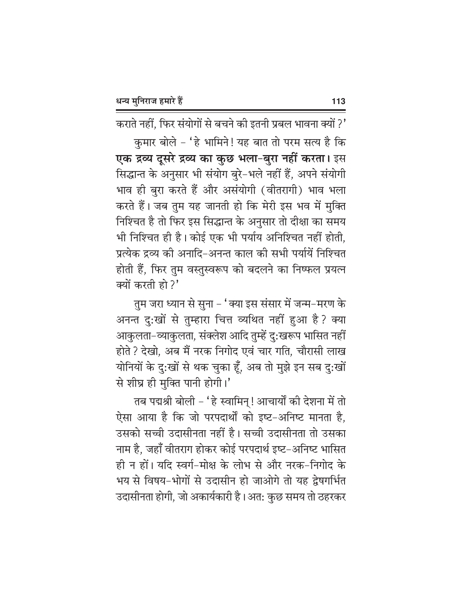कराते नहीं, फिर संयोगों से बचने की इतनी प्रबल भावना क्यों ?'

कुमार बोले – 'हे भामिने! यह बात तो परम सत्य है कि एक द्रव्य दूसरे द्रव्य का कुछ भला-बुरा नहीं करता। इस सिद्धान्त के अनुसार भी संयोग बुरे-भले नहीं हैं, अपने संयोगी भाव ही बुरा करते हैं और असंयोगी (वीतरागी) भाव भला करते हैं। जब तुम यह जानती हो कि मेरी इस भव में मुक्ति निश्चित है तो फिर इस सिद्धान्त के अनुसार तो दीक्षा का समय भी निश्चित ही है। कोई एक भी पर्याय अनिश्चित नहीं होती. प्रत्येक द्रव्य को अनादि-अनन्त काल को सभी पर्यायें निश्चित होती हैं, फिर तुम वस्तुस्वरूप को बदलने का निष्फल प्रयत्न क्यों करती हो?'

तुम जरा ध्यान से सुना – 'क्या इस संसार में जन्म–मरण के अनन्त दु:खों से तुम्हारा चित्त व्यथित नहीं हुआ है ? क्या आकुलता-व्याकुलता, संक्लेश आदि तुम्हें दु:खरूप भासित नहीं होते ? देखो, अब मैं नरक निगोद एवं चार गति, चौरासी लाख योनियों के दु:खों से थक चुका हूँ, अब तो मुझे इन सब दु:खों से शीघ्र ही मुक्ति पानी होगी।'

तब पद्मश्री बोली – 'हे स्वामिन् ! आचार्यों की देशना में तो ऐसा आया है कि जो परपदार्थों को इष्ट-अनिष्ट मानता है, उसको सच्ची उदासीनता नहीं है। सच्ची उदासीनता तो उसका नाम है, जहाँ वीतराग होकर कोई परपदार्थ इष्ट–अनिष्ट भासित ही न हों। यदि स्वर्ग-मोक्ष के लोभ से और नरक-निगोद के भय से विषय-भोगों से उदासीन हो जाओगे तो यह द्रेषगर्भित उदासीनता होगी, जो अकार्यकारी है। अत: कुछ समय तो ठहरकर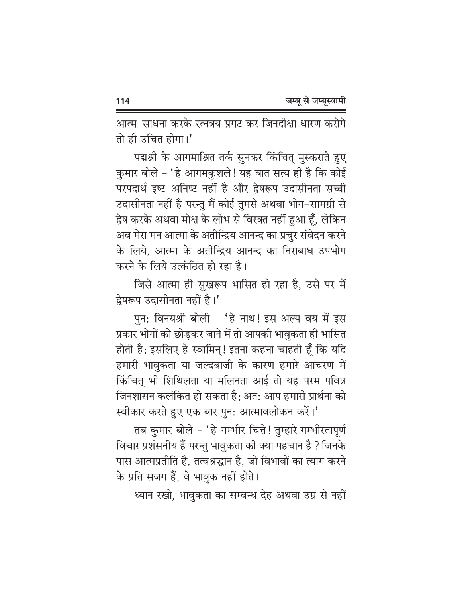आत्म-साधना करके रत्नत्रय प्रगट कर जिनदीक्षा धारण करोगे तो ही उचित होगा।'

पद्मश्री के आगमाश्रित तर्क सुनकर किंचित् मुस्कराते हुए कुमार बोले - 'हे आगमकुशले! यह बात सत्य ही है कि कोई परपदार्थ इष्ट-अनिष्ट नहीं है और द्वेषरूप उदासीनता सच्ची उदासीनता नहीं है परन्तु मैं कोई तुमसे अथवा भोग-सामग्री से द्वेष करके अथवा मोक्ष के लोभ से विरक्त नहीं हुआ हूँ, लेकिन अब मेरा मन आत्मा के अतीन्द्रिय आनन्द का प्रचुर संवेदन करने के लिये. आत्मा के अतीन्द्रिय आनन्द का निराबाध उपभोग करने के लिये उत्कंठित हो रहा है।

जिसे आत्मा ही सुखरूप भासित हो रहा है, उसे पर में द्रेषरूप उदासीनता नहीं है।'

पुन: विनयश्री बोली - 'हे नाथ! इस अल्प वय में इस प्रकार भोगों को छोड़कर जाने में तो आपकी भावुकता ही भासित होती है; इसलिए हे स्वामिन्! इतना कहना चाहती हूँ कि यदि हमारी भावुकता या जल्दबाजी के कारण हमारे आचरण में किंचित् भी शिथिलता या मलिनता आई तो यह परम पवित्र जिनशासन कलंकित हो सकता है; अत: आप हमारी प्रार्थना को स्वीकार करते हुए एक बार पुन: आत्मावलोकन करें।'

तब कुमार बोले - 'हे गम्भीर चित्ते! तुम्हारे गम्भीरतापूर्ण विचार प्रशंसनीय हैं परन्तु भावुकता की क्या पहचान है ? जिनके पास आत्मप्रतीति है, तत्वश्रद्धान है, जो विभावों का त्याग करने के प्रति सजग हैं, वे भावुक नहीं होते।

ध्यान रखो, भावुकता का सम्बन्ध देह अथवा उम्र से नहीं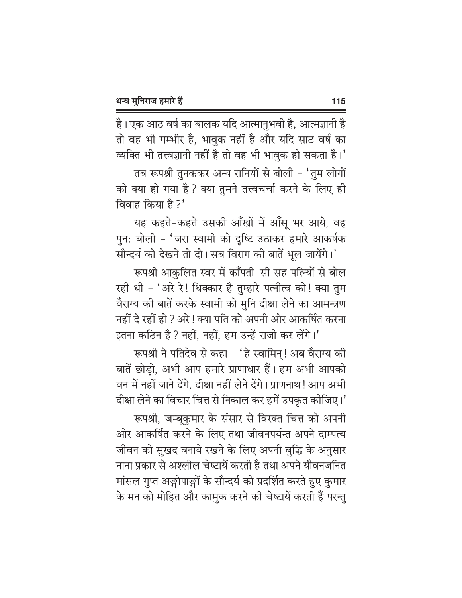है। एक आठ वर्ष का बालक यदि आत्मानुभवी है, आत्मज्ञानी है तो वह भी गम्भीर है, भावुक नहीं है और यदि साठ वर्ष का व्यक्ति भी तत्त्वज्ञानी नहीं है तो वह भी भावुक हो सकता है।'

तब रूपश्री तुनककर अन्य रानियों से बोली – 'तुम लोगों को क्या हो गया है ? क्या तुमने तत्त्वचर्चा करने के लिए ही विवाह किया है ?'

यह कहते-कहते उसकी आँखों में आँसू भर आये, वह पुन: बोली - 'जरा स्वामी को दृष्टि उठाकर हमारे आकर्षक सौन्दर्य को देखने तो दो। सब विराग की बातें भूल जायेंगे।'

रूपश्री आकृलित स्वर में कॉॅंपती-सी सह पत्न्यों से बोल रही थी - 'अरे रे! धिक्कार है तुम्हारे पत्नीत्व को! क्या तुम वैराग्य की बातें करके स्वामी को मुनि दीक्षा लेने का आमन्त्रण नहीं दे रहीं हो ? अरे ! क्या पति को अपनी ओर आकर्षित करना इतना कठिन है ? नहीं, नहीं, हम उन्हें राजी कर लेंगे।'

रूपश्री ने पतिदेव से कहा – 'हे स्वामिन्! अब वैराग्य की बातें छोड़ो, अभी आप हमारे प्राणाधार हैं। हम अभी आपको वन में नहीं जाने देंगे, दीक्षा नहीं लेने देंगे। प्राणनाथ ! आप अभी दीक्षा लेने का विचार चित्त से निकाल कर हमें उपकृत कीजिए।'

रूपश्री, जम्बूकुमार के संसार से विरक्त चित्त को अपनी ओर आकर्षित करने के लिए तथा जीवनपर्यन्त अपने दाम्पत्य जीवन को सुखद बनाये रखने के लिए अपनी बुद्धि के अनुसार नाना प्रकार से अश्लील चेष्टायें करती है तथा अपने यौवनजनित मांसल गुप्त अङ्गोपाङ्गों के सौन्दर्य को प्रदर्शित करते हुए कुमार के मन को मोहित और कामुक करने की चेष्टायें करती हैं परन्तु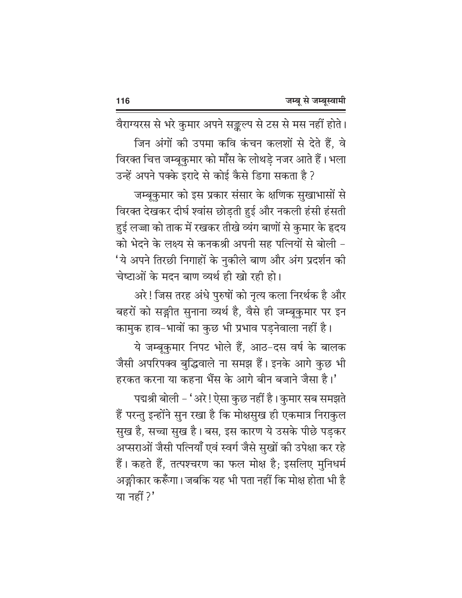वैराग्यरस से भरे कुमार अपने सङ्कल्प से टस से मस नहीं होते। जिन अंगों की उपमा कवि कंचन कलशों से देते हैं. वे विरक्त चित्त जम्बकुमार को माँस के लोथडे नजर आते हैं। भला उन्हें अपने पक्के इरादे से कोई कैसे डिगा सकता है ?

जम्बूकुमार को इस प्रकार संसार के क्षणिक सुखाभासों से विरक्त देखकर दीर्घ श्वांस छोड़ती हुई और नकली हंसी हंसती हुई लज्जा को ताक में रखकर तीखे व्यंग बाणों से कुमार के हृदय को भेदने के लक्ष्य से कनकश्री अपनी सह पत्नियों से बोली -'ये अपने तिरछी निगाहों के नुकीले बाण और अंग प्रदर्शन की चेष्टाओं के मदन बाण व्यर्थ ही खो रही हो।

अरे ! जिस तरह अंधे पुरुषों को नृत्य कला निरर्थक है और बहरों को सङ्गीत सुनाना व्यर्थ है, वैसे ही जम्बूकुमार पर इन

कामुक हाव-भावों का कुछ भी प्रभाव पड़नेवाला नहीं है। ये जम्बूकमार निपट भोले हैं, आठ-दस वर्ष के बालक जैसी अपरिपक्व बुद्धिवाले ना समझ हैं। इनके आगे कुछ भी हरकत करना या कहना भैंस के आगे बीन बजाने जैसा है।'

पद्मश्री बोली - 'अरे! ऐसा कुछ नहीं है। कुमार सब समझते हैं परन्तु इन्होंने सुन रखा है कि मोक्षसुख ही एकमात्र निराकुल सुख है, सच्चा सुख है। बस, इस कारण ये उसके पीछे पड़कर अप्सराओं जैसी पत्नियाँ एवं स्वर्ग जैसे सुखों की उपेक्षा कर रहे हैं। कहते हैं, तत्पश्चरण का फल मोक्ष है; इसलिए मुनिधर्म अङ्गीकार करूँगा। जबकि यह भी पता नहीं कि मोक्ष होता भी है या नहीं ?'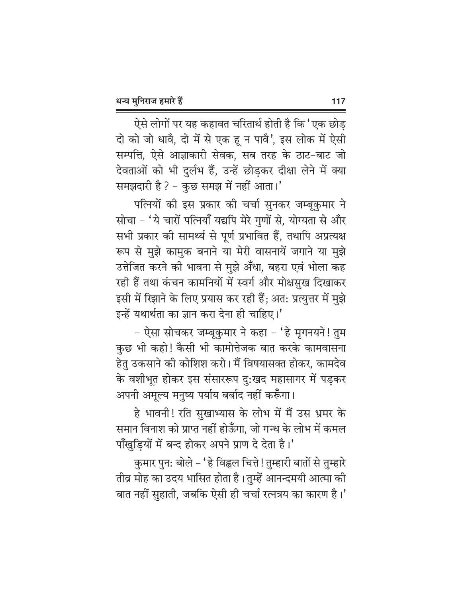ऐसे लोगों पर यह कहावत चरितार्थ होती है कि 'एक छोड दो को जो धावै, दो में से एक हू न पावै', इस लोक में ऐसी सम्पत्ति, ऐसे आज्ञाकारी सेवक, सब तरह के ठाट-बाट जो देवताओं को भी दुर्लभ हैं, उन्हें छोड़कर दीक्षा लेने में क्या समझदारी है ? - कुछ समझ में नहीं आता।'

पत्नियों की इस प्रकार की चर्चा सुनकर जम्बुकुमार ने सोचा - 'ये चारों पत्नियाँ यद्यपि मेरे गुणों से, योग्यता से और सभी प्रकार को सामर्थ्य से पूर्ण प्रभावित हैं, तथापि अप्रत्यक्ष रूप से मुझे कामुक बनाने या मेरी वासनायें जगाने या मुझे उत्तेजित करने की भावना से मुझे अँधा, बहरा एवं भोला कह रही हैं तथा कंचन कामनियों में स्वर्ग और मोक्षसुख दिखाकर इसी में रिझाने के लिए प्रयास कर रही हैं; अत: प्रत्युत्तर में मुझे इन्हें यथार्थता का ज्ञान करा देना ही चाहिए।'

- ऐसा सोचकर जम्बूकुमार ने कहा - 'हे मृगनयने! तुम कुछ भी कहो! कैसी भी कामोत्तेजक बात करके कामवासना हेतु उकसाने की कोशिश करो। मैं विषयासक्त होकर, कामदेव के वशीभूत होकर इस संसाररूप दु:खद महासागर में पड़कर अपनी अमूल्य मनुष्य पर्याय बर्बाद नहीं करूँगा।

हे भावनी! रति सुखाभ्यास के लोभ में मैं उस भ्रमर के समान विनाश को प्राप्त नहीं होऊँगा. जो गन्ध के लोभ में कमल पॉॅंखुड़ियों में बन्द होकर अपने प्राण दे देता है।'

कुमार पुन: बोले – 'हे विह्वल चित्ते ! तुम्हारी बातों से तुम्हारे तीव्र मोह का उदय भासित होता है। तुम्हें आनन्दमयी आत्मा की बात नहीं सुहाती, जबकि ऐसी ही चर्चा रत्नत्रय का कारण है।'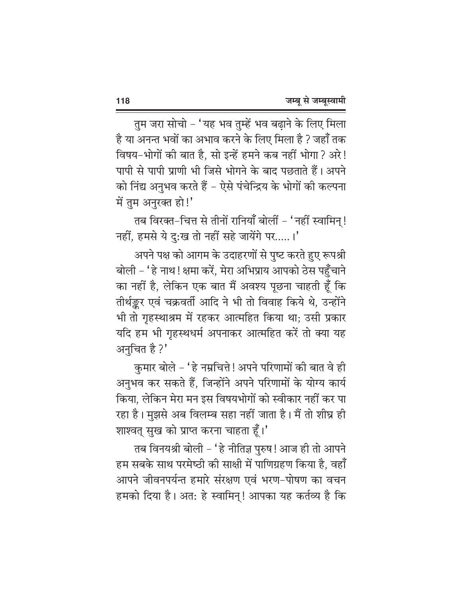तुम जरा सोचो - 'यह भव तुम्हें भव बढ़ाने के लिए मिला है या अनन्त भवों का अभाव करने के लिए मिला है ? जहाँ तक विषय-भोगों की बात है, सो इन्हें हमने कब नहीं भोगा ? अरे! पापी से पापी प्राणी भी जिसे भोगने के बाद पछताते हैं। अपने को निंद्य अनुभव करते हैं – ऐसे पंचेन्द्रिय के भोगों की कल्पना में तुम अनुरक्त हो!'

तब विरक्त-चित्त से तीनों रानियाँ बोलीं - 'नहीं स्वामिन्! नहीं, हमसे ये दु:ख तो नहीं सहे जायेंगे पर.....।'

अपने पक्ष को आगम के उदाहरणों से पुष्ट करते हुए रूपश्री बोली – ' हे नाथ ! क्षमा करें, मेरा अभिप्राय आपको ठेस पहुँचाने का नहीं है, लेकिन एक बात मैं अवश्य पूछना चाहती हूँ कि तीर्थङ्कर एवं चक्रवर्ती आदि ने भी तो विवाह किये थे, उन्होंने भी तो गृहस्थाश्रम में रहकर आत्महित किया था; उसी प्रकार यदि हम भी गृहस्थधर्म अपनाकर आत्महित करें तो क्या यह अनुचित है ?'

कुमार बोले - 'हे नम्रचित्ते ! अपने परिणामों की बात वे ही अनुभव कर सकते हैं, जिन्होंने अपने परिणामों के योग्य कार्य किया, लेकिन मेरा मन इस विषयभोगों को स्वीकार नहीं कर पा रहा है। मुझसे अब विलम्ब सहा नहीं जाता है। मैं तो शीघ्र ही शाश्वत् सुख को प्राप्त करना चाहता हूँ।'

तब विनयश्री बोली - 'हे नीतिज्ञ पुरुष! आज ही तो आपने हम सबके साथ परमेष्ठी की साक्षी में पाणिग्रहण किया है, वहाँ आपने जीवनपर्यन्त हमारे संरक्षण एवं भरण-पोषण का वचन हमको दिया है। अत: हे स्वामिन्! आपका यह कर्तव्य है कि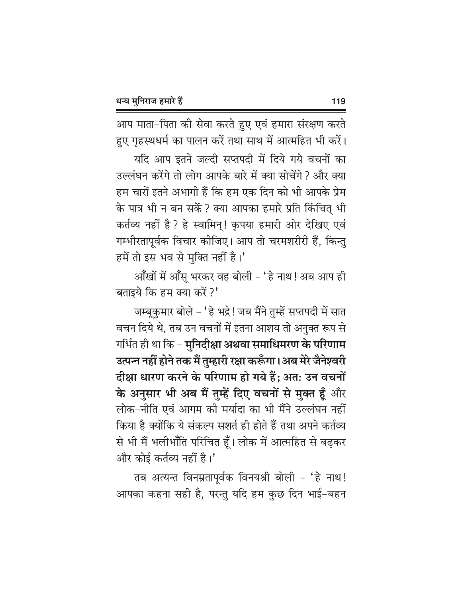आप माता-पिता की सेवा करते हुए एवं हमारा संरक्षण करते हुए गृहस्थधर्म का पालन करें तथा साथ में आत्महित भी करें।

यदि आप इतने जल्दी सप्तपदी में दिये गये वचनों का उल्लंघन करेंगे तो लोग आपके बारे में क्या सोचेंगे ? और क्या हम चारों इतने अभागी हैं कि हम एक दिन को भी आपके प्रेम के पात्र भी न बन सकें ? क्या आपका हमारे प्रति किंचित् भी कर्तव्य नहीं है ? हे स्वामिन्! कृपया हमारी ओर देखिए एवं गम्भीरतापूर्वक विचार कीजिए। आप तो चरमशरीरी हैं, किन्तु हमें तो इस भव से मुक्ति नहीं है।'

आँखों में आँसू भरकर वह बोली - 'हे नाथ! अब आप ही बताइये कि हम क्या करें ?'

जम्बुकुमार बोले – 'हे भद्रे ! जब मैंने तुम्हें सप्तपदी में सात वचन दिये थे, तब उन वचनों में इतना आशय तो अनुक्त रूप से गर्भित ही था कि - मुनिदीक्षा अथवा समाधिमरण के परिणाम उत्पन्न नहीं होने तक मैं तुम्हारी रक्षा करूँगा।अब मेरे जैनेश्वरी दीक्षा धारण करने के परिणाम हो गये हैं; अत: उन वचनों के अनुसार भी अब मैं तुम्हें दिए वचनों से मुक्त हूँ और लोक-नीति एवं आगम की मर्यादा का भी मैंने उल्लंघन नहीं किया है क्योंकि ये संकल्प सशर्त ही होते हैं तथा अपने कर्तव्य से भी मैं भलीभाँति परिचित हूँ। लोक में आत्महित से बढ़कर और कोई कर्तव्य नहीं है।'

तब अत्यन्त विनम्रतापूर्वक विनयश्री बोली - 'हे नाथ! आपका कहना सही है, परन्तु यदि हम कुछ दिन भाई-बहन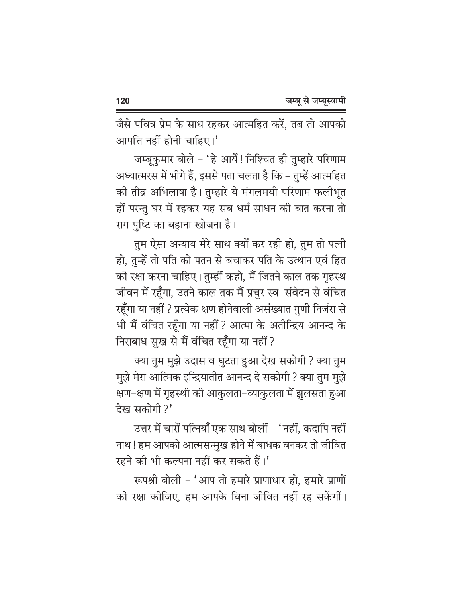जैसे पवित्र प्रेम के साथ रहकर आत्महित करें, तब तो आपको आपत्ति नहीं होनी चाहिए।'

जम्बूकुमार बोले - 'हे आर्ये! निश्चित ही तुम्हारे परिणाम अध्यात्मरस में भीगे हैं, इससे पता चलता है कि – तुम्हें आत्महित की तीव्र अभिलाषा है। तुम्हारे ये मंगलमयी परिणाम फलीभूत हों परन्तु घर में रहकर यह सब धर्म साधन की बात करना तो राग पुष्टि का बहाना खोजना है।

तुम ऐसा अन्याय मेरे साथ क्यों कर रही हो, तुम तो पत्नी हो, तुम्हें तो पति को पतन से बचाकर पति के उत्थान एवं हित की रक्षा करना चाहिए। तुम्हीं कहो, मैं जितने काल तक गृहस्थ जीवन में रहूँगा, उतने काल तक मैं प्रचुर स्व-संवेदन से वंचित रहूँगा या नहीं ? प्रत्येक क्षण होनेवाली असंख्यात गुणी निर्जरा से भी मैं वंचित रहूँगा या नहीं ? आत्मा के अतीन्द्रिय आनन्द के निराबाध सुख से मैं वंचित रहूँगा या नहीं ?

क्या तुम मुझे उदास व घुटता हुआ देख सकोगी ? क्या तुम मुझे मेरा आत्मिक इन्द्रियातीत आनन्द दे सकोगी ? क्या तुम मुझे क्षण–क्षण में गृहस्थी की आकुलता–व्याकुलता में झुलसता हुआ देख सकोगी?'

उत्तर में चारों पत्नियाँ एक साथ बोलीं – 'नहीं, कदापि नहीं नाथ ! हम आपको आत्मसन्मुख होने में बाधक बनकर तो जीवित रहने की भी कल्पना नहीं कर सकते हैं।'

रूपश्री बोली - 'आप तो हमारे प्राणाधार हो, हमारे प्राणों की रक्षा कीजिए. हम आपके बिना जीवित नहीं रह सकेंगीं।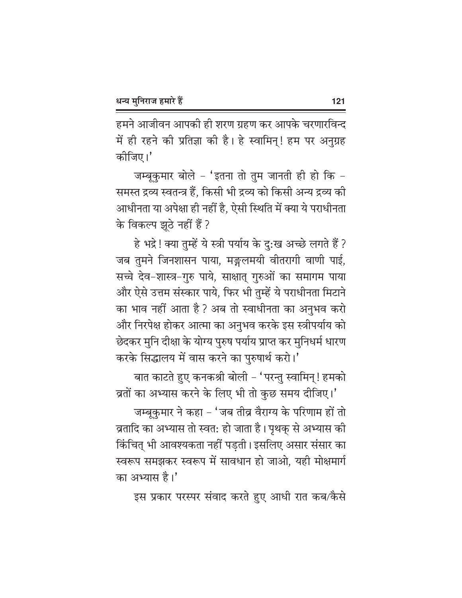हमने आजीवन आपकी ही शरण ग्रहण कर आपके चरणारविन्द में ही रहने की प्रतिज्ञा की है। हे स्वामिन्! हम पर अनुग्रह कीजिए।'

जम्बुकुमार बोले - 'इतना तो तुम जानती ही हो कि -समस्त द्रव्य स्वतन्त्र हैं, किसी भी द्रव्य को किसी अन्य द्रव्य की आधीनता या अपेक्षा ही नहीं है, ऐसी स्थिति में क्या ये पराधीनता के विकल्प झूठे नहीं हैं ?

हे भद्रे! क्या तुम्हें ये स्त्री पर्याय के दु:ख अच्छे लगते हैं ? जब तुमने जिनशासन पाया, मङ्गलमयी वीतरागी वाणी पाई, सच्चे देव-शास्त्र-गुरु पाये, साक्षात् गुरुओं का समागम पाया और ऐसे उत्तम संस्कार पाये, फिर भी तुम्हें ये पराधीनता मिटाने का भाव नहीं आता है ? अब तो स्वाधीनता का अनुभव करो और निरपेक्ष होकर आत्मा का अनुभव करके इस स्त्रीपर्याय को छेदकर मुनि दीक्षा के योग्य पुरुष पर्याय प्राप्त कर मुनिधर्म धारण करके सिद्धालय में वास करने का पुरुषार्थ करो।'

बात काटते हुए कनकश्री बोली - 'परन्तु स्वामिन् ! हमको त्रतों का अभ्यास करने के लिए भी तो कुछ समय दीजिए।'

जम्बूकुमार ने कहा – 'जब तीव्र वैराग्य के परिणाम हों तो व्रतादि का अभ्यास तो स्वत: हो जाता है। पृथक् से अभ्यास की किंचित् भी आवश्यकता नहीं पडती। इसलिए असार संसार का स्वरूप समझकर स्वरूप में सावधान हो जाओ. यही मोक्षमार्ग का अभ्यास है।'

इस प्रकार परस्पर संवाद करते हुए आधी रात कब/कैसे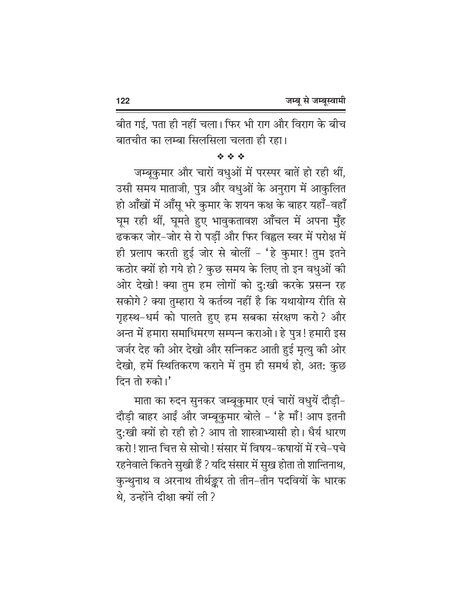बीत गई, पता ही नहीं चला। फिर भी राग और विराग के बीच बातचीत का लम्बा सिलसिला चलता ही रहा।

## 经合金

जम्बूकुमार और चारों वधुओं में परस्पर बातें हो रही थीं, उसी समय माताजी, पुत्र और वधुओं के अनुराग में आकुलित हो आँखों में आँसू भरे कुमार के शयन कक्ष के बाहर यहाँ-वहाँ घूम रही थीं, घूमते हुए भावुकतावश आँचल में अपना मुँह ढककर जोर-जोर से रो पड़ीं और फिर विह्वल स्वर में परोक्ष में ही प्रलाप करती हुई जोर से बोलीं - 'हे कुमार! तुम इतने कठोर क्यों हो गये हो ? कुछ समय के लिए तो इन वधुओं की ओर देखो! क्या तुम हम लोगों को दु:खी करके प्रसन्न रह सकोगे ? क्या तुम्हारा ये कर्तव्य नहीं है कि यथायोग्य रीति से गृहस्थ-धर्म को पालते हुए हम सबका संरक्षण करो? और अन्त में हमारा समाधिमरण सम्पन्न कराओ। हे पुत्र! हमारी इस जर्जर देह की ओर देखो और सन्निकट आती हुई मृत्यु की ओर देखो, हमें स्थितिकरण कराने में तुम ही समर्थ हो, अत: कुछ दिन तो रुको।'

माता का रुदन सुनकर जम्बूकुमार एवं चारों वधुयें दौड़ी-दौड़ी बाहर आईं और जम्बूकुमार बोले - 'हे माँ! आप इतनी दु:खी क्यों हो रही हो ? आप तो शास्त्राभ्यासी हो। धैर्य धारण करो ! शान्त चित्त से सोचो ! संसार में विषय-कषायों में रचे-पचे रहनेवाले कितने सुखी हैं ? यदि संसार में सुख होता तो शान्तिनाथ, कुन्थुनाथ व अरनाथ तीर्थङ्कर तो तीन-तीन पदवियों के धारक थे. उन्होंने दीक्षा क्यों ली?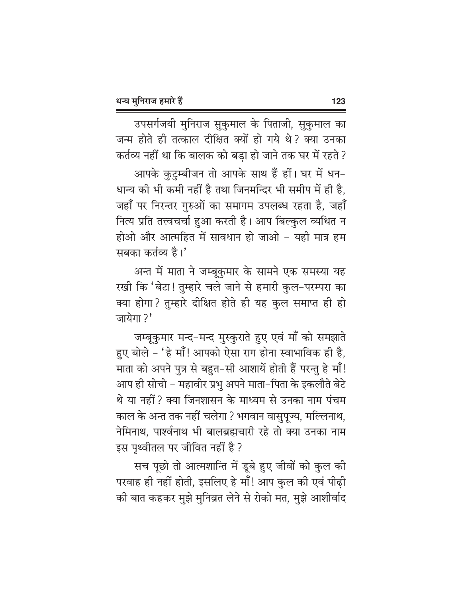उपसर्गजयी मुनिराज सुकुमाल के पिताजी, सुकुमाल का जन्म होते ही तत्काल दीक्षित क्यों हो गये थे? क्या उनका कर्तव्य नहीं था कि बालक को बडा हो जाने तक घर में रहते ?

आपके कुटुम्बीजन तो आपके साथ हैं हीं। घर में धन-धान्य की भी कमी नहीं है तथा जिनमन्दिर भी समीप में ही है, जहाँ पर निरन्तर गुरुओं का समागम उपलब्ध रहता है, जहाँ नित्य प्रति तत्त्वचर्चा हुआ करती है। आप बिल्कुल व्यथित न होओ और आत्महित में सावधान हो जाओ - यही मात्र हम सबका कर्तव्य है।'

अन्त में माता ने जम्बूकुमार के सामने एक समस्या यह रखी कि 'बेटा! तुम्हारे चले जाने से हमारी कुल-परम्परा का क्या होगा? तुम्हारे दीक्षित होते ही यह कुल समाप्त ही हो जायेगा ?'

जम्बूकुमार मन्द-मन्द मुस्कुराते हुए एवं माँ को समझाते हुए बोले - 'हे माँ! आपको ऐसा राग होना स्वाभाविक ही है, माता को अपने पुत्र से बहुत-सी आशायें होती हैं परन्तु हे माँ! आप ही सोचो – महावीर प्रभु अपने माता–पिता के इकलौते बेटे थे या नहीं ? क्या जिनशासन के माध्यम से उनका नाम पंचम काल के अन्त तक नहीं चलेगा ? भगवान वासुपूज्य, मल्लिनाथ, नेमिनाथ, पार्श्वनाथ भी बालब्रह्मचारी रहे तो क्या उनका नाम इस पृथ्वीतल पर जीवित नहीं है ?

सच पूछो तो आत्मशान्ति में डूबे हुए जीवों को कुल की परवाह ही नहीं होती, इसलिए हे माँ! आप कुल की एवं पीढ़ी की बात कहकर मुझे मुनिव्रत लेने से रोको मत, मुझे आशीर्वाद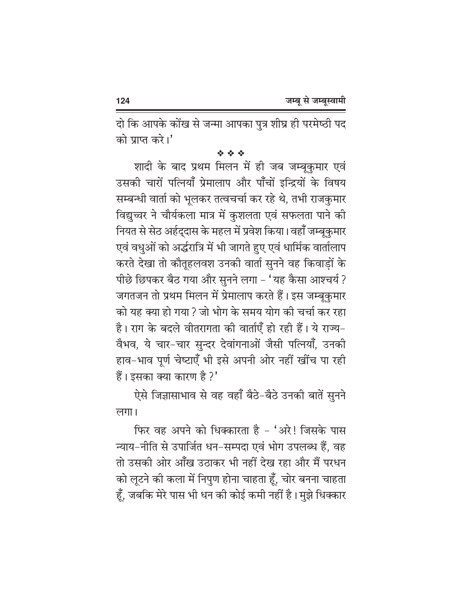दो कि आपके कोंख से जन्मा आपका पुत्र शीघ्र ही परमेष्ठी पद को प्राप्त करे।'

## 经合金

शादी के बाद प्रथम मिलन में ही जब जम्बुकुमार एवं उसकी चारों पत्नियाँ प्रेमालाप और पाँचों इन्द्रियों के विषय सम्बन्धी वार्ता को भूलकर तत्वचर्चा कर रहे थे, तभी राजकुमार विद्यच्चर ने चौर्यकला मात्र में कुशलता एवं सफलता पाने की नियत से सेठ अर्हदुदास के महल में प्रवेश किया। वहाँ जम्बुकुमार एवं वधुओं को अर्द्धरात्रि में भी जागते हुए एवं धार्मिक वार्तालाप करते देखा तो कौतूहलवश उनकी वार्ता सुनने वह किवाड़ों के पीछे छिपकर बैठ गया और सुनने लगा - 'यह कैसा आश्चर्य ? जगतजन तो प्रथम मिलन में प्रेमालाप करते हैं। इस जम्बुकुमार को यह क्या हो गया ? जो भोग के समय योग की चर्चा कर रहा है। राग के बदले वीतरागता की वार्ताएँ हो रही हैं। ये राज्य– वैभव, ये चार-चार सुन्दर देवांगनाओं जैसी पत्नियाँ, उनकी हाव-भाव पूर्ण चेष्टाएँ भी इसे अपनी ओर नहीं खींच पा रही हैं। इसका क्या कारण है ?'

ऐसे जिज्ञासाभाव से वह वहाँ बैठे-बैठे उनकी बातें सुनने लगा।

फिर वह अपने को धिक्कारता है - 'अरे! जिसके पास न्याय-नीति से उपार्जित धन-सम्पदा एवं भोग उपलब्ध हैं, वह तो उसकी ओर आँख उठाकर भी नहीं देख रहा और मैं परधन को लूटने की कला में निपुण होना चाहता हूँ, चोर बनना चाहता हूँ, जबकि मेरे पास भी धन को कोई कमी नहीं है। मुझे धिक्कार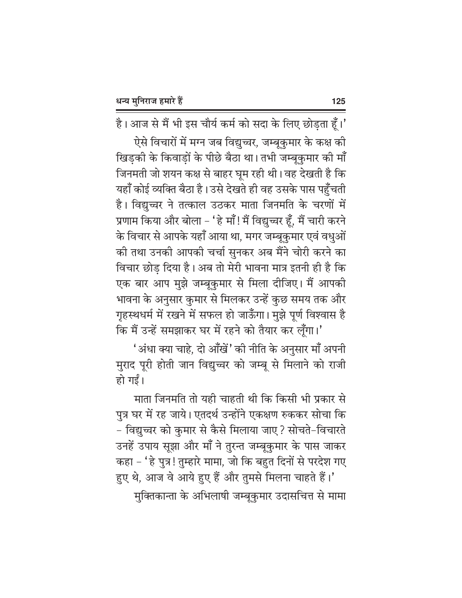है। आज से मैं भी इस चौर्य कर्म को सदा के लिए छोड़ता हूँ।'

ऐसे विचारों में मग्न जब विद्युच्चर, जम्बूकुमार के कक्ष की खिडकी के किवाडों के पीछे बैठा था। तभी जम्बकुमार की माँ जिनमती जो शयन कक्ष से बाहर घूम रही थी। वह देखती है कि यहाँ कोई व्यक्ति बैठा है। उसे देखते ही वह उसके पास पहुँचती है। विद्युच्चर ने तत्काल उठकर माता जिनमति के चरणों में प्रणाम किया और बोला – 'हे माँ! मैं विद्युच्चर हूँ, मैं चारी करने के विचार से आपके यहाँ आया था, मगर जम्बुकुमार एवं वधुओं की तथा उनकी आपकी चर्चा सुनकर अब मैंने चोरी करने का विचार छोड दिया है। अब तो मेरी भावना मात्र इतनी ही है कि एक बार आप मुझे जम्बूकुमार से मिला दीजिए। मैं आपकी भावना के अनुसार कुमार से मिलकर उन्हें कुछ समय तक और गृहस्थधर्म में रखने में सफल हो जाऊँगा। मुझे पूर्ण विश्वास है कि मैं उन्हें समझाकर घर में रहने को तैयार कर लूँगा।'

'अंधा क्या चाहे, दो आँखें' की नीति के अनुसार माँ अपनी मुराद पूरी होती जान विद्युच्चर को जम्बू से मिलाने को राजी हो गई।

माता जिनमति तो यही चाहती थी कि किसी भी प्रकार से पुत्र घर में रह जाये। एतदर्थ उन्होंने एकक्षण रुककर सोचा कि - विद्युच्चर को कुमार से कैसे मिलाया जाए ? सोचते-विचारते उनहें उपाय सूझा और माँ ने तुरन्त जम्बूकुमार के पास जाकर कहा - 'हे पुत्र! तुम्हारे मामा, जो कि बहुत दिनों से परदेश गए

हुए थे, आज वे आये हुए हैं और तुमसे मिलना चाहते हैं।' मुक्तिकान्ता के अभिलाषी जम्बूकुमार उदासचित्त से मामा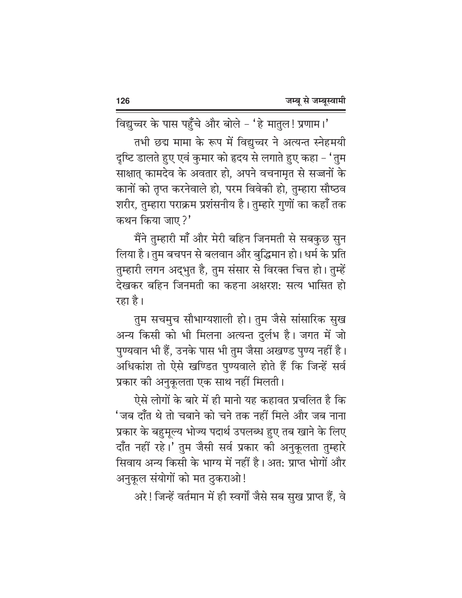विद्युच्चर के पास पहुँचे और बोले - 'हे मातुल! प्रणाम।' तभी छद्म मामा के रूप में विद्युच्चर ने अत्यन्त स्नेहमयी दृष्टि डालते हुए एवं कुमार को हृदय से लगाते हुए कहा – 'तुम साक्षात् कामदेव के अवतार हो, अपने वचनामृत से सज्जनों के कानों को तृप्त करनेवाले हो, परम विवेकी हो, तुम्हारा सौष्ठव शरीर, तुम्हारा पराक्रम प्रशंसनीय है। तुम्हारे गुणों का कहाँ तक कथन किया जाए?'

मैंने तुम्हारी माँ और मेरी बहिन जिनमती से सबकुछ सुन लिया है। तुम बचपन से बलवान और बुद्धिमान हो। धर्म के प्रति तुम्हारी लगन अद्भुत है, तुम संसार से विरक्त चित्त हो। तुम्हें देखकर बहिन जिनमती का कहना अक्षरश: सत्य भासित हो रहा है।

तुम सचमुच सौभाग्यशाली हो। तुम जैसे सांसारिक सुख अन्य किसी को भी मिलना अत्यन्त दुर्लभ है। जगत में जो पुण्यवान भी हैं, उनके पास भी तुम जैसा अखण्ड पुण्य नहीं है। अधिकांश तो ऐसे खण्डित पुण्यवाले होते हैं कि जिन्हें सर्व प्रकार की अनुकूलता एक साथ नहीं मिलती।

ऐसे लोगों के बारे में ही मानो यह कहावत प्रचलित है कि 'जब दाँत थे तो चबाने को चने तक नहीं मिले और जब नाना प्रकार के बहुमूल्य भोज्य पदार्थ उपलब्ध हुए तब खाने के लिए दाँत नहीं रहे।' तुम जैसी सर्व प्रकार की अनुकूलता तुम्हारे सिवाय अन्य किसी के भाग्य में नहीं है। अत: प्राप्त भोगों और अनुकूल संयोगों को मत ठुकराओ!

अरे ! जिन्हें वर्तमान में ही स्वर्गों जैसे सब सुख प्राप्त हैं, वे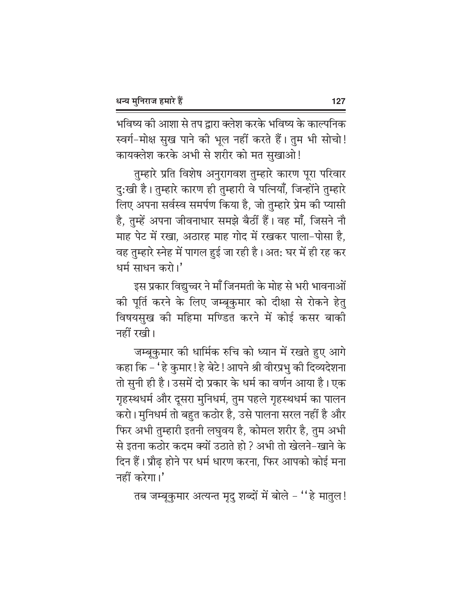भविष्य की आशा से तप द्वारा क्लेश करके भविष्य के काल्पनिक स्वर्ग-मोक्ष सुख पाने की भूल नहीं करते हैं। तुम भी सोचो! कायक्लेश करके अभी से शरीर को मत सुखाओ!

तुम्हारे प्रति विशेष अनुरागवश तुम्हारे कारण पूरा परिवार दु:खी है। तुम्हारे कारण ही तुम्हारी वे पत्नियाँ, जिन्होंने तुम्हारे लिए अपना सर्वस्व समर्पण किया है, जो तुम्हारे प्रेम की प्यासी है, तुम्हें अपना जीवनाधार समझे बैठीं हैं। वह माँ, जिसने नौ माह पेट में रखा, अठारह माह गोद में रखकर पाला-पोसा है, वह तुम्हारे स्नेह में पागल हुई जा रही है। अत: घर में ही रह कर धर्म साधन करो।'

इस प्रकार विद्युच्चर ने माँ जिनमती के मोह से भरी भावनाओं की पूर्ति करने के लिए जम्बूकुमार को दीक्षा से रोकने हेतु विषयसुख की महिमा मण्डित करने में कोई कसर बाकी नहीं रखी।

जम्बूकुमार की धार्मिक रुचि को ध्यान में रखते हुए आगे कहा कि - ' हे कुमार ! हे बेटे ! आपने श्री वीरप्रभु की दिव्यदेशना तो सुनी ही है। उसमें दो प्रकार के धर्म का वर्णन आया है। एक गृहस्थधर्म और दूसरा मुनिधर्म, तुम पहले गृहस्थधर्म का पालन करो। मुनिधर्म तो बहुत कठोर है, उसे पालना सरल नहीं है और फिर अभी तुम्हारी इतनी लघुवय है, कोमल शरीर है, तुम अभी से इतना कठोर कदम क्यों उठाते हो ? अभी तो खेलने-खाने के दिन हैं। प्रौढ होने पर धर्म धारण करना, फिर आपको कोई मना नहीं करेगा।'

तब जम्बूकुमार अत्यन्त मृदु शब्दों में बोले - "हे मातुल!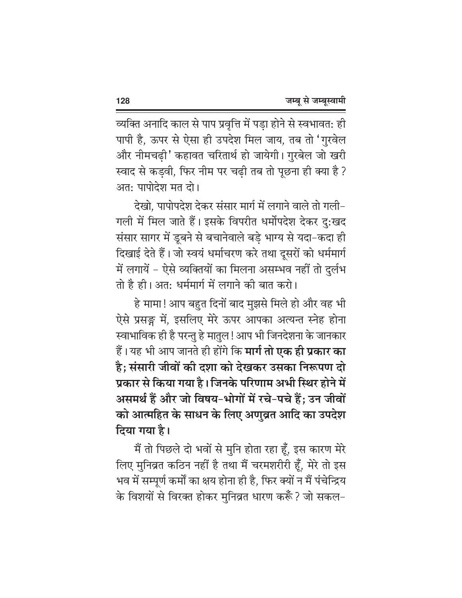व्यक्ति अनादि काल से पाप प्रवृत्ति में पड़ा होने से स्वभावत: ही पापी है, ऊपर से ऐसा ही उपदेश मिल जाय, तब तो 'गुरवेल और नीमचढी' कहावत चरितार्थ हो जायेगी। गुरबेल जो खरी स्वाद से कडवी, फिर नीम पर चढी तब तो पूछना ही क्या है ? अत: पापोदेश मत दो।

देखो, पापोपदेश देकर संसार मार्ग में लगाने वाले तो गली– गली में मिल जाते हैं। इसके विपरीत धर्मोपदेश देकर दु:खद संसार सागर में डूबने से बचानेवाले बड़े भाग्य से यदा–कदा ही दिखाई देते हैं। जो स्वयं धर्माचरण करे तथा दूसरों को धर्ममार्ग में लगायें - ऐसे व्यक्तियों का मिलना असम्भव नहीं तो दुर्लभ तो है ही। अत: धर्ममार्ग में लगाने की बात करो।

हे मामा! आप बहुत दिनों बाद मुझसे मिले हो और वह भी ऐसे प्रसङ्ग में, इसलिए मेरे ऊपर आपका अत्यन्त स्नेह होना स्वाभाविक ही है परन्तु हे मातुल ! आप भी जिनदेशना के जानकार हैं। यह भी आप जानते ही होंगे कि **मार्ग तो एक ही प्रकार का** है; संसारी जीवों की दशा को देखकर उसका निरूपण दो प्रकार से किया गया है। जिनके परिणाम अभी स्थिर होने में असमर्थ हैं और जो विषय-भोगों में रचे-पचे हैं; उन जीवों को आत्महित के साधन के लिए अणुव्रत आदि का उपदेश दिया गया है।

मैं तो पिछले दो भवों से मुनि होता रहा हूँ, इस कारण मेरे लिए मुनिव्रत कठिन नहीं है तथा मैं चरमशरीरी हूँ, मेरे तो इस भव में सम्पूर्ण कर्मों का क्षय होना ही है, फिर क्यों न मैं पंचेन्द्रिय के विशयों से विरक्त होकर मुनिव्रत धारण करूँ ? जो सकल-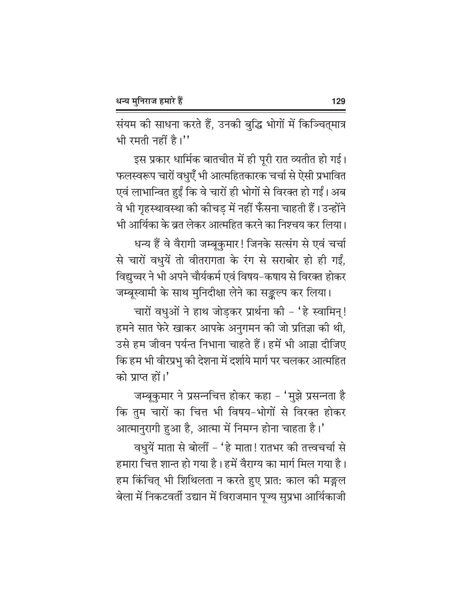संयम की साधना करते हैं, उनकी बुद्धि भोगों में किञ्चित्मात्र भी रमती नहीं है।''

इस प्रकार धार्मिक बातचीत में ही पूरी रात व्यतीत हो गई। फलस्वरूप चारों वधुएँ भी आत्महितकारक चर्चा से ऐसी प्रभावित एवं लाभान्वित हुईं कि वे चारों ही भोगों से विरक्त हो गईं। अब वे भी गृहस्थावस्था की कीचड़ में नहीं फँसना चाहती हैं। उन्होंने भी आर्यिका के व्रत लेकर आत्महित करने का निश्चय कर लिया।

धन्य हैं वे वैरागी जम्बूकुमार! जिनके सत्संग से एवं चर्चा से चारों वधुयें तो वीतरागता के रंग से सराबोर हो ही गईं, विद्युच्चर ने भी अपने चौर्यकर्म एवं विषय–कषाय से विरक्त होकर

जम्बूस्वामी के साथ मुनिदीक्षा लेने का सङ्कल्प कर लिया। चारों वधुओं ने हाथ जोडकर प्रार्थना की - 'हे स्वामिन्! हमने सात फेरे खाकर आपके अनुगमन की जो प्रतिज्ञा की थी, उसे हम जीवन पर्यन्त निभाना चाहते हैं। हमें भी आज्ञा दीजिए कि हम भी वीरप्रभु की देशना में दर्शाये मार्ग पर चलकर आत्महित को प्राप्त हों।'

जम्बूकुमार ने प्रसन्नचित्त होकर कहा – 'मुझे प्रसन्नता है कि तुम चारों का चित्त भी विषय-भोगों से विरक्त होकर आत्मानुरागी हुआ है, आत्मा में निमग्न होना चाहता है।'

वधुयें माता से बोलीं – 'हे माता! रातभर की तत्त्वचर्चा से हमारा चित्त शान्त हो गया है। हमें वैराग्य का मार्ग मिल गया है। हम किंचित् भी शिथिलता न करते हुए प्रात: काल की मङ्गल बेला में निकटवर्ती उद्यान में विराजमान पूज्य सुप्रभा आर्यिकाजी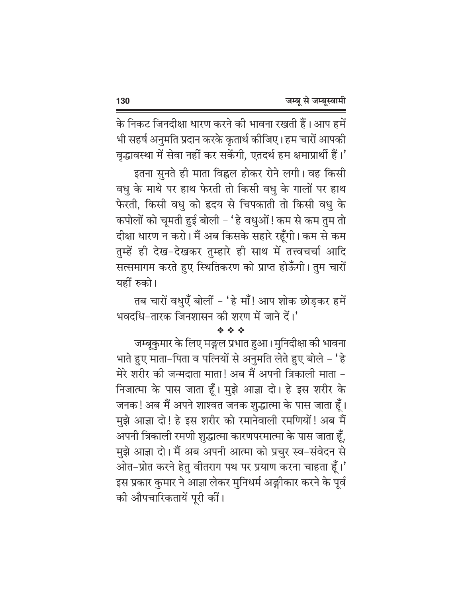के निकट जिनदीक्षा धारण करने की भावना रखती हैं। आप हमें भी सहर्ष अनुमति प्रदान करके कृतार्थ कोजिए। हम चारों आपकी वृद्धावस्था में सेवा नहीं कर सकेंगी, एतदर्थ हम क्षमाप्रार्थी हैं।'

इतना सुनते ही माता विह्वल होकर रोने लगी। वह किसी वधु के माथे पर हाथ फेरती तो किसी वधु के गालों पर हाथ फेरती, किसी वधु को हृदय से चिपकाती तो किसी वधु के कपोलों को चूमती हुई बोली - 'हे वधुओं ! कम से कम तुम तो दीक्षा धारण न करो। मैं अब किसके सहारे रहूँगी। कम से कम तुम्हें ही देख-देखकर तुम्हारे ही साथ में तत्त्वचर्चा आदि सत्समागम करते हुए स्थितिकरण को प्राप्त होऊँगी। तुम चारों यहीं रुको।

तब चारों वधुएँ बोलीं - 'हे माँ! आप शोक छोड़कर हमें भवदधि-तारक जिनशासन की शरण में जाने दें।'

## 经合金

जम्बूकुमार के लिए मङ्गल प्रभात हुआ। मुनिदीक्षा की भावना भाते हुए माता-पिता व पत्नियों से अनुमति लेते हुए बोले - 'हे मेरे शरीर की जन्मदाता माता! अब मैं अपनी त्रिकाली माता – निजात्मा के पास जाता हूँ। मुझे आज्ञा दो। हे इस शरीर के जनक ! अब मैं अपने शाश्वत जनक शुद्धात्मा के पास जाता हूँ। मुझे आज्ञा दो! हे इस शरीर को रमानेवाली रमणियों! अब मैं अपनी त्रिकाली रमणी शुद्धात्मा कारणपरमात्मा के पास जाता हूँ, मुझे आज्ञा दो। मैं अब अपनी आत्मा को प्रचुर स्व-संवेदन से ओत–प्रोत करने हेतु वीतराग पथ पर प्रयाण करना चाहता हूँ।' इस प्रकार कुमार ने आज्ञा लेकर मुनिधर्म अङ्गीकार करने के पूर्व की औपचारिकतायें पूरी कीं।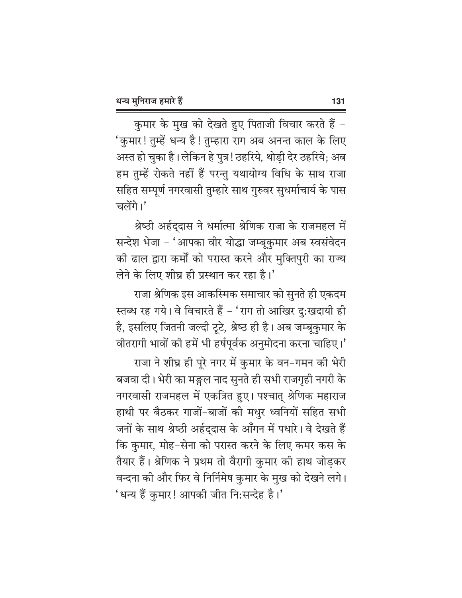कुमार के मुख को देखते हुए पिताजी विचार करते हैं -'कुमार! तुम्हें धन्य है! तुम्हारा राग अब अनन्त काल के लिए अस्त हो चुका है। लेकिन हे पुत्र! ठहरिये, थोड़ी देर ठहरिये; अब हम तुम्हें रोकते नहीं हैं परन्तु यथायोग्य विधि के साथ राजा सहित सम्पूर्ण नगरवासी तुम्हारे साथ गुरुवर सुधर्माचार्य के पास चलेंगे।'

श्रेष्ठी अर्हदुदास ने धर्मात्मा श्रेणिक राजा के राजमहल में सन्देश भेजा - 'आपका वीर योद्धा जम्बूकुमार अब स्वसंवेदन की ढाल द्वारा कर्मों को परास्त करने और मुक्तिपुरी का राज्य लेने के लिए शीघ्र ही प्रस्थान कर रहा है।'

राजा श्रेणिक इस आकस्मिक समाचार को सूनते ही एकदम स्तब्ध रह गये। वे विचारते हैं - 'राग तो आखिर दु:खदायी ही है, इसलिए जितनी जल्दी टूटे, श्रेष्ठ ही है। अब जम्बूकुमार के वीतरागी भावों की हमें भी हर्षपूर्वक अनुमोदना करना चाहिए।' राजा ने शीघ्र ही पूरे नगर में कुमार के वन-गमन की भेरी बजवा दी। भेरी का मङ्गल नाद सुनते ही सभी राजगृही नगरी के नगरवासी राजमहल में एकत्रित हुए। पश्चात् श्रेणिक महाराज हाथी पर बैठकर गाजों-बाजों की मधुर ध्वनियों सहित सभी जनों के साथ श्रेष्ठी अर्हद्दास के आँगन में पधारे। वे देखते हैं कि कुमार, मोह-सेना को परास्त करने के लिए कमर कस के तैयार हैं। श्रेणिक ने प्रथम तो वैरागी कुमार की हाथ जोड़कर वन्दना की और फिर वे निर्निमेष कुमार के मुख को देखने लगे। 'धन्य हैं कुमार! आपकी जीत नि:सन्देह है।'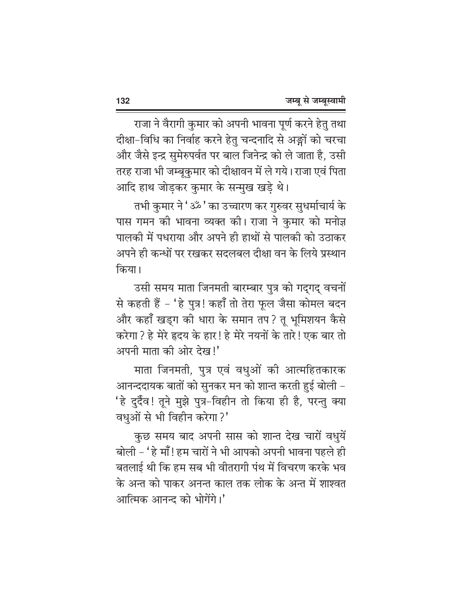राजा ने वैरागी कुमार को अपनी भावना पूर्ण करने हेतु तथा दीक्षा-विधि का निर्वाह करने हेतु चन्दनादि से अङ्गों को चरचा और जैसे इन्द्र सुमेरुपर्वत पर बाल जिनेन्द्र को ले जाता है, उसी तरह राजा भी जम्बूकुमार को दीक्षावन में ले गये। राजा एवं पिता आदि हाथ जोड़कर कुमार के सन्मुख खड़े थे।

तभी कुमार ने 'ॐ' का उच्चारण कर गुरुवर सुधर्माचार्य के पास गमन की भावना व्यक्त की। राजा ने कुमार को मनोज्ञ पालकी में पधराया और अपने ही हाथों से पालकी को उठाकर अपने ही कन्धों पर रखकर सदलबल दीक्षा वन के लिये प्रस्थान किया।

उसी समय माता जिनमती बारम्बार पुत्र को गद्गद् वचनों से कहती हैं - 'हे पुत्र! कहाँ तो तेरा फूल जैसा कोमल बदन और कहाँ खड्ग की धारा के समान तप? तू भूमिशयन कैसे करेगा ? हे मेरे हृदय के हार ! हे मेरे नयनों के तारे ! एक बार तो अपनी माता की ओर देख!'

माता जिनमती, पुत्र एवं वधुओं की आत्महितकारक आनन्ददायक बातों को सुनकर मन को शान्त करती हुई बोली – 'हे दुर्दैव! तूने मुझे पुत्र–विहीन तो किया ही है, परन्तु क्या वधुओं से भी विहीन करेगा ?'

कुछ समय बाद अपनी सास को शान्त देख चारों वधुयें बोली – 'हे माँ! हम चारों ने भी आपको अपनी भावना पहले ही बतलाई थी कि हम सब भी वीतरागी पंथ में विचरण करके भव के अन्त को पाकर अनन्त काल तक लोक के अन्त में शाश्वत आत्मिक आनन्द को भोगेंगे।'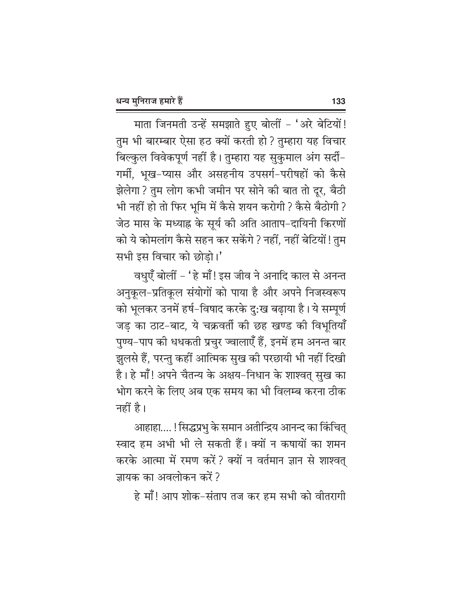माता जिनमती उन्हें समझाते हुए बोलीं - 'अरे बेटियों! तुम भी बारम्बार ऐसा हठ क्यों करती हो ? तुम्हारा यह विचार बिल्कुल विवेकपूर्ण नहीं है। तुम्हारा यह सुकुमाल अंग सर्दी-गर्मी, भूख-प्यास और असहनीय उपसर्ग-परीषहों को कैसे झेलेगा ? तुम लोग कभी जमीन पर सोने की बात तो दूर, बैठी भी नहीं हो तो फिर भूमि में कैसे शयन करोगी ? कैसे बैठोगी ? जेठ मास के मध्याह्न के सूर्य की अति आताप-दायिनी किरणों को ये कोमलांग कैसे सहन कर सकेंगे ? नहीं, नहीं बेटियों ! तुम सभी इस विचार को छोड़ो।'

वधुएँ बोलीं – 'हे माँ! इस जीव ने अनादि काल से अनन्त अनुकूल-प्रतिकूल संयोगों को पाया है और अपने निजस्वरूप को भूलकर उनमें हर्ष-विषाद करके दु:ख बढ़ाया है। ये सम्पूर्ण जड़ का ठाट-बाट, ये चक्रवर्ती की छह खण्ड की विभूतियाँ पुण्य–पाप की धधकती प्रचुर ज्वालाएँ हैं, इनमें हम अनन्त बार झुलसे हैं, परन्तु कहीं आत्मिक सुख की परछायी भी नहीं दिखी है। हे माँ! अपने चैतन्य के अक्षय–निधान के शाश्वत् सुख का भोग करने के लिए अब एक समय का भी विलम्ब करना ठीक नहीं है।

आहाहा.... ! सिद्धप्रभु के समान अतीन्द्रिय आनन्द का किंचित् स्वाद हम अभी भी ले सकती हैं। क्यों न कषायों का शमन करके आत्मा में रमण करें ? क्यों न वर्तमान ज्ञान से शाश्वत् जायक का अवलोकन करें ?

हे माँ! आप शोक–संताप तज कर हम सभी को वीतरागी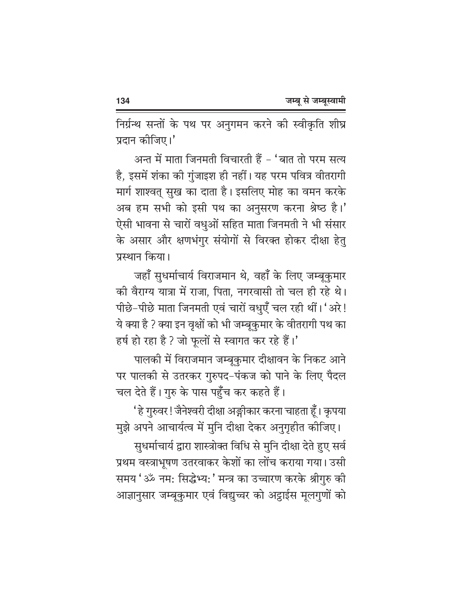निर्ग्रन्थ सन्तों के पथ पर अनुगमन करने की स्वीकृति शीघ्र प्रदान कीजिए।'

अन्त में माता जिनमती विचारती हैं - 'बात तो परम सत्य है, इसमें शंका की गुंजाइश ही नहीं। यह परम पवित्र वीतरागी मार्ग शाश्वत् सुख का दाता है। इसलिए मोह का वमन करके अब हम सभी को इसी पथ का अनुसरण करना श्रेष्ठ है।' ऐसी भावना से चारों वधुओं सहित माता जिनमती ने भी संसार के असार और क्षणभंगुर संयोगों से विरक्त होकर दीक्षा हेतु प्रस्थान किया।

जहाँ सुधर्माचार्य विराजमान थे, वहाँ के लिए जम्बूकुमार की वैराग्य यात्रा में राजा, पिता, नगरवासी तो चल ही रहे थे। पीछे-पीछे माता जिनमती एवं चारों वधुएँ चल रही थीं। 'अरे! ये क्या है ? क्या इन वृक्षों को भी जम्बूकुमार के वीतरागी पथ का हर्ष हो रहा है ? जो फुलों से स्वागत कर रहे हैं।'

पालकी में विराजमान जम्बूकुमार दीक्षावन के निकट आने पर पालकी से उतरकर गुरुपद-पंकज को पाने के लिए पैदल चल देते हैं। गुरु के पास पहुँच कर कहते हैं।

' हे गुरुवर ! जैनेश्वरी दीक्षा अङ्गीकार करना चाहता हूँ । कृपया

मुझे अपने आचार्यत्व में मुनि दीक्षा देकर अनुगृहीत कीजिए। सुधर्माचार्य द्वारा शास्त्रोक्त विधि से मुनि दीक्षा देते हुए सर्व प्रथम वस्त्राभूषण उतरवाकर केशों का लोंच कराया गया। उसी समय 'ॐ नम: सिद्धेभ्य: ' मन्त्र का उच्चारण करके श्रीगुरु की आज्ञानुसार जम्बूकुमार एवं विद्युच्चर को अट्ठाईस मूलगुणों को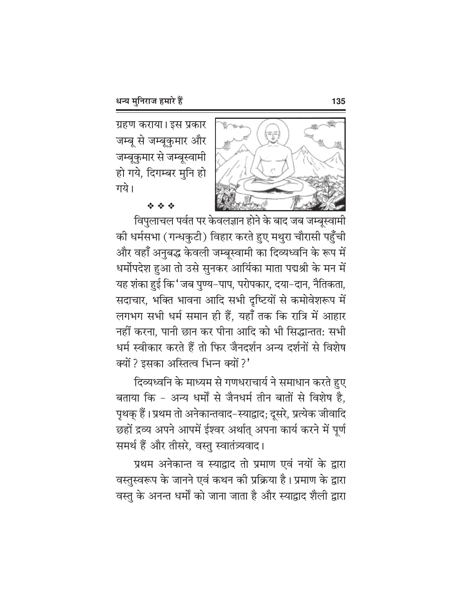ग्रहण कराया। इस प्रकार जम्बू से जम्बूकुमार और जम्बूकुमार से जम्बूस्वामी हो गये, दिगम्बर मुनि हो गये।



## da da da

विपुलाचल पर्वत पर केवलज्ञान होने के बाद जब जम्बूस्वामी की धर्मसभा (गन्धकुटी) विहार करते हुए मथुरा चौरासी पहुँची और वहाँ अनुबद्ध केवली जम्बूस्वामी का दिव्यध्वनि के रूप में धर्मोपदेश हुआ तो उसे सुनकर आर्यिका माता पद्मश्री के मन में यह शंका हुई कि 'जब पुण्य–पाप, परोपकार, दया–दान, नैतिकता, सदाचार, भक्ति भावना आदि सभी दृष्टियों से कमोवेशरूप में लगभग सभी धर्म समान ही हैं, यहाँ तक कि रात्रि में आहार नहीं करना, पानी छान कर पीना आदि को भी सिद्धान्तत: सभी धर्म स्वीकार करते हैं तो फिर जैनदर्शन अन्य दर्शनों से विशेष क्यों ? इसका अस्तित्व भिन्न क्यों ?'

दिव्यध्वनि के माध्यम से गणधराचार्य ने समाधान करते हुए बताया कि - अन्य धर्मों से जैनधर्म तीन बातों से विशेष है, पृथक् हैं। प्रथम तो अनेकान्तवाद-स्याद्वाद; दूसरे, प्रत्येक जीवादि छहों द्रव्य अपने आपमें ईश्वर अर्थात् अपना कार्य करने में पूर्ण समर्थ हैं और तीसरे, वस्तु स्वातंत्र्यवाद।

प्रथम अनेकान्त व स्याद्वाद तो प्रमाण एवं नयों के द्वारा वस्तुस्वरूप के जानने एवं कथन की प्रक्रिया है। प्रमाण के द्वारा वस्तु के अनन्त धर्मों को जाना जाता है और स्याद्वाद शैली द्वारा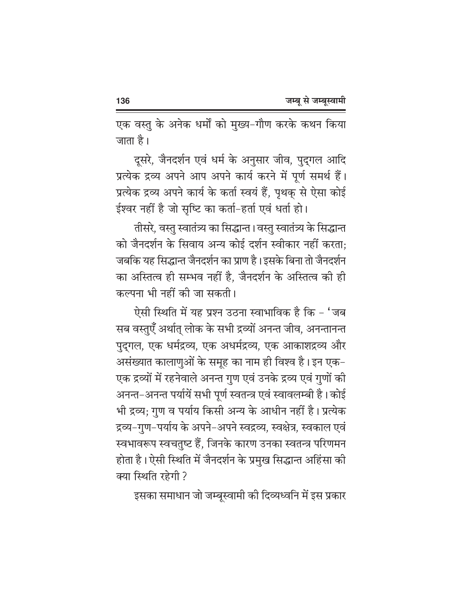एक वस्तु के अनेक धर्मों को मुख्य-गौण करके कथन किया जाता है।

दूसरे, जैनदर्शन एवं धर्म के अनुसार जीव, पुद्गल आदि प्रत्येक द्रव्य अपने आप अपने कार्य करने में पूर्ण समर्थ हैं। प्रत्येक द्रव्य अपने कार्य के कर्ता स्वयं हैं, पृथक् से ऐसा कोई ईश्वर नहीं है जो सृष्टि का कर्ता-हर्ता एवं धर्ता हो।

तीसरे, वस्तु स्वातंत्र्य का सिद्धान्त । वस्तु स्वातंत्र्य के सिद्धान्त को जैनदर्शन के सिवाय अन्य कोई दर्शन स्वीकार नहीं करता: जबकि यह सिद्धान्त जैनदर्शन का प्राण है। इसके बिना तो जैनदर्शन का अस्तित्व ही सम्भव नहीं है. जैनदर्शन के अस्तित्व की ही कल्पना भी नहीं की जा सकती।

ऐसी स्थिति में यह प्रश्न उठना स्वाभाविक है कि - 'जब सब वस्तुएँ अर्थात् लोक के सभी द्रव्यों अनन्त जीव, अनन्तानन्त पुद्गल, एक धर्मद्रव्य, एक अधर्मद्रव्य, एक आकाशद्रव्य और असंख्यात कालाणुओं के समूह का नाम ही विश्व है। इन एक– एक द्रव्यों में रहनेवाले अनन्त गुण एवं उनके द्रव्य एवं गुणों की अनन्त–अनन्त पर्यायें सभी पूर्ण स्वतन्त्र एवं स्वावलम्बी है। कोई भी द्रव्य; गुण व पर्याय किसी अन्य के आधीन नहीं है। प्रत्येक द्रव्य–गुण–पर्याय के अपने–अपने स्वद्रव्य, स्वक्षेत्र, स्वकाल एवं स्वभावरूप स्वचतुष्ट हैं, जिनके कारण उनका स्वतन्त्र परिणमन होता है। ऐसी स्थिति में जैनदर्शन के प्रमुख सिद्धान्त अहिंसा की क्या स्थिति रहेगी ?

इसका समाधान जो जम्बूस्वामी की दिव्यध्वनि में इस प्रकार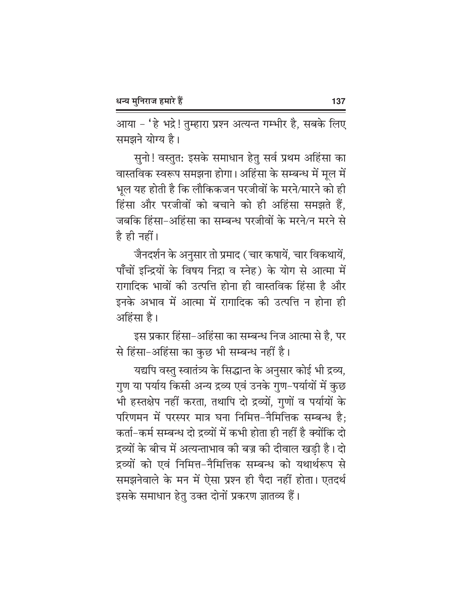आया – 'हे भद्रे ! तुम्हारा प्रश्न अत्यन्त गम्भीर है, सबके लिए समझने योग्य है।

सुनो! वस्तुत: इसके समाधान हेतु सर्व प्रथम अहिंसा का वास्तविक स्वरूप समझना होगा। अहिंसा के सम्बन्ध में मूल में भूल यह होती है कि लौकिकजन परजीवों के मरने/मारने को ही हिंसा और परजीवों को बचाने को ही अहिंसा समझते हैं, जबकि हिंसा-अहिंसा का सम्बन्ध परजीवों के मरने/न मरने से है ही नहीं।

जैनदर्शन के अनुसार तो प्रमाद ( चार कषायें, चार विकथायें, पाँचों इन्द्रियों के विषय निद्रा व स्नेह) के योग से आत्मा में रागादिक भावों की उत्पत्ति होना ही वास्तविक हिंसा है और इनके अभाव में आत्मा में रागादिक की उत्पत्ति न होना ही अहिंसा है।

इस प्रकार हिंसा–अहिंसा का सम्बन्ध निज आत्मा से है, पर से हिंसा-अहिंसा का कुछ भी सम्बन्ध नहीं है।

यद्यपि वस्तु स्वातंत्र्य के सिद्धान्त के अनुसार कोई भी द्रव्य, गुण या पर्याय किसी अन्य द्रव्य एवं उनके गुण-पर्यायों में कुछ भी हस्तक्षेप नहीं करता, तथापि दो द्रव्यों, गुणों व पर्यायों के परिणमन में परस्पर मात्र घना निमित्त-नैमित्तिक सम्बन्ध है: कर्ता–कर्म सम्बन्ध दो द्रव्यों में कभी होता ही नहीं है क्योंकि दो द्रव्यों के बीच में अत्यन्ताभाव की बज्र की दीवाल खडी है। दो द्रव्यों को एवं निमित्त-नैमित्तिक सम्बन्ध को यथार्थरूप से समझनेवाले के मन में ऐसा प्रश्न ही पैदा नहीं होता। एतदर्थ इसके समाधान हेतु उक्त दोनों प्रकरण ज्ञातव्य हैं।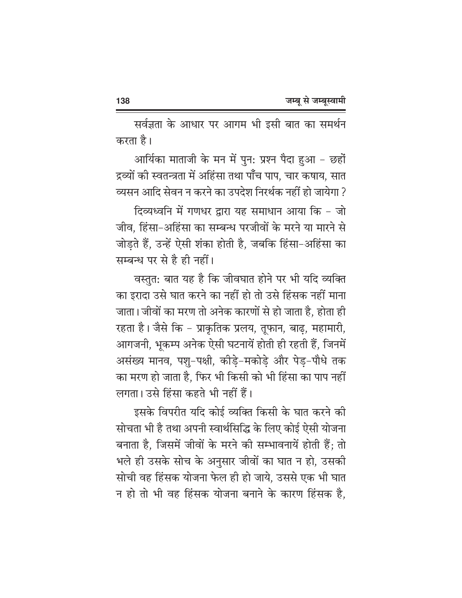सर्वज्ञता के आधार पर आगम भी इसी बात का समर्थन करता है।

आर्यिका माताजी के मन में पुन: प्रश्न पैदा हुआ - छहों द्रव्यों की स्वतन्त्रता में अहिंसा तथा पाँच पाप, चार कषाय, सात व्यसन आदि सेवन न करने का उपदेश निरर्थक नहीं हो जायेगा ?

दिव्यध्वनि में गणधर द्वारा यह समाधान आया कि - जो जीव. हिंसा-अहिंसा का सम्बन्ध परजीवों के मरने या मारने से जोडते हैं, उन्हें ऐसी शंका होती है, जबकि हिंसा-अहिंसा का सम्बन्ध पर से है ही नहीं।

वस्तुत: बात यह है कि जीवघात होने पर भी यदि व्यक्ति का इरादा उसे घात करने का नहीं हो तो उसे हिंसक नहीं माना जाता। जीवों का मरण तो अनेक कारणों से हो जाता है, होता ही रहता है। जैसे कि – प्राकृतिक प्रलय, तुफान, बाढ, महामारी, आगजनी, भूकम्प अनेक ऐसी घटनायें होती ही रहती हैं, जिनमें असंख्य मानव, पश्-पक्षी, कोडे-मकोडे और पेड-पौधे तक का मरण हो जाता है. फिर भी किसी को भी हिंसा का पाप नहीं लगता। उसे हिंसा कहते भी नहीं हैं।

इसके विपरीत यदि कोई व्यक्ति किसी के घात करने की सोचता भी है तथा अपनी स्वार्थसिद्धि के लिए कोई ऐसी योजना बनाता है, जिसमें जीवों के मरने की सम्भावनायें होती हैं; तो भले ही उसके सोच के अनुसार जीवों का घात न हो, उसकी सोची वह हिंसक योजना फेल ही हो जाये, उससे एक भी घात न हो तो भी वह हिंसक योजना बनाने के कारण हिंसक है.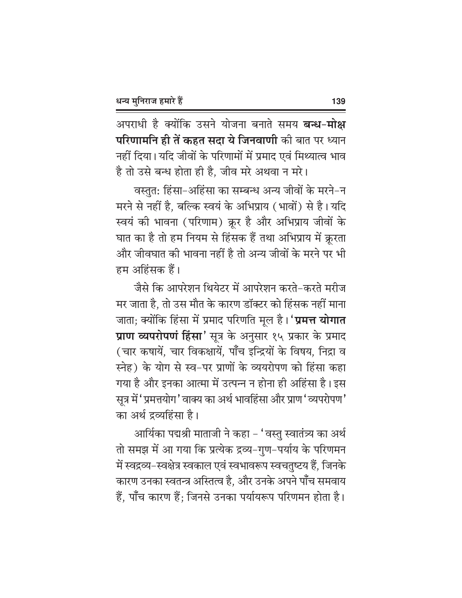अपराधी है क्योंकि उसने योजना बनाते समय **बन्ध-मोक्ष परिणामनि ही तें कहत सदा ये जिनवाणी** की बात पर ध्यान नहीं दिया। यदि जीवों के परिणामों में प्रमाद एवं मिथ्यात्व भाव है तो उसे बन्ध होता ही है, जीव मरे अथवा न मरे।

वस्तुत: हिंसा-अहिंसा का सम्बन्ध अन्य जीवों के मरने-न मरने से नहीं है. बल्कि स्वयं के अभिप्राय (भावों) से है। यदि स्वयं की भावना (परिणाम) क्रूर है और अभिप्राय जीवों के घात का है तो हम नियम से हिंसक हैं तथा अभिप्राय में क्ररता और जीवघात की भावना नहीं है तो अन्य जीवों के मरने पर भी हम अहिंसक हैं।

जैसे कि आपरेशन थियेटर में आपरेशन करते–करते मरीज मर जाता है, तो उस मौत के कारण डॉक्टर को हिंसक नहीं माना जाता; क्योंकि हिंसा में प्रमाद परिणति मूल है। **'प्रमत्त योगात** प्राण व्यपरोपणं हिंसा' सूत्र के अनुसार १५ प्रकार के प्रमाद (चार कषायें, चार विकक्षायें, पाँच इन्द्रियों के विषय, निद्रा व स्नेह) के योग से स्व-पर प्राणों के व्ययरोपण को हिंसा कहा गया है और इनका आत्मा में उत्पन्न न होना ही अहिंसा है। इस सूत्र में 'प्रमत्तयोग' वाक्य का अर्थ भावहिंसा और प्राण 'व्यपरोपण' का अर्थ द्रव्यहिंसा है।

आर्यिका पद्मश्री माताजी ने कहा – 'वस्तु स्वातंत्र्य का अर्थ तो समझ में आ गया कि प्रत्येक द्रव्य-गुण-पर्याय के परिणमन में स्वद्रव्य-स्वक्षेत्र स्वकाल एवं स्वभावरूप स्वचतुष्टय हैं, जिनके कारण उनका स्वतन्त्र अस्तित्व है, और उनके अपने पाँच समवाय हैं. पाँच कारण हैं: जिनसे उनका पर्यायरूप परिणमन होता है।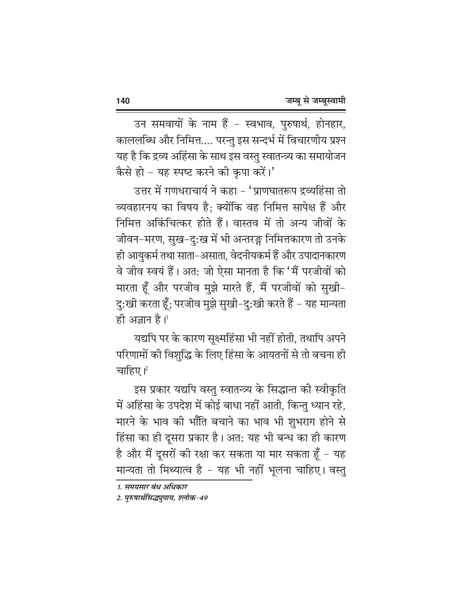उन समवायों के नाम हैं - स्वभाव, पुरुषार्थ, होनहार, काललब्धि और निमित्त.... परन्तु इस सन्दर्भ में विचारणीय प्रश्न यह है कि द्रव्य अहिंसा के साथ इस वस्तु स्वातन्त्र्य का समायोजन कैसे हो - यह स्पष्ट करने की कृपा करें।'

उत्तर में गणधराचार्य ने कहा - 'प्राणघातरूप द्रव्यहिंसा तो व्यवहारनय का विषय है; क्योंकि वह निमित्त सापेक्ष हैं और निमित्त अकिंचित्कर होते हैं। वास्तव में तो अन्य जीवों के जीवन–मरण, सुख–दु:ख में भी अन्तरङ्ग निमित्तकारण तो उनके ही आयुकर्म तथा साता–असाता, वेदनीयकर्म हैं और उपादानकारण वे जीव स्वयं हैं। अत: जो ऐसा मानता है कि 'मैं परजीवों को मारता हूँ और परजीव मुझे मारते हैं, मैं परजीवों को सुखी-दु:खी करता हूँ; परजीव मुझे सुखी–दु:खी करते हैं – यह मान्यता ही अज्ञान है। $^1$ 

यद्यपि पर के कारण सूक्ष्महिंसा भी नहीं होती, तथापि अपने परिणामों की विशुद्धि के लिए हिंसा के आयतनों से तो बचना ही चाहिए।<sup>2</sup>

इस प्रकार यद्यपि वस्तु स्वातन्त्र्य के सिद्धान्त की स्वीकृति में अहिंसा के उपदेश में कोई बाधा नहीं आती, किन्तु ध्यान रहे, मारने के भाव की भाँति बचाने का भाव भी शुभराग होने से हिंसा का ही दूसरा प्रकार है। अत: यह भी बन्ध का ही कारण है और मैं दूसरों की रक्षा कर सकता या मार सकता हूँ - यह मान्यता तो मिथ्यात्व है - यह भी नहीं भूलना चाहिए। वस्तु

<sup>1.</sup> समयसार बंध अधिकार

<sup>2.</sup> पुरुषार्थसिद्ध्युपाय, श्लोक-49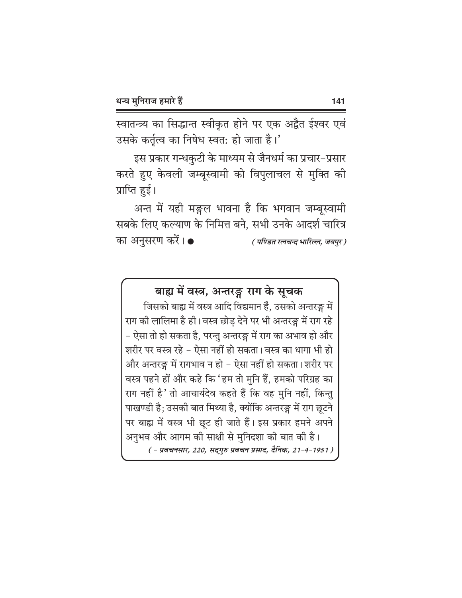स्वातन्त्र्य का सिद्धान्त स्वीकृत होने पर एक अद्वैत ईश्वर एवं उसके कर्तृत्व का निषेध स्वत: हो जाता है।'

इस प्रकार गन्धकुटी के माध्यम से जैनधर्म का प्रचार-प्रसार करते हुए केवली जम्बूस्वामी को विपुलाचल से मुक्ति की प्राप्ति हुई।

अन्त में यही मङ्गल भावना है कि भगवान जम्बूस्वामी सबके लिए कल्याण के निमित्त बने. सभी उनके आदर्श चारित्र का अनुसरण करें। ● (पण्डित रत्नचन्द भारिल्ल, जयपुर)

बाह्य में वस्त्र, अन्तरङ्ग राग के सूचक

जिसको बाह्य में वस्त्र आदि विद्यमान हैं, उसको अन्तरङ्ग में राग की लालिमा है ही। वस्त्र छोड़ देने पर भी अन्तरङ्ग में राग रहे – ऐसा तो हो सकता है, परन्तु अन्तरङ्ग में राग का अभाव हो और शरीर पर वस्त्र रहे – ऐसा नहीं हो सकता। वस्त्र का धागा भी हो और अन्तरङ्ग में रागभाव न हो – ऐसा नहीं हो सकता। शरीर पर वस्त्र पहने हों और कहे कि 'हम तो मुनि हैं, हमको परिग्रह का राग नहीं है ' तो आचार्यदेव कहते हैं कि वह मुनि नहीं, किन्तु पाखण्डी है; उसकी बात मिथ्या है, क्योंकि अन्तरङ्ग में राग छूटने पर बाह्य में वस्त्र भी छूट ही जाते हैं। इस प्रकार हमने अपने अनुभव और आगम की साक्षी से मुनिदशा की बात की है। ( - प्रवचनसार, 220, सद्गुरु प्रवचन प्रसाद, दैनिक, 21-4-1951 )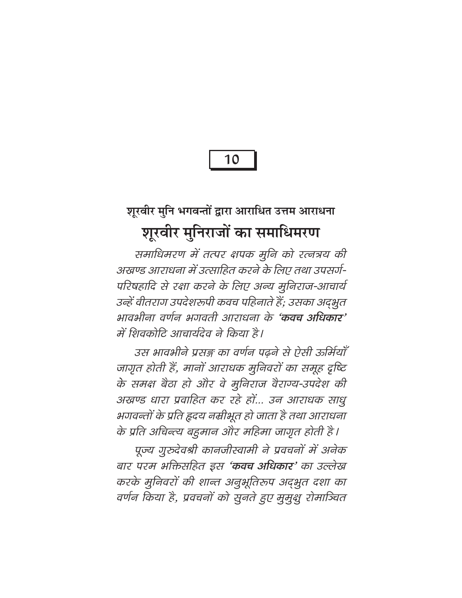10

## शूरवीर मुनि भगवन्तों द्वारा आराधित उत्तम आराधना शूरवीर मुनिराजों का समाधिमरण

समाधिमरण में तत्पर क्षपक मुनि को रत्नत्रय की अखण्ड आराधना में उत्साहित करने के लिए तथा उपसर्ग-परिषहादि से रक्षा करने के लिए अन्य मुनिराज-आचार्य उन्हें वीतराग उपदेशरूपी कवच पहिनाते हैं; उसका अद्भुत भावभीना वर्णन भगवती आराधना के 'कवच अधिकार' में शिवकोटि आचार्यदेव ने किया है।

उस भावभीने प्रसङ्ग का वर्णन पढने से ऐसी ऊर्मियाँ जागृत होती हैं, मानों आराधक मुनिवरों का समूह दृष्टि के समक्ष बैठा हो और वे मुनिराज वैराग्य-उपदेश की अखण्ड धारा प्रवाहित कर रहे हों... उन आराधक साधु भगवन्तों के प्रति हृदय नम्रीभूत हो जाता है तथा आराधना के प्रति अचिन्त्य बहुमान और महिमा जागृत होती है।

पूज्य गुरुदेवश्री कानजीस्वामी ने प्रवचनों में अनेक बार परम भक्तिसहित इस 'कवच अधिकार' का उल्लेख करके मुनिवरों की शान्त अनुभूतिरूप अद्भुत दशा का वर्णन किया है, प्रवचनों को सुनते हुए मुमुक्षु रोमाञ्चित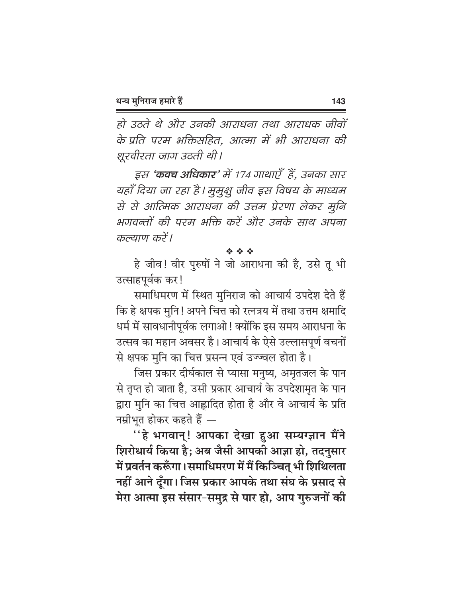हो उठते थे और उनकी आराधना तथा आराधक जीवों के प्रति परम भक्तिसहित, आत्मा में भी आराधना की शूरवीरता जाग उठती थी।

इस **'कवच अधिकार**' में 174 गाथाएँ हें, उनका सार यहाँ दिया जा रहा है। मुमुक्षु जीव इस विषय के माध्यम से से आत्मिक आराधना की उत्तम प्रेरणा लेकर मुनि भगवन्तों की परम भक्ति करें और उनके साथ अपना कल्याण करें।

经合金

हे जीव! वीर पुरुषों ने जो आराधना की है, उसे तू भी उत्साहपूर्वक कर !

समाधिमरण में स्थित मुनिराज को आचार्य उपदेश देते हैं कि हे क्षपक मुनि ! अपने चित्त को रत्नत्रय में तथा उत्तम क्षमादि धर्म में सावधानीपूर्वक लगाओ ! क्योंकि इस समय आराधना के उत्सव का महान अवसर है। आचार्य के ऐसे उल्लासपूर्ण वचनों से क्षपक मुनि का चित्त प्रसन्न एवं उज्ज्वल होता है।

जिस प्रकार दीर्घकाल से प्यासा मनुष्य, अमृतजल के पान से तृप्त हो जाता है, उसी प्रकार आचार्य के उपदेशामृत के पान द्वारा मुनि का चित्त आह्लादित होता है और वे आचार्य के प्रति नम्रीभूत होकर कहते हैं —

"हे भगवान्! आपका देखा हुआ सम्यग्ज्ञान मैंने शिरोधार्य किया है; अब जैसी आपकी आज्ञा हो, तदनुसार में प्रवर्तन करूँगा। समाधिमरण में मैं किञ्चित् भी शिथिलता नहीं आने दूँगा। जिस प्रकार आपके तथा संघ के प्रसाद से मेरा आत्मा इस संसार-समुद्र से पार हो, आप गुरुजनों की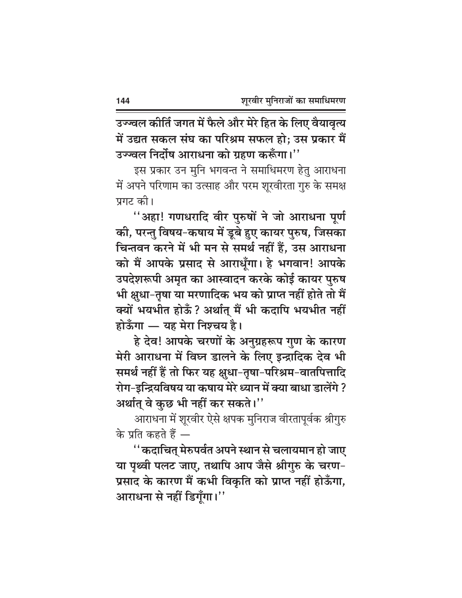उज्ज्वल कीर्ति जगत में फैले और मेरे हित के लिए वैयावृत्य में उद्यत सकल संघ का परिश्रम सफल हो: उस प्रकार मैं उज्ज्वल निर्दोष आराधना को ग्रहण करूँगा।''

इस प्रकार उन मुनि भगवन्त ने समाधिमरण हेतु आराधना में अपने परिणाम का उत्साह और परम शूरवीरता गुरु के समक्ष प्रगट की।

"अहा! गणधरादि वीर पुरुषों ने जो आराधना पूर्ण की, परन्तु विषय-कषाय में डूबे हुए कायर पुरुष, जिसका चिन्तवन करने में भी मन से समर्थ नहीं हैं, उस आराधना को मैं आपके प्रसाद से आराधूँगा। हे भगवान! आपके उपदेशरूपी अमृत का आस्वादन करके कोई कायर पुरुष भी क्षुधा-तृषा या मरणादिक भय को प्राप्त नहीं होते तो मैं क्यों भयभीत होऊँ? अर्थात् मैं भी कदापि भयभीत नहीं होऊँगा — यह मेरा निश्चय है।

हे देव! आपके चरणों के अनुग्रहरूप गुण के कारण मेरी आराधना में विघ्न डालने के लिए इन्द्रादिक देव भी समर्थ नहीं हैं तो फिर यह क्षुधा-तृषा-परिश्रम-वातपित्तादि रोग-इन्द्रियविषय या कषाय मेरे ध्यान में क्या बाधा डालेंगे ? अर्थात् वे कुछ भी नहीं कर सकते।''

आराधना में शूरवीर ऐसे क्षपक मुनिराज वीरतापूर्वक श्रीगुरु के प्रति कहते हैं —

''कदाचित् मेरुपर्वत अपने स्थान से चलायमान हो जाए या पृथ्वी पलट जाए, तथापि आप जैसे श्रीगुरु के चरण-प्रसाद के कारण मैं कभी विकृति को प्राप्त नहीं होऊँगा, आराधना से नहीं डिगूँगा।"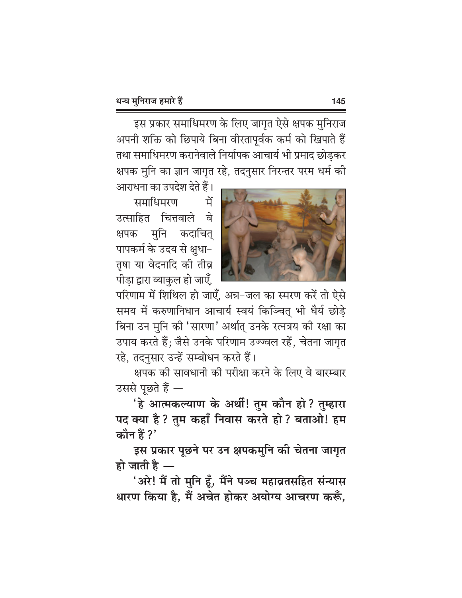इस प्रकार समाधिमरण के लिए जागृत ऐसे क्षपक मुनिराज अपनी शक्ति को छिपाये बिना वीरतापूर्वक कर्म को खिपाते हैं तथा समाधिमरण करानेवाले निर्यापक आचार्य भी प्रमाद छोड़कर क्षपक मुनि का ज्ञान जागृत रहे, तदनुसार निरन्तर परम धर्म की



आराधना का उपदेश देते हैं। समाधिमरण ਸ਼੍ਰੋ ਰੇ उत्साहित चित्तवाले क्षपक मुनि कदाचित् पापकर्म के उदय से क्षुधा-तृषा या वेदनादि की तीव्र पीड़ा द्वारा व्याकुल हो जाएँ,

परिणाम में शिथिल हो जाएँ, अन्न-जल का स्मरण करें तो ऐसे समय में करुणानिधान आचार्य स्वयं किञ्चित् भी धैर्य छोड़े बिना उन मुनि की 'सारणा' अर्थात् उनके रत्नत्रय की रक्षा का उपाय करते हैं; जैसे उनके परिणाम उज्ज्वल रहें, चेतना जागृत रहे, तदनुसार उन्हें सम्बोधन करते हैं।

क्षपक को सावधानी की परीक्षा करने के लिए वे बारम्बार उससे पूछते हैं —

'हे आत्मकल्याण के अर्थी! तुम कौन हो? तुम्हारा पद क्या है ? तुम कहाँ निवास करते हो ? बताओ! हम कौन हैं ?'

इस प्रकार पूछने पर उन क्षपकमुनि की चेतना जागृत हो जाती है $-$ 

'अरे! मैं तो मुनि हूँ, मैंने पञ्च महाव्रतसहित संन्यास धारण किया है, मैं अचेत होकर अयोग्य आचरण करूँ,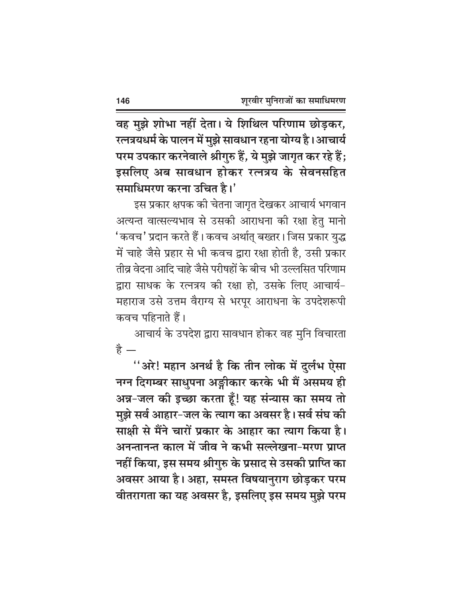वह मुझे शोभा नहीं देता। ये शिथिल परिणाम छोड़कर, रत्नत्रयधर्म के पालन में मुझे सावधान रहना योग्य है। आचार्य परम उपकार करनेवाले श्रीगुरु हैं, ये मुझे जागृत कर रहे हैं; इसलिए अब सावधान होकर रत्नत्रय के सेवनसहित समाधिमरण करना उचित है।'

इस प्रकार क्षपक की चेतना जागृत देखकर आचार्य भगवान अत्यन्त वात्सल्यभाव से उसकी आराधना की रक्षा हेतु मानो 'कवच' प्रदान करते हैं। कवच अर्थात् बख्तर। जिस प्रकार युद्ध में चाहे जैसे प्रहार से भी कवच द्वारा रक्षा होती है, उसी प्रकार तीव्र वेदना आदि चाहे जैसे परीषहों के बीच भी उल्लसित परिणाम द्वारा साधक के रत्नत्रय की रक्षा हो, उसके लिए आचार्य-महाराज उसे उत्तम वैराग्य से भरपूर आराधना के उपदेशरूपी कवच पहिनाते हैं।

आचार्य के उपदेश द्वारा सावधान होकर वह मुनि विचारता ੜੇ -

''अरे! महान अनर्थ है कि तीन लोक में दुर्लभ ऐसा नग्न दिगम्बर साधुपना अङ्गीकार करके भी मैं असमय ही अन्न-जल की इच्छा करता हूँ! यह संन्यास का समय तो मुझे सर्व आहार-जल के त्याग का अवसर है। सर्व संघ की साक्षी से मैंने चारों प्रकार के आहार का त्याग किया है। अनन्तानन्त काल में जीव ने कभी सल्लेखना-मरण प्राप्त नहीं किया, इस समय श्रीगुरु के प्रसाद से उसकी प्राप्ति का अवसर आया है। अहा, समस्त विषयानुराग छोड़कर परम वीतरागता का यह अवसर है, इसलिए इस समय मुझे परम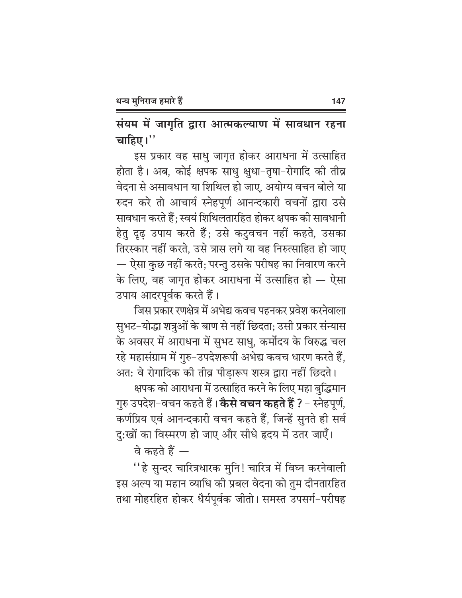संयम में जागृति द्वारा आत्मकल्याण में सावधान रहना चाहिए।''

इस प्रकार वह साधु जागृत होकर आराधना में उत्साहित होता है। अब, कोई क्षपक साधु क्षुधा-तृषा-रोगादि की तीव्र वेदना से असावधान या शिथिल हो जाए, अयोग्य वचन बोले या रुदन करे तो आचार्य स्नेहपूर्ण आनन्दकारी वचनों द्वारा उसे सावधान करते हैं; स्वयं शिथिलतारहित होकर क्षपक की सावधानी हेतु दृढ़ उपाय करते हैं; उसे कटुवचन नहीं कहते, उसका तिरस्कार नहीं करते, उसे त्रास लगे या वह निरुत्साहित हो जाए — ऐसा कुछ नहीं करते; परन्तु उसके परीषह का निवारण करने के लिए, वह जागृत होकर आराधना में उत्साहित हो — ऐसा उपाय आदरपूर्वक करते हैं।

जिस प्रकार रणक्षेत्र में अभेद्य कवच पहनकर प्रवेश करनेवाला सुभट-योद्धा शत्रुओं के बाण से नहीं छिदता; उसी प्रकार संन्यास के अवसर में आराधना में सुभट साधु, कर्मोदय के विरुद्ध चल रहे महासंग्राम में गुरु-उपदेशरूपी अभेद्य कवच धारण करते हैं, अत: वे रोगादिक की तीव्र पीड़ारूप शस्त्र द्वारा नहीं छिदते।

क्षपक को आराधना में उत्साहित करने के लिए महा बुद्धिमान गुरु उपदेश-वचन कहते हैं। **केसे वचन कहते हैं ?** - स्नेहपूर्ण, कर्णप्रिय एवं आनन्दकारी वचन कहते हैं, जिन्हें सुनते ही सर्व दु:खों का विस्मरण हो जाए और सीधे हृदय में उतर जाएँ।

वे कहते हैं  $-$ 

''हे सुन्दर चारित्रधारक मुनि! चारित्र में विघ्न करनेवाली इस अल्प या महान व्याधि की प्रबल वेदना को तुम दीनतारहित तथा मोहरहित होकर धैर्यपूर्वक जीतो। समस्त उपसर्ग-परीषह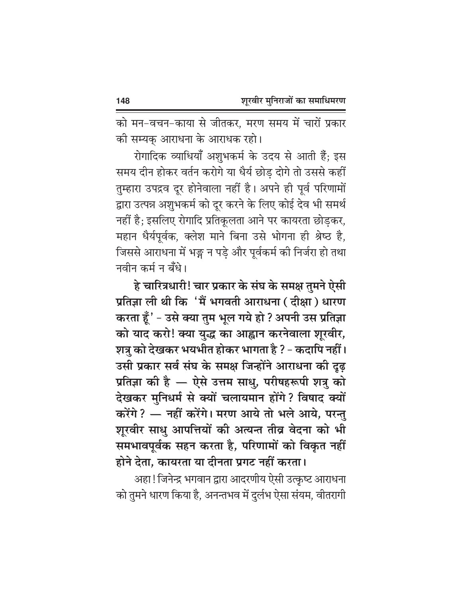को मन-वचन-काया से जीतकर, मरण समय में चारों प्रकार की सम्यक् आराधना के आराधक रहो।

रोगादिक व्याधियाँ अशुभकर्म के उदय से आती हैं; इस समय दीन होकर वर्तन करोगे या धैर्य छोड़ दोगे तो उससे कहीं तुम्हारा उपद्रव दूर होनेवाला नहीं है। अपने ही पूर्व परिणामों द्वारा उत्पन्न अशुभकर्म को दूर करने के लिए कोई देव भी समर्थ नहीं है; इसलिए रोगादि प्रतिकूलता आने पर कायरता छोड़कर, महान धैर्यपूर्वक, क्लेश माने बिना उसे भोगना ही श्रेष्ठ है, जिससे आराधना में भङ्ग न पड़े और पूर्वकर्म की निर्जरा हो तथा नवीन कर्म न बँधे।

हे चारित्रधारी! चार प्रकार के संघ के समक्ष तुमने ऐसी प्रतिज्ञा ली थी कि 'मैं भगवती आराधना ( दीक्षा ) धारण करता हूँ ' - उसे क्या तुम भूल गये हो ? अपनी उस प्रतिज्ञा को याद करो! क्या युद्ध का आह्वान करनेवाला शूरवीर, शत्रु को देखकर भयभीत होकर भागता है ? - कदापि नहीं। उसी प्रकार सर्व संघ के समक्ष जिन्होंने आराधना की दूढ़ प्रतिज्ञा की है — ऐसे उत्तम साधु, परीषहरूपी शत्रु को देखकर मुनिधर्म से क्यों चलायमान होंगे? विषाद क्यों करेंगे ? — नहीं करेंगे। मरण आये तो भले आये, परन्तु शूरवीर साधु आपत्तियों की अत्यन्त तीव्र वेदना को भी समभावपूर्वक सहन करता है, परिणामों को विकृत नहीं होने देता, कायरता या दीनता प्रगट नहीं करता।

अहा! जिनेन्द्र भगवान द्वारा आदरणीय ऐसी उत्क्रष्ट आराधना को तुमने धारण किया है, अनन्तभव में दुर्लभ ऐसा संयम, वीतरागी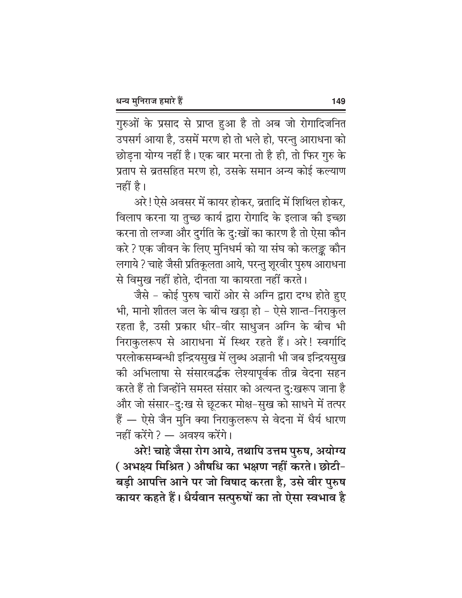गुरुओं के प्रसाद से प्राप्त हुआ है तो अब जो रोगादिजनित उपसर्ग आया है, उसमें मरण हो तो भले हो, परन्तु आराधना को छोड़ना योग्य नहीं है। एक बार मरना तो है ही, तो फिर गुरु के प्रताप से व्रतसहित मरण हो. उसके समान अन्य कोई कल्याण नहीं है।

अरे ! ऐसे अवसर में कायर होकर, व्रतादि में शिथिल होकर, विलाप करना या तुच्छ कार्य द्वारा रोगादि के इलाज की इच्छा करना तो लज्जा और दुर्गति के दु:खों का कारण है तो ऐसा कौन करे ? एक जीवन के लिए मुनिधर्म को या संघ को कलङ्क कौन लगाये ? चाहे जैसी प्रतिकूलता आये, परन्तु शूरवीर पुरुष आराधना से विमुख नहीं होते, दीनता या कायरता नहीं करते।

जैसे - कोई पुरुष चारों ओर से अग्नि द्वारा दग्ध होते हुए भी, मानो शीतल जल के बीच खड़ा हो – ऐसे शान्त–निराकुल रहता है, उसी प्रकार धीर-वीर साधुजन अग्नि के बीच भी निराकुलरूप से आराधना में स्थिर रहते हैं। अरे! स्वर्गादि परलोकसम्बन्धी इन्द्रियसुख में लुब्ध अज्ञानी भी जब इन्द्रियसुख की अभिलाषा से संसारवर्द्धक लेश्यापूर्वक तीव्र वेदना सहन करते हैं तो जिन्होंने समस्त संसार को अत्यन्त दु:खरूप जाना है और जो संसार-दु:ख से छूटकर मोक्ष-सुख को साधने में तत्पर हैं — ऐसे जैन मुनि क्या निराकुलरूप से वेदना में धैर्य धारण नहीं करेंगे ? — अवश्य करेंगे।

अरे! चाहे जैसा रोग आये, तथापि उत्तम पुरुष, अयोग्य ( अभक्ष्य मिश्रित ) औषधि का भक्षण नहीं करते। छोटी-बड़ी आपत्ति आने पर जो विषाद करता है, उसे वीर पुरुष कायर कहते हैं। धैर्यवान सत्पुरुषों का तो ऐसा स्वभाव है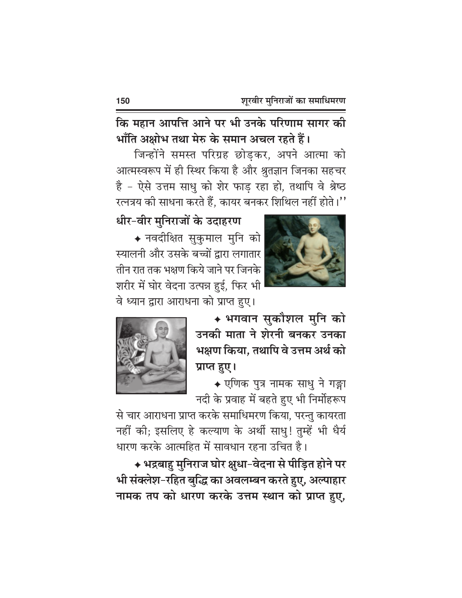कि महान आपत्ति आने पर भी उनके परिणाम सागर की भाँति अक्षोभ तथा मेरु के समान अचल रहते हैं।

जिन्होंने समस्त परिग्रह छोड़कर, अपने आत्मा को आत्मस्वरूप में ही स्थिर किया है और श्रुतज्ञान जिनका सहचर है - ऐसे उत्तम साधु को शेर फाड़ रहा हो, तथापि वे श्रेष्ठ रत्नत्रय की साधना करते हैं, कायर बनकर शिथिल नहीं होते।''

धीर-वीर मुनिराजों के उदाहरण

◆ नवदीक्षित सुकुमाल मुनि को स्यालनी और उसके बच्चों द्वारा लगातार तीन रात तक भक्षण किये जाने पर जिनके शरीर में घोर वेदना उत्पन्न हुई, फिर भी वे ध्यान द्वारा आराधना को प्राप्त हुए।





◆ भगवान सुकौशल मुनि को उनकी माता ने शेरनी बनकर उनका भक्षण किया. तथापि वे उत्तम अर्थ को प्राप्त हुए।

◆ एणिक पुत्र नामक साधु ने गङ्गा नदी के प्रवाह में बहते हुए भी निर्मोहरूप

से चार आराधना प्राप्त करके समाधिमरण किया, परन्तु कायरता नहीं की; इसलिए हे कल्याण के अर्थी साधु! तुम्हें भी धैर्य धारण करके आत्महित में सावधान रहना उचित है।

◆ भद्रबाहु मुनिराज घोर क्षुधा-वेदना से पीड़ित होने पर भी संक्लेश-रहित बुद्धि का अवलम्बन करते हुए, अल्पाहार नामक तप को धारण करके उत्तम स्थान को प्राप्त हुए,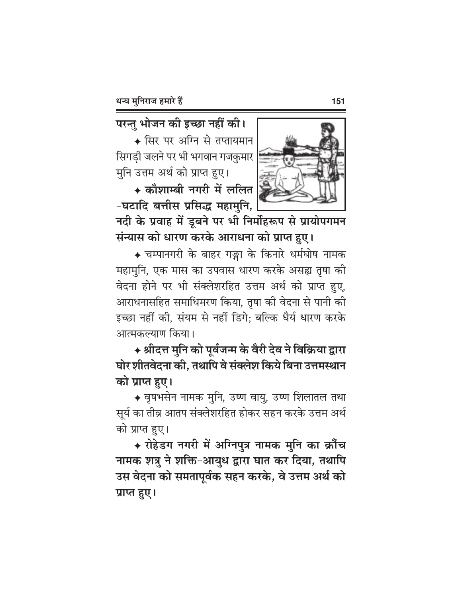परन्तु भोजन की इच्छा नहीं की।

◆ सिर पर अग्नि से तप्तायमान सिगडी जलने पर भी भगवान गजकुमार मुनि उत्तम अर्थ को प्राप्त हुए।

◆ कौशाम्बी नगरी में ललित -घटादि बत्तीस प्रसिद्ध महामुनि,



नदी के प्रवाह में डूबने पर भी निर्मोहरूप से प्रायोपगमन संन्यास को धारण करके आराधना को प्राप्त हुए।

◆ चम्पानगरी के बाहर गङ्गा के किनारे धर्मघोष नामक महामुनि, एक मास का उपवास धारण करके असह्य तृषा की वेदना होने पर भी संक्लेशरहित उत्तम अर्थ को प्राप्त हुए, आराधनासहित समाधिमरण किया, तृषा की वेदना से पानी की इच्छा नहीं की. संयम से नहीं डिगे: बल्कि धैर्य धारण करके आत्मकल्याण किया।

◆ श्रीदत्त मुनि को पूर्वजन्म के वैरी देव ने विक्रिया द्वारा घोर शीतवेदना की, तथापि वे संक्लेश किये बिना उत्तमस्थान को प्राप्त हुए।

◆ वृषभसेन नामक मुनि, उष्ण वायु, उष्ण शिलातल तथा सूर्य का तीव्र आतप संक्लेशरहित होकर सहन करके उत्तम अर्थ को प्राप्त हुए।

◆ रोहेडग नगरी में अग्निपुत्र नामक मुनि का क्रौंच नामक शत्रु ने शक्ति-आयुध द्वारा घात कर दिया, तथापि उस वेदना को समतापूर्वक सहन करके, वे उत्तम अर्थ को प्राप्त हुए।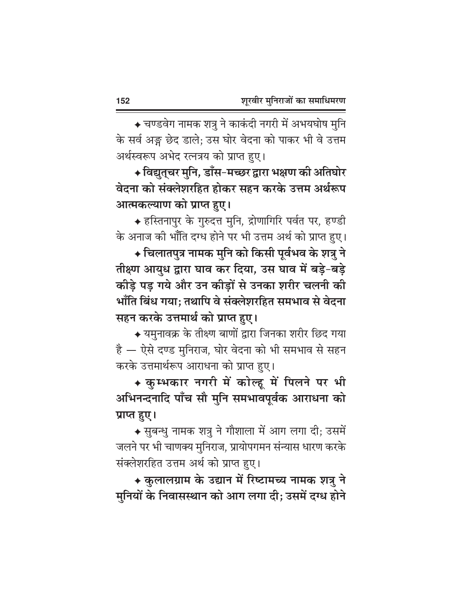◆ चण्डवेग नामक शत्रु ने काकंदी नगरी में अभयघोष मुनि के सर्व अङ्ग छेद डाले; उस घोर वेदना को पाकर भी वे उत्तम अर्थस्वरूप अभेद रत्नत्रय को प्राप्त हुए।

◆ विद्युत्चर मुनि, डाँस-मच्छर द्वारा भक्षण की अतिघोर वेदना को संक्लेशरहित होकर सहन करके उत्तम अर्थरूप आत्मकल्याण को प्राप्त हुए।

◆ हस्तिनापुर के गुरुदत्त मुनि, द्रोणागिरि पर्वत पर, हण्डी के अनाज की भाँति दग्ध होने पर भी उत्तम अर्थ को प्राप्त हुए।

+ चिलातपुत्र नामक मुनि को किसी पूर्वभव के शत्रु ने तीक्ष्ण आयुध द्वारा घाव कर दिया, उस घाव में बड़े-बड़े कीड़े पड़ गये और उन कीड़ों से उनका शरीर चलनी की भाँति बिंध गया: तथापि वे संक्लेशरहित समभाव से वेदना सहन करके उत्तमार्थ को प्राप्त हुए।

 $\overline{\bullet}$  यमुनावक्र के तीक्ष्ण बाणों द्वारा जिनका शरीर छिद गया है — ऐसे दण्ड मुनिराज, घोर वेदना को भी समभाव से सहन करके उत्तमार्थरूप आराधना को प्राप्त हुए।

◆ कुम्भकार नगरी में कोल्हू में पिलने पर भी अभिनन्दनादि पाँच सौ मुनि समभावपूर्वक आराधना को प्राप्त हुए।

◆ सुबन्धु नामक शत्रु ने गौशाला में आग लगा दी; उसमें जलने पर भी चाणक्य मुनिराज, प्रायोपगमन संन्यास धारण करके संक्लेशरहित उत्तम अर्थ को प्राप्त हुए।

◆ कुलालग्राम के उद्यान में रिष्टामच्य नामक शत्रु ने मुनियों के निवासस्थान को आग लगा दी; उसमें दग्ध होने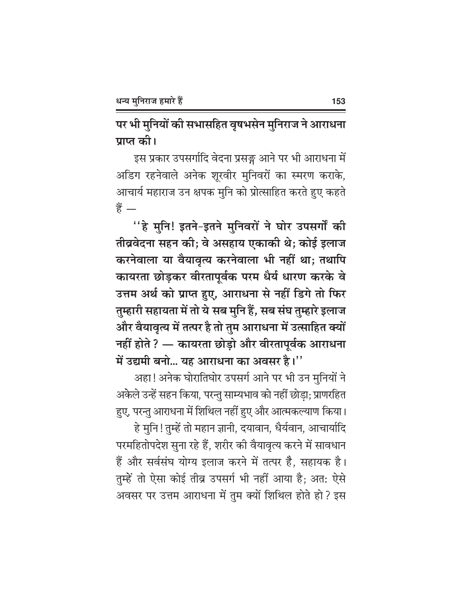पर भी मुनियों की सभासहित वृषभसेन मुनिराज ने आराधना पाप्त की।

इस प्रकार उपसर्गादि वेदना प्रसङ्ग आने पर भी आराधना में अडिग रहनेवाले अनेक शूरवीर मुनिवरों का स्मरण कराके, आचार्य महाराज उन क्षपक मुनि को प्रोत्साहित करते हुए कहते हैं  $-$ 

''हे मुनि! इतने-इतने मुनिवरों ने घोर उपसर्गों की तीव्रवेदना सहन की; वे असहाय एकाकी थे; कोई इलाज करनेवाला या वैयावृत्य करनेवाला भी नहीं था; तथापि कायरता छोड़कर वीरतापूर्वक परम धैर्य धारण करके वे उत्तम अर्थ को प्राप्त हुए, आराधना से नहीं डिगे तो फिर तुम्हारी सहायता में तो ये सब मुनि हैं, सब संघ तुम्हारे इलाज और वैयावृत्य में तत्पर है तो तुम आराधना में उत्साहित क्यों नहीं होते ? — कायरता छोड़ो और वीरतापूर्वक आराधना में उद्यमी बनो... यह आराधना का अवसर है।''

अहा! अनेक घोरातिघोर उपसर्ग आने पर भी उन मुनियों ने अकेले उन्हें सहन किया, परन्तु साम्यभाव को नहीं छोड़ा; प्राणरहित हुए, परन्तु आराधना में शिथिल नहीं हुए और आत्मकल्याण किया।

हे मुनि!तुम्हें तो महान ज्ञानी, दयावान, धैर्यवान, आचार्यादि परमहितोपदेश सुना रहे हैं, शरीर की वैयावृत्य करने में सावधान हैं और सर्वसंघ योग्य इलाज करने में तत्पर है, सहायक है। तुम्हें तो ऐसा कोई तीव्र उपसर्ग भी नहीं आया है; अत: ऐसे अवसर पर उत्तम आराधना में तुम क्यों शिथिल होते हो? इस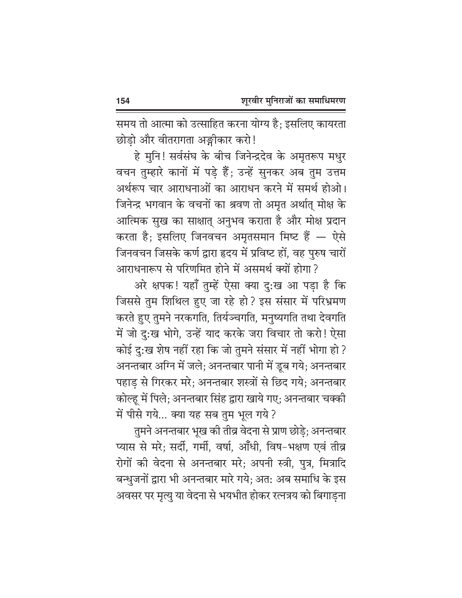समय तो आत्मा को उत्साहित करना योग्य है; इसलिए कायरता छोड़ो और वीतरागता अङ्गीकार करो!

हे मुनि! सर्वसंघ के बीच जिनेन्द्रदेव के अमृतरूप मधुर वचन तुम्हारे कानों में पड़े हैं; उन्हें सुनकर अब तुम उत्तम अर्थरूप चार आराधनाओं का आराधन करने में समर्थ होओ। जिनेन्द्र भगवान के वचनों का श्रवण तो अमृत अर्थात् मोक्ष के आत्मिक सुख का साक्षात् अनुभव कराता है और मोक्ष प्रदान करता है; इसलिए जिनवचन अमृतसमान मिष्ट हैं — ऐसे जिनवचन जिसके कर्ण द्वारा हृदय में प्रविष्ट हों, वह पुरुष चारों आराधनारूप से परिणमित होने में असमर्थ क्यों होगा ?

अरे क्षपक! यहाँ तुम्हें ऐसा क्या दु:ख आ पडा है कि जिससे तुम शिथिल हुए जा रहे हो? इस संसार में परिभ्रमण करते हुए तुमने नरकगति, तिर्यञ्चगति, मनुष्यगति तथा देवगति में जो दु:ख भोगे, उन्हें याद करके जरा विचार तो करो! ऐसा कोई दु:ख शेष नहीं रहा कि जो तुमने संसार में नहीं भोगा हो ? अनन्तबार अग्नि में जले; अनन्तबार पानी में डूब गये; अनन्तबार पहाड़ से गिरकर मरे; अनन्तबार शस्त्रों से छिद गये; अनन्तबार कोल्हू में पिले; अनन्तबार सिंह द्वारा खाये गए; अनन्तबार चक्की में पीसे गये... क्या यह सब तुम भूल गये ?

तुमने अनन्तबार भूख की तीव्र वेदना से प्राण छोड़े; अनन्तबार प्यास से मरे; सर्दी, गर्मी, वर्षा, आँधी, विष-भक्षण एवं तीव्र रोगों की वेदना से अनन्तबार मरे; अपनी स्त्री, पुत्र, मित्रादि बन्धुजनों द्वारा भी अनन्तबार मारे गये; अत: अब समाधि के इस अवसर पर मृत्यु या वेदना से भयभीत होकर रत्नत्रय को बिगाड़ना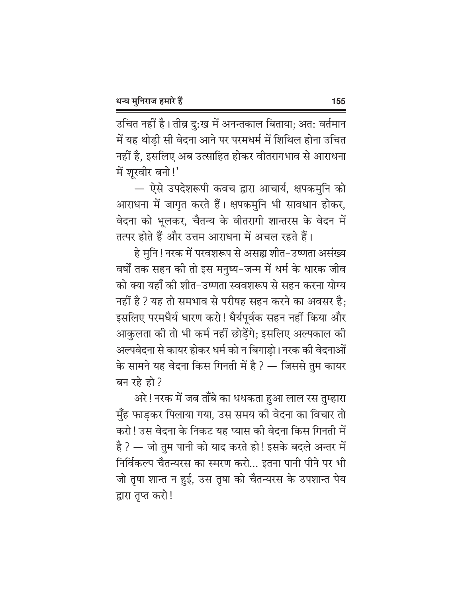उचित नहीं है। तीव्र दु:ख में अनन्तकाल बिताया; अत: वर्तमान में यह थोड़ी सी वेदना आने पर परमधर्म में शिथिल होना उचित नहीं है, इसलिए अब उत्साहित होकर वीतरागभाव से आराधना में शूरवीर बनो!'

— ऐसे उपदेशरूपी कवच द्वारा आचार्य, क्षपकमुनि को आराधना में जागृत करते हैं। क्षपकमुनि भी सावधान होकर, वेदना को भूलकर, चैतन्य के वीतरागी शान्तरस के वेदन में तत्पर होते हैं और उत्तम आराधना में अचल रहते हैं।

हे मुनि ! नरक में परवशरूप से असह्य शीत–उष्णता असंख्य वर्षों तक सहन की तो इस मनुष्य-जन्म में धर्म के धारक जीव को क्या यहाँ की शीत-उष्णता स्ववशरूप से सहन करना योग्य नहीं है ? यह तो समभाव से परीषह सहन करने का अवसर है; इसलिए परमधैर्य धारण करो! धैर्यपूर्वक सहन नहीं किया और आकुलता की तो भी कर्म नहीं छोड़ेंगे; इसलिए अल्पकाल की अल्पवेदना से कायर होकर धर्म को न बिगाडो। नरक की वेदनाओं के सामने यह वेदना किस गिनती में है ? — जिससे तुम कायर बन रहे हो?

अरे ! नरक में जब ताँबे का धधकता हुआ लाल रस तुम्हारा मुँह फाड़कर पिलाया गया, उस समय की वेदना का विचार तो करो! उस वेदना के निकट यह प्यास की वेदना किस गिनती में है ? — जो तुम पानी को याद करते हो ! इसके बदले अन्तर में निर्विकल्प चैतन्यरस का स्मरण करो... इतना पानी पीने पर भी जो तृषा शान्त न हुई, उस तृषा को चैतन्यरस के उपशान्त पेय द्वारा तुप्त करो!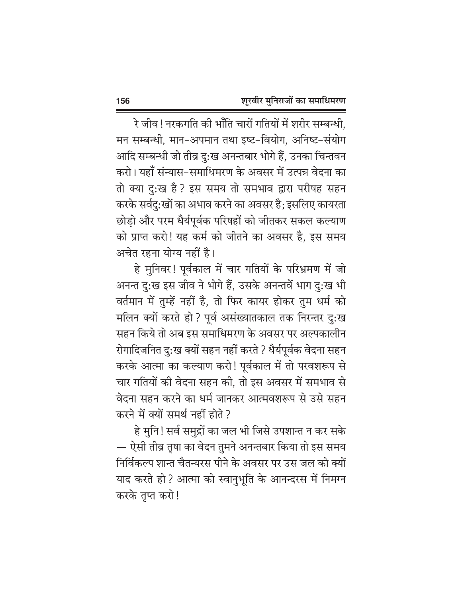रे जीव ! नरकगति की भाँति चारों गतियों में शरीर सम्बन्धी, मन सम्बन्धी, मान-अपमान तथा इष्ट-वियोग, अनिष्ट-संयोग आदि सम्बन्धी जो तीव्र दु:ख अनन्तबार भोगे हैं, उनका चिन्तवन करो। यहाँ संन्यास-समाधिमरण के अवसर में उत्पन्न वेदना का तो क्या दु:ख है? इस समय तो समभाव द्वारा परीषह सहन करके सर्वदु:खों का अभाव करने का अवसर है; इसलिए कायरता छोड़ो और परम धैर्यपूर्वक परिषहों को जीतकर सकल कल्याण को प्राप्त करो! यह कर्म को जीतने का अवसर है, इस समय अचेत रहना योग्य नहीं है।

हे मुनिवर! पूर्वकाल में चार गतियों के परिभ्रमण में जो अनन्त दु:ख इस जीव ने भोगे हैं, उसके अनन्तवें भाग दु:ख भी वर्तमान में तुम्हें नहीं है, तो फिर कायर होकर तुम धर्म को मलिन क्यों करते हो ? पूर्व असंख्यातकाल तक निरन्तर दु:ख सहन किये तो अब इस समाधिमरण के अवसर पर अल्पकालीन रोगादिजनित दु:ख क्यों सहन नहीं करते ? धैर्यपूर्वक वेदना सहन करके आत्मा का कल्याण करो! पूर्वकाल में तो परवशरूप से चार गतियों की वेदना सहन की, तो इस अवसर में समभाव से वेदना सहन करने का धर्म जानकर आत्मवशरूप से उसे सहन करने में क्यों समर्थ नहीं होते ?

हे मुनि! सर्व समुद्रों का जल भी जिसे उपशान्त न कर सके — ऐसी तीव्र तृषा का वेदन तुमने अनन्तबार किया तो इस समय निर्विकल्प शान्त चैतन्यरस पीने के अवसर पर उस जल को क्यों याद करते हो ? आत्मा को स्वानुभूति के आनन्दरस में निमग्न करके तप्त करो!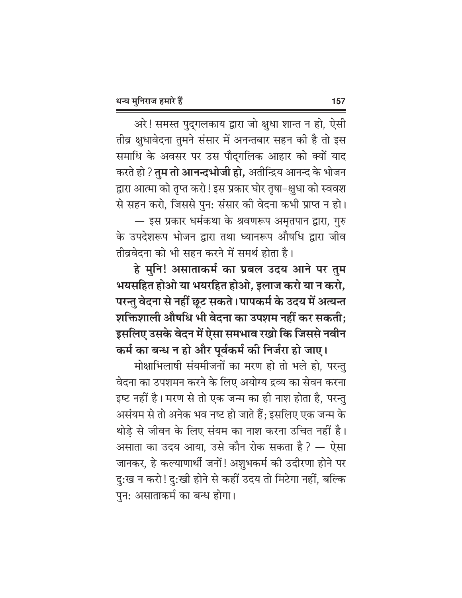अरे! समस्त पुद्गलकाय द्वारा जो क्षुधा शान्त न हो, ऐसी तीव्र क्षुधावेदना तुमने संसार में अनन्तबार सहन की है तो इस समाधि के अवसर पर उस पौद्गलिक आहार को क्यों याद करते हो ? **तुम तो आनन्दभोजी हो,** अतीन्द्रिय आनन्द के भोजन द्वारा आत्मा को तृप्त करो ! इस प्रकार घोर तृषा–क्षुधा को स्ववश से सहन करो, जिससे पुन: संसार की वेदना कभी प्राप्त न हो। — इस प्रकार धर्मकथा के श्रवणरूप अमृतपान द्वारा, गुरु के उपदेशरूप भोजन द्वारा तथा ध्यानरूप औषधि द्वारा जीव तीव्रवेदना को भी सहन करने में समर्थ होता है।

हे मुनि! असाताकर्म का प्रबल उदय आने पर तुम भयसहित होओ या भयरहित होओ, इलाज करो या न करो, परन्तु वेदना से नहीं छूट सकते। पापकर्म के उदय में अत्यन्त शक्तिशाली औषधि भी वेदना का उपशम नहीं कर सकती; इसलिए उसके वेदन में ऐसा समभाव रखो कि जिससे नवीन

कर्म का बन्ध न हो और पूर्वकर्म की निर्जरा हो जाए। मोक्षाभिलाषी संयमीजनों का मरण हो तो भले हो, परन्तु वेदना का उपशमन करने के लिए अयोग्य द्रव्य का सेवन करना इष्ट नहीं है। मरण से तो एक जन्म का ही नाश होता है, परन्तु असंयम से तो अनेक भव नष्ट हो जाते हैं; इसलिए एक जन्म के थोडे से जीवन के लिए संयम का नाश करना उचित नहीं है। असाता का उदय आया, उसे कौन रोक सकता है ? — ऐसा जानकर, हे कल्याणार्थी जनों! अशुभकर्म की उदीरणा होने पर दु:ख न करो! दु:खी होने से कहीं उदय तो मिटेगा नहीं, बल्कि पुन: असाताकर्म का बन्ध होगा।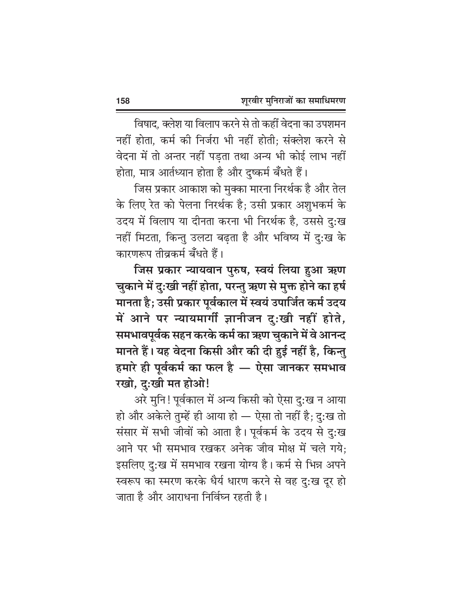विषाद, क्लेश या विलाप करने से तो कहीं वेदना का उपशमन नहीं होता. कर्म की निर्जरा भी नहीं होती: संक्लेश करने से वेदना में तो अन्तर नहीं पड़ता तथा अन्य भी कोई लाभ नहीं होता, मात्र आर्तध्यान होता है और दुष्कर्म बँधते हैं।

जिस प्रकार आकाश को मुक्का मारना निरर्थक है और तेल के लिए रेत को पेलना निरर्थक है; उसी प्रकार अशुभकर्म के उदय में विलाप या दीनता करना भी निरर्थक है, उससे दु:ख नहीं मिटता, किन्तु उलटा बढ़ता है और भविष्य में दु:ख के कारणरूप तीव्रकर्म बँधते हैं।

जिस प्रकार न्यायवान पुरुष, स्वयं लिया हुआ ऋण चुकाने में दुःखी नहीं होता, परन्तु ऋण से मुक्त होने का हर्ष मानता है; उसी प्रकार पूर्वकाल में स्वयं उपार्जित कर्म उदय में आने पर न्यायमार्गी ज्ञानीजन दुःखी नहीं होते, समभावपूर्वक सहन करके कर्म का ऋण चुकाने में वे आनन्द मानते हैं। यह वेदना किसी और की दी हुई नहीं है, किन्तु हमारे ही पूर्वकर्म का फल है — ऐसा जानकर समभाव रखो, द:खी मत होओ!

अरे मुनि! पूर्वकाल में अन्य किसी को ऐसा दु:ख न आया हो और अकेले तुम्हें ही आया हो — ऐसा तो नहीं है; दु:ख तो संसार में सभी जीवों को आता है। पूर्वकर्म के उदय से दु:ख आने पर भी समभाव रखकर अनेक जीव मोक्ष में चले गये: इसलिए दु:ख में समभाव रखना योग्य है। कर्म से भिन्न अपने स्वरूप का स्मरण करके धैर्य धारण करने से वह दु:ख दूर हो जाता है और आराधना निर्विघ्न रहती है।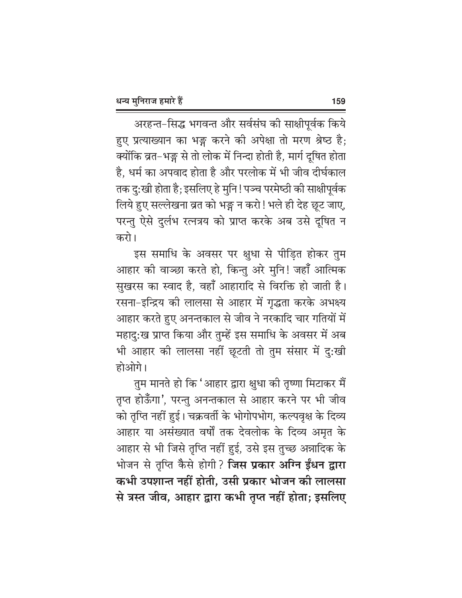अरहन्त-सिद्ध भगवन्त और सर्वसंघ की साक्षीपूर्वक किये हुए प्रत्याख्यान का भङ्ग करने की अपेक्षा तो मरण श्रेष्ठ है; क्योंकि व्रत–भङ्ग से तो लोक में निन्दा होती है, मार्ग दूषित होता है, धर्म का अपवाद होता है और परलोक में भी जीव दीर्घकाल तक दु:खी होता है; इसलिए हे मुनि ! पञ्च परमेष्ठी की साक्षीपूर्वक लिये हुए सल्लेखना व्रत को भङ्ग न करो! भले ही देह छूट जाए, परन्तु ऐसे दुर्लभ रत्नत्रय को प्राप्त करके अब उसे दूषित न करो।

इस समाधि के अवसर पर क्षुधा से पीड़ित होकर तुम आहार की वाञ्छा करते हो, किन्तु अरे मुनि! जहाँ आत्मिक सुखरस का स्वाद है, वहाँ आहारादि से विरक्ति हो जाती है। रसना-इन्द्रिय की लालसा से आहार में गृद्धता करके अभक्ष्य आहार करते हुए अनन्तकाल से जीव ने नरकादि चार गतियों में महादु:ख प्राप्त किया और तुम्हें इस समाधि के अवसर में अब भी आहार की लालसा नहीं छूटती तो तुम संसार में दु:खी होओगे।

तुम मानते हो कि 'आहार द्वारा क्षुधा की तृष्णा मिटाकर मैं तृप्त होऊँगा', परन्तु अनन्तकाल से आहार करने पर भी जीव को तृप्ति नहीं हुई। चक्रवर्ती के भोगोपभोग, कल्पवृक्ष के दिव्य आहार या असंख्यात वर्षों तक देवलोक के दिव्य अमृत के आहार से भी जिसे तृप्ति नहीं हुई, उसे इस तुच्छ अन्नादिक <mark>के</mark> भोजन से तृप्ति कैसे होगी? **जिस प्रकार अग्नि ईंधन द्वारा** कभी उपशान्त नहीं होती, उसी प्रकार भोजन की लालसा से त्रस्त जीव, आहार द्वारा कभी तृप्त नहीं होता; इसलिए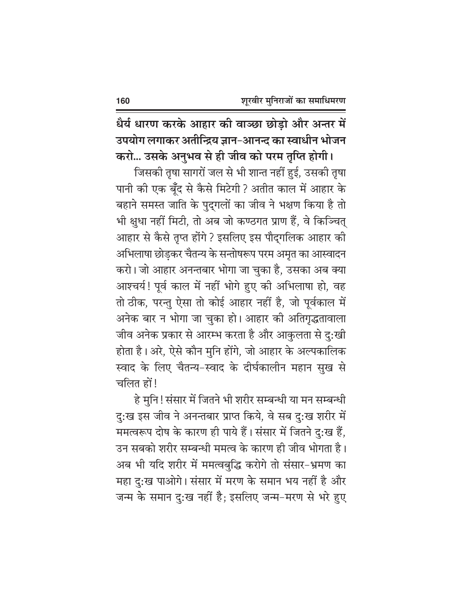धैर्य धारण करके आहार की वाञ्छा छोड़ो और अन्तर में उपयोग लगाकर अतीन्द्रिय ज्ञान-आनन्द का स्वाधीन भोजन

करो... उसके अनुभव से ही जीव को परम तृप्ति होगी। जिसकी तृषा सागरों जल से भी शान्त नहीं हुई, उसकी तृषा पानी की एक बूँद से कैसे मिटेगी ? अतीत काल में आहार के बहाने समस्त जाति के पुद्गलों का जीव ने भक्षण किया है तो भी क्षुधा नहीं मिटी, तो अब जो कण्ठगत प्राण हैं, वे किञ्चित् आहार से कैसे तृप्त होंगे ? इसलिए इस पौद्गलिक आहार की अभिलाषा छोड़कर चैतन्य के सन्तोषरूप परम अमृत का आस्वादन करो। जो आहार अनन्तबार भोगा जा चुका है, उसका अब क्या आश्चर्य! पूर्व काल में नहीं भोगे हुए की अभिलाषा हो, वह तो ठीक, परन्तु ऐसा तो कोई आहार नहीं है, जो पूर्वकाल में अनेक बार न भोगा जा चुका हो। आहार की अतिगृद्धतावाला जीव अनेक प्रकार से आरम्भ करता है और आकुलता से दु:खी होता है। अरे, ऐसे कौन मुनि होंगे, जो आहार के अल्पकालिक स्वाद के लिए चैतन्य-स्वाद के दीर्घकालीन महान सुख से चलित हों!

हे मुनि! संसार में जितने भी शरीर सम्बन्धी या मन सम्बन्धी दु:ख इस जीव ने अनन्तबार प्राप्त किये, वे सब दु:ख शरीर में ममत्वरूप दोष के कारण ही पाये हैं। संसार में जितने दु:ख हैं, उन सबको शरीर सम्बन्धी ममत्व के कारण ही जीव भोगता है। अब भी यदि शरीर में ममत्वबुद्धि करोगे तो संसार-भ्रमण का महा दु:ख पाओगे। संसार में मरण के समान भय नहीं है और जन्म के समान दु:ख नहीं है; इसलिए जन्म-मरण से भरे हुए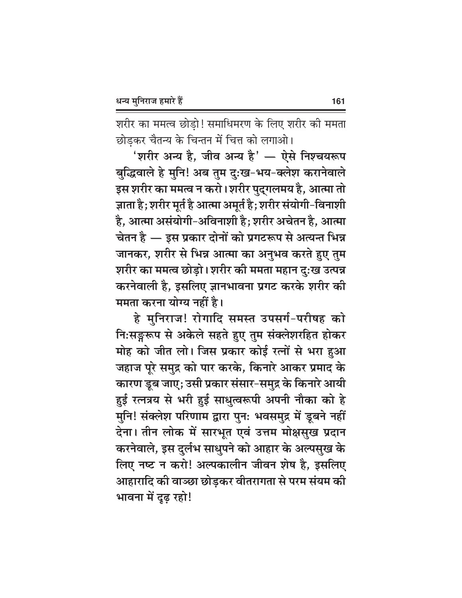शरीर का ममत्व छोड़ो! समाधिमरण के लिए शरीर की ममता छोडकर चैतन्य के चिन्तन में चित्त को लगाओ।

'शरीर अन्य है, जीव अन्य है' — ऐसे निश्चयरूप बुद्धिवाले हे मुनि! अब तुम दुःख-भय-क्लेश करानेवाले इस शरीर का ममत्व न करो। शरीर पुद्गलमय है, आत्मा तो ज्ञाता है; शरीर मूर्त है आत्मा अमूर्त है; शरीर संयोगी-विनाशी है, आत्मा असंयोगी-अविनाशी है; शरीर अचेतन है, आत्मा चेतन है — इस प्रकार दोनों को प्रगटरूप से अत्यन्त भिन्न जानकर, शरीर से भिन्न आत्मा का अनुभव करते हुए तुम शरीर का ममत्व छोड़ो। शरीर की ममता महान दुःख उत्पन्न करनेवाली है, इसलिए ज्ञानभावना प्रगट करके शरीर की ममता करना योग्य नहीं है।

हे मुनिराज! रोगादि समस्त उपसर्ग-परीषह को नि:सङ्गरूप से अकेले सहते हुए तुम संक्लेशरहित होकर मोह को जीत लो। जिस प्रकार कोई रत्नों से भरा हुआ जहाज पूरे समुद्र को पार करके, किनारे आकर प्रमाद के कारण डूब जाए; उसी प्रकार संसार-समुद्र के किनारे आयी हुई रत्नत्रय से भरी हुई साधुत्वरूपी अपनी नौका को हे मुनि! संक्लेश परिणाम द्वारा पुनः भवसमुद्र में डूबने नहीं देना। तीन लोक में सारभूत एवं उत्तम मोक्षसुख प्रदान करनेवाले, इस दुर्लभ साधुपने को आहार के अल्पसुख के लिए नष्ट न करो! अल्पकालीन जीवन शेष है, इसलिए आहारादि की वाञ्छा छोड़कर वीतरागता से परम संयम की भावना में दुढ़ रहो!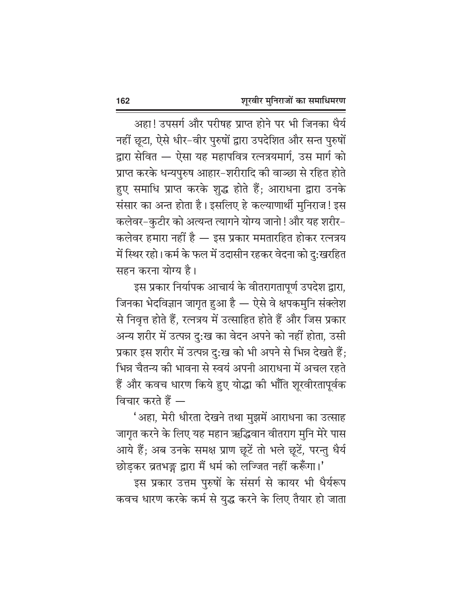अहा! उपसर्ग और परीषह प्राप्त होने पर भी जिनका धैर्य नहीं छूटा, ऐसे धीर-वीर पुरुषों द्वारा उपदेशित और सन्त पुरुषों द्वारा सेवित — ऐसा यह महापवित्र रत्नत्रयमार्ग, उस मार्ग को प्राप्त करके धन्यपुरुष आहार-शरीरादि की वाञ्छा से रहित होते हुए समाधि प्राप्त करके शुद्ध होते हैं; आराधना द्वारा उनके संसार का अन्त होता है। इसलिए हे कल्याणार्थी मुनिराज! इस कलेवर-कुटीर को अत्यन्त त्यागने योग्य जानो ! और यह शरीर-कलेवर हमारा नहीं है — इस प्रकार ममतारहित होकर रत्नत्रय में स्थिर रहो। कर्म के फल में उदासीन रहकर वेदना को दु:खरहित सहन करना योग्य है।

इस प्रकार निर्यापक आचार्य के वीतरागतापूर्ण उपदेश द्वारा, जिनका भेदविज्ञान जागृत हुआ है — ऐसे वे क्षपकमुनि संक्लेश से निवृत्त होते हैं, रत्नत्रय में उत्साहित होते हैं और जिस प्रकार अन्य शरीर में उत्पन्न दु:ख का वेदन अपने को नहीं होता, उसी प्रकार इस शरीर में उत्पन्न दु:ख को भी अपने से भिन्न देखते हैं; भिन्न चैतन्य की भावना से स्वयं अपनी आराधना में अचल रहते हैं और कवच धारण किये हुए योद्धा की भाँति शूरवीरतापूर्वक विचार करते हैं —

'अहा, मेरी धीरता देखने तथा मुझमें आराधना का उत्साह जागृत करने के लिए यह महान ऋद्धिवान वीतराग मुनि मेरे पास आये हैं; अब उनके समक्ष प्राण छूटें तो भले छूटें, परन्तु धैर्य छोड़कर व्रतभङ्ग द्वारा मैं धर्म को लज्जित नहीं करूँगा।'

इस प्रकार उत्तम पुरुषों के संसर्ग से कायर भी धैर्यरूप कवच धारण करके कर्म से युद्ध करने के लिए तैयार हो जाता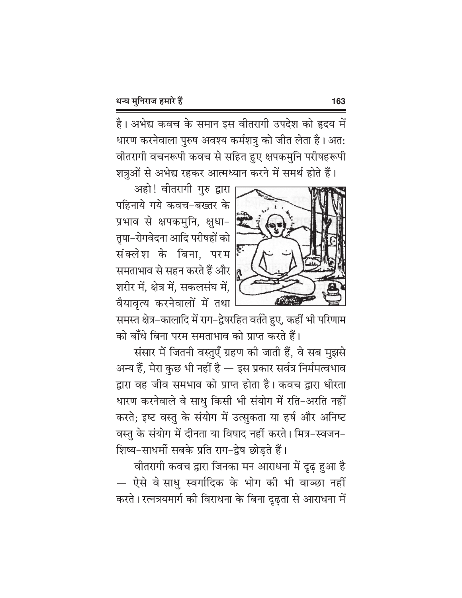है। अभेद्य कवच के समान इस वीतरागी उपदेश को हृदय में धारण करनेवाला पुरुष अवश्य कर्मशत्रु को जीत लेता है। अत: वीतरागी वचनरूपी कवच से सहित हुए क्षपकमुनि परीषहरूपी शत्रुओं से अभेद्य रहकर आत्मध्यान करने में समर्थ होते हैं।



अहो! वीतरागी गुरु द्वारा पहिनाये गये कवच-बख्तर के प्रभाव से क्षपकमुनि, क्षुधा-तृषा-रोगवेदना आदि परीषहों को संक्लेश के बिना, परम समताभाव से सहन करते हैं और शरीर में, क्षेत्र में, सकलसंघ में, वैयावृत्य करनेवालों में तथा

समस्त क्षेत्र–कालादि में राग–द्वेषरहित वर्तते हुए, कहीं भी परिणाम को बाँधे बिना परम समताभाव को प्राप्त करते हैं।

संसार में जितनी वस्तुएँ ग्रहण की जाती हैं, वे सब मुझसे अन्य हैं, मेरा कुछ भी नहीं है — इस प्रकार सर्वत्र निर्ममत्वभाव द्वारा वह जीव समभाव को प्राप्त होता है। कवच द्वारा धीरता धारण करनेवाले वे साधु किसी भी संयोग में रति-अरति नहीं करते; इष्ट वस्तु के संयोग में उत्सुकता या हर्ष और अनिष्ट वस्तु के संयोग में दीनता या विषाद नहीं करते। मित्र-स्वजन-शिष्य-साधर्मी सबके प्रति राग-द्वेष छोडते हैं।

वीतरागी कवच द्वारा जिनका मन आराधना में दृढ़ हुआ है — ऐसे वे साधु स्वर्गादिक के भोग की भी वाञ्छा नहीं करते। रत्नत्रयमार्ग की विराधना के बिना दृढ़ता से आराधना में